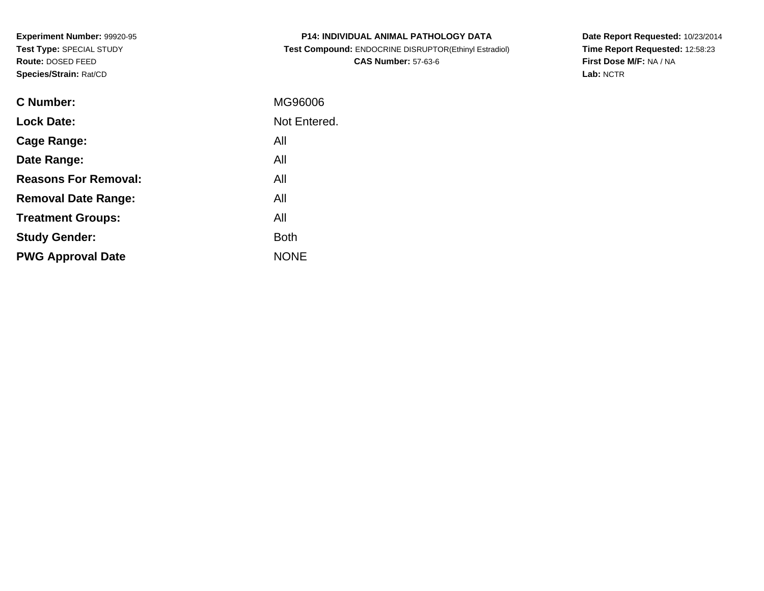**Experiment Number:** 99920-95**Test Type:** SPECIAL STUDY**Route:** DOSED FEED**Species/Strain:** Rat/CD

| <b>P14: INDIVIDUAL ANIMAL PATHOLOGY DATA</b>          |
|-------------------------------------------------------|
| Test Compound: ENDOCRINE DISRUPTOR(Ethinyl Estradiol) |
| <b>CAS Number: 57-63-6</b>                            |

**Date Report Requested:** 10/23/2014 **Time Report Requested:** 12:58:23**First Dose M/F:** NA / NA**Lab:** NCTR

| C Number:                   | MG96006      |
|-----------------------------|--------------|
| <b>Lock Date:</b>           | Not Entered. |
| Cage Range:                 | All          |
| Date Range:                 | All          |
| <b>Reasons For Removal:</b> | All          |
| <b>Removal Date Range:</b>  | All          |
| <b>Treatment Groups:</b>    | All          |
| <b>Study Gender:</b>        | <b>Both</b>  |
| <b>PWG Approval Date</b>    | <b>NONE</b>  |
|                             |              |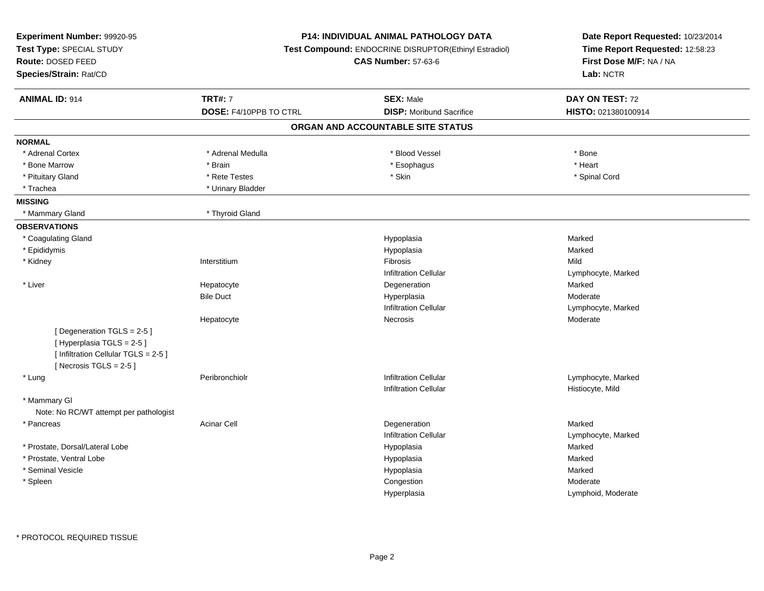| Experiment Number: 99920-95<br>Test Type: SPECIAL STUDY<br>Route: DOSED FEED<br>Species/Strain: Rat/CD                    |                        | P14: INDIVIDUAL ANIMAL PATHOLOGY DATA<br>Test Compound: ENDOCRINE DISRUPTOR(Ethinyl Estradiol)<br><b>CAS Number: 57-63-6</b> | Date Report Requested: 10/23/2014<br>Time Report Requested: 12:58:23<br>First Dose M/F: NA / NA<br>Lab: NCTR |
|---------------------------------------------------------------------------------------------------------------------------|------------------------|------------------------------------------------------------------------------------------------------------------------------|--------------------------------------------------------------------------------------------------------------|
| <b>ANIMAL ID: 914</b>                                                                                                     | <b>TRT#: 7</b>         | <b>SEX: Male</b>                                                                                                             | DAY ON TEST: 72                                                                                              |
|                                                                                                                           | DOSE: F4/10PPB TO CTRL | <b>DISP:</b> Moribund Sacrifice                                                                                              | HISTO: 021380100914                                                                                          |
|                                                                                                                           |                        | ORGAN AND ACCOUNTABLE SITE STATUS                                                                                            |                                                                                                              |
| <b>NORMAL</b>                                                                                                             |                        |                                                                                                                              |                                                                                                              |
| * Adrenal Cortex                                                                                                          | * Adrenal Medulla      | * Blood Vessel                                                                                                               | * Bone                                                                                                       |
| * Bone Marrow                                                                                                             | * Brain                | * Esophagus                                                                                                                  | * Heart                                                                                                      |
| * Pituitary Gland                                                                                                         | * Rete Testes          | * Skin                                                                                                                       | * Spinal Cord                                                                                                |
| * Trachea                                                                                                                 | * Urinary Bladder      |                                                                                                                              |                                                                                                              |
| <b>MISSING</b>                                                                                                            |                        |                                                                                                                              |                                                                                                              |
| * Mammary Gland                                                                                                           | * Thyroid Gland        |                                                                                                                              |                                                                                                              |
| <b>OBSERVATIONS</b>                                                                                                       |                        |                                                                                                                              |                                                                                                              |
| * Coagulating Gland                                                                                                       |                        | Hypoplasia                                                                                                                   | Marked                                                                                                       |
| * Epididymis                                                                                                              |                        | Hypoplasia                                                                                                                   | Marked                                                                                                       |
| * Kidney                                                                                                                  | Interstitium           | Fibrosis                                                                                                                     | Mild                                                                                                         |
|                                                                                                                           |                        | <b>Infiltration Cellular</b>                                                                                                 | Lymphocyte, Marked                                                                                           |
| * Liver                                                                                                                   | Hepatocyte             | Degeneration                                                                                                                 | Marked                                                                                                       |
|                                                                                                                           | <b>Bile Duct</b>       | Hyperplasia                                                                                                                  | Moderate                                                                                                     |
|                                                                                                                           |                        | <b>Infiltration Cellular</b>                                                                                                 | Lymphocyte, Marked                                                                                           |
|                                                                                                                           | Hepatocyte             | Necrosis                                                                                                                     | Moderate                                                                                                     |
| [Degeneration TGLS = 2-5]<br>[Hyperplasia TGLS = 2-5]<br>[ Infiltration Cellular TGLS = 2-5 ]<br>[Necrosis TGLS = $2-5$ ] |                        |                                                                                                                              |                                                                                                              |
| * Lung                                                                                                                    | Peribronchiolr         | <b>Infiltration Cellular</b>                                                                                                 | Lymphocyte, Marked                                                                                           |
|                                                                                                                           |                        | <b>Infiltration Cellular</b>                                                                                                 | Histiocyte, Mild                                                                                             |
| * Mammary GI                                                                                                              |                        |                                                                                                                              |                                                                                                              |
| Note: No RC/WT attempt per pathologist                                                                                    |                        |                                                                                                                              |                                                                                                              |
| * Pancreas                                                                                                                | <b>Acinar Cell</b>     | Degeneration                                                                                                                 | Marked                                                                                                       |
|                                                                                                                           |                        | <b>Infiltration Cellular</b>                                                                                                 | Lymphocyte, Marked                                                                                           |
| * Prostate, Dorsal/Lateral Lobe                                                                                           |                        | Hypoplasia                                                                                                                   | Marked                                                                                                       |
| * Prostate, Ventral Lobe                                                                                                  |                        | Hypoplasia                                                                                                                   | Marked                                                                                                       |
| * Seminal Vesicle                                                                                                         |                        | Hypoplasia                                                                                                                   | Marked                                                                                                       |
| * Spleen                                                                                                                  |                        | Congestion                                                                                                                   | Moderate                                                                                                     |
|                                                                                                                           |                        | Hyperplasia                                                                                                                  | Lymphoid, Moderate                                                                                           |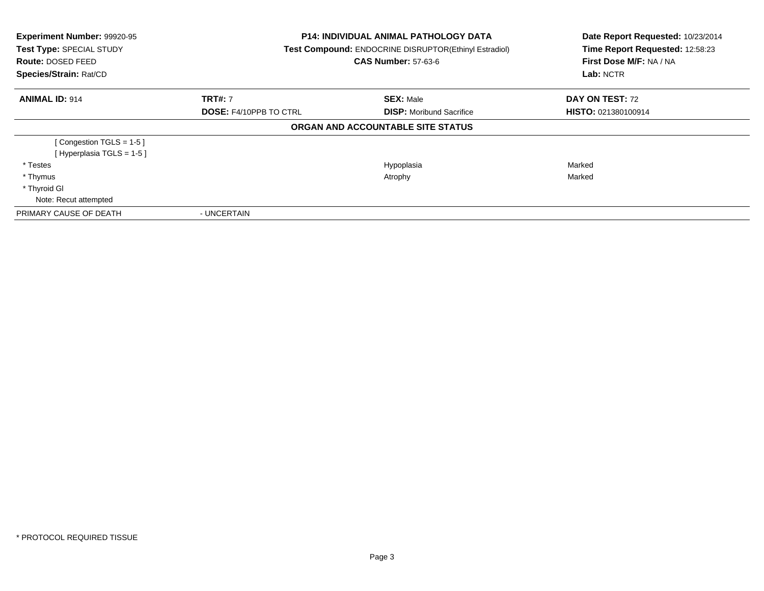| Experiment Number: 99920-95<br>Test Type: SPECIAL STUDY<br><b>Route: DOSED FEED</b><br>Species/Strain: Rat/CD | <b>P14: INDIVIDUAL ANIMAL PATHOLOGY DATA</b><br>Test Compound: ENDOCRINE DISRUPTOR(Ethinyl Estradiol)<br><b>CAS Number: 57-63-6</b> |                                   | Date Report Requested: 10/23/2014<br>Time Report Requested: 12:58:23<br>First Dose M/F: NA / NA<br>Lab: NCTR |
|---------------------------------------------------------------------------------------------------------------|-------------------------------------------------------------------------------------------------------------------------------------|-----------------------------------|--------------------------------------------------------------------------------------------------------------|
| <b>ANIMAL ID: 914</b>                                                                                         | <b>TRT#:</b> 7                                                                                                                      | <b>SEX: Male</b>                  | DAY ON TEST: 72                                                                                              |
|                                                                                                               | <b>DOSE: F4/10PPB TO CTRL</b>                                                                                                       | <b>DISP:</b> Moribund Sacrifice   | <b>HISTO: 021380100914</b>                                                                                   |
|                                                                                                               |                                                                                                                                     | ORGAN AND ACCOUNTABLE SITE STATUS |                                                                                                              |
| [Congestion TGLS = 1-5]                                                                                       |                                                                                                                                     |                                   |                                                                                                              |
| [Hyperplasia TGLS = $1-5$ ]                                                                                   |                                                                                                                                     |                                   |                                                                                                              |
| * Testes                                                                                                      |                                                                                                                                     | Hypoplasia                        | Marked                                                                                                       |
| * Thymus                                                                                                      |                                                                                                                                     | Atrophy                           | Marked                                                                                                       |
| * Thyroid GI                                                                                                  |                                                                                                                                     |                                   |                                                                                                              |
| Note: Recut attempted                                                                                         |                                                                                                                                     |                                   |                                                                                                              |
| PRIMARY CAUSE OF DEATH                                                                                        | - UNCERTAIN                                                                                                                         |                                   |                                                                                                              |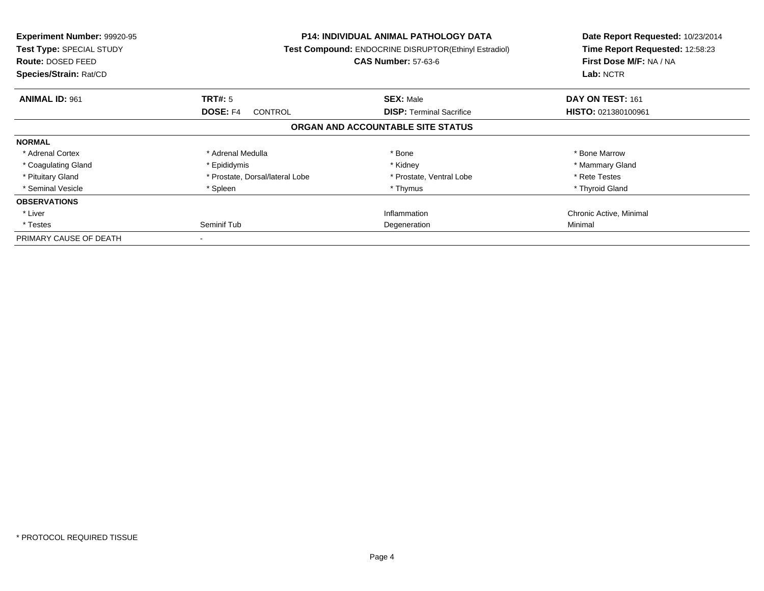| Experiment Number: 99920-95<br>Test Type: SPECIAL STUDY<br>Route: DOSED FEED<br>Species/Strain: Rat/CD | <b>P14: INDIVIDUAL ANIMAL PATHOLOGY DATA</b><br>Test Compound: ENDOCRINE DISRUPTOR(Ethinyl Estradiol)<br><b>CAS Number: 57-63-6</b> |                                   | Date Report Requested: 10/23/2014<br>Time Report Requested: 12:58:23<br>First Dose M/F: NA / NA<br>Lab: NCTR |
|--------------------------------------------------------------------------------------------------------|-------------------------------------------------------------------------------------------------------------------------------------|-----------------------------------|--------------------------------------------------------------------------------------------------------------|
| <b>ANIMAL ID: 961</b>                                                                                  | TRT#: 5                                                                                                                             | <b>SEX: Male</b>                  | DAY ON TEST: 161                                                                                             |
|                                                                                                        | DOSE: F4<br><b>CONTROL</b>                                                                                                          | <b>DISP:</b> Terminal Sacrifice   | HISTO: 021380100961                                                                                          |
|                                                                                                        |                                                                                                                                     | ORGAN AND ACCOUNTABLE SITE STATUS |                                                                                                              |
| <b>NORMAL</b>                                                                                          |                                                                                                                                     |                                   |                                                                                                              |
| * Adrenal Cortex                                                                                       | * Adrenal Medulla                                                                                                                   | * Bone                            | * Bone Marrow                                                                                                |
| * Coagulating Gland                                                                                    | * Epididymis                                                                                                                        | * Kidney                          | * Mammary Gland                                                                                              |
| * Pituitary Gland                                                                                      | * Prostate, Dorsal/lateral Lobe                                                                                                     | * Prostate, Ventral Lobe          | * Rete Testes                                                                                                |
| * Seminal Vesicle                                                                                      | * Spleen                                                                                                                            | * Thymus                          | * Thyroid Gland                                                                                              |
| <b>OBSERVATIONS</b>                                                                                    |                                                                                                                                     |                                   |                                                                                                              |
| * Liver                                                                                                |                                                                                                                                     | Inflammation                      | Chronic Active, Minimal                                                                                      |
| * Testes                                                                                               | Seminif Tub                                                                                                                         | Degeneration                      | Minimal                                                                                                      |
| PRIMARY CAUSE OF DEATH                                                                                 |                                                                                                                                     |                                   |                                                                                                              |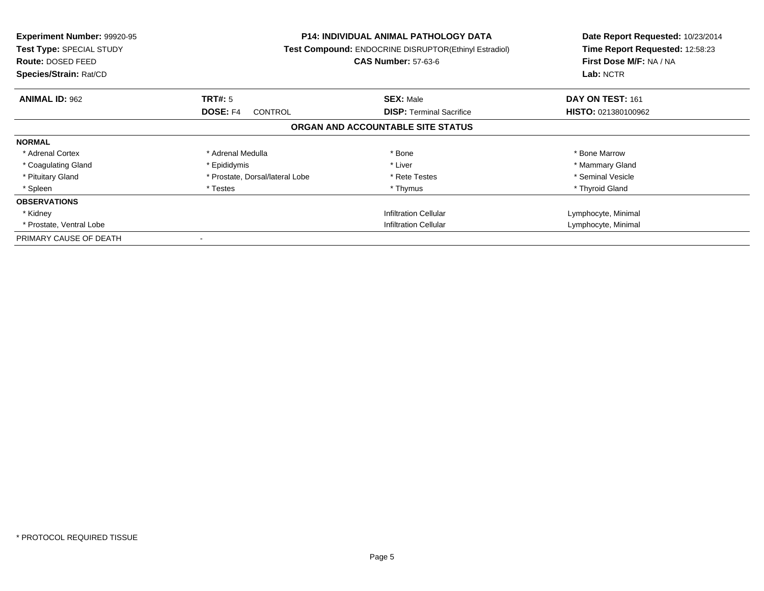| <b>Experiment Number: 99920-95</b><br>Test Type: SPECIAL STUDY<br>Route: DOSED FEED<br>Species/Strain: Rat/CD |                                   | <b>P14: INDIVIDUAL ANIMAL PATHOLOGY DATA</b><br><b>Test Compound: ENDOCRINE DISRUPTOR(Ethinyl Estradiol)</b><br><b>CAS Number: 57-63-6</b> | Date Report Requested: 10/23/2014<br>Time Report Requested: 12:58:23<br>First Dose M/F: NA / NA<br>Lab: NCTR |
|---------------------------------------------------------------------------------------------------------------|-----------------------------------|--------------------------------------------------------------------------------------------------------------------------------------------|--------------------------------------------------------------------------------------------------------------|
| <b>ANIMAL ID: 962</b>                                                                                         | TRT#: 5                           | <b>SEX: Male</b>                                                                                                                           | DAY ON TEST: 161                                                                                             |
|                                                                                                               | <b>DOSE: F4</b><br><b>CONTROL</b> | <b>DISP:</b> Terminal Sacrifice                                                                                                            | <b>HISTO: 021380100962</b>                                                                                   |
|                                                                                                               |                                   | ORGAN AND ACCOUNTABLE SITE STATUS                                                                                                          |                                                                                                              |
| <b>NORMAL</b>                                                                                                 |                                   |                                                                                                                                            |                                                                                                              |
| * Adrenal Cortex                                                                                              | * Adrenal Medulla                 | * Bone                                                                                                                                     | * Bone Marrow                                                                                                |
| * Coagulating Gland                                                                                           | * Epididymis                      | * Liver                                                                                                                                    | * Mammary Gland                                                                                              |
| * Pituitary Gland                                                                                             | * Prostate, Dorsal/lateral Lobe   | * Rete Testes                                                                                                                              | * Seminal Vesicle                                                                                            |
| * Spleen                                                                                                      | * Testes                          | * Thymus                                                                                                                                   | * Thyroid Gland                                                                                              |
| <b>OBSERVATIONS</b>                                                                                           |                                   |                                                                                                                                            |                                                                                                              |
| * Kidney                                                                                                      |                                   | <b>Infiltration Cellular</b>                                                                                                               | Lymphocyte, Minimal                                                                                          |
| * Prostate, Ventral Lobe                                                                                      | <b>Infiltration Cellular</b>      |                                                                                                                                            | Lymphocyte, Minimal                                                                                          |
| PRIMARY CAUSE OF DEATH                                                                                        |                                   |                                                                                                                                            |                                                                                                              |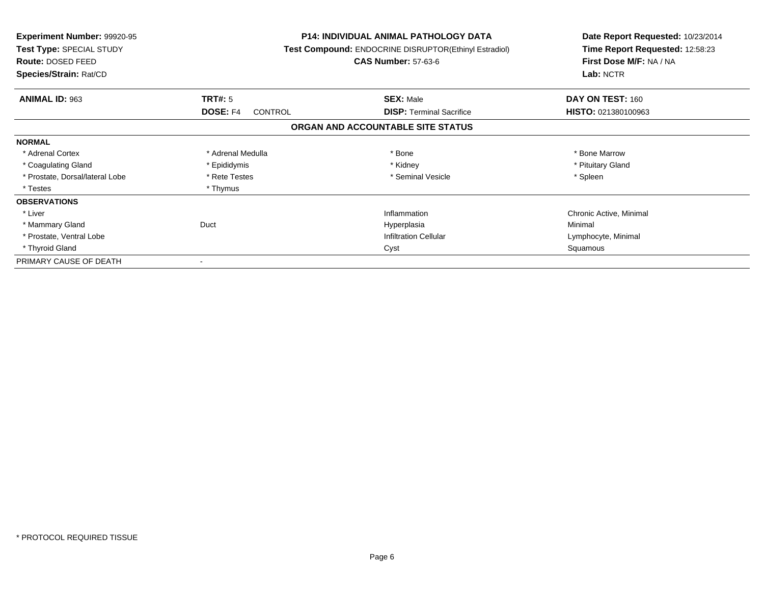| <b>Experiment Number: 99920-95</b><br>Test Type: SPECIAL STUDY<br><b>Route: DOSED FEED</b><br>Species/Strain: Rat/CD |                            | <b>P14: INDIVIDUAL ANIMAL PATHOLOGY DATA</b><br>Test Compound: ENDOCRINE DISRUPTOR(Ethinyl Estradiol)<br><b>CAS Number: 57-63-6</b> | Date Report Requested: 10/23/2014<br>Time Report Requested: 12:58:23<br>First Dose M/F: NA / NA<br>Lab: NCTR |
|----------------------------------------------------------------------------------------------------------------------|----------------------------|-------------------------------------------------------------------------------------------------------------------------------------|--------------------------------------------------------------------------------------------------------------|
| <b>ANIMAL ID: 963</b>                                                                                                | TRT#: 5                    | <b>SEX: Male</b>                                                                                                                    | DAY ON TEST: 160                                                                                             |
|                                                                                                                      | <b>DOSE: F4</b><br>CONTROL | <b>DISP: Terminal Sacrifice</b>                                                                                                     | HISTO: 021380100963                                                                                          |
|                                                                                                                      |                            | ORGAN AND ACCOUNTABLE SITE STATUS                                                                                                   |                                                                                                              |
| <b>NORMAL</b>                                                                                                        |                            |                                                                                                                                     |                                                                                                              |
| * Adrenal Cortex                                                                                                     | * Adrenal Medulla          | * Bone                                                                                                                              | * Bone Marrow                                                                                                |
| * Coagulating Gland                                                                                                  | * Epididymis               | * Kidney                                                                                                                            | * Pituitary Gland                                                                                            |
| * Prostate, Dorsal/lateral Lobe                                                                                      | * Rete Testes              | * Seminal Vesicle                                                                                                                   | * Spleen                                                                                                     |
| * Testes                                                                                                             | * Thymus                   |                                                                                                                                     |                                                                                                              |
| <b>OBSERVATIONS</b>                                                                                                  |                            |                                                                                                                                     |                                                                                                              |
| * Liver                                                                                                              |                            | Inflammation                                                                                                                        | Chronic Active, Minimal                                                                                      |
| * Mammary Gland                                                                                                      | Duct                       | Hyperplasia                                                                                                                         | Minimal                                                                                                      |
| * Prostate, Ventral Lobe                                                                                             |                            | <b>Infiltration Cellular</b>                                                                                                        | Lymphocyte, Minimal                                                                                          |
| * Thyroid Gland                                                                                                      |                            | Cyst                                                                                                                                | Squamous                                                                                                     |
| PRIMARY CAUSE OF DEATH                                                                                               |                            |                                                                                                                                     |                                                                                                              |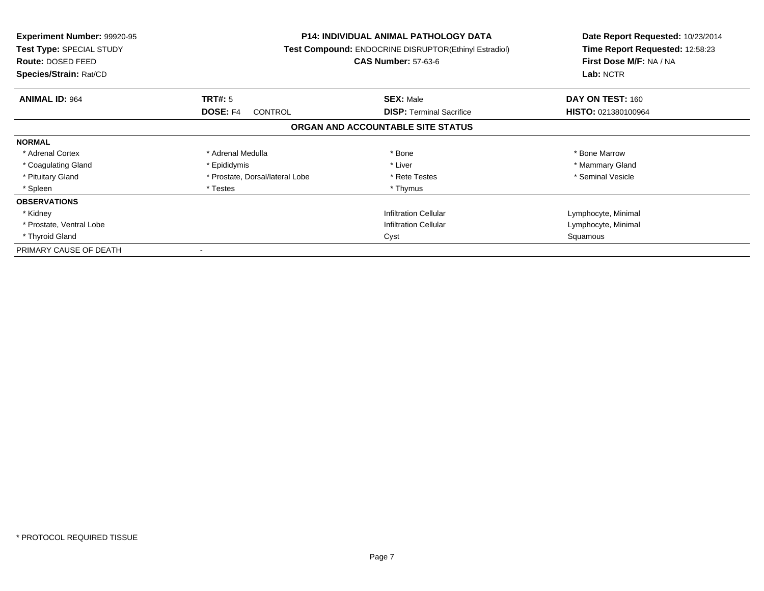| <b>Experiment Number: 99920-95</b><br>Test Type: SPECIAL STUDY<br>Route: DOSED FEED<br>Species/Strain: Rat/CD |                                 | <b>P14: INDIVIDUAL ANIMAL PATHOLOGY DATA</b><br><b>Test Compound: ENDOCRINE DISRUPTOR(Ethinyl Estradiol)</b><br><b>CAS Number: 57-63-6</b> |                            |
|---------------------------------------------------------------------------------------------------------------|---------------------------------|--------------------------------------------------------------------------------------------------------------------------------------------|----------------------------|
| <b>ANIMAL ID: 964</b>                                                                                         | <b>TRT#: 5</b>                  | <b>SEX: Male</b>                                                                                                                           | DAY ON TEST: 160           |
|                                                                                                               | <b>DOSE: F4</b><br>CONTROL      | <b>DISP:</b> Terminal Sacrifice                                                                                                            | <b>HISTO: 021380100964</b> |
|                                                                                                               |                                 | ORGAN AND ACCOUNTABLE SITE STATUS                                                                                                          |                            |
| <b>NORMAL</b>                                                                                                 |                                 |                                                                                                                                            |                            |
| * Adrenal Cortex                                                                                              | * Adrenal Medulla               | * Bone                                                                                                                                     | * Bone Marrow              |
| * Coagulating Gland                                                                                           | * Epididymis                    | * Liver                                                                                                                                    | * Mammary Gland            |
| * Pituitary Gland                                                                                             | * Prostate, Dorsal/lateral Lobe | * Rete Testes                                                                                                                              | * Seminal Vesicle          |
| * Spleen                                                                                                      | * Testes                        | * Thymus                                                                                                                                   |                            |
| <b>OBSERVATIONS</b>                                                                                           |                                 |                                                                                                                                            |                            |
| * Kidney                                                                                                      |                                 | <b>Infiltration Cellular</b>                                                                                                               | Lymphocyte, Minimal        |
| * Prostate, Ventral Lobe                                                                                      |                                 | <b>Infiltration Cellular</b>                                                                                                               | Lymphocyte, Minimal        |
| * Thyroid Gland                                                                                               |                                 | Cyst                                                                                                                                       | Squamous                   |
| PRIMARY CAUSE OF DEATH                                                                                        | $\,$ $\,$                       |                                                                                                                                            |                            |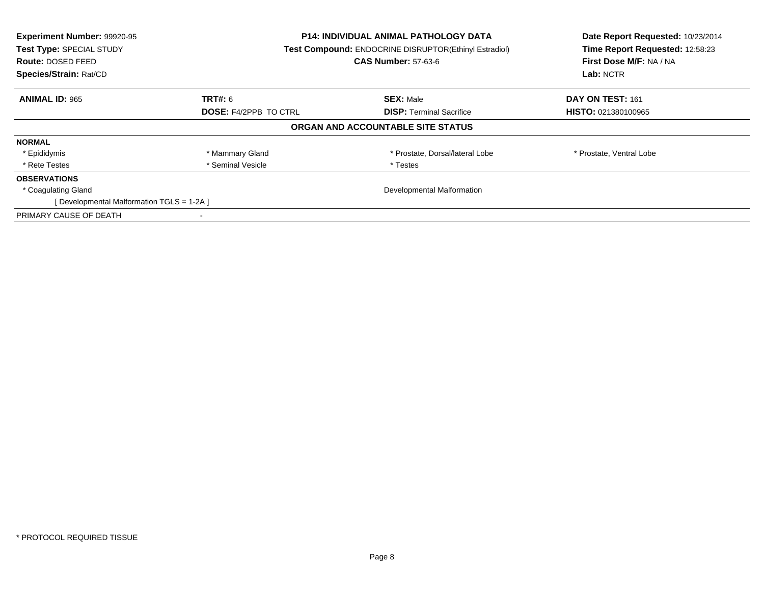| Experiment Number: 99920-95<br>Test Type: SPECIAL STUDY<br><b>Route: DOSED FEED</b><br>Species/Strain: Rat/CD | <b>P14: INDIVIDUAL ANIMAL PATHOLOGY DATA</b><br><b>Test Compound: ENDOCRINE DISRUPTOR(Ethinyl Estradiol)</b><br><b>CAS Number: 57-63-6</b> |                                   | Date Report Requested: 10/23/2014<br>Time Report Requested: 12:58:23<br>First Dose M/F: NA / NA<br>Lab: NCTR |
|---------------------------------------------------------------------------------------------------------------|--------------------------------------------------------------------------------------------------------------------------------------------|-----------------------------------|--------------------------------------------------------------------------------------------------------------|
| <b>ANIMAL ID: 965</b>                                                                                         | <b>TRT#:</b> 6                                                                                                                             | <b>SEX: Male</b>                  | DAY ON TEST: 161                                                                                             |
|                                                                                                               | <b>DOSE: F4/2PPB TO CTRL</b>                                                                                                               | <b>DISP:</b> Terminal Sacrifice   | <b>HISTO: 021380100965</b>                                                                                   |
|                                                                                                               |                                                                                                                                            | ORGAN AND ACCOUNTABLE SITE STATUS |                                                                                                              |
| <b>NORMAL</b>                                                                                                 |                                                                                                                                            |                                   |                                                                                                              |
| * Epididymis                                                                                                  | * Mammary Gland                                                                                                                            | * Prostate, Dorsal/lateral Lobe   | * Prostate, Ventral Lobe                                                                                     |
| * Rete Testes                                                                                                 | * Seminal Vesicle                                                                                                                          | * Testes                          |                                                                                                              |
| <b>OBSERVATIONS</b>                                                                                           |                                                                                                                                            |                                   |                                                                                                              |
| * Coagulating Gland                                                                                           |                                                                                                                                            | Developmental Malformation        |                                                                                                              |
| [Developmental Malformation TGLS = 1-2A]                                                                      |                                                                                                                                            |                                   |                                                                                                              |
| PRIMARY CAUSE OF DEATH                                                                                        |                                                                                                                                            |                                   |                                                                                                              |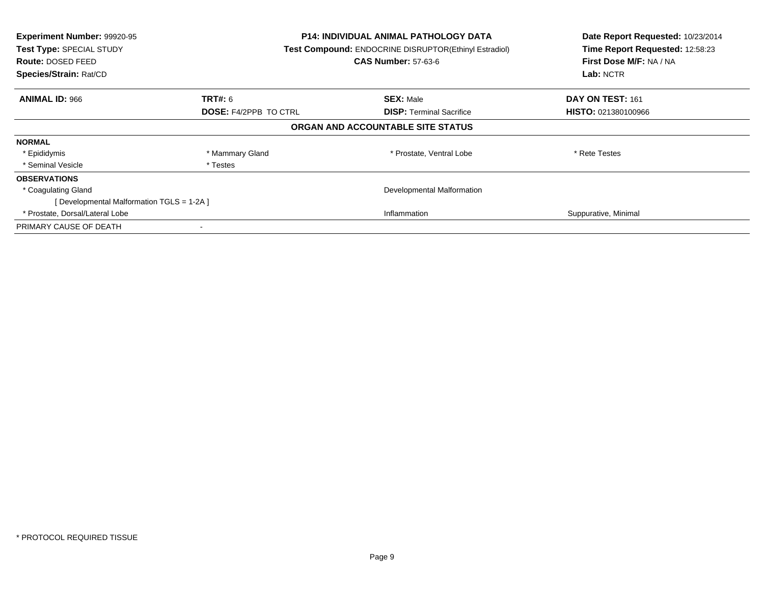| Experiment Number: 99920-95<br>Test Type: SPECIAL STUDY<br><b>Route: DOSED FEED</b><br>Species/Strain: Rat/CD |                              | <b>P14: INDIVIDUAL ANIMAL PATHOLOGY DATA</b><br>Test Compound: ENDOCRINE DISRUPTOR(Ethinyl Estradiol)<br><b>CAS Number: 57-63-6</b> |                            |
|---------------------------------------------------------------------------------------------------------------|------------------------------|-------------------------------------------------------------------------------------------------------------------------------------|----------------------------|
| <b>ANIMAL ID: 966</b>                                                                                         | <b>TRT#: 6</b>               | <b>SEX: Male</b>                                                                                                                    | DAY ON TEST: 161           |
|                                                                                                               | <b>DOSE: F4/2PPB TO CTRL</b> | <b>DISP:</b> Terminal Sacrifice                                                                                                     | <b>HISTO: 021380100966</b> |
|                                                                                                               |                              | ORGAN AND ACCOUNTABLE SITE STATUS                                                                                                   |                            |
| <b>NORMAL</b>                                                                                                 |                              |                                                                                                                                     |                            |
| * Epididymis                                                                                                  | * Mammary Gland              | * Prostate, Ventral Lobe                                                                                                            | * Rete Testes              |
| * Seminal Vesicle                                                                                             | * Testes                     |                                                                                                                                     |                            |
| <b>OBSERVATIONS</b>                                                                                           |                              |                                                                                                                                     |                            |
| * Coagulating Gland                                                                                           |                              | Developmental Malformation                                                                                                          |                            |
| [Developmental Malformation TGLS = 1-2A ]                                                                     |                              |                                                                                                                                     |                            |
| * Prostate, Dorsal/Lateral Lobe                                                                               |                              | Inflammation                                                                                                                        | Suppurative, Minimal       |
| PRIMARY CAUSE OF DEATH                                                                                        |                              |                                                                                                                                     |                            |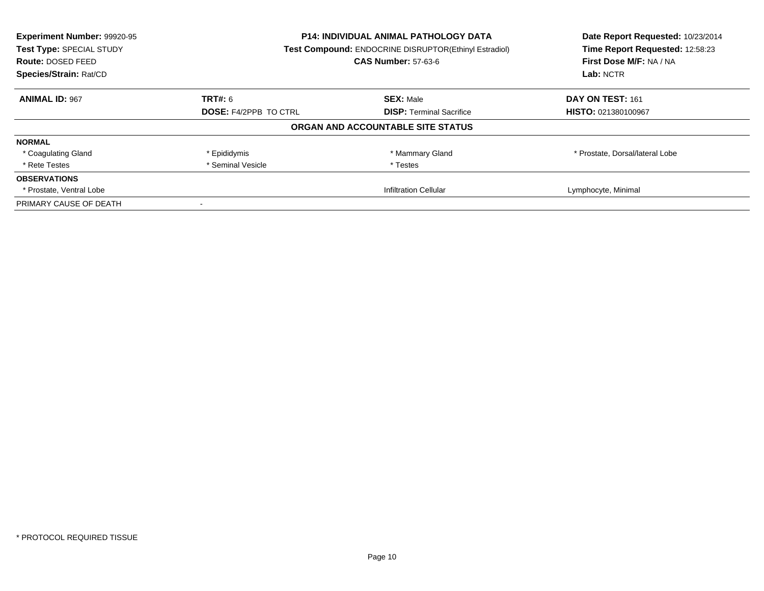| Experiment Number: 99920-95<br>Test Type: SPECIAL STUDY | <b>P14: INDIVIDUAL ANIMAL PATHOLOGY DATA</b><br>Test Compound: ENDOCRINE DISRUPTOR(Ethinyl Estradiol) |                                                       | Date Report Requested: 10/23/2014<br>Time Report Requested: 12:58:23 |
|---------------------------------------------------------|-------------------------------------------------------------------------------------------------------|-------------------------------------------------------|----------------------------------------------------------------------|
| Route: DOSED FEED                                       |                                                                                                       | <b>CAS Number: 57-63-6</b><br>First Dose M/F: NA / NA |                                                                      |
| Species/Strain: Rat/CD                                  |                                                                                                       |                                                       | Lab: NCTR                                                            |
| <b>ANIMAL ID: 967</b>                                   | TRT#: 6                                                                                               | <b>SEX: Male</b>                                      | DAY ON TEST: 161                                                     |
|                                                         | <b>DOSE: F4/2PPB TO CTRL</b>                                                                          | <b>DISP:</b> Terminal Sacrifice                       | HISTO: 021380100967                                                  |
|                                                         |                                                                                                       | ORGAN AND ACCOUNTABLE SITE STATUS                     |                                                                      |
| <b>NORMAL</b>                                           |                                                                                                       |                                                       |                                                                      |
| * Coagulating Gland                                     | * Epididymis                                                                                          | * Mammary Gland                                       | * Prostate, Dorsal/lateral Lobe                                      |
| * Rete Testes                                           | * Seminal Vesicle                                                                                     | * Testes                                              |                                                                      |
| <b>OBSERVATIONS</b>                                     |                                                                                                       |                                                       |                                                                      |
| * Prostate, Ventral Lobe                                |                                                                                                       | <b>Infiltration Cellular</b>                          | Lymphocyte, Minimal                                                  |
| PRIMARY CAUSE OF DEATH                                  |                                                                                                       |                                                       |                                                                      |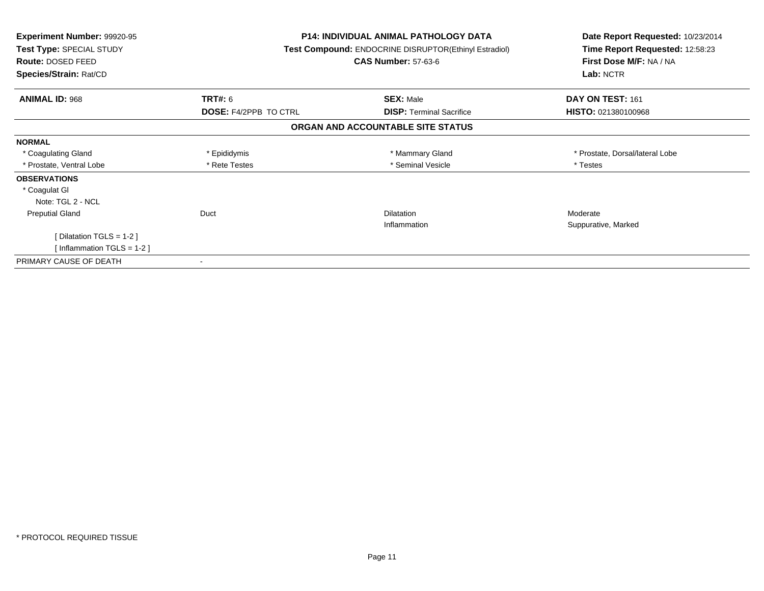| Experiment Number: 99920-95<br>Test Type: SPECIAL STUDY<br>Route: DOSED FEED<br>Species/Strain: Rat/CD | <b>P14: INDIVIDUAL ANIMAL PATHOLOGY DATA</b><br><b>Test Compound: ENDOCRINE DISRUPTOR(Ethinyl Estradiol)</b><br><b>CAS Number: 57-63-6</b> |                                   | Date Report Requested: 10/23/2014<br>Time Report Requested: 12:58:23<br>First Dose M/F: NA / NA<br>Lab: NCTR |
|--------------------------------------------------------------------------------------------------------|--------------------------------------------------------------------------------------------------------------------------------------------|-----------------------------------|--------------------------------------------------------------------------------------------------------------|
| <b>ANIMAL ID: 968</b>                                                                                  | <b>TRT#: 6</b>                                                                                                                             | <b>SEX: Male</b>                  | DAY ON TEST: 161                                                                                             |
|                                                                                                        | <b>DOSE: F4/2PPB TO CTRL</b>                                                                                                               | <b>DISP: Terminal Sacrifice</b>   | HISTO: 021380100968                                                                                          |
|                                                                                                        |                                                                                                                                            | ORGAN AND ACCOUNTABLE SITE STATUS |                                                                                                              |
| <b>NORMAL</b>                                                                                          |                                                                                                                                            |                                   |                                                                                                              |
| * Coagulating Gland                                                                                    | * Epididymis                                                                                                                               | * Mammary Gland                   | * Prostate, Dorsal/lateral Lobe                                                                              |
| * Prostate, Ventral Lobe                                                                               | * Rete Testes                                                                                                                              | * Seminal Vesicle                 | * Testes                                                                                                     |
| <b>OBSERVATIONS</b>                                                                                    |                                                                                                                                            |                                   |                                                                                                              |
| * Coagulat GI                                                                                          |                                                                                                                                            |                                   |                                                                                                              |
| Note: TGL 2 - NCL                                                                                      |                                                                                                                                            |                                   |                                                                                                              |
| <b>Preputial Gland</b>                                                                                 | Duct                                                                                                                                       | <b>Dilatation</b>                 | Moderate                                                                                                     |
|                                                                                                        |                                                                                                                                            | Inflammation                      | Suppurative, Marked                                                                                          |
| [Dilatation TGLS = $1-2$ ]                                                                             |                                                                                                                                            |                                   |                                                                                                              |
| [Inflammation TGLS = $1-2$ ]                                                                           |                                                                                                                                            |                                   |                                                                                                              |
| PRIMARY CAUSE OF DEATH                                                                                 |                                                                                                                                            |                                   |                                                                                                              |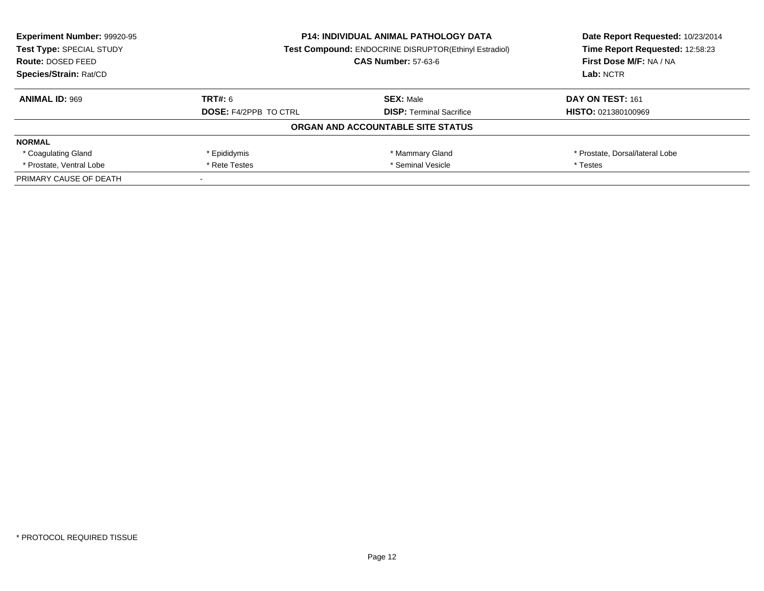| <b>Experiment Number: 99920-95</b><br>Test Type: SPECIAL STUDY | <b>P14: INDIVIDUAL ANIMAL PATHOLOGY DATA</b><br><b>Test Compound: ENDOCRINE DISRUPTOR(Ethinyl Estradiol)</b> |                                   | Date Report Requested: 10/23/2014<br>Time Report Requested: 12:58:23 |  |
|----------------------------------------------------------------|--------------------------------------------------------------------------------------------------------------|-----------------------------------|----------------------------------------------------------------------|--|
| <b>Route: DOSED FEED</b>                                       |                                                                                                              | <b>CAS Number: 57-63-6</b>        | First Dose M/F: NA / NA                                              |  |
| Species/Strain: Rat/CD                                         |                                                                                                              |                                   | Lab: NCTR                                                            |  |
| <b>ANIMAL ID: 969</b>                                          | TRT#: 6                                                                                                      | <b>SEX: Male</b>                  | DAY ON TEST: 161                                                     |  |
|                                                                | <b>DOSE: F4/2PPB TO CTRL</b>                                                                                 | <b>DISP:</b> Terminal Sacrifice   | <b>HISTO: 021380100969</b>                                           |  |
|                                                                |                                                                                                              | ORGAN AND ACCOUNTABLE SITE STATUS |                                                                      |  |
| <b>NORMAL</b>                                                  |                                                                                                              |                                   |                                                                      |  |
| * Coagulating Gland                                            | * Epididymis                                                                                                 | * Mammary Gland                   | * Prostate, Dorsal/lateral Lobe                                      |  |
| * Prostate, Ventral Lobe                                       | * Seminal Vesicle<br>* Rete Testes                                                                           |                                   | * Testes                                                             |  |
| PRIMARY CAUSE OF DEATH                                         |                                                                                                              |                                   |                                                                      |  |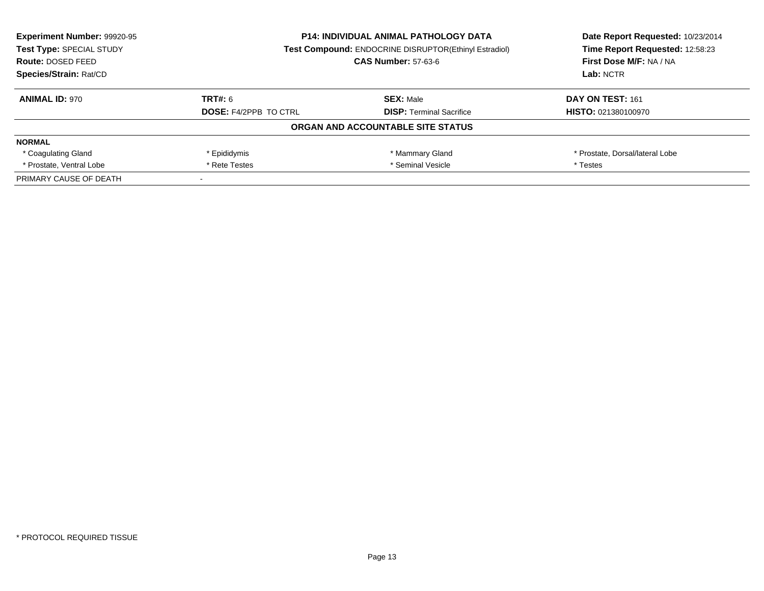| <b>Experiment Number: 99920-95</b><br>Test Type: SPECIAL STUDY | <b>P14: INDIVIDUAL ANIMAL PATHOLOGY DATA</b><br><b>Test Compound: ENDOCRINE DISRUPTOR(Ethinyl Estradiol)</b> |                                   | Date Report Requested: 10/23/2014<br>Time Report Requested: 12:58:23 |  |
|----------------------------------------------------------------|--------------------------------------------------------------------------------------------------------------|-----------------------------------|----------------------------------------------------------------------|--|
| <b>Route: DOSED FEED</b>                                       |                                                                                                              | <b>CAS Number: 57-63-6</b>        | First Dose M/F: NA / NA                                              |  |
| Species/Strain: Rat/CD                                         |                                                                                                              |                                   | Lab: NCTR                                                            |  |
| <b>ANIMAL ID: 970</b>                                          | TRT#: 6                                                                                                      | <b>SEX: Male</b>                  | DAY ON TEST: 161                                                     |  |
|                                                                | <b>DOSE: F4/2PPB TO CTRL</b>                                                                                 | <b>DISP:</b> Terminal Sacrifice   | <b>HISTO: 021380100970</b>                                           |  |
|                                                                |                                                                                                              | ORGAN AND ACCOUNTABLE SITE STATUS |                                                                      |  |
| <b>NORMAL</b>                                                  |                                                                                                              |                                   |                                                                      |  |
| * Coagulating Gland                                            | * Epididymis                                                                                                 | * Mammary Gland                   | * Prostate, Dorsal/lateral Lobe                                      |  |
| * Prostate, Ventral Lobe                                       | * Seminal Vesicle<br>* Rete Testes                                                                           |                                   | * Testes                                                             |  |
| PRIMARY CAUSE OF DEATH                                         |                                                                                                              |                                   |                                                                      |  |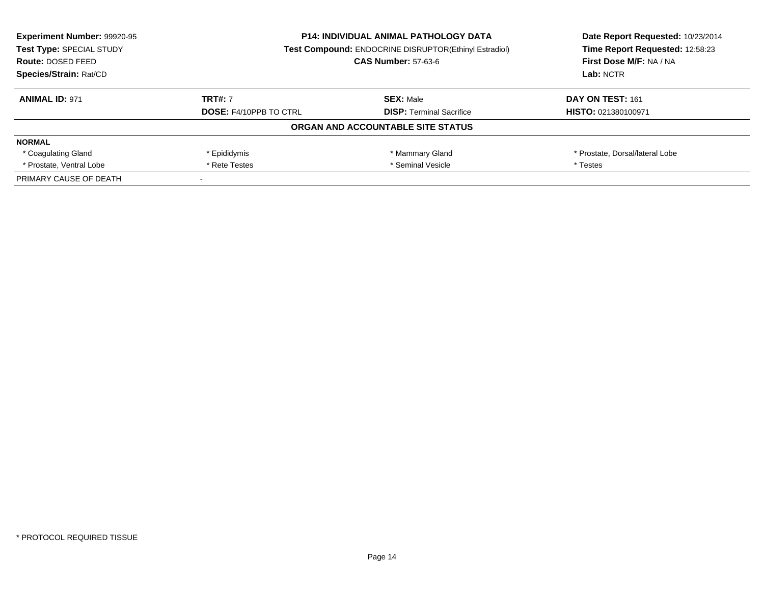| <b>Experiment Number: 99920-95</b><br>Test Type: SPECIAL STUDY<br>Route: DOSED FEED | <b>P14: INDIVIDUAL ANIMAL PATHOLOGY DATA</b><br><b>Test Compound: ENDOCRINE DISRUPTOR(Ethinyl Estradiol)</b><br><b>CAS Number: 57-63-6</b> |                                   | Date Report Requested: 10/23/2014<br>Time Report Requested: 12:58:23<br>First Dose M/F: NA / NA |
|-------------------------------------------------------------------------------------|--------------------------------------------------------------------------------------------------------------------------------------------|-----------------------------------|-------------------------------------------------------------------------------------------------|
| Species/Strain: Rat/CD                                                              |                                                                                                                                            |                                   | Lab: NCTR                                                                                       |
| <b>ANIMAL ID: 971</b>                                                               | <b>TRT#: 7</b>                                                                                                                             | <b>SEX: Male</b>                  | DAY ON TEST: 161                                                                                |
|                                                                                     | <b>DOSE: F4/10PPB TO CTRL</b>                                                                                                              | <b>DISP:</b> Terminal Sacrifice   | <b>HISTO: 021380100971</b>                                                                      |
|                                                                                     |                                                                                                                                            | ORGAN AND ACCOUNTABLE SITE STATUS |                                                                                                 |
| <b>NORMAL</b>                                                                       |                                                                                                                                            |                                   |                                                                                                 |
| * Coagulating Gland                                                                 | * Epididymis                                                                                                                               | * Mammary Gland                   | * Prostate, Dorsal/lateral Lobe                                                                 |
| * Prostate, Ventral Lobe                                                            | * Seminal Vesicle<br>* Rete Testes                                                                                                         |                                   | * Testes                                                                                        |
| PRIMARY CAUSE OF DEATH                                                              |                                                                                                                                            |                                   |                                                                                                 |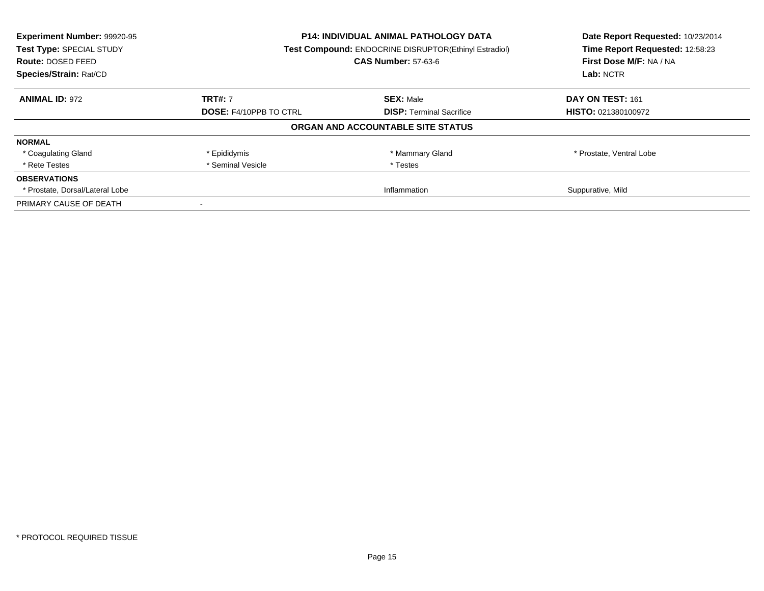| Experiment Number: 99920-95<br>Test Type: SPECIAL STUDY | <b>P14: INDIVIDUAL ANIMAL PATHOLOGY DATA</b><br>Test Compound: ENDOCRINE DISRUPTOR(Ethinyl Estradiol) |                                   | Date Report Requested: 10/23/2014<br>Time Report Requested: 12:58:23 |
|---------------------------------------------------------|-------------------------------------------------------------------------------------------------------|-----------------------------------|----------------------------------------------------------------------|
| Route: DOSED FEED                                       |                                                                                                       | <b>CAS Number: 57-63-6</b>        | First Dose M/F: NA / NA                                              |
| Species/Strain: Rat/CD                                  |                                                                                                       |                                   |                                                                      |
| <b>ANIMAL ID: 972</b>                                   | <b>TRT#: 7</b>                                                                                        | <b>SEX: Male</b>                  | DAY ON TEST: 161                                                     |
|                                                         | <b>DOSE: F4/10PPB TO CTRL</b>                                                                         | <b>DISP:</b> Terminal Sacrifice   | HISTO: 021380100972                                                  |
|                                                         |                                                                                                       | ORGAN AND ACCOUNTABLE SITE STATUS |                                                                      |
| <b>NORMAL</b>                                           |                                                                                                       |                                   |                                                                      |
| * Coagulating Gland                                     | * Epididymis                                                                                          | * Mammary Gland                   | * Prostate, Ventral Lobe                                             |
| * Rete Testes                                           | * Seminal Vesicle                                                                                     | * Testes                          |                                                                      |
| <b>OBSERVATIONS</b>                                     |                                                                                                       |                                   |                                                                      |
| * Prostate, Dorsal/Lateral Lobe                         |                                                                                                       | Inflammation                      | Suppurative, Mild                                                    |
| PRIMARY CAUSE OF DEATH                                  |                                                                                                       |                                   |                                                                      |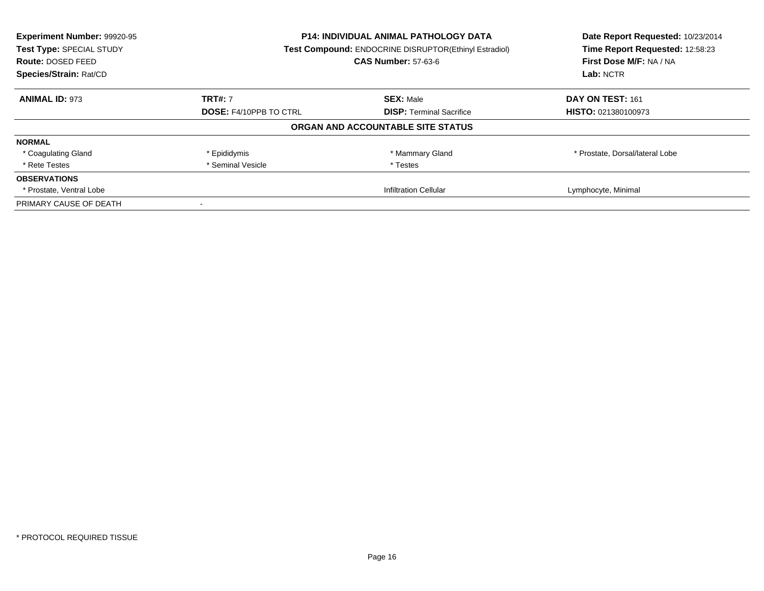| Experiment Number: 99920-95<br>Test Type: SPECIAL STUDY<br><b>Route: DOSED FEED</b><br>Species/Strain: Rat/CD |                               | <b>P14: INDIVIDUAL ANIMAL PATHOLOGY DATA</b><br>Test Compound: ENDOCRINE DISRUPTOR(Ethinyl Estradiol)<br><b>CAS Number: 57-63-6</b> |                                 |
|---------------------------------------------------------------------------------------------------------------|-------------------------------|-------------------------------------------------------------------------------------------------------------------------------------|---------------------------------|
| <b>ANIMAL ID: 973</b>                                                                                         | <b>TRT#: 7</b>                | <b>SEX: Male</b>                                                                                                                    | DAY ON TEST: 161                |
|                                                                                                               | <b>DOSE: F4/10PPB TO CTRL</b> | <b>DISP:</b> Terminal Sacrifice                                                                                                     | <b>HISTO: 021380100973</b>      |
|                                                                                                               |                               | ORGAN AND ACCOUNTABLE SITE STATUS                                                                                                   |                                 |
| <b>NORMAL</b>                                                                                                 |                               |                                                                                                                                     |                                 |
| * Coagulating Gland                                                                                           | * Epididymis                  | * Mammary Gland                                                                                                                     | * Prostate, Dorsal/lateral Lobe |
| * Rete Testes                                                                                                 | * Seminal Vesicle             | * Testes                                                                                                                            |                                 |
| <b>OBSERVATIONS</b>                                                                                           |                               |                                                                                                                                     |                                 |
| * Prostate, Ventral Lobe                                                                                      |                               | Infiltration Cellular                                                                                                               | Lymphocyte, Minimal             |
| PRIMARY CAUSE OF DEATH                                                                                        |                               |                                                                                                                                     |                                 |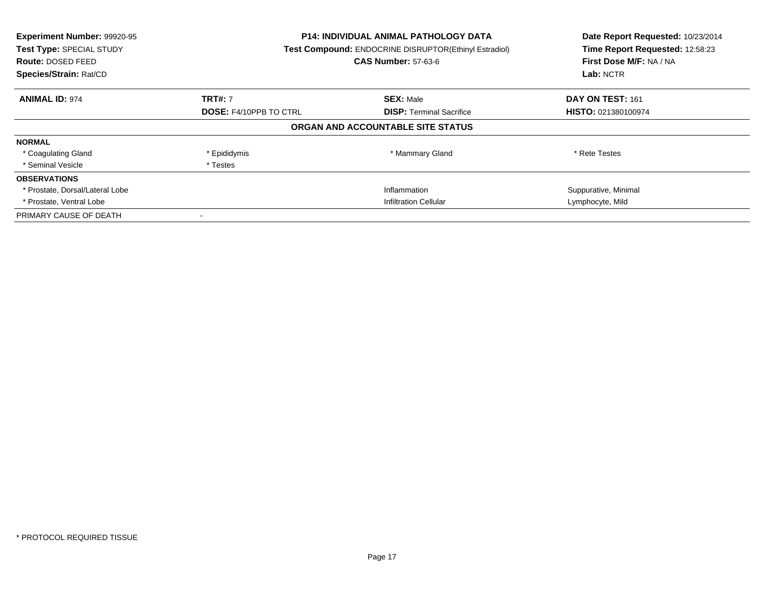| Experiment Number: 99920-95<br>Test Type: SPECIAL STUDY<br><b>Route: DOSED FEED</b><br>Species/Strain: Rat/CD |                               | <b>P14: INDIVIDUAL ANIMAL PATHOLOGY DATA</b><br><b>Test Compound: ENDOCRINE DISRUPTOR(Ethinyl Estradiol)</b><br><b>CAS Number: 57-63-6</b> | Date Report Requested: 10/23/2014<br>Time Report Requested: 12:58:23<br>First Dose M/F: NA / NA<br>Lab: NCTR |
|---------------------------------------------------------------------------------------------------------------|-------------------------------|--------------------------------------------------------------------------------------------------------------------------------------------|--------------------------------------------------------------------------------------------------------------|
| <b>ANIMAL ID: 974</b>                                                                                         | <b>TRT#: 7</b>                | <b>SEX: Male</b>                                                                                                                           | DAY ON TEST: 161                                                                                             |
|                                                                                                               | <b>DOSE: F4/10PPB TO CTRL</b> | <b>DISP:</b> Terminal Sacrifice                                                                                                            | <b>HISTO: 021380100974</b>                                                                                   |
|                                                                                                               |                               | ORGAN AND ACCOUNTABLE SITE STATUS                                                                                                          |                                                                                                              |
| <b>NORMAL</b>                                                                                                 |                               |                                                                                                                                            |                                                                                                              |
| * Coagulating Gland                                                                                           | * Epididymis                  | * Mammary Gland                                                                                                                            | * Rete Testes                                                                                                |
| * Seminal Vesicle                                                                                             | * Testes                      |                                                                                                                                            |                                                                                                              |
| <b>OBSERVATIONS</b>                                                                                           |                               |                                                                                                                                            |                                                                                                              |
| * Prostate, Dorsal/Lateral Lobe                                                                               |                               | Inflammation                                                                                                                               | Suppurative, Minimal                                                                                         |
| * Prostate, Ventral Lobe                                                                                      | <b>Infiltration Cellular</b>  |                                                                                                                                            | Lymphocyte, Mild                                                                                             |
| PRIMARY CAUSE OF DEATH                                                                                        |                               |                                                                                                                                            |                                                                                                              |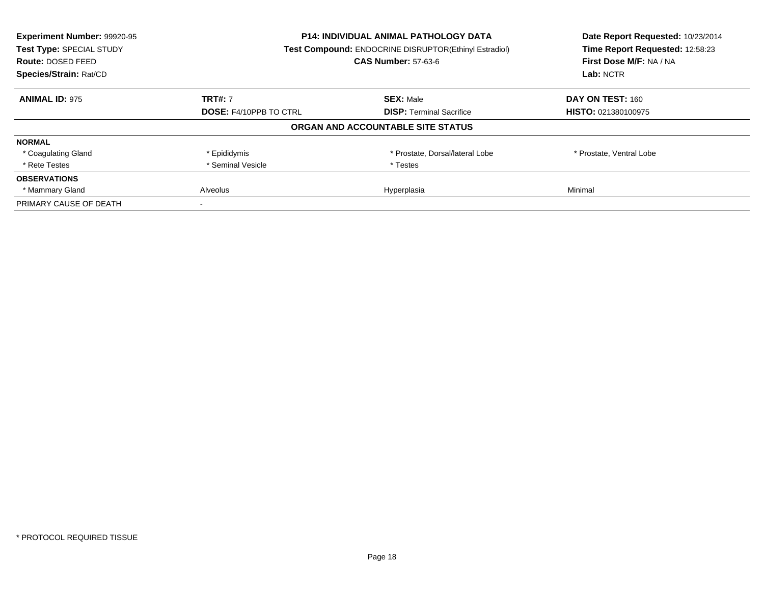| Experiment Number: 99920-95<br>Test Type: SPECIAL STUDY<br><b>Route: DOSED FEED</b><br>Species/Strain: Rat/CD |                               | <b>P14: INDIVIDUAL ANIMAL PATHOLOGY DATA</b><br>Test Compound: ENDOCRINE DISRUPTOR(Ethinyl Estradiol)<br><b>CAS Number: 57-63-6</b> | Date Report Requested: 10/23/2014<br>Time Report Requested: 12:58:23<br>First Dose M/F: NA / NA<br>Lab: NCTR |
|---------------------------------------------------------------------------------------------------------------|-------------------------------|-------------------------------------------------------------------------------------------------------------------------------------|--------------------------------------------------------------------------------------------------------------|
| <b>ANIMAL ID: 975</b>                                                                                         | <b>TRT#: 7</b>                | <b>SEX: Male</b>                                                                                                                    | DAY ON TEST: 160                                                                                             |
|                                                                                                               | <b>DOSE: F4/10PPB TO CTRL</b> | <b>DISP:</b> Terminal Sacrifice                                                                                                     | <b>HISTO: 021380100975</b>                                                                                   |
|                                                                                                               |                               | ORGAN AND ACCOUNTABLE SITE STATUS                                                                                                   |                                                                                                              |
| <b>NORMAL</b>                                                                                                 |                               |                                                                                                                                     |                                                                                                              |
| * Coagulating Gland                                                                                           | * Epididymis                  | * Prostate, Dorsal/lateral Lobe                                                                                                     | * Prostate, Ventral Lobe                                                                                     |
| * Rete Testes                                                                                                 | * Seminal Vesicle             | * Testes                                                                                                                            |                                                                                                              |
| <b>OBSERVATIONS</b>                                                                                           |                               |                                                                                                                                     |                                                                                                              |
| * Mammary Gland                                                                                               | Alveolus                      | Hyperplasia                                                                                                                         | Minimal                                                                                                      |
| PRIMARY CAUSE OF DEATH                                                                                        |                               |                                                                                                                                     |                                                                                                              |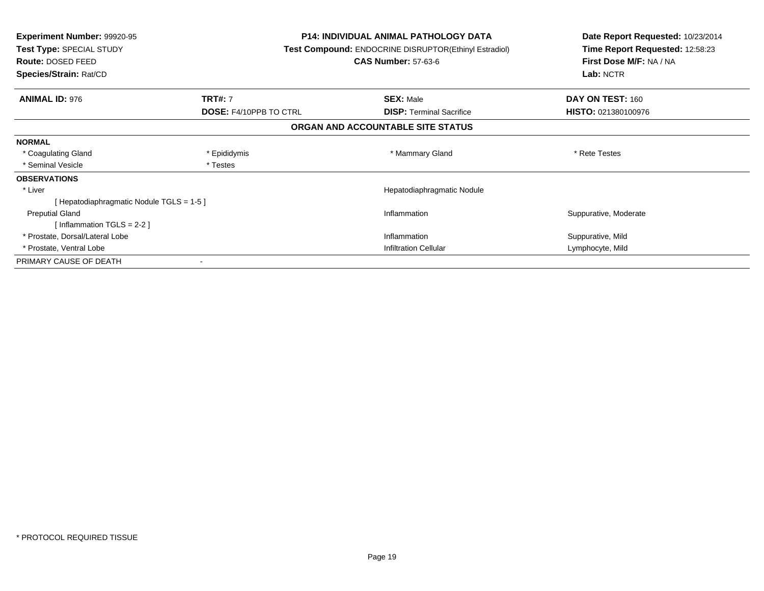| <b>Experiment Number: 99920-95</b><br>Test Type: SPECIAL STUDY<br><b>Route: DOSED FEED</b><br>Species/Strain: Rat/CD |                               | <b>P14: INDIVIDUAL ANIMAL PATHOLOGY DATA</b><br><b>Test Compound: ENDOCRINE DISRUPTOR(Ethinyl Estradiol)</b><br><b>CAS Number: 57-63-6</b> | Date Report Requested: 10/23/2014<br>Time Report Requested: 12:58:23<br>First Dose M/F: NA / NA<br>Lab: NCTR |
|----------------------------------------------------------------------------------------------------------------------|-------------------------------|--------------------------------------------------------------------------------------------------------------------------------------------|--------------------------------------------------------------------------------------------------------------|
|                                                                                                                      |                               |                                                                                                                                            |                                                                                                              |
| <b>ANIMAL ID: 976</b>                                                                                                | <b>TRT#: 7</b>                | <b>SEX: Male</b>                                                                                                                           | DAY ON TEST: 160                                                                                             |
|                                                                                                                      | <b>DOSE: F4/10PPB TO CTRL</b> | <b>DISP:</b> Terminal Sacrifice                                                                                                            | <b>HISTO: 021380100976</b>                                                                                   |
|                                                                                                                      |                               | ORGAN AND ACCOUNTABLE SITE STATUS                                                                                                          |                                                                                                              |
| <b>NORMAL</b>                                                                                                        |                               |                                                                                                                                            |                                                                                                              |
| * Coagulating Gland                                                                                                  | * Epididymis                  | * Mammary Gland                                                                                                                            | * Rete Testes                                                                                                |
| * Seminal Vesicle                                                                                                    | * Testes                      |                                                                                                                                            |                                                                                                              |
| <b>OBSERVATIONS</b>                                                                                                  |                               |                                                                                                                                            |                                                                                                              |
| * Liver                                                                                                              |                               | Hepatodiaphragmatic Nodule                                                                                                                 |                                                                                                              |
| [Hepatodiaphragmatic Nodule TGLS = 1-5]                                                                              |                               |                                                                                                                                            |                                                                                                              |
| <b>Preputial Gland</b>                                                                                               |                               | Inflammation                                                                                                                               | Suppurative, Moderate                                                                                        |
| [Inflammation TGLS = $2-2$ ]                                                                                         |                               |                                                                                                                                            |                                                                                                              |
| * Prostate, Dorsal/Lateral Lobe                                                                                      |                               | Inflammation                                                                                                                               | Suppurative, Mild                                                                                            |
| * Prostate, Ventral Lobe                                                                                             |                               | <b>Infiltration Cellular</b>                                                                                                               | Lymphocyte, Mild                                                                                             |
| PRIMARY CAUSE OF DEATH                                                                                               |                               |                                                                                                                                            |                                                                                                              |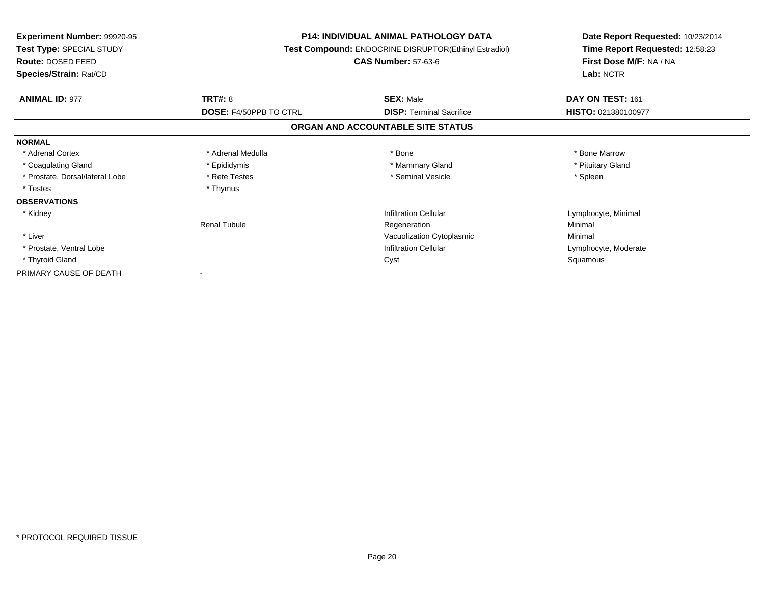| <b>Experiment Number: 99920-95</b><br>Test Type: SPECIAL STUDY<br>Route: DOSED FEED<br>Species/Strain: Rat/CD |                               | <b>P14: INDIVIDUAL ANIMAL PATHOLOGY DATA</b><br>Test Compound: ENDOCRINE DISRUPTOR(Ethinyl Estradiol)<br><b>CAS Number: 57-63-6</b> | Date Report Requested: 10/23/2014<br>Time Report Requested: 12:58:23<br>First Dose M/F: NA / NA<br>Lab: NCTR |
|---------------------------------------------------------------------------------------------------------------|-------------------------------|-------------------------------------------------------------------------------------------------------------------------------------|--------------------------------------------------------------------------------------------------------------|
| <b>ANIMAL ID: 977</b>                                                                                         | <b>TRT#: 8</b>                | <b>SEX: Male</b>                                                                                                                    | DAY ON TEST: 161                                                                                             |
|                                                                                                               | <b>DOSE: F4/50PPB TO CTRL</b> | <b>DISP:</b> Terminal Sacrifice                                                                                                     | HISTO: 021380100977                                                                                          |
|                                                                                                               |                               | ORGAN AND ACCOUNTABLE SITE STATUS                                                                                                   |                                                                                                              |
| <b>NORMAL</b>                                                                                                 |                               |                                                                                                                                     |                                                                                                              |
| * Adrenal Cortex                                                                                              | * Adrenal Medulla             | * Bone                                                                                                                              | * Bone Marrow                                                                                                |
| * Coagulating Gland                                                                                           | * Epididymis                  | * Mammary Gland                                                                                                                     | * Pituitary Gland                                                                                            |
| * Prostate, Dorsal/lateral Lobe                                                                               | * Rete Testes                 | * Seminal Vesicle                                                                                                                   | * Spleen                                                                                                     |
| * Testes                                                                                                      | * Thymus                      |                                                                                                                                     |                                                                                                              |
| <b>OBSERVATIONS</b>                                                                                           |                               |                                                                                                                                     |                                                                                                              |
| * Kidney                                                                                                      |                               | <b>Infiltration Cellular</b>                                                                                                        | Lymphocyte, Minimal                                                                                          |
|                                                                                                               | <b>Renal Tubule</b>           | Regeneration                                                                                                                        | Minimal                                                                                                      |
| * Liver                                                                                                       |                               | Vacuolization Cytoplasmic                                                                                                           | Minimal                                                                                                      |
| * Prostate, Ventral Lobe                                                                                      |                               | <b>Infiltration Cellular</b>                                                                                                        | Lymphocyte, Moderate                                                                                         |
| * Thyroid Gland                                                                                               |                               | Cyst                                                                                                                                | Squamous                                                                                                     |
| PRIMARY CAUSE OF DEATH                                                                                        |                               |                                                                                                                                     |                                                                                                              |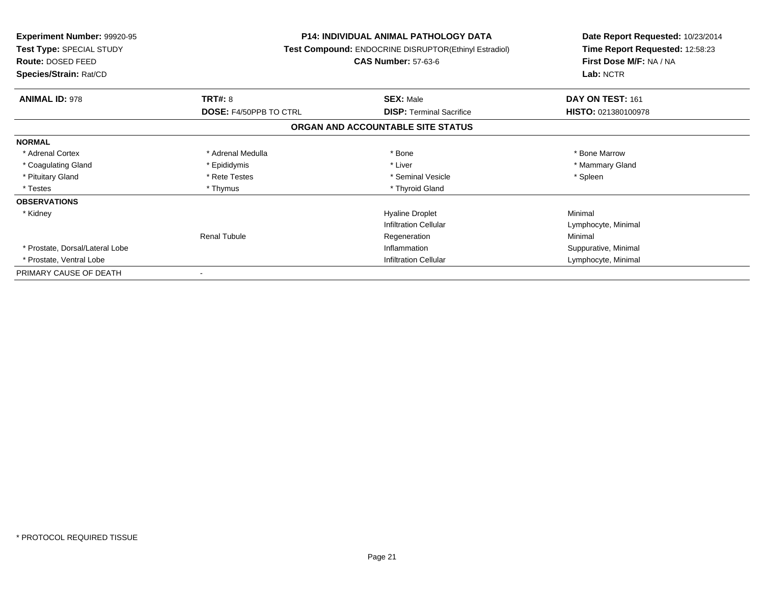| <b>Experiment Number: 99920-95</b><br>Test Type: SPECIAL STUDY<br><b>Route: DOSED FEED</b> |                               | <b>P14: INDIVIDUAL ANIMAL PATHOLOGY DATA</b><br>Test Compound: ENDOCRINE DISRUPTOR(Ethinyl Estradiol)<br><b>CAS Number: 57-63-6</b> | Date Report Requested: 10/23/2014<br>Time Report Requested: 12:58:23<br>First Dose M/F: NA / NA |  |
|--------------------------------------------------------------------------------------------|-------------------------------|-------------------------------------------------------------------------------------------------------------------------------------|-------------------------------------------------------------------------------------------------|--|
| Species/Strain: Rat/CD                                                                     |                               |                                                                                                                                     | Lab: NCTR                                                                                       |  |
| <b>ANIMAL ID: 978</b>                                                                      | <b>TRT#: 8</b>                | <b>SEX: Male</b>                                                                                                                    | DAY ON TEST: 161                                                                                |  |
|                                                                                            | <b>DOSE: F4/50PPB TO CTRL</b> | <b>DISP:</b> Terminal Sacrifice                                                                                                     | HISTO: 021380100978                                                                             |  |
|                                                                                            |                               | ORGAN AND ACCOUNTABLE SITE STATUS                                                                                                   |                                                                                                 |  |
| <b>NORMAL</b>                                                                              |                               |                                                                                                                                     |                                                                                                 |  |
| * Adrenal Cortex                                                                           | * Adrenal Medulla             | * Bone                                                                                                                              | * Bone Marrow                                                                                   |  |
| * Coagulating Gland                                                                        | * Epididymis                  | * Liver                                                                                                                             | * Mammary Gland                                                                                 |  |
| * Pituitary Gland                                                                          | * Rete Testes                 | * Seminal Vesicle                                                                                                                   | * Spleen                                                                                        |  |
| * Testes                                                                                   | * Thymus                      | * Thyroid Gland                                                                                                                     |                                                                                                 |  |
| <b>OBSERVATIONS</b>                                                                        |                               |                                                                                                                                     |                                                                                                 |  |
| * Kidney                                                                                   |                               | <b>Hyaline Droplet</b>                                                                                                              | Minimal                                                                                         |  |
|                                                                                            |                               | <b>Infiltration Cellular</b>                                                                                                        | Lymphocyte, Minimal                                                                             |  |
|                                                                                            | Renal Tubule                  | Regeneration                                                                                                                        | Minimal                                                                                         |  |
| * Prostate, Dorsal/Lateral Lobe                                                            |                               | Inflammation                                                                                                                        | Suppurative, Minimal                                                                            |  |
| * Prostate, Ventral Lobe                                                                   |                               | <b>Infiltration Cellular</b>                                                                                                        | Lymphocyte, Minimal                                                                             |  |
| PRIMARY CAUSE OF DEATH                                                                     |                               |                                                                                                                                     |                                                                                                 |  |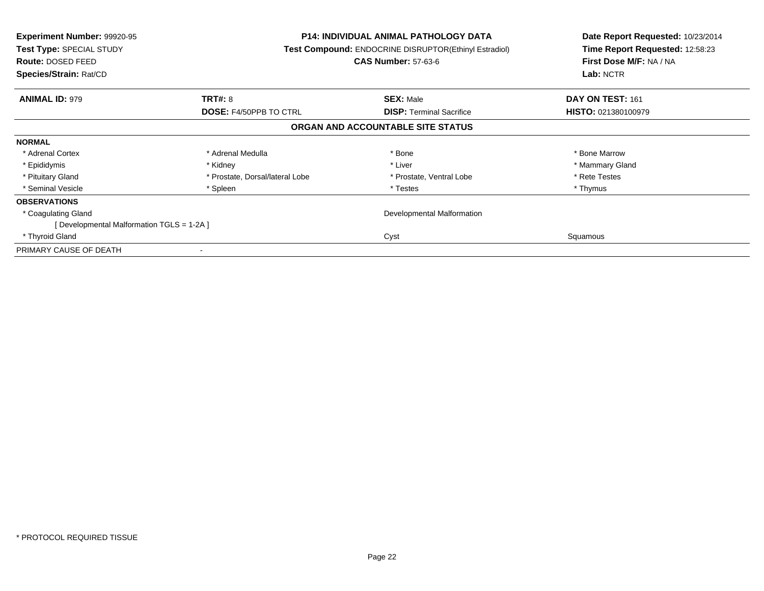| Experiment Number: 99920-95<br><b>Test Type: SPECIAL STUDY</b><br><b>Route: DOSED FEED</b><br>Species/Strain: Rat/CD |                                 | <b>P14: INDIVIDUAL ANIMAL PATHOLOGY DATA</b><br>Test Compound: ENDOCRINE DISRUPTOR(Ethinyl Estradiol)<br><b>CAS Number: 57-63-6</b> | Date Report Requested: 10/23/2014<br>Time Report Requested: 12:58:23<br>First Dose M/F: NA / NA<br>Lab: NCTR |
|----------------------------------------------------------------------------------------------------------------------|---------------------------------|-------------------------------------------------------------------------------------------------------------------------------------|--------------------------------------------------------------------------------------------------------------|
| <b>ANIMAL ID: 979</b>                                                                                                | <b>TRT#: 8</b>                  | <b>SEX: Male</b>                                                                                                                    | DAY ON TEST: 161                                                                                             |
|                                                                                                                      | <b>DOSE: F4/50PPB TO CTRL</b>   | <b>DISP:</b> Terminal Sacrifice                                                                                                     | <b>HISTO: 021380100979</b>                                                                                   |
|                                                                                                                      |                                 | ORGAN AND ACCOUNTABLE SITE STATUS                                                                                                   |                                                                                                              |
| <b>NORMAL</b>                                                                                                        |                                 |                                                                                                                                     |                                                                                                              |
| * Adrenal Cortex                                                                                                     | * Adrenal Medulla               | * Bone                                                                                                                              | * Bone Marrow                                                                                                |
| * Epididymis                                                                                                         | * Kidney                        | * Liver                                                                                                                             | * Mammary Gland                                                                                              |
| * Pituitary Gland                                                                                                    | * Prostate, Dorsal/lateral Lobe | * Prostate, Ventral Lobe                                                                                                            | * Rete Testes                                                                                                |
| * Seminal Vesicle                                                                                                    | * Spleen                        | * Testes                                                                                                                            | * Thymus                                                                                                     |
| <b>OBSERVATIONS</b>                                                                                                  |                                 |                                                                                                                                     |                                                                                                              |
| * Coagulating Gland                                                                                                  |                                 | Developmental Malformation                                                                                                          |                                                                                                              |
| [ Developmental Malformation TGLS = 1-2A ]                                                                           |                                 |                                                                                                                                     |                                                                                                              |
| * Thyroid Gland                                                                                                      |                                 | Cyst                                                                                                                                | Squamous                                                                                                     |
| PRIMARY CAUSE OF DEATH                                                                                               |                                 |                                                                                                                                     |                                                                                                              |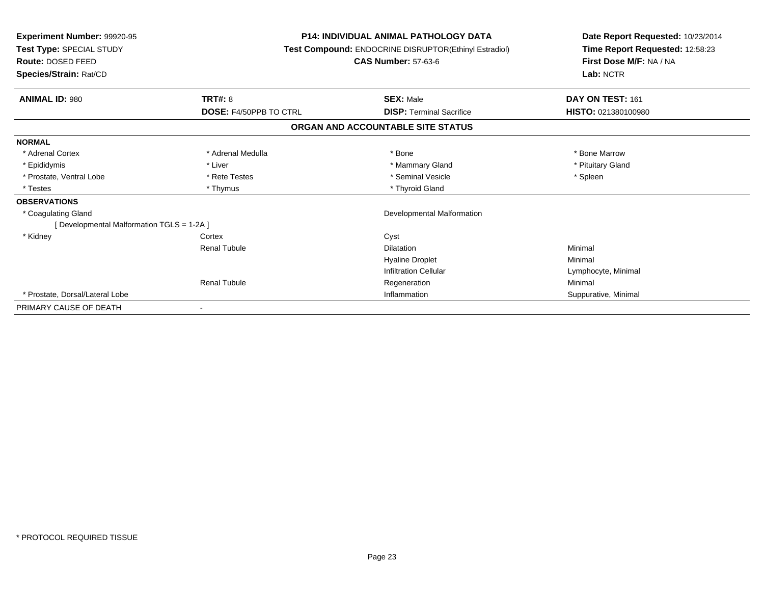| Experiment Number: 99920-95<br>Test Type: SPECIAL STUDY<br><b>Route: DOSED FEED</b><br>Species/Strain: Rat/CD |                        | <b>P14: INDIVIDUAL ANIMAL PATHOLOGY DATA</b><br>Test Compound: ENDOCRINE DISRUPTOR(Ethinyl Estradiol)<br><b>CAS Number: 57-63-6</b> | Date Report Requested: 10/23/2014<br>Time Report Requested: 12:58:23<br>First Dose M/F: NA / NA<br>Lab: NCTR |  |
|---------------------------------------------------------------------------------------------------------------|------------------------|-------------------------------------------------------------------------------------------------------------------------------------|--------------------------------------------------------------------------------------------------------------|--|
| <b>ANIMAL ID: 980</b>                                                                                         | TRT#: 8                | <b>SEX: Male</b>                                                                                                                    | DAY ON TEST: 161                                                                                             |  |
|                                                                                                               | DOSE: F4/50PPB TO CTRL | <b>DISP: Terminal Sacrifice</b>                                                                                                     | HISTO: 021380100980                                                                                          |  |
|                                                                                                               |                        | ORGAN AND ACCOUNTABLE SITE STATUS                                                                                                   |                                                                                                              |  |
| <b>NORMAL</b>                                                                                                 |                        |                                                                                                                                     |                                                                                                              |  |
| * Adrenal Cortex                                                                                              | * Adrenal Medulla      | * Bone                                                                                                                              | * Bone Marrow                                                                                                |  |
| * Epididymis                                                                                                  | * Liver                | * Mammary Gland                                                                                                                     | * Pituitary Gland                                                                                            |  |
| * Prostate, Ventral Lobe                                                                                      | * Rete Testes          | * Seminal Vesicle                                                                                                                   | * Spleen                                                                                                     |  |
| * Testes                                                                                                      | * Thymus               | * Thyroid Gland                                                                                                                     |                                                                                                              |  |
| <b>OBSERVATIONS</b>                                                                                           |                        |                                                                                                                                     |                                                                                                              |  |
| * Coagulating Gland                                                                                           |                        | Developmental Malformation                                                                                                          |                                                                                                              |  |
| [ Developmental Malformation TGLS = 1-2A ]                                                                    |                        |                                                                                                                                     |                                                                                                              |  |
| * Kidney                                                                                                      | Cortex                 | Cyst                                                                                                                                |                                                                                                              |  |
|                                                                                                               | <b>Renal Tubule</b>    | <b>Dilatation</b>                                                                                                                   | Minimal                                                                                                      |  |
|                                                                                                               |                        | <b>Hyaline Droplet</b>                                                                                                              | Minimal                                                                                                      |  |
|                                                                                                               |                        | <b>Infiltration Cellular</b>                                                                                                        | Lymphocyte, Minimal                                                                                          |  |
|                                                                                                               | <b>Renal Tubule</b>    | Regeneration                                                                                                                        | Minimal                                                                                                      |  |
| * Prostate, Dorsal/Lateral Lobe                                                                               |                        | Inflammation                                                                                                                        | Suppurative, Minimal                                                                                         |  |
| PRIMARY CAUSE OF DEATH                                                                                        |                        |                                                                                                                                     |                                                                                                              |  |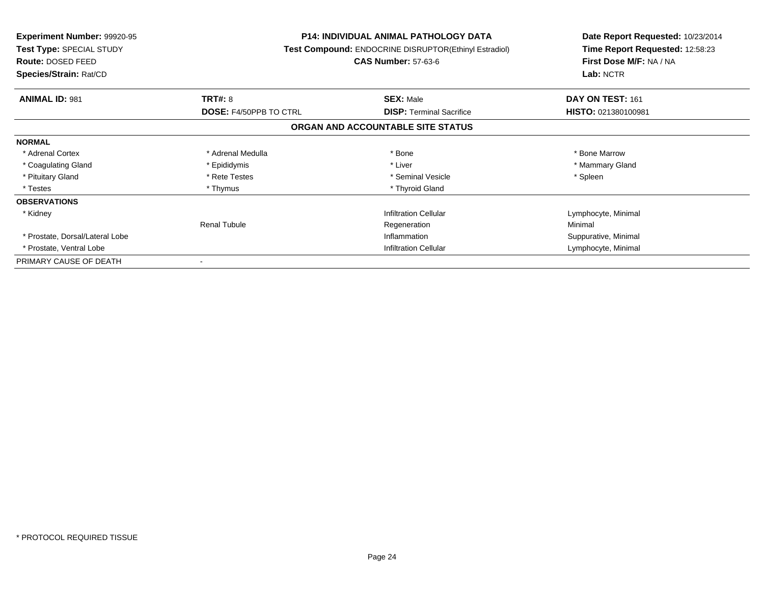| <b>Experiment Number: 99920-95</b><br>Test Type: SPECIAL STUDY<br>Route: DOSED FEED<br>Species/Strain: Rat/CD |                               | <b>P14: INDIVIDUAL ANIMAL PATHOLOGY DATA</b><br>Test Compound: ENDOCRINE DISRUPTOR(Ethinyl Estradiol)<br><b>CAS Number: 57-63-6</b> | Date Report Requested: 10/23/2014<br>Time Report Requested: 12:58:23<br>First Dose M/F: NA / NA<br>Lab: NCTR |
|---------------------------------------------------------------------------------------------------------------|-------------------------------|-------------------------------------------------------------------------------------------------------------------------------------|--------------------------------------------------------------------------------------------------------------|
| <b>ANIMAL ID: 981</b>                                                                                         | TRT#: 8                       | <b>SEX: Male</b>                                                                                                                    | DAY ON TEST: 161                                                                                             |
|                                                                                                               | <b>DOSE: F4/50PPB TO CTRL</b> | <b>DISP:</b> Terminal Sacrifice                                                                                                     | HISTO: 021380100981                                                                                          |
|                                                                                                               |                               | ORGAN AND ACCOUNTABLE SITE STATUS                                                                                                   |                                                                                                              |
| <b>NORMAL</b>                                                                                                 |                               |                                                                                                                                     |                                                                                                              |
| * Adrenal Cortex                                                                                              | * Adrenal Medulla             | * Bone                                                                                                                              | * Bone Marrow                                                                                                |
| * Coagulating Gland                                                                                           | * Epididymis                  | * Liver                                                                                                                             | * Mammary Gland                                                                                              |
| * Pituitary Gland                                                                                             | * Rete Testes                 | * Seminal Vesicle                                                                                                                   | * Spleen                                                                                                     |
| * Testes                                                                                                      | * Thymus                      | * Thyroid Gland                                                                                                                     |                                                                                                              |
| <b>OBSERVATIONS</b>                                                                                           |                               |                                                                                                                                     |                                                                                                              |
| * Kidney                                                                                                      |                               | <b>Infiltration Cellular</b>                                                                                                        | Lymphocyte, Minimal                                                                                          |
|                                                                                                               | <b>Renal Tubule</b>           | Regeneration                                                                                                                        | Minimal                                                                                                      |
| * Prostate, Dorsal/Lateral Lobe                                                                               | Inflammation                  |                                                                                                                                     | Suppurative, Minimal                                                                                         |
| * Prostate, Ventral Lobe                                                                                      | Infiltration Cellular         |                                                                                                                                     | Lymphocyte, Minimal                                                                                          |
| PRIMARY CAUSE OF DEATH                                                                                        |                               |                                                                                                                                     |                                                                                                              |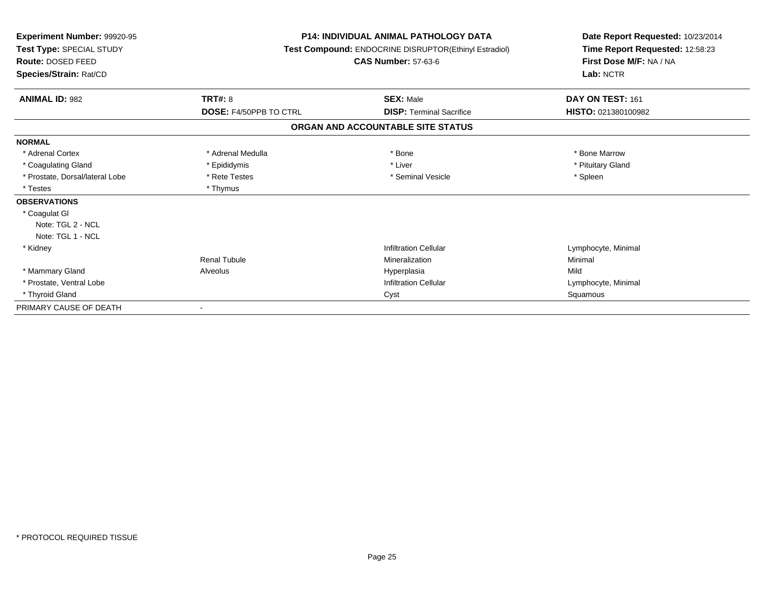| <b>Experiment Number: 99920-95</b><br>Test Type: SPECIAL STUDY<br>Route: DOSED FEED<br>Species/Strain: Rat/CD |                        | <b>P14: INDIVIDUAL ANIMAL PATHOLOGY DATA</b><br>Test Compound: ENDOCRINE DISRUPTOR(Ethinyl Estradiol)<br><b>CAS Number: 57-63-6</b> | Date Report Requested: 10/23/2014<br>Time Report Requested: 12:58:23<br>First Dose M/F: NA / NA<br>Lab: NCTR |  |
|---------------------------------------------------------------------------------------------------------------|------------------------|-------------------------------------------------------------------------------------------------------------------------------------|--------------------------------------------------------------------------------------------------------------|--|
| <b>ANIMAL ID: 982</b>                                                                                         | <b>TRT#: 8</b>         | <b>SEX: Male</b>                                                                                                                    | DAY ON TEST: 161                                                                                             |  |
|                                                                                                               | DOSE: F4/50PPB TO CTRL | <b>DISP: Terminal Sacrifice</b>                                                                                                     | HISTO: 021380100982                                                                                          |  |
|                                                                                                               |                        | ORGAN AND ACCOUNTABLE SITE STATUS                                                                                                   |                                                                                                              |  |
| <b>NORMAL</b>                                                                                                 |                        |                                                                                                                                     |                                                                                                              |  |
| * Adrenal Cortex                                                                                              | * Adrenal Medulla      | * Bone                                                                                                                              | * Bone Marrow                                                                                                |  |
| * Coagulating Gland                                                                                           | * Epididymis           | * Liver                                                                                                                             | * Pituitary Gland                                                                                            |  |
| * Prostate, Dorsal/lateral Lobe                                                                               | * Rete Testes          | * Seminal Vesicle                                                                                                                   | * Spleen                                                                                                     |  |
| * Testes                                                                                                      | * Thymus               |                                                                                                                                     |                                                                                                              |  |
| <b>OBSERVATIONS</b>                                                                                           |                        |                                                                                                                                     |                                                                                                              |  |
| * Coagulat GI                                                                                                 |                        |                                                                                                                                     |                                                                                                              |  |
| Note: TGL 2 - NCL                                                                                             |                        |                                                                                                                                     |                                                                                                              |  |
| Note: TGL 1 - NCL                                                                                             |                        |                                                                                                                                     |                                                                                                              |  |
| * Kidney                                                                                                      |                        | <b>Infiltration Cellular</b>                                                                                                        | Lymphocyte, Minimal                                                                                          |  |
|                                                                                                               | <b>Renal Tubule</b>    | Mineralization                                                                                                                      | Minimal                                                                                                      |  |
| * Mammary Gland                                                                                               | Alveolus               | Hyperplasia                                                                                                                         | Mild                                                                                                         |  |
| * Prostate, Ventral Lobe                                                                                      |                        | <b>Infiltration Cellular</b>                                                                                                        | Lymphocyte, Minimal                                                                                          |  |
| * Thyroid Gland                                                                                               |                        | Cyst                                                                                                                                | Squamous                                                                                                     |  |
| PRIMARY CAUSE OF DEATH                                                                                        |                        |                                                                                                                                     |                                                                                                              |  |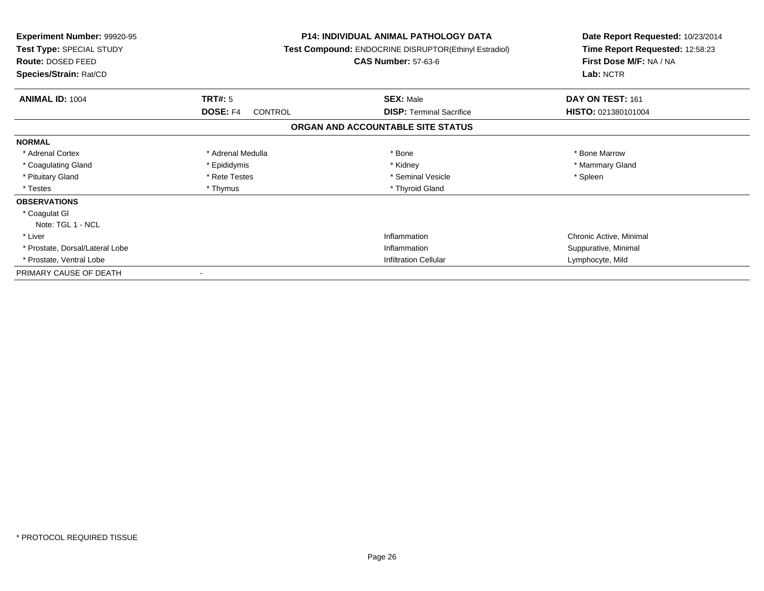| Experiment Number: 99920-95<br><b>Test Type: SPECIAL STUDY</b><br><b>Route: DOSED FEED</b><br>Species/Strain: Rat/CD |                                       | <b>P14: INDIVIDUAL ANIMAL PATHOLOGY DATA</b><br>Test Compound: ENDOCRINE DISRUPTOR(Ethinyl Estradiol)<br><b>CAS Number: 57-63-6</b> | Date Report Requested: 10/23/2014<br>Time Report Requested: 12:58:23<br>First Dose M/F: NA / NA<br>Lab: NCTR |
|----------------------------------------------------------------------------------------------------------------------|---------------------------------------|-------------------------------------------------------------------------------------------------------------------------------------|--------------------------------------------------------------------------------------------------------------|
| <b>ANIMAL ID: 1004</b>                                                                                               | TRT#: 5<br><b>DOSE: F4</b><br>CONTROL | <b>SEX: Male</b><br><b>DISP:</b> Terminal Sacrifice                                                                                 | DAY ON TEST: 161<br>HISTO: 021380101004                                                                      |
|                                                                                                                      |                                       | ORGAN AND ACCOUNTABLE SITE STATUS                                                                                                   |                                                                                                              |
| <b>NORMAL</b>                                                                                                        |                                       |                                                                                                                                     |                                                                                                              |
| * Adrenal Cortex                                                                                                     | * Adrenal Medulla                     | * Bone                                                                                                                              | * Bone Marrow                                                                                                |
| * Coagulating Gland                                                                                                  | * Epididymis                          | * Kidney                                                                                                                            | * Mammary Gland                                                                                              |
| * Pituitary Gland                                                                                                    | * Rete Testes                         | * Seminal Vesicle                                                                                                                   | * Spleen                                                                                                     |
| * Testes                                                                                                             | * Thymus                              | * Thyroid Gland                                                                                                                     |                                                                                                              |
| <b>OBSERVATIONS</b>                                                                                                  |                                       |                                                                                                                                     |                                                                                                              |
| * Coagulat GI                                                                                                        |                                       |                                                                                                                                     |                                                                                                              |
| Note: TGL 1 - NCL                                                                                                    |                                       |                                                                                                                                     |                                                                                                              |
| * Liver                                                                                                              |                                       | Inflammation                                                                                                                        | Chronic Active, Minimal                                                                                      |
| * Prostate, Dorsal/Lateral Lobe                                                                                      |                                       | Inflammation                                                                                                                        | Suppurative, Minimal                                                                                         |
| * Prostate, Ventral Lobe                                                                                             |                                       | <b>Infiltration Cellular</b>                                                                                                        | Lymphocyte, Mild                                                                                             |
| PRIMARY CAUSE OF DEATH                                                                                               |                                       |                                                                                                                                     |                                                                                                              |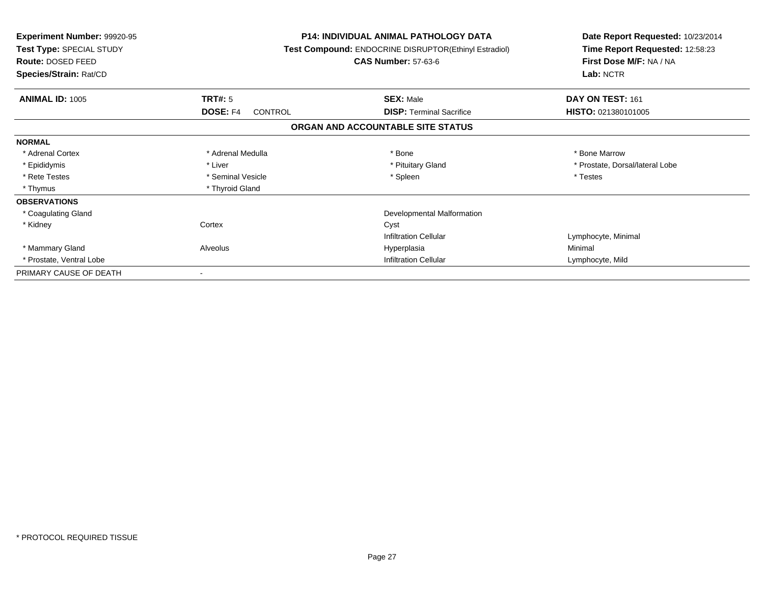| <b>Experiment Number: 99920-95</b><br><b>Test Type: SPECIAL STUDY</b><br>Route: DOSED FEED<br>Species/Strain: Rat/CD |                     | <b>P14: INDIVIDUAL ANIMAL PATHOLOGY DATA</b><br>Test Compound: ENDOCRINE DISRUPTOR(Ethinyl Estradiol)<br><b>CAS Number: 57-63-6</b> | Date Report Requested: 10/23/2014<br>Time Report Requested: 12:58:23<br>First Dose M/F: NA / NA<br>Lab: NCTR |
|----------------------------------------------------------------------------------------------------------------------|---------------------|-------------------------------------------------------------------------------------------------------------------------------------|--------------------------------------------------------------------------------------------------------------|
| <b>ANIMAL ID: 1005</b>                                                                                               | TRT#: 5             | <b>SEX: Male</b>                                                                                                                    | DAY ON TEST: 161                                                                                             |
|                                                                                                                      | DOSE: F4<br>CONTROL | <b>DISP:</b> Terminal Sacrifice                                                                                                     | <b>HISTO: 021380101005</b>                                                                                   |
|                                                                                                                      |                     | ORGAN AND ACCOUNTABLE SITE STATUS                                                                                                   |                                                                                                              |
| <b>NORMAL</b>                                                                                                        |                     |                                                                                                                                     |                                                                                                              |
| * Adrenal Cortex                                                                                                     | * Adrenal Medulla   | * Bone                                                                                                                              | * Bone Marrow                                                                                                |
| * Epididymis                                                                                                         | * Liver             | * Pituitary Gland                                                                                                                   | * Prostate, Dorsal/lateral Lobe                                                                              |
| * Rete Testes                                                                                                        | * Seminal Vesicle   | * Spleen                                                                                                                            | * Testes                                                                                                     |
| * Thymus                                                                                                             | * Thyroid Gland     |                                                                                                                                     |                                                                                                              |
| <b>OBSERVATIONS</b>                                                                                                  |                     |                                                                                                                                     |                                                                                                              |
| * Coagulating Gland                                                                                                  |                     | Developmental Malformation                                                                                                          |                                                                                                              |
| * Kidney                                                                                                             | Cortex              | Cyst                                                                                                                                |                                                                                                              |
|                                                                                                                      |                     | <b>Infiltration Cellular</b>                                                                                                        | Lymphocyte, Minimal                                                                                          |
| * Mammary Gland                                                                                                      | Alveolus            | Hyperplasia                                                                                                                         | Minimal                                                                                                      |
| * Prostate, Ventral Lobe                                                                                             |                     | <b>Infiltration Cellular</b>                                                                                                        | Lymphocyte, Mild                                                                                             |
| PRIMARY CAUSE OF DEATH                                                                                               |                     |                                                                                                                                     |                                                                                                              |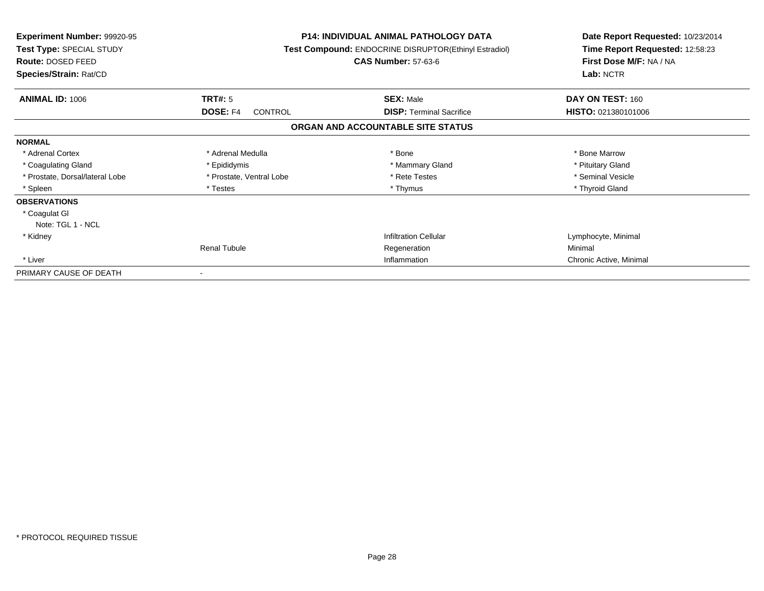| <b>Experiment Number: 99920-95</b><br>Test Type: SPECIAL STUDY<br>Route: DOSED FEED<br>Species/Strain: Rat/CD | <b>P14: INDIVIDUAL ANIMAL PATHOLOGY DATA</b><br>Test Compound: ENDOCRINE DISRUPTOR(Ethinyl Estradiol)<br><b>CAS Number: 57-63-6</b> |                                                     | Date Report Requested: 10/23/2014<br>Time Report Requested: 12:58:23<br>First Dose M/F: NA / NA<br>Lab: NCTR |
|---------------------------------------------------------------------------------------------------------------|-------------------------------------------------------------------------------------------------------------------------------------|-----------------------------------------------------|--------------------------------------------------------------------------------------------------------------|
| <b>ANIMAL ID: 1006</b>                                                                                        | TRT#: 5<br><b>DOSE: F4</b><br><b>CONTROL</b>                                                                                        | <b>SEX: Male</b><br><b>DISP: Terminal Sacrifice</b> | DAY ON TEST: 160<br>HISTO: 021380101006                                                                      |
|                                                                                                               |                                                                                                                                     | ORGAN AND ACCOUNTABLE SITE STATUS                   |                                                                                                              |
| <b>NORMAL</b>                                                                                                 |                                                                                                                                     |                                                     |                                                                                                              |
| * Adrenal Cortex                                                                                              | * Adrenal Medulla                                                                                                                   | * Bone                                              | * Bone Marrow                                                                                                |
| * Coagulating Gland                                                                                           | * Epididymis                                                                                                                        | * Mammary Gland                                     | * Pituitary Gland                                                                                            |
| * Prostate, Dorsal/lateral Lobe                                                                               | * Prostate, Ventral Lobe                                                                                                            | * Rete Testes                                       | * Seminal Vesicle                                                                                            |
| * Spleen                                                                                                      | * Testes                                                                                                                            | * Thymus                                            | * Thyroid Gland                                                                                              |
| <b>OBSERVATIONS</b>                                                                                           |                                                                                                                                     |                                                     |                                                                                                              |
| * Coagulat GI                                                                                                 |                                                                                                                                     |                                                     |                                                                                                              |
| Note: TGL 1 - NCL                                                                                             |                                                                                                                                     |                                                     |                                                                                                              |
| * Kidney                                                                                                      |                                                                                                                                     | <b>Infiltration Cellular</b>                        | Lymphocyte, Minimal                                                                                          |
|                                                                                                               | <b>Renal Tubule</b>                                                                                                                 | Regeneration                                        | Minimal                                                                                                      |
| * Liver                                                                                                       | Inflammation                                                                                                                        |                                                     | Chronic Active, Minimal                                                                                      |
| PRIMARY CAUSE OF DEATH                                                                                        | $\overline{\phantom{a}}$                                                                                                            |                                                     |                                                                                                              |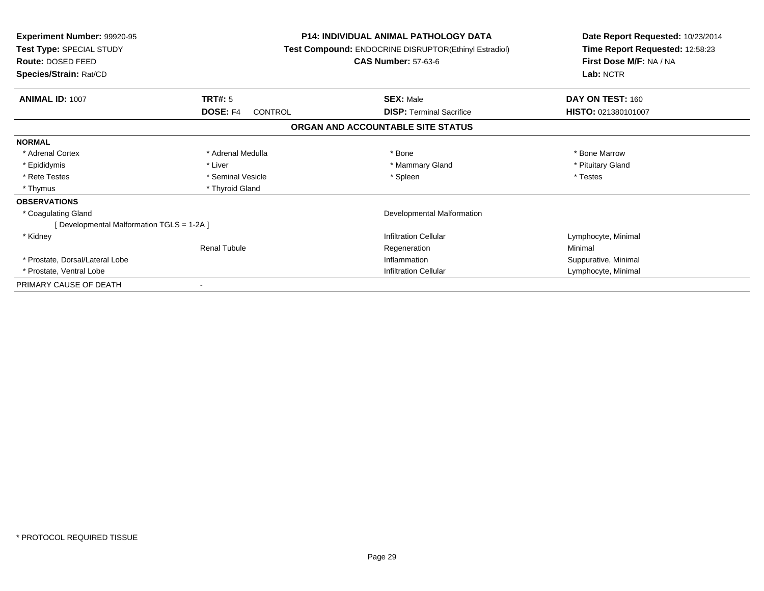| <b>Experiment Number: 99920-95</b><br><b>Test Type: SPECIAL STUDY</b><br><b>Route: DOSED FEED</b><br>Species/Strain: Rat/CD |                                              | <b>P14: INDIVIDUAL ANIMAL PATHOLOGY DATA</b><br>Test Compound: ENDOCRINE DISRUPTOR(Ethinyl Estradiol)<br><b>CAS Number: 57-63-6</b> | Date Report Requested: 10/23/2014<br>Time Report Requested: 12:58:23<br>First Dose M/F: NA / NA<br>Lab: NCTR |
|-----------------------------------------------------------------------------------------------------------------------------|----------------------------------------------|-------------------------------------------------------------------------------------------------------------------------------------|--------------------------------------------------------------------------------------------------------------|
|                                                                                                                             |                                              |                                                                                                                                     |                                                                                                              |
| <b>ANIMAL ID: 1007</b>                                                                                                      | <b>TRT#: 5</b><br><b>DOSE: F4</b><br>CONTROL | <b>SEX: Male</b><br><b>DISP: Terminal Sacrifice</b>                                                                                 | DAY ON TEST: 160<br>HISTO: 021380101007                                                                      |
|                                                                                                                             |                                              | ORGAN AND ACCOUNTABLE SITE STATUS                                                                                                   |                                                                                                              |
| <b>NORMAL</b>                                                                                                               |                                              |                                                                                                                                     |                                                                                                              |
| * Adrenal Cortex                                                                                                            | * Adrenal Medulla                            | * Bone                                                                                                                              | * Bone Marrow                                                                                                |
| * Epididymis                                                                                                                | * Liver                                      | * Mammary Gland                                                                                                                     | * Pituitary Gland                                                                                            |
| * Rete Testes                                                                                                               | * Seminal Vesicle                            | * Spleen                                                                                                                            | * Testes                                                                                                     |
| * Thymus                                                                                                                    | * Thyroid Gland                              |                                                                                                                                     |                                                                                                              |
| <b>OBSERVATIONS</b>                                                                                                         |                                              |                                                                                                                                     |                                                                                                              |
| * Coagulating Gland                                                                                                         |                                              | Developmental Malformation                                                                                                          |                                                                                                              |
| [ Developmental Malformation TGLS = 1-2A ]                                                                                  |                                              |                                                                                                                                     |                                                                                                              |
| * Kidney                                                                                                                    |                                              | <b>Infiltration Cellular</b>                                                                                                        | Lymphocyte, Minimal                                                                                          |
|                                                                                                                             | <b>Renal Tubule</b>                          | Regeneration                                                                                                                        | Minimal                                                                                                      |
| * Prostate, Dorsal/Lateral Lobe                                                                                             | Inflammation                                 |                                                                                                                                     | Suppurative, Minimal                                                                                         |
| * Prostate, Ventral Lobe                                                                                                    | <b>Infiltration Cellular</b>                 |                                                                                                                                     | Lymphocyte, Minimal                                                                                          |
| PRIMARY CAUSE OF DEATH                                                                                                      |                                              |                                                                                                                                     |                                                                                                              |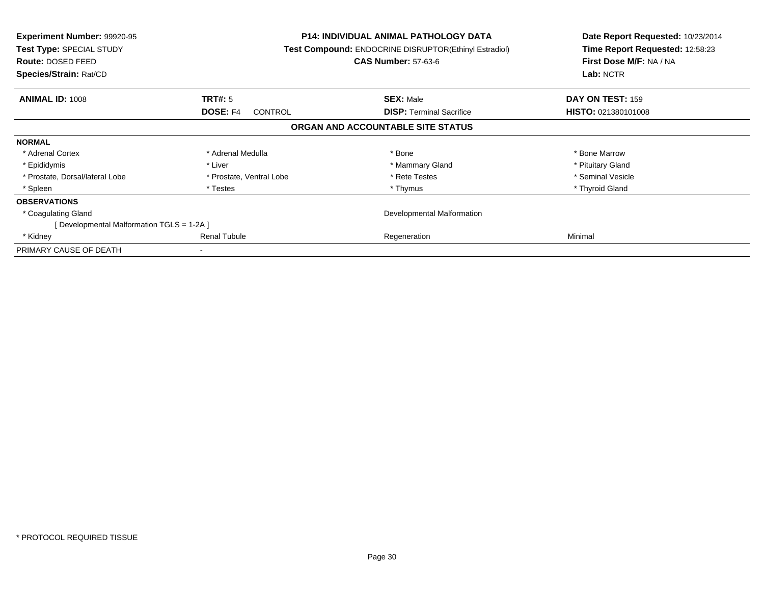| <b>Experiment Number: 99920-95</b><br>Test Type: SPECIAL STUDY<br><b>Route: DOSED FEED</b><br>Species/Strain: Rat/CD |                            | <b>P14: INDIVIDUAL ANIMAL PATHOLOGY DATA</b><br>Test Compound: ENDOCRINE DISRUPTOR(Ethinyl Estradiol)<br><b>CAS Number: 57-63-6</b> | Date Report Requested: 10/23/2014<br>Time Report Requested: 12:58:23<br>First Dose M/F: NA / NA<br>Lab: NCTR |
|----------------------------------------------------------------------------------------------------------------------|----------------------------|-------------------------------------------------------------------------------------------------------------------------------------|--------------------------------------------------------------------------------------------------------------|
| <b>ANIMAL ID: 1008</b>                                                                                               | TRT#: 5                    | <b>SEX: Male</b>                                                                                                                    | DAY ON TEST: 159                                                                                             |
|                                                                                                                      | <b>DOSE: F4</b><br>CONTROL | <b>DISP:</b> Terminal Sacrifice                                                                                                     | HISTO: 021380101008                                                                                          |
|                                                                                                                      |                            | ORGAN AND ACCOUNTABLE SITE STATUS                                                                                                   |                                                                                                              |
| <b>NORMAL</b>                                                                                                        |                            |                                                                                                                                     |                                                                                                              |
| * Adrenal Cortex                                                                                                     | * Adrenal Medulla          | * Bone                                                                                                                              | * Bone Marrow                                                                                                |
| * Epididymis                                                                                                         | * Liver                    | * Mammary Gland                                                                                                                     | * Pituitary Gland                                                                                            |
| * Prostate, Dorsal/lateral Lobe                                                                                      | * Prostate, Ventral Lobe   | * Rete Testes                                                                                                                       | * Seminal Vesicle                                                                                            |
| * Spleen                                                                                                             | * Testes                   | * Thymus                                                                                                                            | * Thyroid Gland                                                                                              |
| <b>OBSERVATIONS</b>                                                                                                  |                            |                                                                                                                                     |                                                                                                              |
| * Coagulating Gland                                                                                                  | Developmental Malformation |                                                                                                                                     |                                                                                                              |
| [ Developmental Malformation TGLS = 1-2A ]                                                                           |                            |                                                                                                                                     |                                                                                                              |
| * Kidney                                                                                                             | <b>Renal Tubule</b>        | Regeneration                                                                                                                        | Minimal                                                                                                      |
| PRIMARY CAUSE OF DEATH                                                                                               |                            |                                                                                                                                     |                                                                                                              |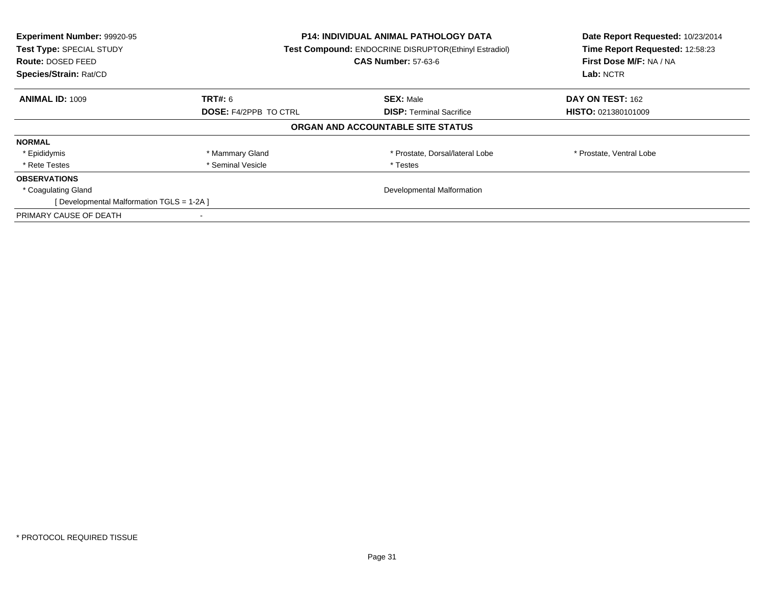| Experiment Number: 99920-95<br>Test Type: SPECIAL STUDY<br><b>Route: DOSED FEED</b><br>Species/Strain: Rat/CD | <b>P14: INDIVIDUAL ANIMAL PATHOLOGY DATA</b><br><b>Test Compound: ENDOCRINE DISRUPTOR(Ethinyl Estradiol)</b><br><b>CAS Number: 57-63-6</b> |                                   | Date Report Requested: 10/23/2014<br>Time Report Requested: 12:58:23<br>First Dose M/F: NA / NA<br>Lab: NCTR |
|---------------------------------------------------------------------------------------------------------------|--------------------------------------------------------------------------------------------------------------------------------------------|-----------------------------------|--------------------------------------------------------------------------------------------------------------|
| <b>ANIMAL ID: 1009</b>                                                                                        | <b>TRT#:</b> 6                                                                                                                             | <b>SEX: Male</b>                  | DAY ON TEST: 162                                                                                             |
|                                                                                                               | <b>DOSE: F4/2PPB TO CTRL</b>                                                                                                               | <b>DISP:</b> Terminal Sacrifice   | <b>HISTO: 021380101009</b>                                                                                   |
|                                                                                                               |                                                                                                                                            | ORGAN AND ACCOUNTABLE SITE STATUS |                                                                                                              |
| <b>NORMAL</b>                                                                                                 |                                                                                                                                            |                                   |                                                                                                              |
| * Epididymis                                                                                                  | * Mammary Gland                                                                                                                            | * Prostate, Dorsal/lateral Lobe   | * Prostate, Ventral Lobe                                                                                     |
| * Rete Testes                                                                                                 | * Seminal Vesicle                                                                                                                          | * Testes                          |                                                                                                              |
| <b>OBSERVATIONS</b>                                                                                           |                                                                                                                                            |                                   |                                                                                                              |
| * Coagulating Gland                                                                                           | Developmental Malformation                                                                                                                 |                                   |                                                                                                              |
| [Developmental Malformation TGLS = 1-2A]                                                                      |                                                                                                                                            |                                   |                                                                                                              |
| PRIMARY CAUSE OF DEATH                                                                                        |                                                                                                                                            |                                   |                                                                                                              |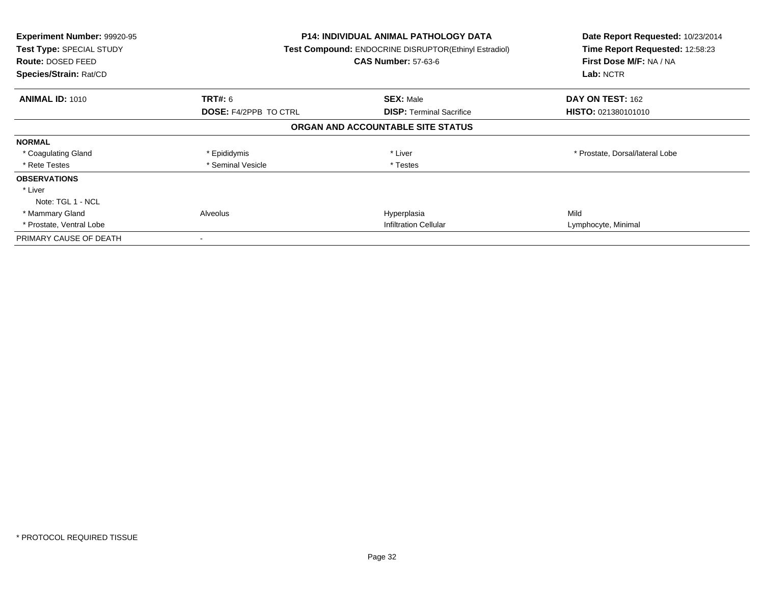| <b>Experiment Number: 99920-95</b><br>Test Type: SPECIAL STUDY<br>Route: DOSED FEED<br>Species/Strain: Rat/CD |                              | P14: INDIVIDUAL ANIMAL PATHOLOGY DATA<br><b>Test Compound: ENDOCRINE DISRUPTOR(Ethinyl Estradiol)</b><br><b>CAS Number: 57-63-6</b> | Date Report Requested: 10/23/2014<br>Time Report Requested: 12:58:23<br>First Dose M/F: NA / NA<br>Lab: NCTR |
|---------------------------------------------------------------------------------------------------------------|------------------------------|-------------------------------------------------------------------------------------------------------------------------------------|--------------------------------------------------------------------------------------------------------------|
| <b>ANIMAL ID: 1010</b>                                                                                        | <b>TRT#: 6</b>               | <b>SEX: Male</b>                                                                                                                    | DAY ON TEST: 162                                                                                             |
|                                                                                                               | <b>DOSE: F4/2PPB TO CTRL</b> | <b>DISP:</b> Terminal Sacrifice                                                                                                     | HISTO: 021380101010                                                                                          |
|                                                                                                               |                              | ORGAN AND ACCOUNTABLE SITE STATUS                                                                                                   |                                                                                                              |
| <b>NORMAL</b>                                                                                                 |                              |                                                                                                                                     |                                                                                                              |
| * Coagulating Gland                                                                                           | * Epididymis                 | * Liver                                                                                                                             | * Prostate, Dorsal/lateral Lobe                                                                              |
| * Rete Testes                                                                                                 | * Seminal Vesicle            | * Testes                                                                                                                            |                                                                                                              |
| <b>OBSERVATIONS</b>                                                                                           |                              |                                                                                                                                     |                                                                                                              |
| * Liver                                                                                                       |                              |                                                                                                                                     |                                                                                                              |
| Note: TGL 1 - NCL                                                                                             |                              |                                                                                                                                     |                                                                                                              |
| * Mammary Gland                                                                                               | Alveolus                     | Hyperplasia                                                                                                                         | Mild                                                                                                         |
| * Prostate, Ventral Lobe                                                                                      |                              | <b>Infiltration Cellular</b>                                                                                                        |                                                                                                              |
| PRIMARY CAUSE OF DEATH                                                                                        |                              |                                                                                                                                     |                                                                                                              |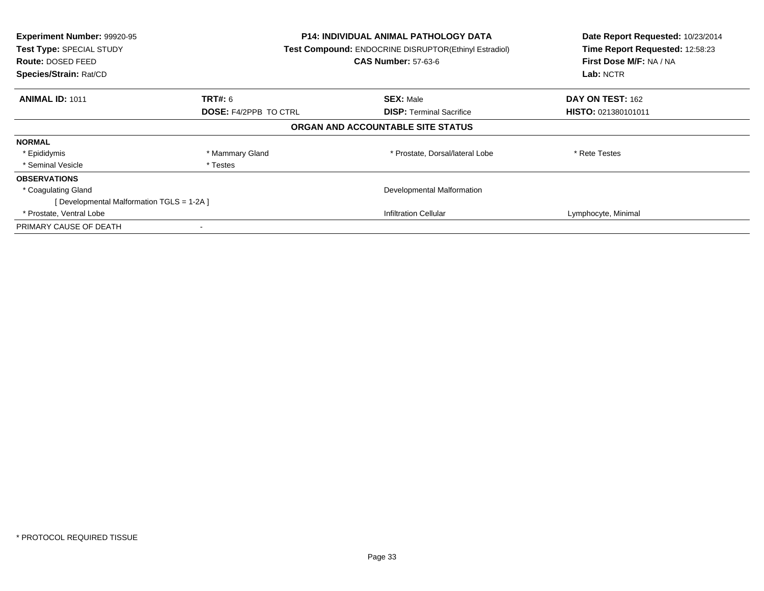| Experiment Number: 99920-95<br>Test Type: SPECIAL STUDY<br><b>Route: DOSED FEED</b><br>Species/Strain: Rat/CD | <b>P14: INDIVIDUAL ANIMAL PATHOLOGY DATA</b><br>Test Compound: ENDOCRINE DISRUPTOR(Ethinyl Estradiol)<br><b>CAS Number: 57-63-6</b> |                                   | Date Report Requested: 10/23/2014<br>Time Report Requested: 12:58:23<br>First Dose M/F: NA / NA<br>Lab: NCTR |
|---------------------------------------------------------------------------------------------------------------|-------------------------------------------------------------------------------------------------------------------------------------|-----------------------------------|--------------------------------------------------------------------------------------------------------------|
| <b>ANIMAL ID: 1011</b>                                                                                        | <b>TRT#: 6</b>                                                                                                                      | <b>SEX: Male</b>                  | <b>DAY ON TEST: 162</b>                                                                                      |
|                                                                                                               | <b>DOSE: F4/2PPB TO CTRL</b>                                                                                                        | <b>DISP:</b> Terminal Sacrifice   | <b>HISTO: 021380101011</b>                                                                                   |
|                                                                                                               |                                                                                                                                     | ORGAN AND ACCOUNTABLE SITE STATUS |                                                                                                              |
| <b>NORMAL</b>                                                                                                 |                                                                                                                                     |                                   |                                                                                                              |
| * Epididymis                                                                                                  | * Mammary Gland                                                                                                                     | * Prostate, Dorsal/lateral Lobe   | * Rete Testes                                                                                                |
| * Seminal Vesicle                                                                                             | * Testes                                                                                                                            |                                   |                                                                                                              |
| <b>OBSERVATIONS</b>                                                                                           |                                                                                                                                     |                                   |                                                                                                              |
| * Coagulating Gland                                                                                           | Developmental Malformation                                                                                                          |                                   |                                                                                                              |
| [Developmental Malformation TGLS = 1-2A ]                                                                     |                                                                                                                                     |                                   |                                                                                                              |
| * Prostate, Ventral Lobe                                                                                      |                                                                                                                                     | <b>Infiltration Cellular</b>      | Lymphocyte, Minimal                                                                                          |
| PRIMARY CAUSE OF DEATH                                                                                        |                                                                                                                                     |                                   |                                                                                                              |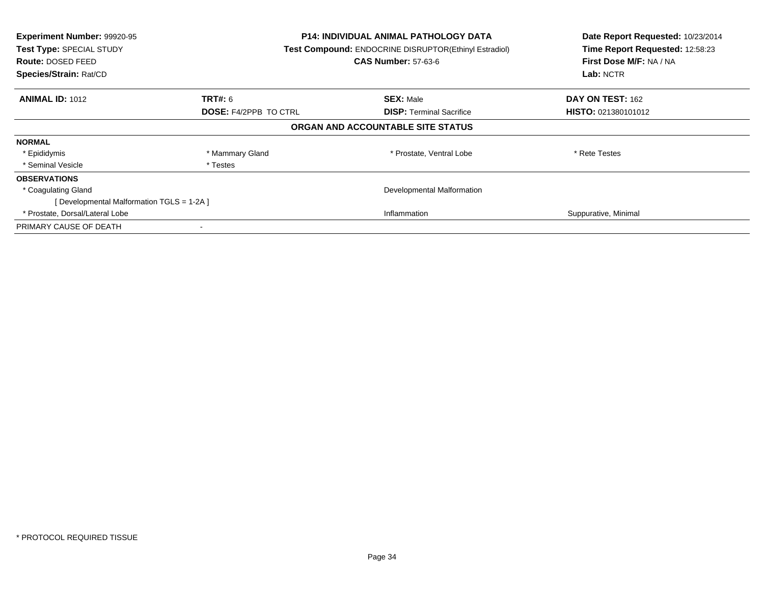| Experiment Number: 99920-95<br>Test Type: SPECIAL STUDY<br><b>Route: DOSED FEED</b><br>Species/Strain: Rat/CD |                              | <b>P14: INDIVIDUAL ANIMAL PATHOLOGY DATA</b><br>Test Compound: ENDOCRINE DISRUPTOR(Ethinyl Estradiol)<br><b>CAS Number: 57-63-6</b> |                      |
|---------------------------------------------------------------------------------------------------------------|------------------------------|-------------------------------------------------------------------------------------------------------------------------------------|----------------------|
| <b>ANIMAL ID: 1012</b>                                                                                        | TRT#: 6                      | <b>SEX: Male</b>                                                                                                                    | DAY ON TEST: 162     |
|                                                                                                               | <b>DOSE: F4/2PPB TO CTRL</b> | <b>DISP:</b> Terminal Sacrifice                                                                                                     | HISTO: 021380101012  |
|                                                                                                               |                              | ORGAN AND ACCOUNTABLE SITE STATUS                                                                                                   |                      |
| <b>NORMAL</b>                                                                                                 |                              |                                                                                                                                     |                      |
| * Epididymis                                                                                                  | * Mammary Gland              | * Prostate, Ventral Lobe                                                                                                            | * Rete Testes        |
| * Seminal Vesicle                                                                                             | * Testes                     |                                                                                                                                     |                      |
| <b>OBSERVATIONS</b>                                                                                           |                              |                                                                                                                                     |                      |
| * Coagulating Gland                                                                                           | Developmental Malformation   |                                                                                                                                     |                      |
| [Developmental Malformation TGLS = 1-2A ]                                                                     |                              |                                                                                                                                     |                      |
| * Prostate, Dorsal/Lateral Lobe                                                                               | Inflammation                 |                                                                                                                                     | Suppurative, Minimal |
| PRIMARY CAUSE OF DEATH                                                                                        |                              |                                                                                                                                     |                      |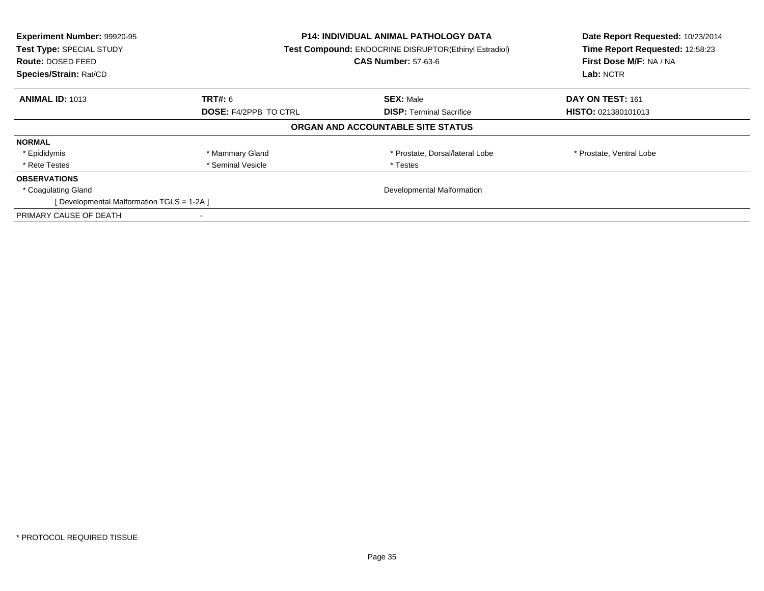| Experiment Number: 99920-95<br>Test Type: SPECIAL STUDY<br><b>Route: DOSED FEED</b><br>Species/Strain: Rat/CD | <b>P14: INDIVIDUAL ANIMAL PATHOLOGY DATA</b><br><b>Test Compound: ENDOCRINE DISRUPTOR(Ethinyl Estradiol)</b><br><b>CAS Number: 57-63-6</b> |                                   | Date Report Requested: 10/23/2014<br>Time Report Requested: 12:58:23<br>First Dose M/F: NA / NA<br>Lab: NCTR |
|---------------------------------------------------------------------------------------------------------------|--------------------------------------------------------------------------------------------------------------------------------------------|-----------------------------------|--------------------------------------------------------------------------------------------------------------|
| <b>ANIMAL ID: 1013</b>                                                                                        | <b>TRT#:</b> 6                                                                                                                             | <b>SEX: Male</b>                  | DAY ON TEST: 161                                                                                             |
|                                                                                                               | <b>DOSE: F4/2PPB TO CTRL</b><br><b>DISP:</b> Terminal Sacrifice                                                                            | <b>HISTO: 021380101013</b>        |                                                                                                              |
|                                                                                                               |                                                                                                                                            | ORGAN AND ACCOUNTABLE SITE STATUS |                                                                                                              |
| <b>NORMAL</b>                                                                                                 |                                                                                                                                            |                                   |                                                                                                              |
| * Epididymis                                                                                                  | * Mammary Gland                                                                                                                            | * Prostate, Dorsal/lateral Lobe   | * Prostate, Ventral Lobe                                                                                     |
| * Rete Testes                                                                                                 | * Seminal Vesicle                                                                                                                          | * Testes                          |                                                                                                              |
| <b>OBSERVATIONS</b>                                                                                           |                                                                                                                                            |                                   |                                                                                                              |
| * Coagulating Gland                                                                                           | Developmental Malformation                                                                                                                 |                                   |                                                                                                              |
| [Developmental Malformation TGLS = 1-2A]                                                                      |                                                                                                                                            |                                   |                                                                                                              |
| PRIMARY CAUSE OF DEATH                                                                                        |                                                                                                                                            |                                   |                                                                                                              |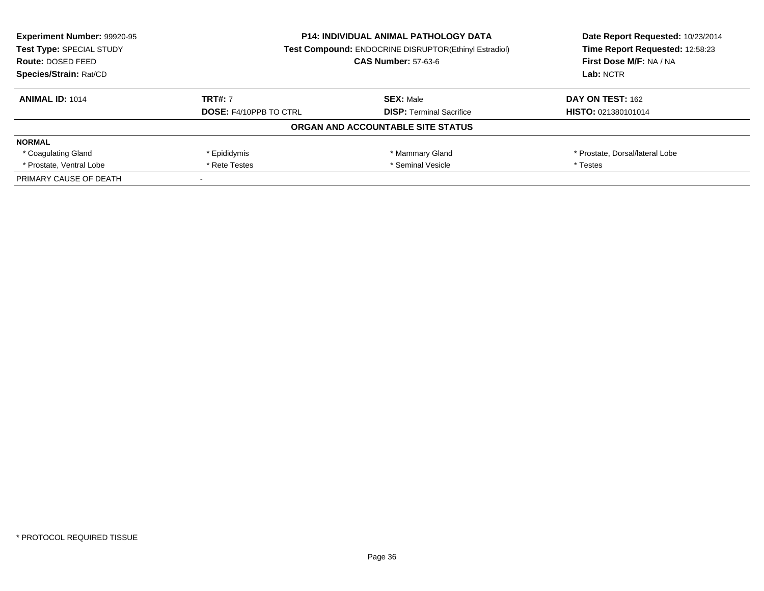| <b>Experiment Number: 99920-95</b><br>Test Type: SPECIAL STUDY<br>Route: DOSED FEED | <b>P14: INDIVIDUAL ANIMAL PATHOLOGY DATA</b><br><b>Test Compound: ENDOCRINE DISRUPTOR(Ethinyl Estradiol)</b><br><b>CAS Number: 57-63-6</b> |                                   | Date Report Requested: 10/23/2014<br>Time Report Requested: 12:58:23<br>First Dose M/F: NA / NA |
|-------------------------------------------------------------------------------------|--------------------------------------------------------------------------------------------------------------------------------------------|-----------------------------------|-------------------------------------------------------------------------------------------------|
| Species/Strain: Rat/CD                                                              |                                                                                                                                            |                                   | Lab: NCTR                                                                                       |
| <b>ANIMAL ID: 1014</b>                                                              | <b>TRT#: 7</b>                                                                                                                             | <b>SEX: Male</b>                  | <b>DAY ON TEST: 162</b>                                                                         |
|                                                                                     | <b>DOSE: F4/10PPB TO CTRL</b>                                                                                                              | <b>DISP:</b> Terminal Sacrifice   | HISTO: 021380101014                                                                             |
|                                                                                     |                                                                                                                                            | ORGAN AND ACCOUNTABLE SITE STATUS |                                                                                                 |
| <b>NORMAL</b>                                                                       |                                                                                                                                            |                                   |                                                                                                 |
| * Coagulating Gland                                                                 | * Epididymis                                                                                                                               | * Mammary Gland                   | * Prostate, Dorsal/lateral Lobe                                                                 |
| * Prostate, Ventral Lobe                                                            | * Rete Testes                                                                                                                              | * Seminal Vesicle                 | * Testes                                                                                        |
| PRIMARY CAUSE OF DEATH                                                              |                                                                                                                                            |                                   |                                                                                                 |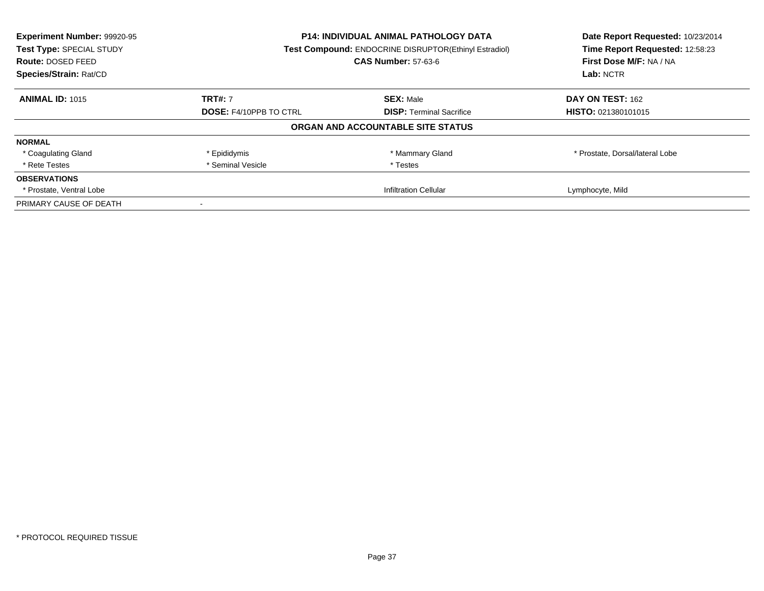| Experiment Number: 99920-95<br>Test Type: SPECIAL STUDY | <b>P14: INDIVIDUAL ANIMAL PATHOLOGY DATA</b><br>Test Compound: ENDOCRINE DISRUPTOR(Ethinyl Estradiol) |                                   | Date Report Requested: 10/23/2014<br>Time Report Requested: 12:58:23 |
|---------------------------------------------------------|-------------------------------------------------------------------------------------------------------|-----------------------------------|----------------------------------------------------------------------|
| Route: DOSED FEED                                       |                                                                                                       | <b>CAS Number: 57-63-6</b>        | First Dose M/F: NA / NA                                              |
| Species/Strain: Rat/CD                                  |                                                                                                       |                                   | Lab: NCTR                                                            |
| <b>ANIMAL ID: 1015</b>                                  | <b>TRT#: 7</b>                                                                                        | <b>SEX: Male</b>                  | DAY ON TEST: 162                                                     |
|                                                         | <b>DOSE: F4/10PPB TO CTRL</b>                                                                         | <b>DISP:</b> Terminal Sacrifice   | <b>HISTO: 021380101015</b>                                           |
|                                                         |                                                                                                       | ORGAN AND ACCOUNTABLE SITE STATUS |                                                                      |
| <b>NORMAL</b>                                           |                                                                                                       |                                   |                                                                      |
| * Coagulating Gland                                     | * Epididymis                                                                                          | * Mammary Gland                   | * Prostate, Dorsal/lateral Lobe                                      |
| * Rete Testes                                           | * Seminal Vesicle                                                                                     | * Testes                          |                                                                      |
| <b>OBSERVATIONS</b>                                     |                                                                                                       |                                   |                                                                      |
| * Prostate, Ventral Lobe                                | <b>Infiltration Cellular</b>                                                                          |                                   | Lymphocyte, Mild                                                     |
| PRIMARY CAUSE OF DEATH                                  |                                                                                                       |                                   |                                                                      |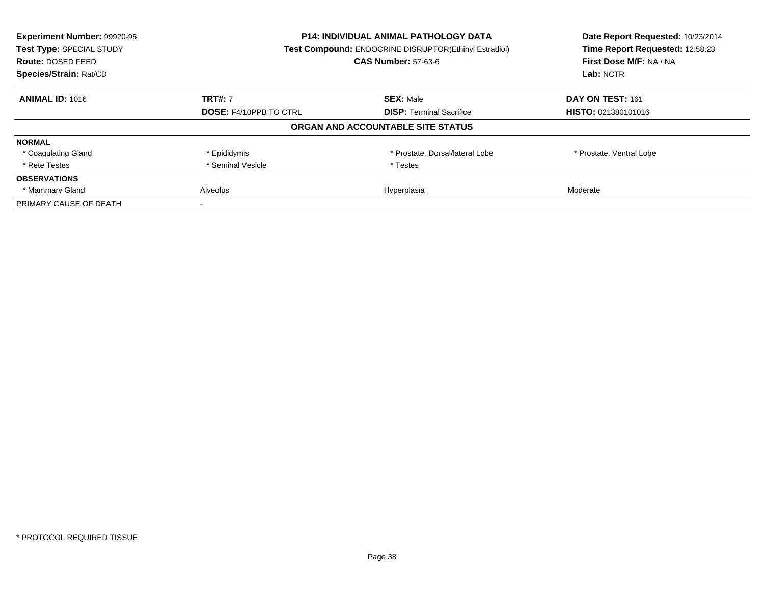| Experiment Number: 99920-95<br>Test Type: SPECIAL STUDY<br><b>Route: DOSED FEED</b><br>Species/Strain: Rat/CD | P14: INDIVIDUAL ANIMAL PATHOLOGY DATA<br>Test Compound: ENDOCRINE DISRUPTOR(Ethinyl Estradiol)<br><b>CAS Number: 57-63-6</b> |                                   | Date Report Requested: 10/23/2014<br>Time Report Requested: 12:58:23<br>First Dose M/F: NA / NA<br>Lab: NCTR |
|---------------------------------------------------------------------------------------------------------------|------------------------------------------------------------------------------------------------------------------------------|-----------------------------------|--------------------------------------------------------------------------------------------------------------|
|                                                                                                               |                                                                                                                              |                                   |                                                                                                              |
| <b>ANIMAL ID: 1016</b>                                                                                        | <b>TRT#: 7</b>                                                                                                               | <b>SEX: Male</b>                  | DAY ON TEST: 161                                                                                             |
|                                                                                                               | <b>DOSE: F4/10PPB TO CTRL</b>                                                                                                | <b>DISP:</b> Terminal Sacrifice   | <b>HISTO: 021380101016</b>                                                                                   |
|                                                                                                               |                                                                                                                              | ORGAN AND ACCOUNTABLE SITE STATUS |                                                                                                              |
| <b>NORMAL</b>                                                                                                 |                                                                                                                              |                                   |                                                                                                              |
| * Coagulating Gland                                                                                           | * Epididymis                                                                                                                 | * Prostate, Dorsal/lateral Lobe   | * Prostate, Ventral Lobe                                                                                     |
| * Rete Testes                                                                                                 | * Seminal Vesicle                                                                                                            | * Testes                          |                                                                                                              |
| <b>OBSERVATIONS</b>                                                                                           |                                                                                                                              |                                   |                                                                                                              |
| * Mammary Gland                                                                                               | Alveolus                                                                                                                     | Hyperplasia                       | Moderate                                                                                                     |
| PRIMARY CAUSE OF DEATH                                                                                        |                                                                                                                              |                                   |                                                                                                              |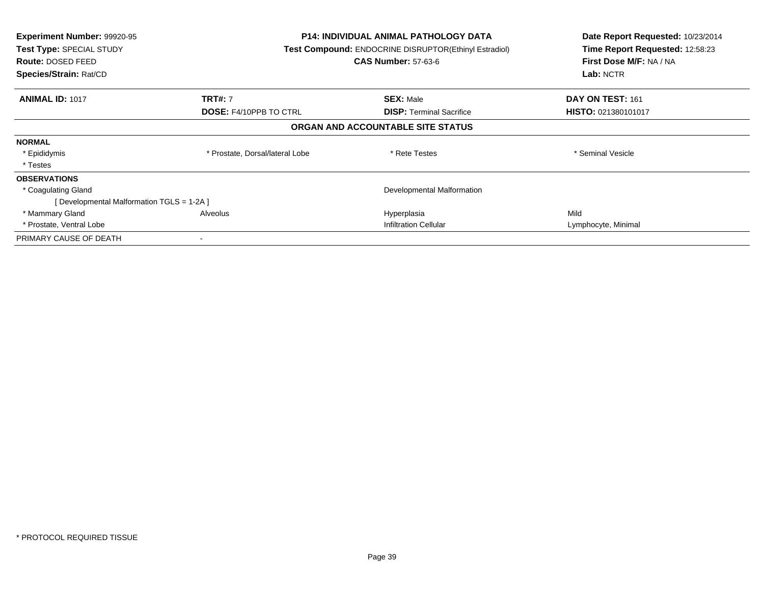| <b>Experiment Number: 99920-95</b><br><b>Test Type: SPECIAL STUDY</b><br>Route: DOSED FEED<br>Species/Strain: Rat/CD |                                 | <b>P14: INDIVIDUAL ANIMAL PATHOLOGY DATA</b><br>Test Compound: ENDOCRINE DISRUPTOR(Ethinyl Estradiol)<br><b>CAS Number: 57-63-6</b> | Date Report Requested: 10/23/2014<br>Time Report Requested: 12:58:23<br>First Dose M/F: NA / NA<br>Lab: NCTR |
|----------------------------------------------------------------------------------------------------------------------|---------------------------------|-------------------------------------------------------------------------------------------------------------------------------------|--------------------------------------------------------------------------------------------------------------|
| <b>ANIMAL ID: 1017</b>                                                                                               | <b>TRT#: 7</b>                  | <b>SEX: Male</b>                                                                                                                    | DAY ON TEST: 161                                                                                             |
|                                                                                                                      | <b>DOSE: F4/10PPB TO CTRL</b>   | <b>DISP:</b> Terminal Sacrifice                                                                                                     | HISTO: 021380101017                                                                                          |
|                                                                                                                      |                                 | ORGAN AND ACCOUNTABLE SITE STATUS                                                                                                   |                                                                                                              |
| <b>NORMAL</b>                                                                                                        |                                 |                                                                                                                                     |                                                                                                              |
| * Epididymis                                                                                                         | * Prostate, Dorsal/lateral Lobe | * Rete Testes                                                                                                                       | * Seminal Vesicle                                                                                            |
| * Testes                                                                                                             |                                 |                                                                                                                                     |                                                                                                              |
| <b>OBSERVATIONS</b>                                                                                                  |                                 |                                                                                                                                     |                                                                                                              |
| * Coagulating Gland                                                                                                  |                                 | Developmental Malformation                                                                                                          |                                                                                                              |
| [Developmental Malformation TGLS = 1-2A]                                                                             |                                 |                                                                                                                                     |                                                                                                              |
| * Mammary Gland                                                                                                      | Alveolus                        | Hyperplasia                                                                                                                         | Mild                                                                                                         |
| * Prostate, Ventral Lobe                                                                                             |                                 | <b>Infiltration Cellular</b>                                                                                                        | Lymphocyte, Minimal                                                                                          |
| PRIMARY CAUSE OF DEATH                                                                                               |                                 |                                                                                                                                     |                                                                                                              |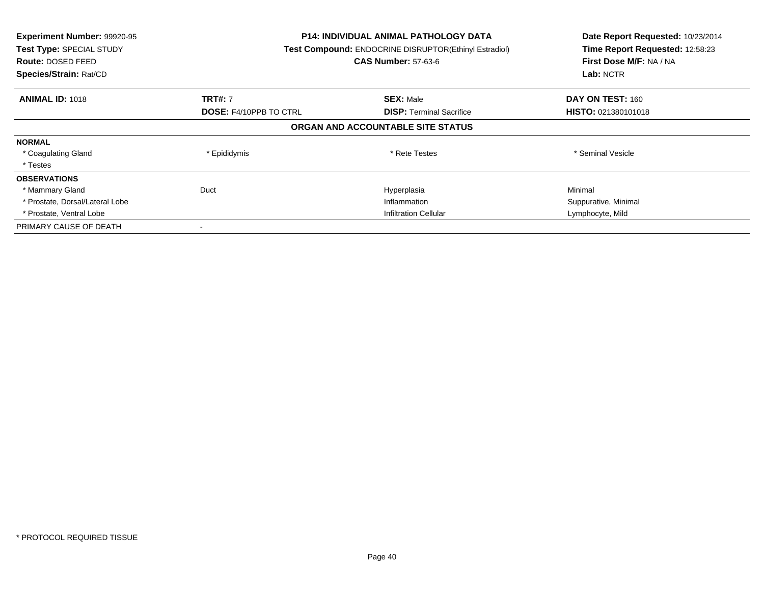| Experiment Number: 99920-95<br>Test Type: SPECIAL STUDY<br><b>Route: DOSED FEED</b><br>Species/Strain: Rat/CD |                               | <b>P14: INDIVIDUAL ANIMAL PATHOLOGY DATA</b><br>Test Compound: ENDOCRINE DISRUPTOR(Ethinyl Estradiol)<br><b>CAS Number: 57-63-6</b> |                            |
|---------------------------------------------------------------------------------------------------------------|-------------------------------|-------------------------------------------------------------------------------------------------------------------------------------|----------------------------|
| <b>ANIMAL ID: 1018</b>                                                                                        | <b>TRT#: 7</b>                | <b>SEX: Male</b>                                                                                                                    | DAY ON TEST: 160           |
|                                                                                                               | <b>DOSE: F4/10PPB TO CTRL</b> | <b>DISP:</b> Terminal Sacrifice                                                                                                     | <b>HISTO: 021380101018</b> |
|                                                                                                               |                               | ORGAN AND ACCOUNTABLE SITE STATUS                                                                                                   |                            |
| <b>NORMAL</b>                                                                                                 |                               |                                                                                                                                     |                            |
| * Coagulating Gland                                                                                           | * Epididymis                  | * Rete Testes                                                                                                                       | * Seminal Vesicle          |
| * Testes                                                                                                      |                               |                                                                                                                                     |                            |
| <b>OBSERVATIONS</b>                                                                                           |                               |                                                                                                                                     |                            |
| * Mammary Gland                                                                                               | Duct                          | Hyperplasia                                                                                                                         | Minimal                    |
| * Prostate, Dorsal/Lateral Lobe                                                                               |                               | Inflammation                                                                                                                        | Suppurative, Minimal       |
| * Prostate, Ventral Lobe                                                                                      | <b>Infiltration Cellular</b>  |                                                                                                                                     | Lymphocyte, Mild           |
| PRIMARY CAUSE OF DEATH                                                                                        |                               |                                                                                                                                     |                            |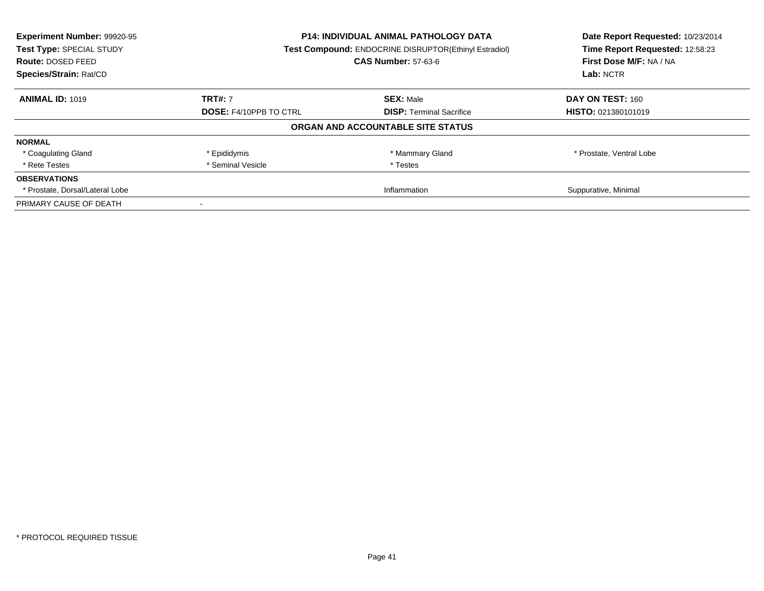| Experiment Number: 99920-95<br>Test Type: SPECIAL STUDY<br><b>Route: DOSED FEED</b><br>Species/Strain: Rat/CD | <b>P14: INDIVIDUAL ANIMAL PATHOLOGY DATA</b><br>Test Compound: ENDOCRINE DISRUPTOR(Ethinyl Estradiol)<br><b>CAS Number: 57-63-6</b> |                                   | Date Report Requested: 10/23/2014<br>Time Report Requested: 12:58:23<br>First Dose M/F: NA / NA<br>Lab: NCTR |
|---------------------------------------------------------------------------------------------------------------|-------------------------------------------------------------------------------------------------------------------------------------|-----------------------------------|--------------------------------------------------------------------------------------------------------------|
| <b>ANIMAL ID: 1019</b>                                                                                        | <b>TRT#: 7</b>                                                                                                                      | <b>SEX: Male</b>                  | DAY ON TEST: 160                                                                                             |
|                                                                                                               | <b>DOSE: F4/10PPB TO CTRL</b>                                                                                                       | <b>DISP:</b> Terminal Sacrifice   | <b>HISTO: 021380101019</b>                                                                                   |
|                                                                                                               |                                                                                                                                     | ORGAN AND ACCOUNTABLE SITE STATUS |                                                                                                              |
| <b>NORMAL</b>                                                                                                 |                                                                                                                                     |                                   |                                                                                                              |
| * Coagulating Gland                                                                                           | * Epididymis                                                                                                                        | * Mammary Gland                   | * Prostate, Ventral Lobe                                                                                     |
| * Rete Testes                                                                                                 | * Seminal Vesicle                                                                                                                   | * Testes                          |                                                                                                              |
| <b>OBSERVATIONS</b>                                                                                           |                                                                                                                                     |                                   |                                                                                                              |
| * Prostate, Dorsal/Lateral Lobe                                                                               | Inflammation                                                                                                                        |                                   | Suppurative, Minimal                                                                                         |
| PRIMARY CAUSE OF DEATH                                                                                        |                                                                                                                                     |                                   |                                                                                                              |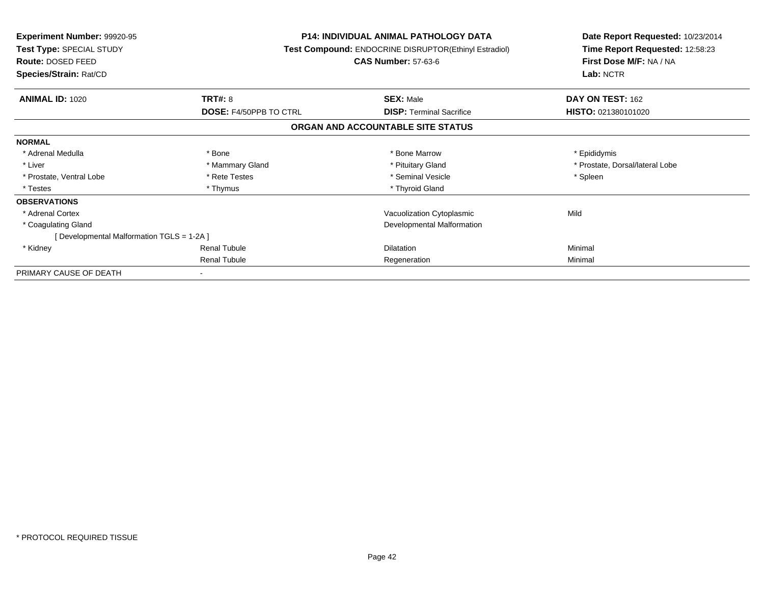| <b>Experiment Number: 99920-95</b><br><b>Test Type: SPECIAL STUDY</b><br><b>Route: DOSED FEED</b><br>Species/Strain: Rat/CD |                               | <b>P14: INDIVIDUAL ANIMAL PATHOLOGY DATA</b><br>Test Compound: ENDOCRINE DISRUPTOR(Ethinyl Estradiol)<br><b>CAS Number: 57-63-6</b> | Date Report Requested: 10/23/2014<br>Time Report Requested: 12:58:23<br>First Dose M/F: NA / NA<br>Lab: NCTR |
|-----------------------------------------------------------------------------------------------------------------------------|-------------------------------|-------------------------------------------------------------------------------------------------------------------------------------|--------------------------------------------------------------------------------------------------------------|
| <b>ANIMAL ID: 1020</b>                                                                                                      | TRT#: 8                       | <b>SEX: Male</b>                                                                                                                    | DAY ON TEST: 162                                                                                             |
|                                                                                                                             | <b>DOSE: F4/50PPB TO CTRL</b> | <b>DISP:</b> Terminal Sacrifice<br>ORGAN AND ACCOUNTABLE SITE STATUS                                                                | HISTO: 021380101020                                                                                          |
| <b>NORMAL</b>                                                                                                               |                               |                                                                                                                                     |                                                                                                              |
| * Adrenal Medulla                                                                                                           | * Bone                        | * Bone Marrow                                                                                                                       | * Epididymis                                                                                                 |
| * Liver                                                                                                                     | * Mammary Gland               | * Pituitary Gland                                                                                                                   | * Prostate, Dorsal/lateral Lobe                                                                              |
| * Prostate, Ventral Lobe                                                                                                    | * Rete Testes                 | * Seminal Vesicle                                                                                                                   | * Spleen                                                                                                     |
| * Testes                                                                                                                    | * Thymus                      | * Thyroid Gland                                                                                                                     |                                                                                                              |
| <b>OBSERVATIONS</b>                                                                                                         |                               |                                                                                                                                     |                                                                                                              |
| * Adrenal Cortex                                                                                                            |                               | Vacuolization Cytoplasmic                                                                                                           | Mild                                                                                                         |
| * Coagulating Gland                                                                                                         |                               | Developmental Malformation                                                                                                          |                                                                                                              |
| [ Developmental Malformation TGLS = 1-2A ]                                                                                  |                               |                                                                                                                                     |                                                                                                              |
| * Kidney                                                                                                                    | <b>Renal Tubule</b>           | Dilatation                                                                                                                          | Minimal                                                                                                      |
|                                                                                                                             | <b>Renal Tubule</b>           | Regeneration                                                                                                                        | Minimal                                                                                                      |
| PRIMARY CAUSE OF DEATH                                                                                                      |                               |                                                                                                                                     |                                                                                                              |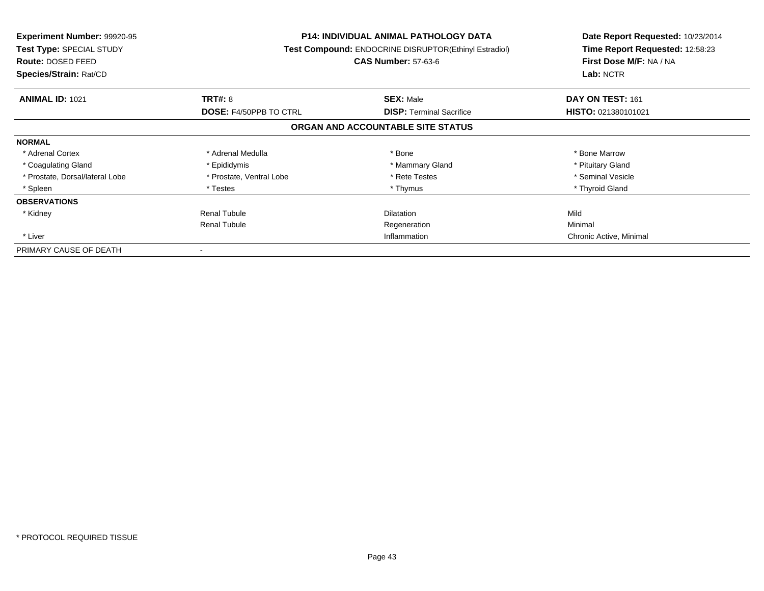| Experiment Number: 99920-95<br>Test Type: SPECIAL STUDY<br><b>Route: DOSED FEED</b><br>Species/Strain: Rat/CD |                          | P14: INDIVIDUAL ANIMAL PATHOLOGY DATA<br><b>Test Compound: ENDOCRINE DISRUPTOR(Ethinyl Estradiol)</b><br><b>CAS Number: 57-63-6</b> | Date Report Requested: 10/23/2014<br>Time Report Requested: 12:58:23<br>First Dose M/F: NA / NA<br>Lab: NCTR |
|---------------------------------------------------------------------------------------------------------------|--------------------------|-------------------------------------------------------------------------------------------------------------------------------------|--------------------------------------------------------------------------------------------------------------|
| <b>ANIMAL ID: 1021</b>                                                                                        | <b>TRT#: 8</b>           | <b>SEX: Male</b>                                                                                                                    | DAY ON TEST: 161                                                                                             |
|                                                                                                               | DOSE: F4/50PPB TO CTRL   | <b>DISP:</b> Terminal Sacrifice                                                                                                     | HISTO: 021380101021                                                                                          |
|                                                                                                               |                          | ORGAN AND ACCOUNTABLE SITE STATUS                                                                                                   |                                                                                                              |
| <b>NORMAL</b>                                                                                                 |                          |                                                                                                                                     |                                                                                                              |
| * Adrenal Cortex                                                                                              | * Adrenal Medulla        | * Bone                                                                                                                              | * Bone Marrow                                                                                                |
| * Coagulating Gland                                                                                           | * Epididymis             | * Mammary Gland                                                                                                                     | * Pituitary Gland                                                                                            |
| * Prostate, Dorsal/lateral Lobe                                                                               | * Prostate, Ventral Lobe | * Rete Testes                                                                                                                       | * Seminal Vesicle                                                                                            |
| * Spleen                                                                                                      | * Testes                 | * Thymus                                                                                                                            | * Thyroid Gland                                                                                              |
| <b>OBSERVATIONS</b>                                                                                           |                          |                                                                                                                                     |                                                                                                              |
| * Kidney                                                                                                      | <b>Renal Tubule</b>      | <b>Dilatation</b>                                                                                                                   | Mild                                                                                                         |
|                                                                                                               | <b>Renal Tubule</b>      | Regeneration                                                                                                                        | Minimal                                                                                                      |
| * Liver                                                                                                       |                          | Inflammation                                                                                                                        | Chronic Active, Minimal                                                                                      |
| PRIMARY CAUSE OF DEATH                                                                                        |                          |                                                                                                                                     |                                                                                                              |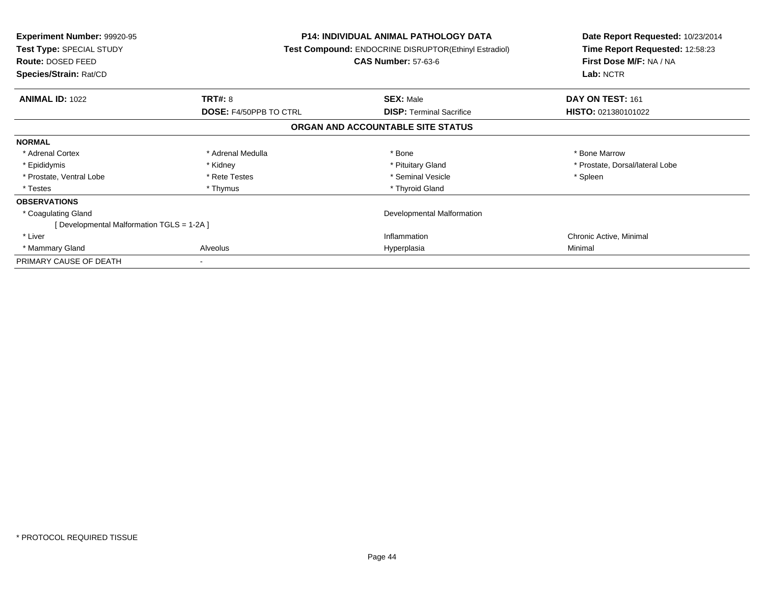| <b>Experiment Number: 99920-95</b><br>Test Type: SPECIAL STUDY<br>Route: DOSED FEED<br>Species/Strain: Rat/CD |                               | <b>P14: INDIVIDUAL ANIMAL PATHOLOGY DATA</b><br><b>Test Compound: ENDOCRINE DISRUPTOR(Ethinyl Estradiol)</b><br><b>CAS Number: 57-63-6</b> | Date Report Requested: 10/23/2014<br>Time Report Requested: 12:58:23<br>First Dose M/F: NA / NA<br>Lab: NCTR |
|---------------------------------------------------------------------------------------------------------------|-------------------------------|--------------------------------------------------------------------------------------------------------------------------------------------|--------------------------------------------------------------------------------------------------------------|
| <b>ANIMAL ID: 1022</b>                                                                                        | TRT#: 8                       | <b>SEX: Male</b>                                                                                                                           | DAY ON TEST: 161                                                                                             |
|                                                                                                               | <b>DOSE: F4/50PPB TO CTRL</b> | <b>DISP: Terminal Sacrifice</b>                                                                                                            | HISTO: 021380101022                                                                                          |
|                                                                                                               |                               | ORGAN AND ACCOUNTABLE SITE STATUS                                                                                                          |                                                                                                              |
| <b>NORMAL</b>                                                                                                 |                               |                                                                                                                                            |                                                                                                              |
| * Adrenal Cortex                                                                                              | * Adrenal Medulla             | * Bone                                                                                                                                     | * Bone Marrow                                                                                                |
| * Epididymis                                                                                                  | * Kidney                      | * Pituitary Gland                                                                                                                          | * Prostate, Dorsal/lateral Lobe                                                                              |
| * Prostate, Ventral Lobe                                                                                      | * Rete Testes                 | * Seminal Vesicle                                                                                                                          | * Spleen                                                                                                     |
| * Testes                                                                                                      | * Thymus                      | * Thyroid Gland                                                                                                                            |                                                                                                              |
| <b>OBSERVATIONS</b>                                                                                           |                               |                                                                                                                                            |                                                                                                              |
| * Coagulating Gland                                                                                           |                               | Developmental Malformation                                                                                                                 |                                                                                                              |
| [ Developmental Malformation TGLS = 1-2A ]                                                                    |                               |                                                                                                                                            |                                                                                                              |
| * Liver                                                                                                       |                               | Inflammation                                                                                                                               | Chronic Active, Minimal                                                                                      |
| * Mammary Gland                                                                                               | Alveolus                      | Hyperplasia                                                                                                                                | Minimal                                                                                                      |
| PRIMARY CAUSE OF DEATH                                                                                        |                               |                                                                                                                                            |                                                                                                              |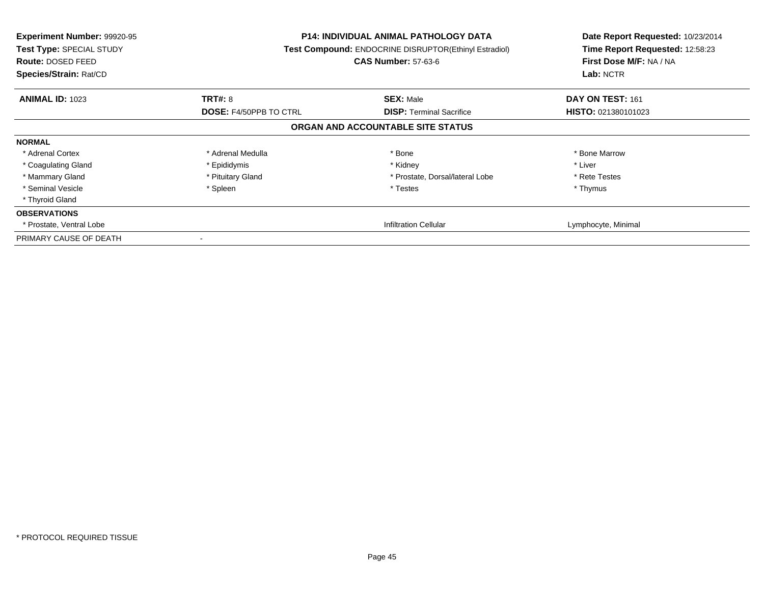| <b>Experiment Number: 99920-95</b><br>Test Type: SPECIAL STUDY<br>Route: DOSED FEED<br>Species/Strain: Rat/CD |                               | <b>P14: INDIVIDUAL ANIMAL PATHOLOGY DATA</b><br>Test Compound: ENDOCRINE DISRUPTOR(Ethinyl Estradiol)<br><b>CAS Number: 57-63-6</b> | Date Report Requested: 10/23/2014<br>Time Report Requested: 12:58:23<br>First Dose M/F: NA / NA<br>Lab: NCTR |
|---------------------------------------------------------------------------------------------------------------|-------------------------------|-------------------------------------------------------------------------------------------------------------------------------------|--------------------------------------------------------------------------------------------------------------|
| <b>ANIMAL ID: 1023</b>                                                                                        | <b>TRT#: 8</b>                | <b>SEX: Male</b>                                                                                                                    | DAY ON TEST: 161                                                                                             |
|                                                                                                               | <b>DOSE: F4/50PPB TO CTRL</b> | <b>DISP:</b> Terminal Sacrifice                                                                                                     | HISTO: 021380101023                                                                                          |
|                                                                                                               |                               | ORGAN AND ACCOUNTABLE SITE STATUS                                                                                                   |                                                                                                              |
| <b>NORMAL</b>                                                                                                 |                               |                                                                                                                                     |                                                                                                              |
| * Adrenal Cortex                                                                                              | * Adrenal Medulla             | * Bone                                                                                                                              | * Bone Marrow                                                                                                |
| * Coagulating Gland                                                                                           | * Epididymis                  | * Kidney                                                                                                                            | * Liver                                                                                                      |
| * Mammary Gland                                                                                               | * Pituitary Gland             | * Prostate, Dorsal/lateral Lobe                                                                                                     | * Rete Testes                                                                                                |
| * Seminal Vesicle                                                                                             | * Spleen                      | * Testes                                                                                                                            | * Thymus                                                                                                     |
| * Thyroid Gland                                                                                               |                               |                                                                                                                                     |                                                                                                              |
| <b>OBSERVATIONS</b>                                                                                           |                               |                                                                                                                                     |                                                                                                              |
| * Prostate, Ventral Lobe                                                                                      |                               | <b>Infiltration Cellular</b>                                                                                                        | Lymphocyte, Minimal                                                                                          |
| PRIMARY CAUSE OF DEATH                                                                                        |                               |                                                                                                                                     |                                                                                                              |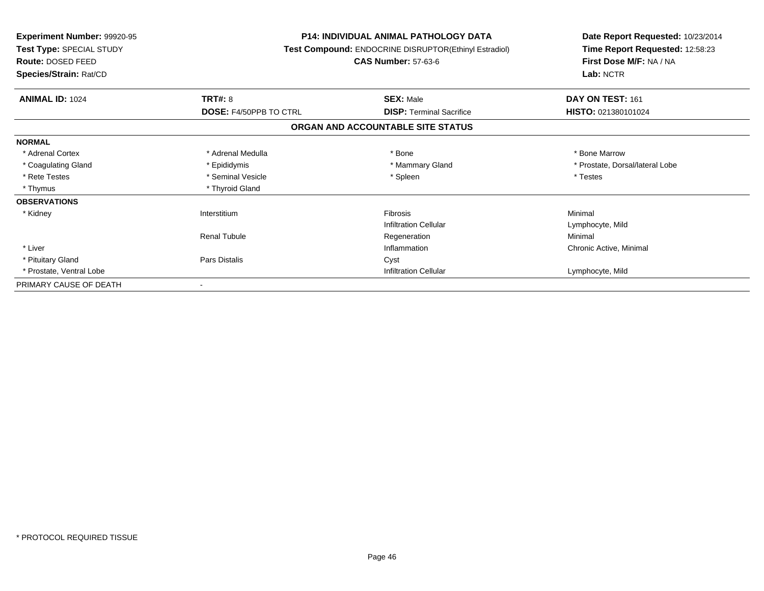| Experiment Number: 99920-95<br>Test Type: SPECIAL STUDY<br><b>Route: DOSED FEED</b><br>Species/Strain: Rat/CD |                        | <b>P14: INDIVIDUAL ANIMAL PATHOLOGY DATA</b><br>Test Compound: ENDOCRINE DISRUPTOR(Ethinyl Estradiol)<br><b>CAS Number: 57-63-6</b> | Date Report Requested: 10/23/2014<br>Time Report Requested: 12:58:23<br>First Dose M/F: NA / NA<br>Lab: NCTR |
|---------------------------------------------------------------------------------------------------------------|------------------------|-------------------------------------------------------------------------------------------------------------------------------------|--------------------------------------------------------------------------------------------------------------|
| <b>ANIMAL ID: 1024</b>                                                                                        | TRT#: 8                | <b>SEX: Male</b>                                                                                                                    | DAY ON TEST: 161                                                                                             |
|                                                                                                               | DOSE: F4/50PPB TO CTRL | <b>DISP: Terminal Sacrifice</b>                                                                                                     | HISTO: 021380101024                                                                                          |
|                                                                                                               |                        | ORGAN AND ACCOUNTABLE SITE STATUS                                                                                                   |                                                                                                              |
| <b>NORMAL</b>                                                                                                 |                        |                                                                                                                                     |                                                                                                              |
| * Adrenal Cortex                                                                                              | * Adrenal Medulla      | * Bone                                                                                                                              | * Bone Marrow                                                                                                |
| * Coagulating Gland                                                                                           | * Epididymis           | * Mammary Gland                                                                                                                     | * Prostate, Dorsal/lateral Lobe                                                                              |
| * Rete Testes                                                                                                 | * Seminal Vesicle      | * Spleen                                                                                                                            | * Testes                                                                                                     |
| * Thymus                                                                                                      | * Thyroid Gland        |                                                                                                                                     |                                                                                                              |
| <b>OBSERVATIONS</b>                                                                                           |                        |                                                                                                                                     |                                                                                                              |
| * Kidney                                                                                                      | Interstitium           | <b>Fibrosis</b>                                                                                                                     | Minimal                                                                                                      |
|                                                                                                               |                        | <b>Infiltration Cellular</b>                                                                                                        | Lymphocyte, Mild                                                                                             |
|                                                                                                               | <b>Renal Tubule</b>    | Regeneration                                                                                                                        | Minimal                                                                                                      |
| * Liver                                                                                                       |                        | Inflammation                                                                                                                        | Chronic Active, Minimal                                                                                      |
| * Pituitary Gland                                                                                             | Pars Distalis          | Cyst                                                                                                                                |                                                                                                              |
| * Prostate, Ventral Lobe                                                                                      |                        | <b>Infiltration Cellular</b>                                                                                                        | Lymphocyte, Mild                                                                                             |
| PRIMARY CAUSE OF DEATH                                                                                        |                        |                                                                                                                                     |                                                                                                              |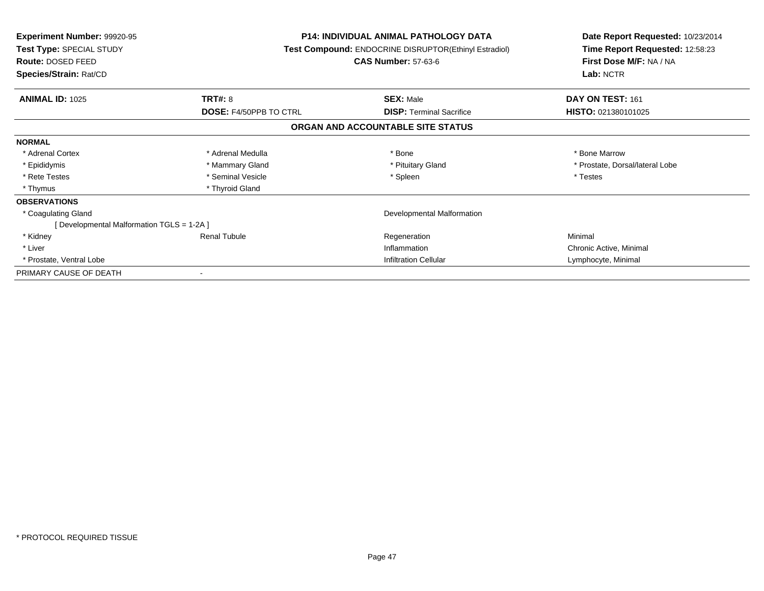| <b>Experiment Number: 99920-95</b><br>Test Type: SPECIAL STUDY<br>Route: DOSED FEED |                               | <b>P14: INDIVIDUAL ANIMAL PATHOLOGY DATA</b><br>Test Compound: ENDOCRINE DISRUPTOR(Ethinyl Estradiol)<br><b>CAS Number: 57-63-6</b> | Date Report Requested: 10/23/2014<br>Time Report Requested: 12:58:23<br>First Dose M/F: NA / NA |  |
|-------------------------------------------------------------------------------------|-------------------------------|-------------------------------------------------------------------------------------------------------------------------------------|-------------------------------------------------------------------------------------------------|--|
| Species/Strain: Rat/CD                                                              |                               |                                                                                                                                     | Lab: NCTR                                                                                       |  |
| <b>ANIMAL ID: 1025</b>                                                              | <b>TRT#: 8</b>                | <b>SEX: Male</b>                                                                                                                    | DAY ON TEST: 161                                                                                |  |
|                                                                                     | <b>DOSE: F4/50PPB TO CTRL</b> | <b>DISP: Terminal Sacrifice</b>                                                                                                     | HISTO: 021380101025                                                                             |  |
|                                                                                     |                               | ORGAN AND ACCOUNTABLE SITE STATUS                                                                                                   |                                                                                                 |  |
| <b>NORMAL</b>                                                                       |                               |                                                                                                                                     |                                                                                                 |  |
| * Adrenal Cortex                                                                    | * Adrenal Medulla             | * Bone                                                                                                                              | * Bone Marrow                                                                                   |  |
| * Epididymis                                                                        | * Mammary Gland               | * Pituitary Gland                                                                                                                   | * Prostate, Dorsal/lateral Lobe                                                                 |  |
| * Rete Testes                                                                       | * Seminal Vesicle             | * Spleen                                                                                                                            | * Testes                                                                                        |  |
| * Thymus                                                                            | * Thyroid Gland               |                                                                                                                                     |                                                                                                 |  |
| <b>OBSERVATIONS</b>                                                                 |                               |                                                                                                                                     |                                                                                                 |  |
| * Coagulating Gland                                                                 |                               | Developmental Malformation                                                                                                          |                                                                                                 |  |
| [Developmental Malformation TGLS = 1-2A]                                            |                               |                                                                                                                                     |                                                                                                 |  |
| * Kidney                                                                            | <b>Renal Tubule</b>           | Regeneration                                                                                                                        | Minimal                                                                                         |  |
| * Liver                                                                             |                               | Inflammation                                                                                                                        | Chronic Active, Minimal                                                                         |  |
| * Prostate, Ventral Lobe                                                            |                               | <b>Infiltration Cellular</b>                                                                                                        | Lymphocyte, Minimal                                                                             |  |
| PRIMARY CAUSE OF DEATH                                                              |                               |                                                                                                                                     |                                                                                                 |  |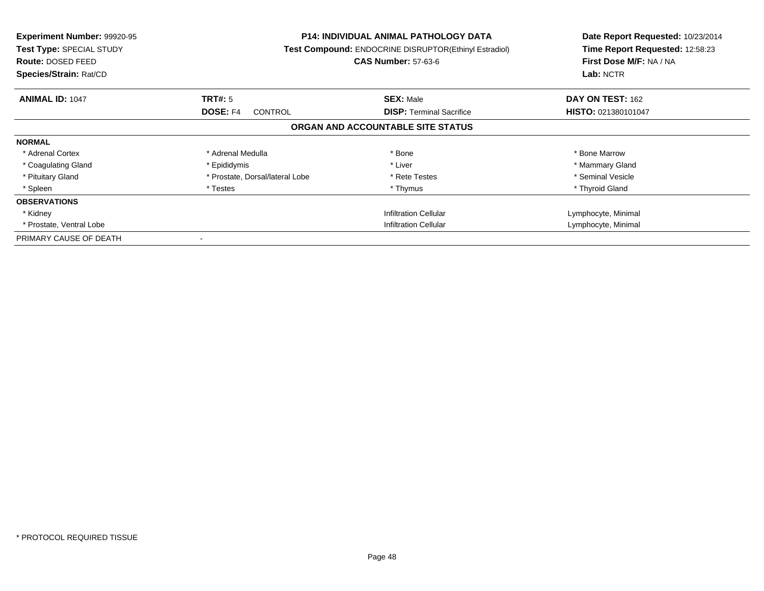| <b>Experiment Number: 99920-95</b><br><b>Test Type: SPECIAL STUDY</b><br>Route: DOSED FEED<br>Species/Strain: Rat/CD |                                   | <b>P14: INDIVIDUAL ANIMAL PATHOLOGY DATA</b><br><b>Test Compound: ENDOCRINE DISRUPTOR(Ethinyl Estradiol)</b><br><b>CAS Number: 57-63-6</b> | Date Report Requested: 10/23/2014<br>Time Report Requested: 12:58:23<br>First Dose M/F: NA / NA<br>Lab: NCTR |
|----------------------------------------------------------------------------------------------------------------------|-----------------------------------|--------------------------------------------------------------------------------------------------------------------------------------------|--------------------------------------------------------------------------------------------------------------|
| <b>ANIMAL ID: 1047</b>                                                                                               | TRT#: 5                           | <b>SEX: Male</b>                                                                                                                           | <b>DAY ON TEST: 162</b>                                                                                      |
|                                                                                                                      | <b>DOSE: F4</b><br><b>CONTROL</b> | <b>DISP:</b> Terminal Sacrifice                                                                                                            | <b>HISTO: 021380101047</b>                                                                                   |
|                                                                                                                      |                                   | ORGAN AND ACCOUNTABLE SITE STATUS                                                                                                          |                                                                                                              |
| <b>NORMAL</b>                                                                                                        |                                   |                                                                                                                                            |                                                                                                              |
| * Adrenal Cortex                                                                                                     | * Adrenal Medulla                 | * Bone                                                                                                                                     | * Bone Marrow                                                                                                |
| * Coagulating Gland                                                                                                  | * Epididymis                      | * Liver                                                                                                                                    | * Mammary Gland                                                                                              |
| * Pituitary Gland                                                                                                    | * Prostate, Dorsal/lateral Lobe   | * Rete Testes                                                                                                                              | * Seminal Vesicle                                                                                            |
| * Spleen                                                                                                             | * Testes                          | * Thymus                                                                                                                                   | * Thyroid Gland                                                                                              |
| <b>OBSERVATIONS</b>                                                                                                  |                                   |                                                                                                                                            |                                                                                                              |
| * Kidney                                                                                                             |                                   | <b>Infiltration Cellular</b>                                                                                                               | Lymphocyte, Minimal                                                                                          |
| * Prostate, Ventral Lobe                                                                                             | Infiltration Cellular             |                                                                                                                                            | Lymphocyte, Minimal                                                                                          |
| PRIMARY CAUSE OF DEATH                                                                                               |                                   |                                                                                                                                            |                                                                                                              |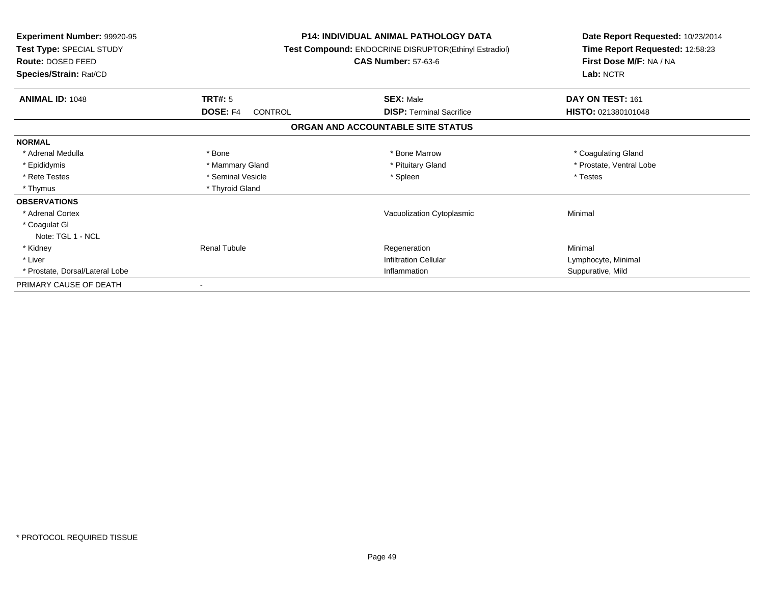| <b>Experiment Number: 99920-95</b><br>Test Type: SPECIAL STUDY<br>Route: DOSED FEED<br>Species/Strain: Rat/CD |                     | <b>P14: INDIVIDUAL ANIMAL PATHOLOGY DATA</b><br>Test Compound: ENDOCRINE DISRUPTOR(Ethinyl Estradiol)<br><b>CAS Number: 57-63-6</b> | Date Report Requested: 10/23/2014<br>Time Report Requested: 12:58:23<br>First Dose M/F: NA / NA<br>Lab: NCTR |
|---------------------------------------------------------------------------------------------------------------|---------------------|-------------------------------------------------------------------------------------------------------------------------------------|--------------------------------------------------------------------------------------------------------------|
| <b>ANIMAL ID: 1048</b>                                                                                        | TRT#: 5             | <b>SEX: Male</b>                                                                                                                    | DAY ON TEST: 161                                                                                             |
|                                                                                                               | DOSE: F4<br>CONTROL | <b>DISP:</b> Terminal Sacrifice                                                                                                     | HISTO: 021380101048                                                                                          |
|                                                                                                               |                     | ORGAN AND ACCOUNTABLE SITE STATUS                                                                                                   |                                                                                                              |
| <b>NORMAL</b>                                                                                                 |                     |                                                                                                                                     |                                                                                                              |
| * Adrenal Medulla                                                                                             | * Bone              | * Bone Marrow                                                                                                                       | * Coagulating Gland                                                                                          |
| * Epididymis                                                                                                  | * Mammary Gland     | * Pituitary Gland                                                                                                                   | * Prostate, Ventral Lobe                                                                                     |
| * Rete Testes                                                                                                 | * Seminal Vesicle   | * Spleen                                                                                                                            | * Testes                                                                                                     |
| * Thymus                                                                                                      | * Thyroid Gland     |                                                                                                                                     |                                                                                                              |
| <b>OBSERVATIONS</b>                                                                                           |                     |                                                                                                                                     |                                                                                                              |
| * Adrenal Cortex                                                                                              |                     | Vacuolization Cytoplasmic                                                                                                           | Minimal                                                                                                      |
| * Coagulat GI                                                                                                 |                     |                                                                                                                                     |                                                                                                              |
| Note: TGL 1 - NCL                                                                                             |                     |                                                                                                                                     |                                                                                                              |
| * Kidney                                                                                                      | <b>Renal Tubule</b> | Regeneration                                                                                                                        | Minimal                                                                                                      |
| * Liver                                                                                                       |                     | <b>Infiltration Cellular</b>                                                                                                        | Lymphocyte, Minimal                                                                                          |
| * Prostate, Dorsal/Lateral Lobe                                                                               |                     | Inflammation                                                                                                                        | Suppurative, Mild                                                                                            |
| PRIMARY CAUSE OF DEATH                                                                                        |                     |                                                                                                                                     |                                                                                                              |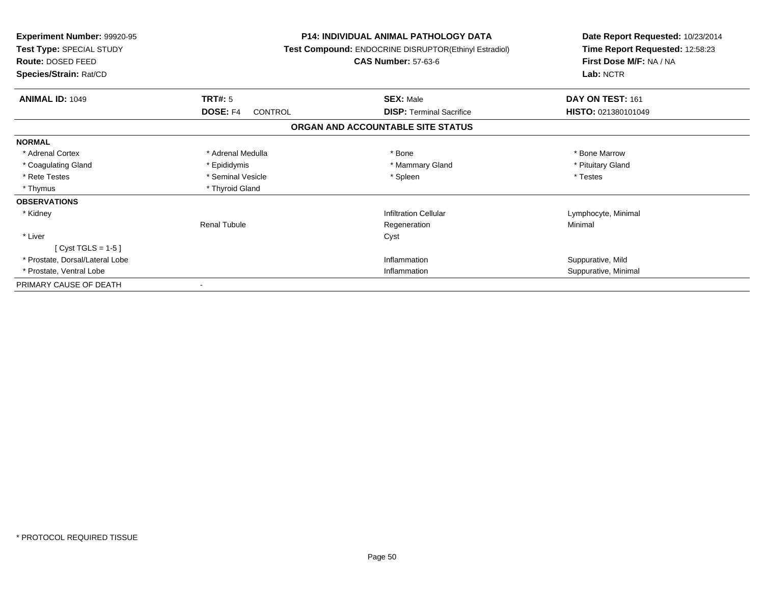| Experiment Number: 99920-95<br><b>Test Type: SPECIAL STUDY</b><br>Route: DOSED FEED<br>Species/Strain: Rat/CD |                     | <b>P14: INDIVIDUAL ANIMAL PATHOLOGY DATA</b><br>Test Compound: ENDOCRINE DISRUPTOR(Ethinyl Estradiol)<br><b>CAS Number: 57-63-6</b> | Date Report Requested: 10/23/2014<br>Time Report Requested: 12:58:23<br>First Dose M/F: NA / NA<br>Lab: NCTR |
|---------------------------------------------------------------------------------------------------------------|---------------------|-------------------------------------------------------------------------------------------------------------------------------------|--------------------------------------------------------------------------------------------------------------|
| <b>ANIMAL ID: 1049</b>                                                                                        | TRT#: 5             | <b>SEX: Male</b>                                                                                                                    | DAY ON TEST: 161                                                                                             |
|                                                                                                               | DOSE: F4<br>CONTROL | <b>DISP: Terminal Sacrifice</b>                                                                                                     | HISTO: 021380101049                                                                                          |
|                                                                                                               |                     | ORGAN AND ACCOUNTABLE SITE STATUS                                                                                                   |                                                                                                              |
| <b>NORMAL</b>                                                                                                 |                     |                                                                                                                                     |                                                                                                              |
| * Adrenal Cortex                                                                                              | * Adrenal Medulla   | * Bone                                                                                                                              | * Bone Marrow                                                                                                |
| * Coagulating Gland                                                                                           | * Epididymis        | * Mammary Gland                                                                                                                     | * Pituitary Gland                                                                                            |
| * Rete Testes                                                                                                 | * Seminal Vesicle   | * Spleen                                                                                                                            | * Testes                                                                                                     |
| * Thymus                                                                                                      | * Thyroid Gland     |                                                                                                                                     |                                                                                                              |
| <b>OBSERVATIONS</b>                                                                                           |                     |                                                                                                                                     |                                                                                                              |
| * Kidney                                                                                                      |                     | <b>Infiltration Cellular</b>                                                                                                        | Lymphocyte, Minimal                                                                                          |
|                                                                                                               | <b>Renal Tubule</b> | Regeneration                                                                                                                        | Minimal                                                                                                      |
| * Liver                                                                                                       |                     | Cyst                                                                                                                                |                                                                                                              |
| [ $Cyst TGLS = 1-5$ ]                                                                                         |                     |                                                                                                                                     |                                                                                                              |
| * Prostate, Dorsal/Lateral Lobe                                                                               |                     | Inflammation                                                                                                                        | Suppurative, Mild                                                                                            |
| * Prostate, Ventral Lobe                                                                                      |                     | Inflammation                                                                                                                        | Suppurative, Minimal                                                                                         |
| PRIMARY CAUSE OF DEATH                                                                                        |                     |                                                                                                                                     |                                                                                                              |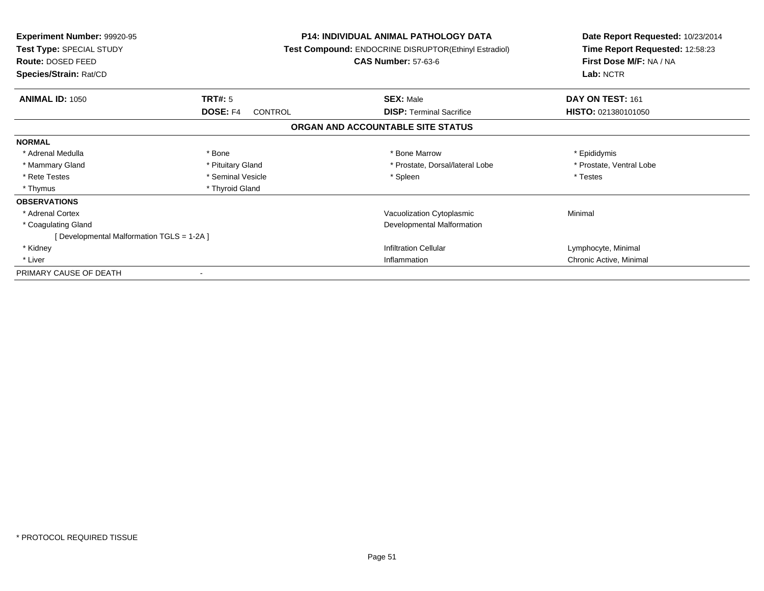| <b>Experiment Number: 99920-95</b><br><b>Test Type: SPECIAL STUDY</b><br><b>Route: DOSED FEED</b><br>Species/Strain: Rat/CD |                            | <b>P14: INDIVIDUAL ANIMAL PATHOLOGY DATA</b><br>Test Compound: ENDOCRINE DISRUPTOR(Ethinyl Estradiol)<br><b>CAS Number: 57-63-6</b> | Date Report Requested: 10/23/2014<br>Time Report Requested: 12:58:23<br>First Dose M/F: NA / NA<br>Lab: NCTR |
|-----------------------------------------------------------------------------------------------------------------------------|----------------------------|-------------------------------------------------------------------------------------------------------------------------------------|--------------------------------------------------------------------------------------------------------------|
| <b>ANIMAL ID: 1050</b>                                                                                                      | <b>TRT#: 5</b>             | <b>SEX: Male</b>                                                                                                                    | DAY ON TEST: 161                                                                                             |
|                                                                                                                             | <b>DOSE: F4</b><br>CONTROL | <b>DISP:</b> Terminal Sacrifice                                                                                                     | <b>HISTO: 021380101050</b>                                                                                   |
|                                                                                                                             |                            | ORGAN AND ACCOUNTABLE SITE STATUS                                                                                                   |                                                                                                              |
| <b>NORMAL</b>                                                                                                               |                            |                                                                                                                                     |                                                                                                              |
| * Adrenal Medulla                                                                                                           | * Bone                     | * Bone Marrow                                                                                                                       | * Epididymis                                                                                                 |
| * Mammary Gland                                                                                                             | * Pituitary Gland          | * Prostate, Dorsal/lateral Lobe                                                                                                     | * Prostate, Ventral Lobe                                                                                     |
| * Rete Testes                                                                                                               | * Seminal Vesicle          | * Spleen                                                                                                                            | * Testes                                                                                                     |
| * Thymus                                                                                                                    | * Thyroid Gland            |                                                                                                                                     |                                                                                                              |
| <b>OBSERVATIONS</b>                                                                                                         |                            |                                                                                                                                     |                                                                                                              |
| * Adrenal Cortex                                                                                                            |                            | Vacuolization Cytoplasmic                                                                                                           | Minimal                                                                                                      |
| * Coagulating Gland                                                                                                         |                            | Developmental Malformation                                                                                                          |                                                                                                              |
| [ Developmental Malformation TGLS = 1-2A ]                                                                                  |                            |                                                                                                                                     |                                                                                                              |
| * Kidney                                                                                                                    |                            | <b>Infiltration Cellular</b>                                                                                                        | Lymphocyte, Minimal                                                                                          |
| * Liver                                                                                                                     |                            | Inflammation                                                                                                                        | Chronic Active, Minimal                                                                                      |
| PRIMARY CAUSE OF DEATH                                                                                                      |                            |                                                                                                                                     |                                                                                                              |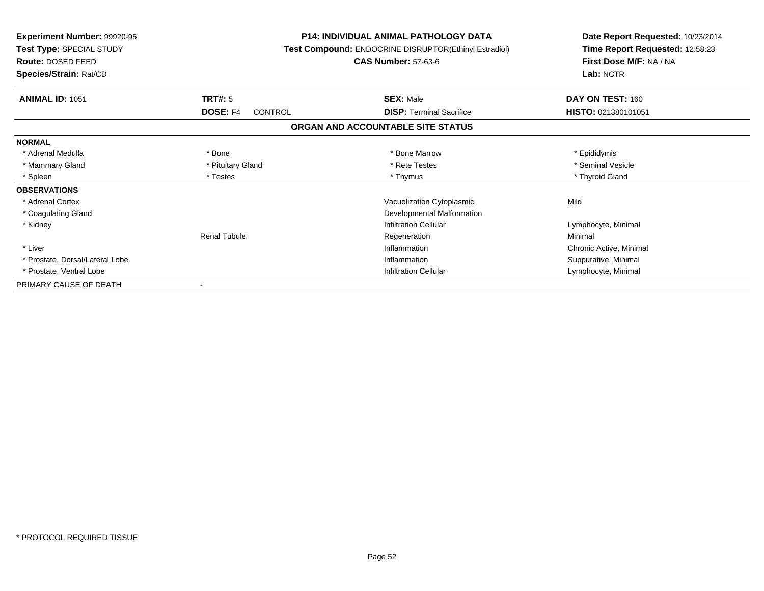| <b>Experiment Number: 99920-95</b><br><b>Test Type: SPECIAL STUDY</b><br>Route: DOSED FEED<br>Species/Strain: Rat/CD |                            | <b>P14: INDIVIDUAL ANIMAL PATHOLOGY DATA</b><br><b>Test Compound: ENDOCRINE DISRUPTOR(Ethinyl Estradiol)</b><br><b>CAS Number: 57-63-6</b> | Date Report Requested: 10/23/2014<br>Time Report Requested: 12:58:23<br>First Dose M/F: NA / NA<br>Lab: NCTR |
|----------------------------------------------------------------------------------------------------------------------|----------------------------|--------------------------------------------------------------------------------------------------------------------------------------------|--------------------------------------------------------------------------------------------------------------|
| <b>ANIMAL ID: 1051</b>                                                                                               | TRT#: 5                    | <b>SEX: Male</b>                                                                                                                           | DAY ON TEST: 160                                                                                             |
|                                                                                                                      | <b>DOSE: F4</b><br>CONTROL | <b>DISP: Terminal Sacrifice</b>                                                                                                            | HISTO: 021380101051                                                                                          |
|                                                                                                                      |                            | ORGAN AND ACCOUNTABLE SITE STATUS                                                                                                          |                                                                                                              |
| <b>NORMAL</b>                                                                                                        |                            |                                                                                                                                            |                                                                                                              |
| * Adrenal Medulla                                                                                                    | * Bone                     | * Bone Marrow                                                                                                                              | * Epididymis                                                                                                 |
| * Mammary Gland                                                                                                      | * Pituitary Gland          | * Rete Testes                                                                                                                              | * Seminal Vesicle                                                                                            |
| * Spleen                                                                                                             | * Testes                   | * Thymus                                                                                                                                   | * Thyroid Gland                                                                                              |
| <b>OBSERVATIONS</b>                                                                                                  |                            |                                                                                                                                            |                                                                                                              |
| * Adrenal Cortex                                                                                                     |                            | Vacuolization Cytoplasmic                                                                                                                  | Mild                                                                                                         |
| * Coagulating Gland                                                                                                  |                            | Developmental Malformation                                                                                                                 |                                                                                                              |
| * Kidney                                                                                                             |                            | <b>Infiltration Cellular</b>                                                                                                               | Lymphocyte, Minimal                                                                                          |
|                                                                                                                      | <b>Renal Tubule</b>        | Regeneration                                                                                                                               | Minimal                                                                                                      |
| * Liver                                                                                                              |                            | Inflammation                                                                                                                               | Chronic Active, Minimal                                                                                      |
| * Prostate, Dorsal/Lateral Lobe                                                                                      |                            | Inflammation                                                                                                                               | Suppurative, Minimal                                                                                         |
| * Prostate, Ventral Lobe                                                                                             |                            | <b>Infiltration Cellular</b>                                                                                                               | Lymphocyte, Minimal                                                                                          |
| PRIMARY CAUSE OF DEATH                                                                                               |                            |                                                                                                                                            |                                                                                                              |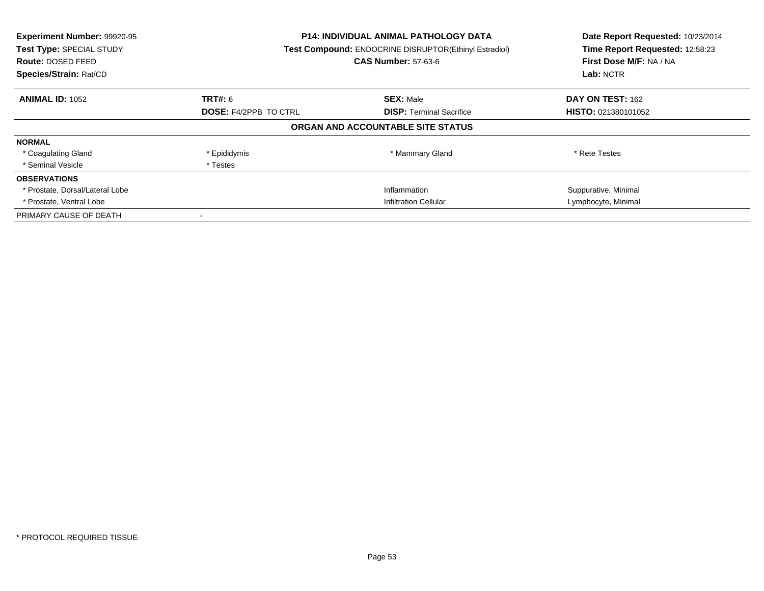| Experiment Number: 99920-95<br>Test Type: SPECIAL STUDY<br><b>Route: DOSED FEED</b><br>Species/Strain: Rat/CD | <b>P14: INDIVIDUAL ANIMAL PATHOLOGY DATA</b><br><b>Test Compound: ENDOCRINE DISRUPTOR(Ethinyl Estradiol)</b><br><b>CAS Number: 57-63-6</b> |                                   | Date Report Requested: 10/23/2014<br>Time Report Requested: 12:58:23<br>First Dose M/F: NA / NA<br>Lab: NCTR |
|---------------------------------------------------------------------------------------------------------------|--------------------------------------------------------------------------------------------------------------------------------------------|-----------------------------------|--------------------------------------------------------------------------------------------------------------|
| <b>ANIMAL ID: 1052</b>                                                                                        | <b>TRT#: 6</b>                                                                                                                             | <b>SEX: Male</b>                  | DAY ON TEST: 162                                                                                             |
|                                                                                                               | <b>DOSE: F4/2PPB TO CTRL</b>                                                                                                               | <b>DISP:</b> Terminal Sacrifice   | <b>HISTO: 021380101052</b>                                                                                   |
|                                                                                                               |                                                                                                                                            | ORGAN AND ACCOUNTABLE SITE STATUS |                                                                                                              |
| <b>NORMAL</b>                                                                                                 |                                                                                                                                            |                                   |                                                                                                              |
| * Coagulating Gland                                                                                           | * Epididymis                                                                                                                               | * Mammary Gland                   | * Rete Testes                                                                                                |
| * Seminal Vesicle                                                                                             | * Testes                                                                                                                                   |                                   |                                                                                                              |
| <b>OBSERVATIONS</b>                                                                                           |                                                                                                                                            |                                   |                                                                                                              |
| * Prostate, Dorsal/Lateral Lobe                                                                               |                                                                                                                                            | Inflammation                      | Suppurative, Minimal                                                                                         |
| * Prostate, Ventral Lobe                                                                                      | <b>Infiltration Cellular</b>                                                                                                               |                                   | Lymphocyte, Minimal                                                                                          |
| PRIMARY CAUSE OF DEATH                                                                                        |                                                                                                                                            |                                   |                                                                                                              |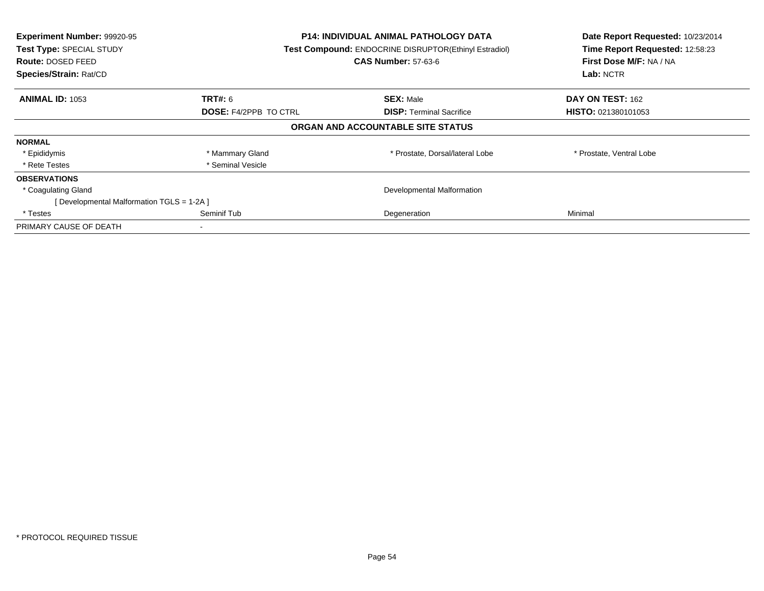| Experiment Number: 99920-95<br>Test Type: SPECIAL STUDY<br><b>Route: DOSED FEED</b><br>Species/Strain: Rat/CD | P14: INDIVIDUAL ANIMAL PATHOLOGY DATA<br>Test Compound: ENDOCRINE DISRUPTOR(Ethinyl Estradiol)<br><b>CAS Number: 57-63-6</b> |                                   | Date Report Requested: 10/23/2014<br>Time Report Requested: 12:58:23<br>First Dose M/F: NA / NA<br>Lab: NCTR |
|---------------------------------------------------------------------------------------------------------------|------------------------------------------------------------------------------------------------------------------------------|-----------------------------------|--------------------------------------------------------------------------------------------------------------|
| <b>ANIMAL ID: 1053</b>                                                                                        | <b>TRT#:</b> 6                                                                                                               | <b>SEX: Male</b>                  | DAY ON TEST: 162                                                                                             |
|                                                                                                               | <b>DOSE: F4/2PPB TO CTRL</b>                                                                                                 | <b>DISP: Terminal Sacrifice</b>   | <b>HISTO: 021380101053</b>                                                                                   |
|                                                                                                               |                                                                                                                              | ORGAN AND ACCOUNTABLE SITE STATUS |                                                                                                              |
| <b>NORMAL</b>                                                                                                 |                                                                                                                              |                                   |                                                                                                              |
| * Epididymis                                                                                                  | * Mammary Gland                                                                                                              | * Prostate, Dorsal/lateral Lobe   | * Prostate, Ventral Lobe                                                                                     |
| * Rete Testes                                                                                                 | * Seminal Vesicle                                                                                                            |                                   |                                                                                                              |
| <b>OBSERVATIONS</b>                                                                                           |                                                                                                                              |                                   |                                                                                                              |
| * Coagulating Gland                                                                                           | Developmental Malformation                                                                                                   |                                   |                                                                                                              |
| [Developmental Malformation TGLS = 1-2A]                                                                      |                                                                                                                              |                                   |                                                                                                              |
| * Testes                                                                                                      | Seminif Tub                                                                                                                  | Degeneration                      | Minimal                                                                                                      |
| PRIMARY CAUSE OF DEATH                                                                                        |                                                                                                                              |                                   |                                                                                                              |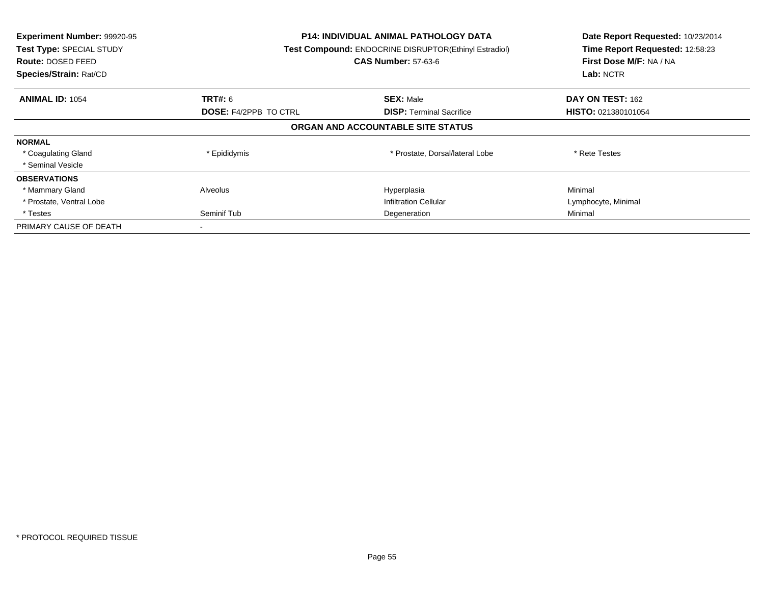| Experiment Number: 99920-95<br><b>Test Type: SPECIAL STUDY</b><br>Route: DOSED FEED<br>Species/Strain: Rat/CD | <b>P14: INDIVIDUAL ANIMAL PATHOLOGY DATA</b><br>Test Compound: ENDOCRINE DISRUPTOR(Ethinyl Estradiol)<br><b>CAS Number: 57-63-6</b> |                                   | Date Report Requested: 10/23/2014<br>Time Report Requested: 12:58:23<br>First Dose M/F: NA / NA<br>Lab: NCTR |
|---------------------------------------------------------------------------------------------------------------|-------------------------------------------------------------------------------------------------------------------------------------|-----------------------------------|--------------------------------------------------------------------------------------------------------------|
| <b>ANIMAL ID: 1054</b>                                                                                        | <b>TRT#: 6</b>                                                                                                                      | <b>SEX: Male</b>                  | <b>DAY ON TEST: 162</b>                                                                                      |
|                                                                                                               | <b>DOSE: F4/2PPB TO CTRL</b>                                                                                                        | <b>DISP:</b> Terminal Sacrifice   | HISTO: 021380101054                                                                                          |
|                                                                                                               |                                                                                                                                     | ORGAN AND ACCOUNTABLE SITE STATUS |                                                                                                              |
| <b>NORMAL</b>                                                                                                 |                                                                                                                                     |                                   |                                                                                                              |
| * Coagulating Gland                                                                                           | * Epididymis                                                                                                                        | * Prostate, Dorsal/lateral Lobe   | * Rete Testes                                                                                                |
| * Seminal Vesicle                                                                                             |                                                                                                                                     |                                   |                                                                                                              |
| <b>OBSERVATIONS</b>                                                                                           |                                                                                                                                     |                                   |                                                                                                              |
| * Mammary Gland                                                                                               | Alveolus                                                                                                                            | Hyperplasia                       | Minimal                                                                                                      |
| * Prostate, Ventral Lobe                                                                                      |                                                                                                                                     | <b>Infiltration Cellular</b>      | Lymphocyte, Minimal                                                                                          |
| * Testes                                                                                                      | Seminif Tub<br>Degeneration                                                                                                         |                                   | Minimal                                                                                                      |
| PRIMARY CAUSE OF DEATH                                                                                        |                                                                                                                                     |                                   |                                                                                                              |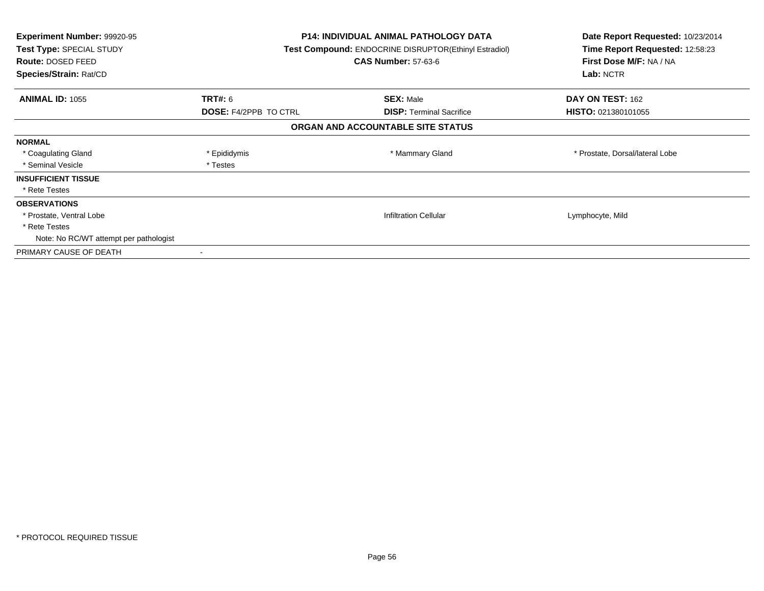| <b>Experiment Number: 99920-95</b><br>Test Type: SPECIAL STUDY<br>Route: DOSED FEED<br><b>Species/Strain: Rat/CD</b> |                              | <b>P14: INDIVIDUAL ANIMAL PATHOLOGY DATA</b><br>Test Compound: ENDOCRINE DISRUPTOR(Ethinyl Estradiol)<br><b>CAS Number: 57-63-6</b> | Date Report Requested: 10/23/2014<br>Time Report Requested: 12:58:23<br>First Dose M/F: NA / NA<br>Lab: NCTR |
|----------------------------------------------------------------------------------------------------------------------|------------------------------|-------------------------------------------------------------------------------------------------------------------------------------|--------------------------------------------------------------------------------------------------------------|
| <b>ANIMAL ID: 1055</b>                                                                                               | <b>TRT#: 6</b>               | <b>SEX: Male</b>                                                                                                                    | DAY ON TEST: 162                                                                                             |
|                                                                                                                      | <b>DOSE: F4/2PPB TO CTRL</b> | <b>DISP:</b> Terminal Sacrifice                                                                                                     | HISTO: 021380101055                                                                                          |
|                                                                                                                      |                              | ORGAN AND ACCOUNTABLE SITE STATUS                                                                                                   |                                                                                                              |
| <b>NORMAL</b>                                                                                                        |                              |                                                                                                                                     |                                                                                                              |
| * Coagulating Gland                                                                                                  | * Epididymis                 | * Mammary Gland                                                                                                                     | * Prostate, Dorsal/lateral Lobe                                                                              |
| * Seminal Vesicle                                                                                                    | * Testes                     |                                                                                                                                     |                                                                                                              |
| <b>INSUFFICIENT TISSUE</b>                                                                                           |                              |                                                                                                                                     |                                                                                                              |
| * Rete Testes                                                                                                        |                              |                                                                                                                                     |                                                                                                              |
| <b>OBSERVATIONS</b>                                                                                                  |                              |                                                                                                                                     |                                                                                                              |
| * Prostate, Ventral Lobe                                                                                             |                              | <b>Infiltration Cellular</b>                                                                                                        | Lymphocyte, Mild                                                                                             |
| * Rete Testes                                                                                                        |                              |                                                                                                                                     |                                                                                                              |
| Note: No RC/WT attempt per pathologist                                                                               |                              |                                                                                                                                     |                                                                                                              |
| PRIMARY CAUSE OF DEATH                                                                                               |                              |                                                                                                                                     |                                                                                                              |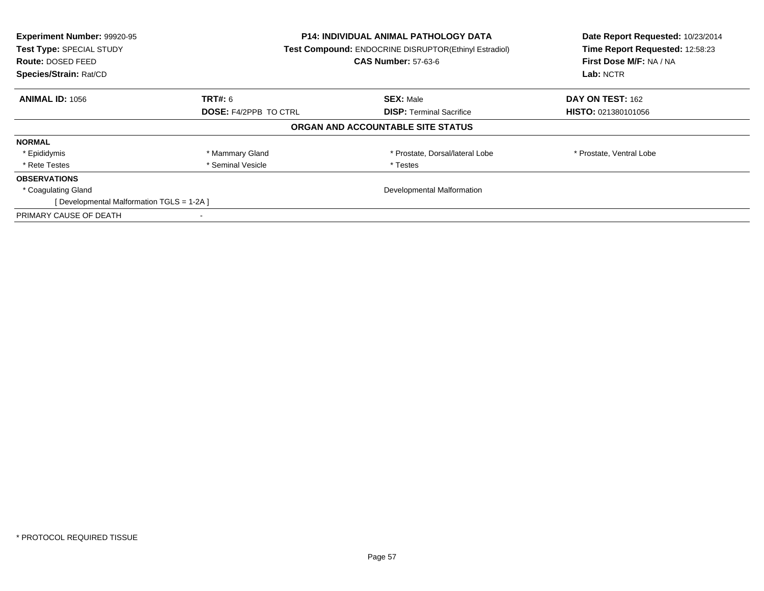| Experiment Number: 99920-95<br>Test Type: SPECIAL STUDY<br><b>Route: DOSED FEED</b><br>Species/Strain: Rat/CD | <b>P14: INDIVIDUAL ANIMAL PATHOLOGY DATA</b><br><b>Test Compound: ENDOCRINE DISRUPTOR(Ethinyl Estradiol)</b><br><b>CAS Number: 57-63-6</b> |                                   | Date Report Requested: 10/23/2014<br>Time Report Requested: 12:58:23<br>First Dose M/F: NA / NA<br>Lab: NCTR |
|---------------------------------------------------------------------------------------------------------------|--------------------------------------------------------------------------------------------------------------------------------------------|-----------------------------------|--------------------------------------------------------------------------------------------------------------|
| <b>ANIMAL ID: 1056</b>                                                                                        | <b>TRT#:</b> 6                                                                                                                             | <b>SEX: Male</b>                  | DAY ON TEST: 162                                                                                             |
|                                                                                                               | <b>DOSE: F4/2PPB TO CTRL</b>                                                                                                               | <b>DISP:</b> Terminal Sacrifice   | <b>HISTO: 021380101056</b>                                                                                   |
|                                                                                                               |                                                                                                                                            | ORGAN AND ACCOUNTABLE SITE STATUS |                                                                                                              |
| <b>NORMAL</b>                                                                                                 |                                                                                                                                            |                                   |                                                                                                              |
| * Epididymis                                                                                                  | * Mammary Gland                                                                                                                            | * Prostate, Dorsal/lateral Lobe   | * Prostate, Ventral Lobe                                                                                     |
| * Rete Testes                                                                                                 | * Seminal Vesicle                                                                                                                          | * Testes                          |                                                                                                              |
| <b>OBSERVATIONS</b>                                                                                           |                                                                                                                                            |                                   |                                                                                                              |
| * Coagulating Gland                                                                                           | Developmental Malformation                                                                                                                 |                                   |                                                                                                              |
| [Developmental Malformation TGLS = 1-2A]                                                                      |                                                                                                                                            |                                   |                                                                                                              |
| PRIMARY CAUSE OF DEATH                                                                                        |                                                                                                                                            |                                   |                                                                                                              |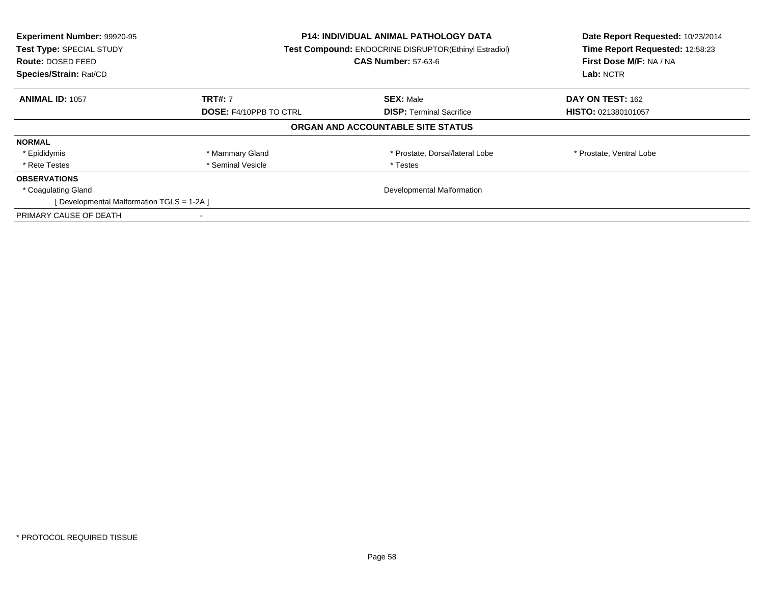| Experiment Number: 99920-95<br>Test Type: SPECIAL STUDY<br>Route: DOSED FEED<br>Species/Strain: Rat/CD | <b>P14: INDIVIDUAL ANIMAL PATHOLOGY DATA</b><br><b>Test Compound: ENDOCRINE DISRUPTOR(Ethinyl Estradiol)</b><br><b>CAS Number: 57-63-6</b> |                                   | Date Report Requested: 10/23/2014<br>Time Report Requested: 12:58:23<br>First Dose M/F: NA / NA<br>Lab: NCTR |
|--------------------------------------------------------------------------------------------------------|--------------------------------------------------------------------------------------------------------------------------------------------|-----------------------------------|--------------------------------------------------------------------------------------------------------------|
| <b>ANIMAL ID: 1057</b>                                                                                 | <b>TRT#: 7</b>                                                                                                                             | <b>SEX: Male</b>                  | DAY ON TEST: 162                                                                                             |
|                                                                                                        | <b>DOSE: F4/10PPB TO CTRL</b>                                                                                                              | <b>DISP:</b> Terminal Sacrifice   | <b>HISTO: 021380101057</b>                                                                                   |
|                                                                                                        |                                                                                                                                            | ORGAN AND ACCOUNTABLE SITE STATUS |                                                                                                              |
| <b>NORMAL</b>                                                                                          |                                                                                                                                            |                                   |                                                                                                              |
| * Epididymis                                                                                           | * Mammary Gland                                                                                                                            | * Prostate, Dorsal/lateral Lobe   | * Prostate, Ventral Lobe                                                                                     |
| * Rete Testes                                                                                          | * Seminal Vesicle                                                                                                                          | * Testes                          |                                                                                                              |
| <b>OBSERVATIONS</b>                                                                                    |                                                                                                                                            |                                   |                                                                                                              |
| * Coagulating Gland                                                                                    | Developmental Malformation                                                                                                                 |                                   |                                                                                                              |
| [Developmental Malformation TGLS = 1-2A]                                                               |                                                                                                                                            |                                   |                                                                                                              |
| PRIMARY CAUSE OF DEATH                                                                                 |                                                                                                                                            |                                   |                                                                                                              |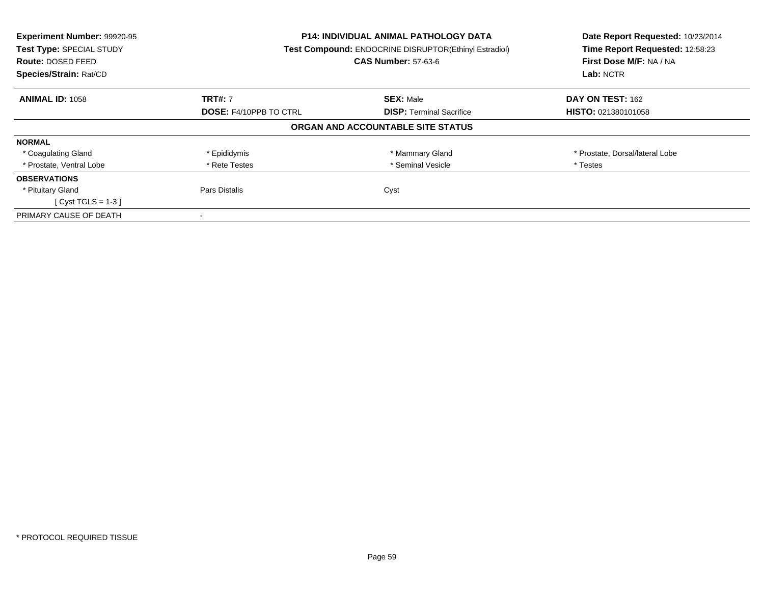| Experiment Number: 99920-95<br>Test Type: SPECIAL STUDY<br><b>Route: DOSED FEED</b><br>Species/Strain: Rat/CD | <b>P14: INDIVIDUAL ANIMAL PATHOLOGY DATA</b><br><b>Test Compound: ENDOCRINE DISRUPTOR(Ethinyl Estradiol)</b><br><b>CAS Number: 57-63-6</b> |                                   | Date Report Requested: 10/23/2014<br>Time Report Requested: 12:58:23<br>First Dose M/F: NA / NA<br>Lab: NCTR |
|---------------------------------------------------------------------------------------------------------------|--------------------------------------------------------------------------------------------------------------------------------------------|-----------------------------------|--------------------------------------------------------------------------------------------------------------|
| <b>ANIMAL ID: 1058</b>                                                                                        | <b>TRT#: 7</b>                                                                                                                             | <b>SEX: Male</b>                  | DAY ON TEST: 162                                                                                             |
|                                                                                                               | <b>DOSE: F4/10PPB TO CTRL</b>                                                                                                              | <b>DISP:</b> Terminal Sacrifice   | <b>HISTO: 021380101058</b>                                                                                   |
|                                                                                                               |                                                                                                                                            | ORGAN AND ACCOUNTABLE SITE STATUS |                                                                                                              |
| <b>NORMAL</b>                                                                                                 |                                                                                                                                            |                                   |                                                                                                              |
| * Coagulating Gland                                                                                           | * Epididymis                                                                                                                               | * Mammary Gland                   | * Prostate, Dorsal/lateral Lobe                                                                              |
| * Prostate, Ventral Lobe                                                                                      | * Rete Testes                                                                                                                              | * Seminal Vesicle                 | * Testes                                                                                                     |
| <b>OBSERVATIONS</b>                                                                                           |                                                                                                                                            |                                   |                                                                                                              |
| * Pituitary Gland                                                                                             | Pars Distalis                                                                                                                              | Cyst                              |                                                                                                              |
| [ Cyst TGLS = $1-3$ ]                                                                                         |                                                                                                                                            |                                   |                                                                                                              |
| PRIMARY CAUSE OF DEATH                                                                                        |                                                                                                                                            |                                   |                                                                                                              |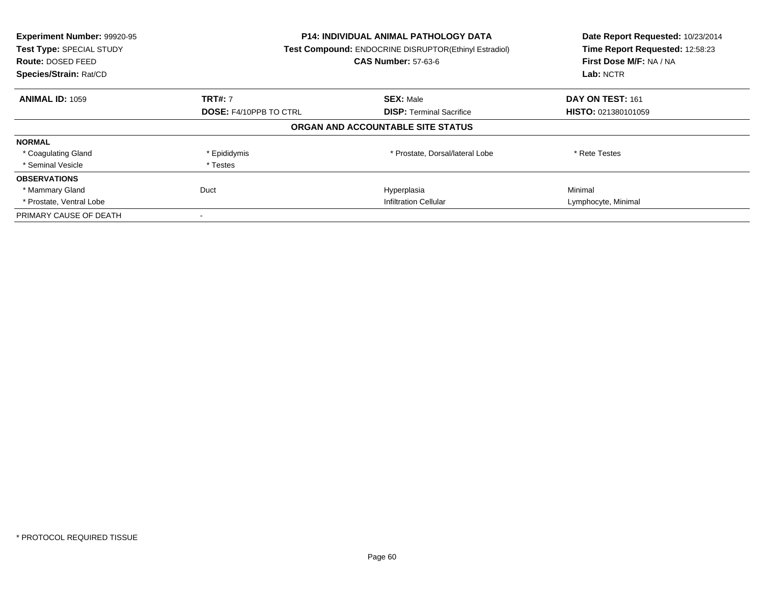| Experiment Number: 99920-95<br>Test Type: SPECIAL STUDY<br><b>Route: DOSED FEED</b><br>Species/Strain: Rat/CD | P14: INDIVIDUAL ANIMAL PATHOLOGY DATA<br>Test Compound: ENDOCRINE DISRUPTOR(Ethinyl Estradiol)<br><b>CAS Number: 57-63-6</b> |                                   | Date Report Requested: 10/23/2014<br>Time Report Requested: 12:58:23<br>First Dose M/F: NA / NA<br>Lab: NCTR |
|---------------------------------------------------------------------------------------------------------------|------------------------------------------------------------------------------------------------------------------------------|-----------------------------------|--------------------------------------------------------------------------------------------------------------|
| <b>ANIMAL ID: 1059</b>                                                                                        | <b>TRT#: 7</b>                                                                                                               | <b>SEX: Male</b>                  | DAY ON TEST: 161                                                                                             |
|                                                                                                               | <b>DOSE: F4/10PPB TO CTRL</b>                                                                                                | <b>DISP:</b> Terminal Sacrifice   | HISTO: 021380101059                                                                                          |
|                                                                                                               |                                                                                                                              | ORGAN AND ACCOUNTABLE SITE STATUS |                                                                                                              |
| <b>NORMAL</b>                                                                                                 |                                                                                                                              |                                   |                                                                                                              |
| * Coagulating Gland                                                                                           | * Epididymis                                                                                                                 | * Prostate, Dorsal/lateral Lobe   | * Rete Testes                                                                                                |
| * Seminal Vesicle                                                                                             | * Testes                                                                                                                     |                                   |                                                                                                              |
| <b>OBSERVATIONS</b>                                                                                           |                                                                                                                              |                                   |                                                                                                              |
| * Mammary Gland                                                                                               | Duct                                                                                                                         | Hyperplasia                       | Minimal                                                                                                      |
| * Prostate, Ventral Lobe                                                                                      | <b>Infiltration Cellular</b>                                                                                                 |                                   | Lymphocyte, Minimal                                                                                          |
| PRIMARY CAUSE OF DEATH                                                                                        |                                                                                                                              |                                   |                                                                                                              |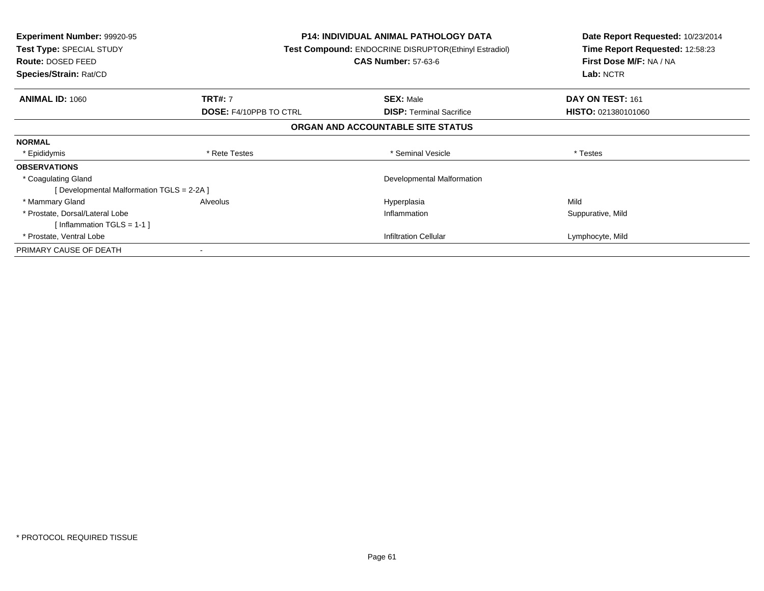| <b>Experiment Number: 99920-95</b><br>Test Type: SPECIAL STUDY<br><b>Route: DOSED FEED</b><br>Species/Strain: Rat/CD |                               | <b>P14: INDIVIDUAL ANIMAL PATHOLOGY DATA</b><br>Test Compound: ENDOCRINE DISRUPTOR(Ethinyl Estradiol)<br><b>CAS Number: 57-63-6</b> | Date Report Requested: 10/23/2014<br>Time Report Requested: 12:58:23<br>First Dose M/F: NA / NA<br>Lab: NCTR |
|----------------------------------------------------------------------------------------------------------------------|-------------------------------|-------------------------------------------------------------------------------------------------------------------------------------|--------------------------------------------------------------------------------------------------------------|
| <b>ANIMAL ID: 1060</b>                                                                                               | <b>TRT#: 7</b>                | <b>SEX: Male</b>                                                                                                                    | DAY ON TEST: 161                                                                                             |
|                                                                                                                      | <b>DOSE: F4/10PPB TO CTRL</b> | <b>DISP:</b> Terminal Sacrifice                                                                                                     | <b>HISTO: 021380101060</b>                                                                                   |
|                                                                                                                      |                               | ORGAN AND ACCOUNTABLE SITE STATUS                                                                                                   |                                                                                                              |
| <b>NORMAL</b>                                                                                                        |                               |                                                                                                                                     |                                                                                                              |
| * Epididymis                                                                                                         | * Rete Testes                 | * Seminal Vesicle                                                                                                                   | * Testes                                                                                                     |
| <b>OBSERVATIONS</b>                                                                                                  |                               |                                                                                                                                     |                                                                                                              |
| * Coagulating Gland                                                                                                  |                               | Developmental Malformation                                                                                                          |                                                                                                              |
| [ Developmental Malformation TGLS = 2-2A ]                                                                           |                               |                                                                                                                                     |                                                                                                              |
| * Mammary Gland                                                                                                      | Alveolus                      | Hyperplasia                                                                                                                         | Mild                                                                                                         |
| * Prostate, Dorsal/Lateral Lobe                                                                                      |                               | Inflammation                                                                                                                        | Suppurative, Mild                                                                                            |
| [Inflammation TGLS = $1-1$ ]                                                                                         |                               |                                                                                                                                     |                                                                                                              |
| * Prostate, Ventral Lobe                                                                                             |                               | <b>Infiltration Cellular</b>                                                                                                        | Lymphocyte, Mild                                                                                             |
| PRIMARY CAUSE OF DEATH                                                                                               |                               |                                                                                                                                     |                                                                                                              |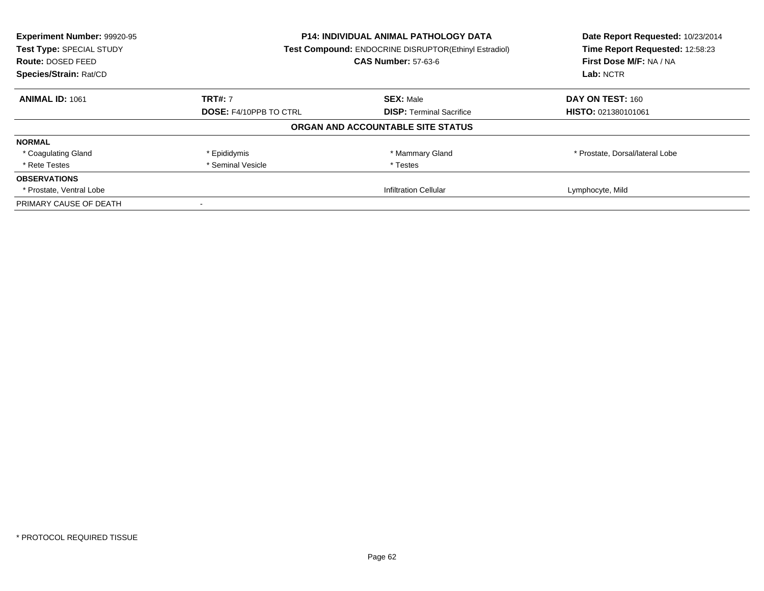| Experiment Number: 99920-95<br>Test Type: SPECIAL STUDY | <b>P14: INDIVIDUAL ANIMAL PATHOLOGY DATA</b><br>Test Compound: ENDOCRINE DISRUPTOR(Ethinyl Estradiol) |                                   | Date Report Requested: 10/23/2014<br>Time Report Requested: 12:58:23 |
|---------------------------------------------------------|-------------------------------------------------------------------------------------------------------|-----------------------------------|----------------------------------------------------------------------|
| Route: DOSED FEED                                       |                                                                                                       | <b>CAS Number: 57-63-6</b>        | First Dose M/F: NA / NA                                              |
| Species/Strain: Rat/CD                                  |                                                                                                       |                                   | Lab: NCTR                                                            |
| <b>ANIMAL ID: 1061</b>                                  | <b>TRT#: 7</b>                                                                                        | <b>SEX: Male</b>                  | DAY ON TEST: 160                                                     |
|                                                         | <b>DOSE: F4/10PPB TO CTRL</b><br><b>DISP:</b> Terminal Sacrifice                                      | <b>HISTO: 021380101061</b>        |                                                                      |
|                                                         |                                                                                                       | ORGAN AND ACCOUNTABLE SITE STATUS |                                                                      |
| <b>NORMAL</b>                                           |                                                                                                       |                                   |                                                                      |
| * Coagulating Gland                                     | * Epididymis                                                                                          | * Mammary Gland                   | * Prostate, Dorsal/lateral Lobe                                      |
| * Rete Testes                                           | * Seminal Vesicle                                                                                     | * Testes                          |                                                                      |
| <b>OBSERVATIONS</b>                                     |                                                                                                       |                                   |                                                                      |
| * Prostate, Ventral Lobe                                |                                                                                                       | <b>Infiltration Cellular</b>      | Lymphocyte, Mild                                                     |
| PRIMARY CAUSE OF DEATH                                  |                                                                                                       |                                   |                                                                      |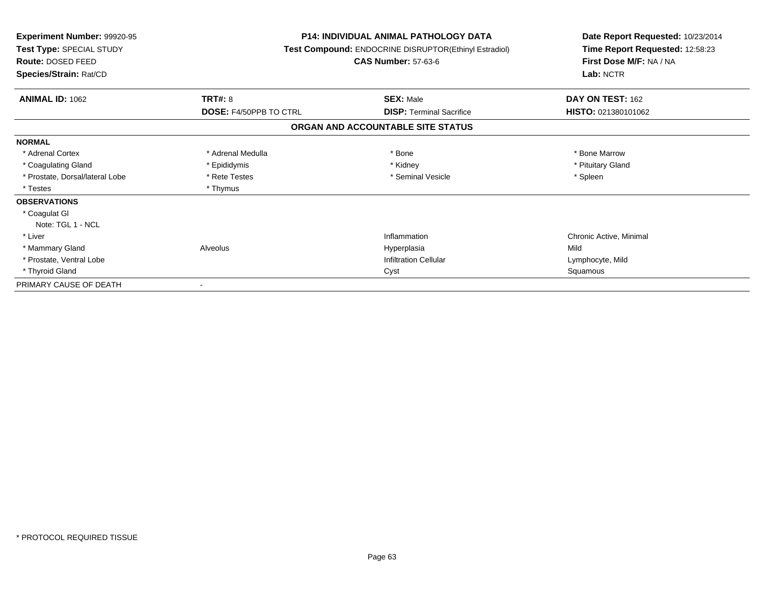| Experiment Number: 99920-95<br>Test Type: SPECIAL STUDY<br><b>Route: DOSED FEED</b><br>Species/Strain: Rat/CD |                               | <b>P14: INDIVIDUAL ANIMAL PATHOLOGY DATA</b><br>Test Compound: ENDOCRINE DISRUPTOR(Ethinyl Estradiol)<br><b>CAS Number: 57-63-6</b> | Date Report Requested: 10/23/2014<br>Time Report Requested: 12:58:23<br>First Dose M/F: NA / NA<br>Lab: NCTR |
|---------------------------------------------------------------------------------------------------------------|-------------------------------|-------------------------------------------------------------------------------------------------------------------------------------|--------------------------------------------------------------------------------------------------------------|
| <b>ANIMAL ID: 1062</b>                                                                                        | <b>TRT#: 8</b>                | <b>SEX: Male</b>                                                                                                                    | DAY ON TEST: 162                                                                                             |
|                                                                                                               | <b>DOSE: F4/50PPB TO CTRL</b> | <b>DISP: Terminal Sacrifice</b>                                                                                                     | HISTO: 021380101062                                                                                          |
|                                                                                                               |                               | ORGAN AND ACCOUNTABLE SITE STATUS                                                                                                   |                                                                                                              |
| <b>NORMAL</b>                                                                                                 |                               |                                                                                                                                     |                                                                                                              |
| * Adrenal Cortex                                                                                              | * Adrenal Medulla             | * Bone                                                                                                                              | * Bone Marrow                                                                                                |
| * Coagulating Gland                                                                                           | * Epididymis                  | * Kidney                                                                                                                            | * Pituitary Gland                                                                                            |
| * Prostate, Dorsal/lateral Lobe                                                                               | * Rete Testes                 | * Seminal Vesicle                                                                                                                   | * Spleen                                                                                                     |
| * Testes                                                                                                      | * Thymus                      |                                                                                                                                     |                                                                                                              |
| <b>OBSERVATIONS</b>                                                                                           |                               |                                                                                                                                     |                                                                                                              |
| * Coagulat GI                                                                                                 |                               |                                                                                                                                     |                                                                                                              |
| Note: TGL 1 - NCL                                                                                             |                               |                                                                                                                                     |                                                                                                              |
| * Liver                                                                                                       |                               | Inflammation                                                                                                                        | Chronic Active, Minimal                                                                                      |
| * Mammary Gland                                                                                               | Alveolus                      | Hyperplasia                                                                                                                         | Mild                                                                                                         |
| * Prostate, Ventral Lobe                                                                                      |                               | <b>Infiltration Cellular</b>                                                                                                        | Lymphocyte, Mild                                                                                             |
| * Thyroid Gland                                                                                               |                               | Cyst                                                                                                                                | Squamous                                                                                                     |
| PRIMARY CAUSE OF DEATH                                                                                        |                               |                                                                                                                                     |                                                                                                              |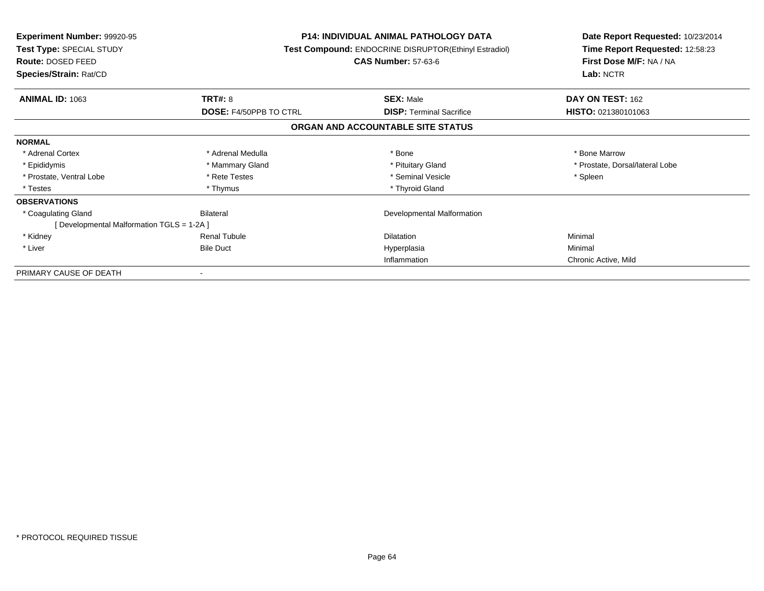| <b>Experiment Number: 99920-95</b><br>Test Type: SPECIAL STUDY<br>Route: DOSED FEED<br>Species/Strain: Rat/CD |                               | <b>P14: INDIVIDUAL ANIMAL PATHOLOGY DATA</b><br>Test Compound: ENDOCRINE DISRUPTOR(Ethinyl Estradiol)<br><b>CAS Number: 57-63-6</b> | Date Report Requested: 10/23/2014<br>Time Report Requested: 12:58:23<br>First Dose M/F: NA / NA<br>Lab: NCTR |
|---------------------------------------------------------------------------------------------------------------|-------------------------------|-------------------------------------------------------------------------------------------------------------------------------------|--------------------------------------------------------------------------------------------------------------|
| <b>ANIMAL ID: 1063</b>                                                                                        | <b>TRT#: 8</b>                | <b>SEX: Male</b>                                                                                                                    | DAY ON TEST: 162                                                                                             |
|                                                                                                               | <b>DOSE: F4/50PPB TO CTRL</b> | <b>DISP:</b> Terminal Sacrifice<br>ORGAN AND ACCOUNTABLE SITE STATUS                                                                | HISTO: 021380101063                                                                                          |
| <b>NORMAL</b>                                                                                                 |                               |                                                                                                                                     |                                                                                                              |
| * Adrenal Cortex                                                                                              | * Adrenal Medulla             | * Bone                                                                                                                              | * Bone Marrow                                                                                                |
| * Epididymis                                                                                                  | * Mammary Gland               | * Pituitary Gland                                                                                                                   | * Prostate, Dorsal/lateral Lobe                                                                              |
| * Prostate, Ventral Lobe                                                                                      | * Rete Testes                 | * Seminal Vesicle                                                                                                                   | * Spleen                                                                                                     |
| * Testes                                                                                                      | * Thymus                      | * Thyroid Gland                                                                                                                     |                                                                                                              |
| <b>OBSERVATIONS</b>                                                                                           |                               |                                                                                                                                     |                                                                                                              |
| * Coagulating Gland                                                                                           | <b>Bilateral</b>              | Developmental Malformation                                                                                                          |                                                                                                              |
| [ Developmental Malformation TGLS = 1-2A ]                                                                    |                               |                                                                                                                                     |                                                                                                              |
| * Kidney                                                                                                      | <b>Renal Tubule</b>           | <b>Dilatation</b>                                                                                                                   | Minimal                                                                                                      |
| * Liver                                                                                                       | <b>Bile Duct</b>              | Hyperplasia                                                                                                                         | Minimal                                                                                                      |
|                                                                                                               |                               | Inflammation                                                                                                                        | Chronic Active, Mild                                                                                         |
| PRIMARY CAUSE OF DEATH                                                                                        |                               |                                                                                                                                     |                                                                                                              |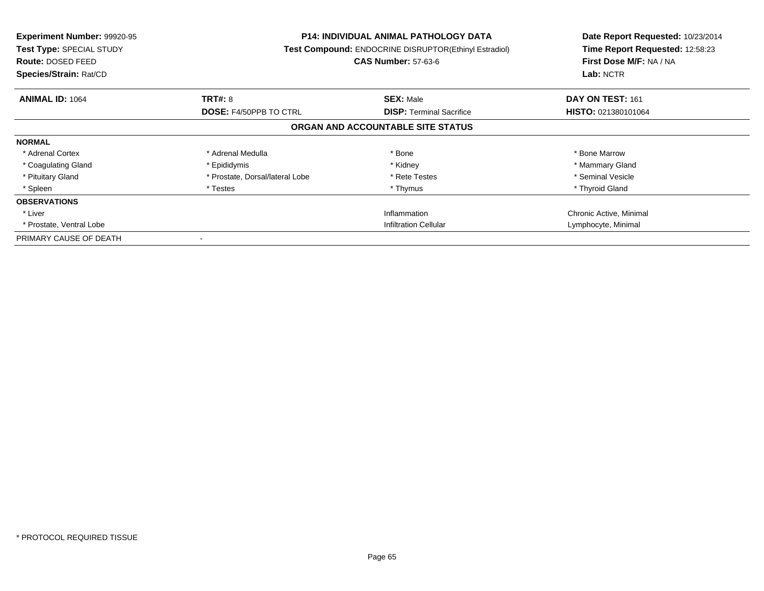| <b>Experiment Number: 99920-95</b><br>Test Type: SPECIAL STUDY<br><b>Route: DOSED FEED</b><br>Species/Strain: Rat/CD |                                 | <b>P14: INDIVIDUAL ANIMAL PATHOLOGY DATA</b><br><b>Test Compound: ENDOCRINE DISRUPTOR(Ethinyl Estradiol)</b><br><b>CAS Number: 57-63-6</b> | Date Report Requested: 10/23/2014<br>Time Report Requested: 12:58:23<br>First Dose M/F: NA / NA<br>Lab: NCTR |
|----------------------------------------------------------------------------------------------------------------------|---------------------------------|--------------------------------------------------------------------------------------------------------------------------------------------|--------------------------------------------------------------------------------------------------------------|
| <b>ANIMAL ID: 1064</b>                                                                                               | <b>TRT#: 8</b>                  | <b>SEX: Male</b>                                                                                                                           | DAY ON TEST: 161                                                                                             |
|                                                                                                                      | <b>DOSE: F4/50PPB TO CTRL</b>   | <b>DISP: Terminal Sacrifice</b>                                                                                                            | HISTO: 021380101064                                                                                          |
|                                                                                                                      |                                 | ORGAN AND ACCOUNTABLE SITE STATUS                                                                                                          |                                                                                                              |
| <b>NORMAL</b>                                                                                                        |                                 |                                                                                                                                            |                                                                                                              |
| * Adrenal Cortex                                                                                                     | * Adrenal Medulla               | * Bone                                                                                                                                     | * Bone Marrow                                                                                                |
| * Coagulating Gland                                                                                                  | * Epididymis                    | * Kidney                                                                                                                                   | * Mammary Gland                                                                                              |
| * Pituitary Gland                                                                                                    | * Prostate, Dorsal/lateral Lobe | * Rete Testes                                                                                                                              | * Seminal Vesicle                                                                                            |
| * Spleen                                                                                                             | * Testes                        | * Thymus                                                                                                                                   | * Thyroid Gland                                                                                              |
| <b>OBSERVATIONS</b>                                                                                                  |                                 |                                                                                                                                            |                                                                                                              |
| * Liver                                                                                                              |                                 | Inflammation                                                                                                                               | Chronic Active, Minimal                                                                                      |
| * Prostate, Ventral Lobe                                                                                             |                                 | <b>Infiltration Cellular</b>                                                                                                               | Lymphocyte, Minimal                                                                                          |
| PRIMARY CAUSE OF DEATH                                                                                               |                                 |                                                                                                                                            |                                                                                                              |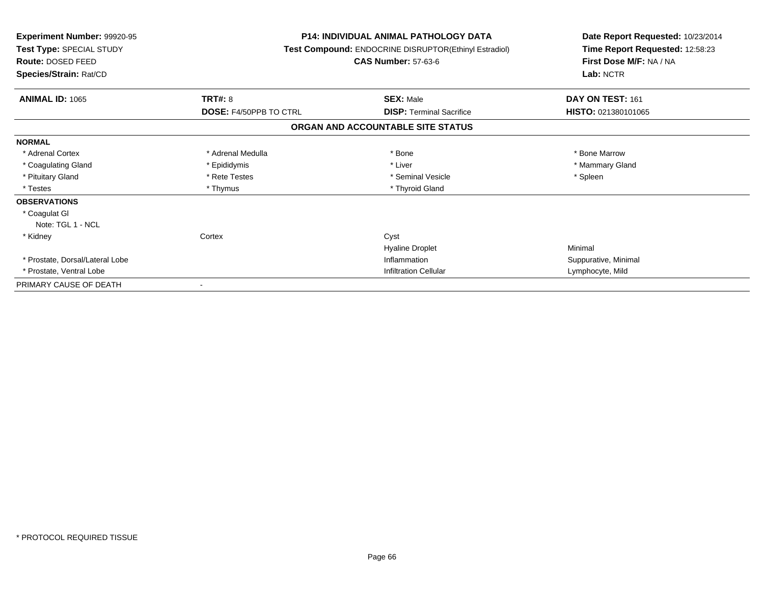| <b>Experiment Number: 99920-95</b><br>Test Type: SPECIAL STUDY<br>Route: DOSED FEED<br>Species/Strain: Rat/CD |                               | <b>P14: INDIVIDUAL ANIMAL PATHOLOGY DATA</b><br>Test Compound: ENDOCRINE DISRUPTOR(Ethinyl Estradiol)<br><b>CAS Number: 57-63-6</b> | Date Report Requested: 10/23/2014<br>Time Report Requested: 12:58:23<br>First Dose M/F: NA / NA<br>Lab: NCTR |
|---------------------------------------------------------------------------------------------------------------|-------------------------------|-------------------------------------------------------------------------------------------------------------------------------------|--------------------------------------------------------------------------------------------------------------|
| <b>ANIMAL ID: 1065</b>                                                                                        | TRT#: 8                       | <b>SEX: Male</b>                                                                                                                    | DAY ON TEST: 161                                                                                             |
|                                                                                                               | <b>DOSE: F4/50PPB TO CTRL</b> | <b>DISP: Terminal Sacrifice</b>                                                                                                     | HISTO: 021380101065                                                                                          |
|                                                                                                               |                               | ORGAN AND ACCOUNTABLE SITE STATUS                                                                                                   |                                                                                                              |
| <b>NORMAL</b>                                                                                                 |                               |                                                                                                                                     |                                                                                                              |
| * Adrenal Cortex                                                                                              | * Adrenal Medulla             | * Bone                                                                                                                              | * Bone Marrow                                                                                                |
| * Coagulating Gland                                                                                           | * Epididymis                  | * Liver                                                                                                                             | * Mammary Gland                                                                                              |
| * Pituitary Gland                                                                                             | * Rete Testes                 | * Seminal Vesicle                                                                                                                   | * Spleen                                                                                                     |
| * Testes                                                                                                      | * Thymus                      | * Thyroid Gland                                                                                                                     |                                                                                                              |
| <b>OBSERVATIONS</b>                                                                                           |                               |                                                                                                                                     |                                                                                                              |
| * Coagulat GI                                                                                                 |                               |                                                                                                                                     |                                                                                                              |
| Note: TGL 1 - NCL                                                                                             |                               |                                                                                                                                     |                                                                                                              |
| * Kidney                                                                                                      | Cortex                        | Cyst                                                                                                                                |                                                                                                              |
|                                                                                                               |                               | <b>Hyaline Droplet</b>                                                                                                              | Minimal                                                                                                      |
| * Prostate, Dorsal/Lateral Lobe                                                                               |                               | Inflammation                                                                                                                        | Suppurative, Minimal                                                                                         |
| * Prostate, Ventral Lobe                                                                                      |                               | <b>Infiltration Cellular</b>                                                                                                        | Lymphocyte, Mild                                                                                             |
| PRIMARY CAUSE OF DEATH                                                                                        |                               |                                                                                                                                     |                                                                                                              |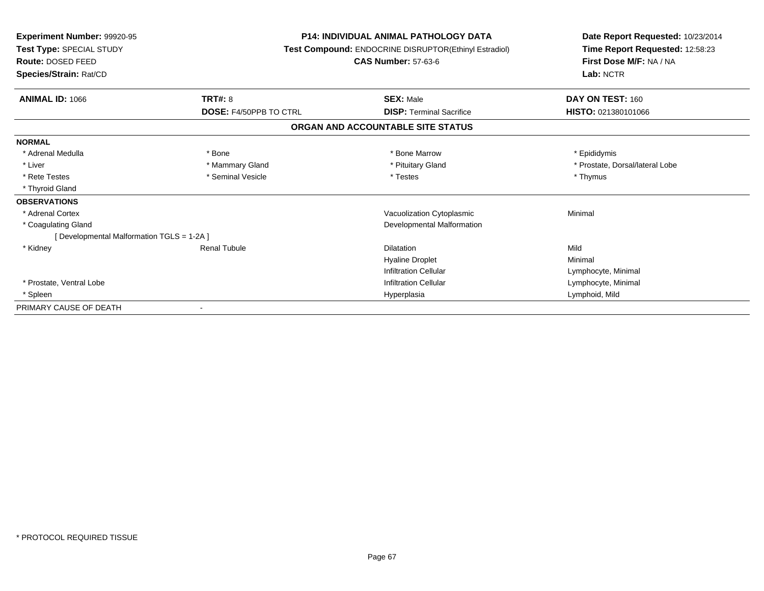| <b>Experiment Number: 99920-95</b><br>Test Type: SPECIAL STUDY<br>Route: DOSED FEED<br>Species/Strain: Rat/CD |                               | <b>P14: INDIVIDUAL ANIMAL PATHOLOGY DATA</b><br>Test Compound: ENDOCRINE DISRUPTOR(Ethinyl Estradiol)<br><b>CAS Number: 57-63-6</b> | Date Report Requested: 10/23/2014<br>Time Report Requested: 12:58:23<br>First Dose M/F: NA / NA<br>Lab: NCTR |  |
|---------------------------------------------------------------------------------------------------------------|-------------------------------|-------------------------------------------------------------------------------------------------------------------------------------|--------------------------------------------------------------------------------------------------------------|--|
| <b>ANIMAL ID: 1066</b>                                                                                        | <b>TRT#: 8</b>                | <b>SEX: Male</b>                                                                                                                    | DAY ON TEST: 160                                                                                             |  |
|                                                                                                               | <b>DOSE: F4/50PPB TO CTRL</b> | <b>DISP:</b> Terminal Sacrifice                                                                                                     | HISTO: 021380101066                                                                                          |  |
|                                                                                                               |                               | ORGAN AND ACCOUNTABLE SITE STATUS                                                                                                   |                                                                                                              |  |
| <b>NORMAL</b>                                                                                                 |                               |                                                                                                                                     |                                                                                                              |  |
| * Adrenal Medulla                                                                                             | * Bone                        | * Bone Marrow                                                                                                                       | * Epididymis                                                                                                 |  |
| * Liver                                                                                                       | * Mammary Gland               | * Pituitary Gland                                                                                                                   | * Prostate, Dorsal/lateral Lobe                                                                              |  |
| * Rete Testes                                                                                                 | * Seminal Vesicle             | * Testes                                                                                                                            | * Thymus                                                                                                     |  |
| * Thyroid Gland                                                                                               |                               |                                                                                                                                     |                                                                                                              |  |
| <b>OBSERVATIONS</b>                                                                                           |                               |                                                                                                                                     |                                                                                                              |  |
| * Adrenal Cortex                                                                                              |                               | Vacuolization Cytoplasmic                                                                                                           | Minimal                                                                                                      |  |
| * Coagulating Gland                                                                                           |                               | Developmental Malformation                                                                                                          |                                                                                                              |  |
| [ Developmental Malformation TGLS = 1-2A ]                                                                    |                               |                                                                                                                                     |                                                                                                              |  |
| * Kidney                                                                                                      | <b>Renal Tubule</b>           | <b>Dilatation</b>                                                                                                                   | Mild                                                                                                         |  |
|                                                                                                               |                               | <b>Hyaline Droplet</b>                                                                                                              | Minimal                                                                                                      |  |
|                                                                                                               |                               | <b>Infiltration Cellular</b>                                                                                                        | Lymphocyte, Minimal                                                                                          |  |
| * Prostate, Ventral Lobe                                                                                      |                               | <b>Infiltration Cellular</b>                                                                                                        | Lymphocyte, Minimal                                                                                          |  |
| * Spleen                                                                                                      |                               | Hyperplasia                                                                                                                         | Lymphoid, Mild                                                                                               |  |
| PRIMARY CAUSE OF DEATH                                                                                        |                               |                                                                                                                                     |                                                                                                              |  |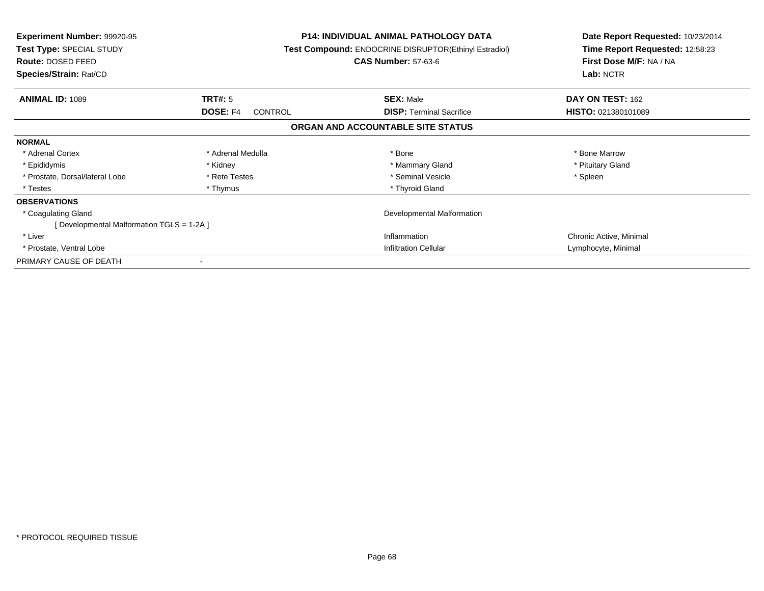| <b>Experiment Number: 99920-95</b><br>Test Type: SPECIAL STUDY<br>Route: DOSED FEED<br>Species/Strain: Rat/CD |                                   | <b>P14: INDIVIDUAL ANIMAL PATHOLOGY DATA</b><br><b>Test Compound: ENDOCRINE DISRUPTOR(Ethinyl Estradiol)</b><br><b>CAS Number: 57-63-6</b> | Date Report Requested: 10/23/2014<br>Time Report Requested: 12:58:23<br>First Dose M/F: NA / NA<br>Lab: NCTR |
|---------------------------------------------------------------------------------------------------------------|-----------------------------------|--------------------------------------------------------------------------------------------------------------------------------------------|--------------------------------------------------------------------------------------------------------------|
| <b>ANIMAL ID: 1089</b>                                                                                        | TRT#: 5                           | <b>SEX: Male</b>                                                                                                                           | DAY ON TEST: 162                                                                                             |
|                                                                                                               | <b>DOSE: F4</b><br><b>CONTROL</b> | <b>DISP:</b> Terminal Sacrifice                                                                                                            | HISTO: 021380101089                                                                                          |
|                                                                                                               |                                   | ORGAN AND ACCOUNTABLE SITE STATUS                                                                                                          |                                                                                                              |
| <b>NORMAL</b>                                                                                                 |                                   |                                                                                                                                            |                                                                                                              |
| * Adrenal Cortex                                                                                              | * Adrenal Medulla                 | * Bone                                                                                                                                     | * Bone Marrow                                                                                                |
| * Epididymis                                                                                                  | * Kidney                          | * Mammary Gland                                                                                                                            | * Pituitary Gland                                                                                            |
| * Prostate, Dorsal/lateral Lobe                                                                               | * Rete Testes                     | * Seminal Vesicle                                                                                                                          | * Spleen                                                                                                     |
| * Testes                                                                                                      | * Thymus                          | * Thyroid Gland                                                                                                                            |                                                                                                              |
| <b>OBSERVATIONS</b>                                                                                           |                                   |                                                                                                                                            |                                                                                                              |
| * Coagulating Gland                                                                                           | Developmental Malformation        |                                                                                                                                            |                                                                                                              |
| [Developmental Malformation TGLS = 1-2A]                                                                      |                                   |                                                                                                                                            |                                                                                                              |
| * Liver                                                                                                       |                                   | Inflammation                                                                                                                               | Chronic Active, Minimal                                                                                      |
| * Prostate, Ventral Lobe                                                                                      |                                   | <b>Infiltration Cellular</b>                                                                                                               | Lymphocyte, Minimal                                                                                          |
| PRIMARY CAUSE OF DEATH                                                                                        |                                   |                                                                                                                                            |                                                                                                              |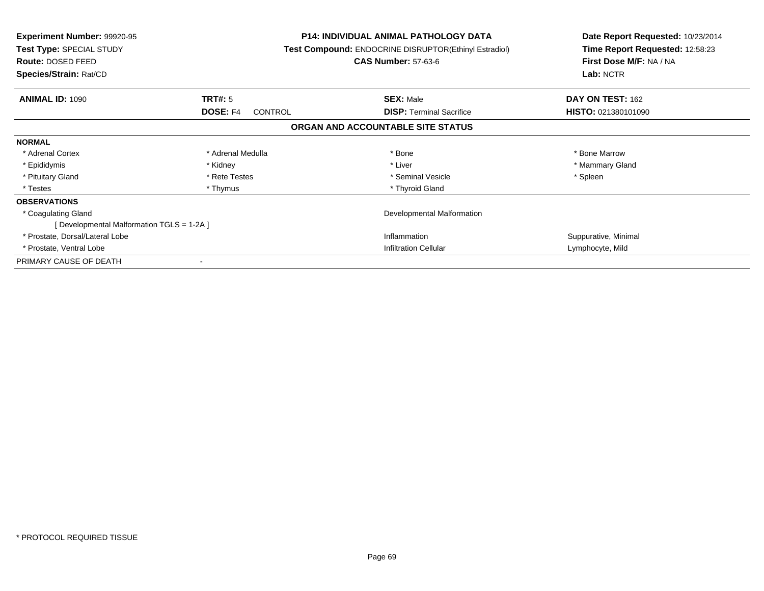| <b>Experiment Number: 99920-95</b><br>Test Type: SPECIAL STUDY<br>Route: DOSED FEED<br>Species/Strain: Rat/CD |                                   | <b>P14: INDIVIDUAL ANIMAL PATHOLOGY DATA</b><br><b>Test Compound: ENDOCRINE DISRUPTOR(Ethinyl Estradiol)</b><br><b>CAS Number: 57-63-6</b> | Date Report Requested: 10/23/2014<br>Time Report Requested: 12:58:23<br>First Dose M/F: NA / NA<br>Lab: NCTR |
|---------------------------------------------------------------------------------------------------------------|-----------------------------------|--------------------------------------------------------------------------------------------------------------------------------------------|--------------------------------------------------------------------------------------------------------------|
| <b>ANIMAL ID: 1090</b>                                                                                        | TRT#: 5                           | <b>SEX: Male</b>                                                                                                                           | DAY ON TEST: 162                                                                                             |
|                                                                                                               | <b>DOSE: F4</b><br><b>CONTROL</b> | <b>DISP:</b> Terminal Sacrifice                                                                                                            | HISTO: 021380101090                                                                                          |
|                                                                                                               |                                   | ORGAN AND ACCOUNTABLE SITE STATUS                                                                                                          |                                                                                                              |
| <b>NORMAL</b>                                                                                                 |                                   |                                                                                                                                            |                                                                                                              |
| * Adrenal Cortex                                                                                              | * Adrenal Medulla                 | * Bone                                                                                                                                     | * Bone Marrow                                                                                                |
| * Epididymis                                                                                                  | * Kidney                          | * Liver                                                                                                                                    | * Mammary Gland                                                                                              |
| * Pituitary Gland                                                                                             | * Rete Testes                     | * Seminal Vesicle                                                                                                                          | * Spleen                                                                                                     |
| * Testes                                                                                                      | * Thymus                          | * Thyroid Gland                                                                                                                            |                                                                                                              |
| <b>OBSERVATIONS</b>                                                                                           |                                   |                                                                                                                                            |                                                                                                              |
| * Coagulating Gland                                                                                           | Developmental Malformation        |                                                                                                                                            |                                                                                                              |
| [Developmental Malformation TGLS = 1-2A]                                                                      |                                   |                                                                                                                                            |                                                                                                              |
| * Prostate, Dorsal/Lateral Lobe                                                                               |                                   | Inflammation                                                                                                                               | Suppurative, Minimal                                                                                         |
| * Prostate, Ventral Lobe                                                                                      |                                   | <b>Infiltration Cellular</b>                                                                                                               | Lymphocyte, Mild                                                                                             |
| PRIMARY CAUSE OF DEATH                                                                                        |                                   |                                                                                                                                            |                                                                                                              |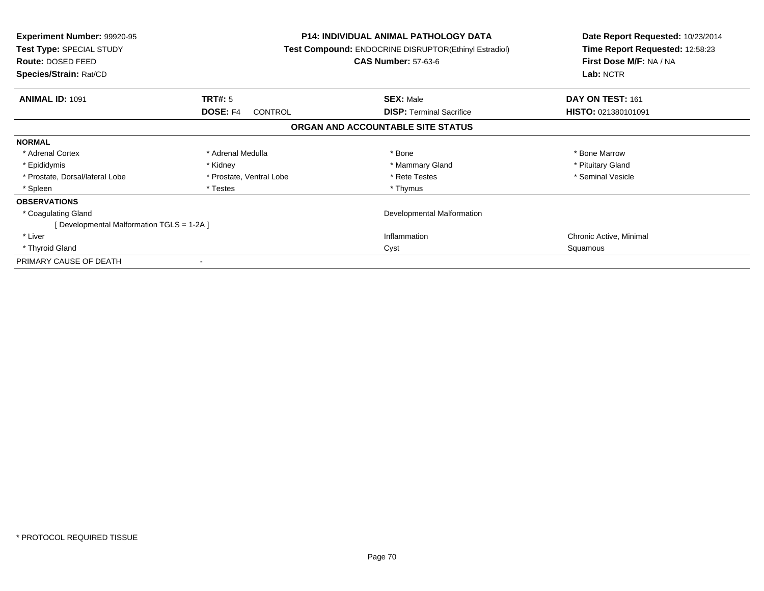| <b>Experiment Number: 99920-95</b><br>Test Type: SPECIAL STUDY<br>Route: DOSED FEED<br>Species/Strain: Rat/CD |                                   | <b>P14: INDIVIDUAL ANIMAL PATHOLOGY DATA</b><br><b>Test Compound: ENDOCRINE DISRUPTOR(Ethinyl Estradiol)</b><br><b>CAS Number: 57-63-6</b> | Date Report Requested: 10/23/2014<br>Time Report Requested: 12:58:23<br>First Dose M/F: NA / NA<br>Lab: NCTR |
|---------------------------------------------------------------------------------------------------------------|-----------------------------------|--------------------------------------------------------------------------------------------------------------------------------------------|--------------------------------------------------------------------------------------------------------------|
| <b>ANIMAL ID: 1091</b>                                                                                        | TRT#: 5                           | <b>SEX: Male</b>                                                                                                                           | DAY ON TEST: 161                                                                                             |
|                                                                                                               | <b>DOSE: F4</b><br><b>CONTROL</b> | <b>DISP: Terminal Sacrifice</b>                                                                                                            | HISTO: 021380101091                                                                                          |
|                                                                                                               |                                   | ORGAN AND ACCOUNTABLE SITE STATUS                                                                                                          |                                                                                                              |
| <b>NORMAL</b>                                                                                                 |                                   |                                                                                                                                            |                                                                                                              |
| * Adrenal Cortex                                                                                              | * Adrenal Medulla                 | * Bone                                                                                                                                     | * Bone Marrow                                                                                                |
| * Epididymis                                                                                                  | * Kidney                          | * Mammary Gland                                                                                                                            | * Pituitary Gland                                                                                            |
| * Prostate, Dorsal/lateral Lobe                                                                               | * Prostate, Ventral Lobe          | * Rete Testes                                                                                                                              | * Seminal Vesicle                                                                                            |
| * Spleen                                                                                                      | * Testes                          | * Thymus                                                                                                                                   |                                                                                                              |
| <b>OBSERVATIONS</b>                                                                                           |                                   |                                                                                                                                            |                                                                                                              |
| * Coagulating Gland                                                                                           |                                   | Developmental Malformation                                                                                                                 |                                                                                                              |
| [ Developmental Malformation TGLS = 1-2A ]                                                                    |                                   |                                                                                                                                            |                                                                                                              |
| * Liver                                                                                                       |                                   | Inflammation                                                                                                                               | Chronic Active, Minimal                                                                                      |
| * Thyroid Gland                                                                                               |                                   | Cyst                                                                                                                                       | Squamous                                                                                                     |
| PRIMARY CAUSE OF DEATH                                                                                        |                                   |                                                                                                                                            |                                                                                                              |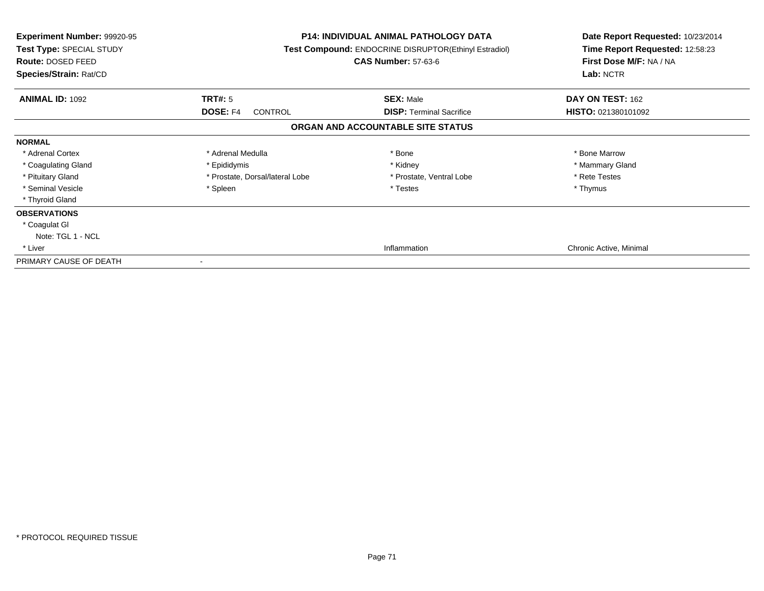| Experiment Number: 99920-95<br>Test Type: SPECIAL STUDY<br>Route: DOSED FEED<br>Species/Strain: Rat/CD |                                   | <b>P14: INDIVIDUAL ANIMAL PATHOLOGY DATA</b><br>Test Compound: ENDOCRINE DISRUPTOR(Ethinyl Estradiol)<br><b>CAS Number: 57-63-6</b> | Date Report Requested: 10/23/2014<br>Time Report Requested: 12:58:23<br>First Dose M/F: NA / NA<br>Lab: NCTR |
|--------------------------------------------------------------------------------------------------------|-----------------------------------|-------------------------------------------------------------------------------------------------------------------------------------|--------------------------------------------------------------------------------------------------------------|
| <b>ANIMAL ID: 1092</b>                                                                                 | TRT#: 5                           | <b>SEX: Male</b>                                                                                                                    | DAY ON TEST: 162                                                                                             |
|                                                                                                        | <b>DOSE: F4</b><br><b>CONTROL</b> | <b>DISP:</b> Terminal Sacrifice                                                                                                     | HISTO: 021380101092                                                                                          |
|                                                                                                        |                                   | ORGAN AND ACCOUNTABLE SITE STATUS                                                                                                   |                                                                                                              |
| <b>NORMAL</b>                                                                                          |                                   |                                                                                                                                     |                                                                                                              |
| * Adrenal Cortex                                                                                       | * Adrenal Medulla                 | * Bone                                                                                                                              | * Bone Marrow                                                                                                |
| * Coagulating Gland                                                                                    | * Epididymis                      | * Kidney                                                                                                                            | * Mammary Gland                                                                                              |
| * Pituitary Gland                                                                                      | * Prostate, Dorsal/lateral Lobe   | * Prostate, Ventral Lobe                                                                                                            | * Rete Testes                                                                                                |
| * Seminal Vesicle                                                                                      | * Spleen                          | * Testes                                                                                                                            | * Thymus                                                                                                     |
| * Thyroid Gland                                                                                        |                                   |                                                                                                                                     |                                                                                                              |
| <b>OBSERVATIONS</b>                                                                                    |                                   |                                                                                                                                     |                                                                                                              |
| * Coagulat GI                                                                                          |                                   |                                                                                                                                     |                                                                                                              |
| Note: TGL 1 - NCL                                                                                      |                                   |                                                                                                                                     |                                                                                                              |
| * Liver                                                                                                |                                   | Inflammation                                                                                                                        | Chronic Active, Minimal                                                                                      |
| PRIMARY CAUSE OF DEATH                                                                                 |                                   |                                                                                                                                     |                                                                                                              |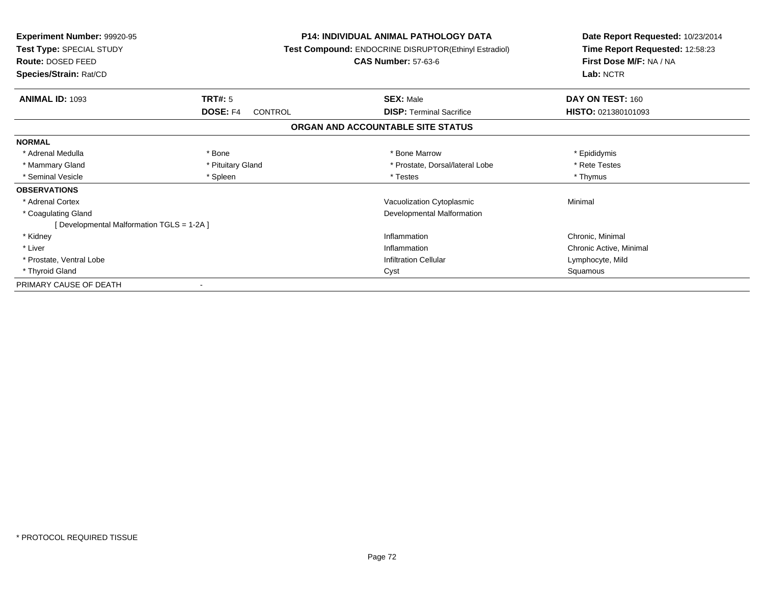| <b>Experiment Number: 99920-95</b><br>Test Type: SPECIAL STUDY<br>Route: DOSED FEED<br>Species/Strain: Rat/CD |                     | <b>P14: INDIVIDUAL ANIMAL PATHOLOGY DATA</b><br><b>Test Compound: ENDOCRINE DISRUPTOR(Ethinyl Estradiol)</b><br><b>CAS Number: 57-63-6</b> | Date Report Requested: 10/23/2014<br>Time Report Requested: 12:58:23<br>First Dose M/F: NA / NA<br>Lab: NCTR |
|---------------------------------------------------------------------------------------------------------------|---------------------|--------------------------------------------------------------------------------------------------------------------------------------------|--------------------------------------------------------------------------------------------------------------|
| <b>ANIMAL ID: 1093</b>                                                                                        | <b>TRT#: 5</b>      | <b>SEX: Male</b>                                                                                                                           | DAY ON TEST: 160                                                                                             |
|                                                                                                               | DOSE: F4<br>CONTROL | <b>DISP: Terminal Sacrifice</b>                                                                                                            | HISTO: 021380101093                                                                                          |
|                                                                                                               |                     | ORGAN AND ACCOUNTABLE SITE STATUS                                                                                                          |                                                                                                              |
| <b>NORMAL</b>                                                                                                 |                     |                                                                                                                                            |                                                                                                              |
| * Adrenal Medulla                                                                                             | * Bone              | * Bone Marrow                                                                                                                              | * Epididymis                                                                                                 |
| * Mammary Gland                                                                                               | * Pituitary Gland   | * Prostate, Dorsal/lateral Lobe                                                                                                            | * Rete Testes                                                                                                |
| * Seminal Vesicle                                                                                             | * Spleen            | * Testes                                                                                                                                   | * Thymus                                                                                                     |
| <b>OBSERVATIONS</b>                                                                                           |                     |                                                                                                                                            |                                                                                                              |
| * Adrenal Cortex                                                                                              |                     | Vacuolization Cytoplasmic                                                                                                                  | Minimal                                                                                                      |
| * Coagulating Gland                                                                                           |                     | <b>Developmental Malformation</b>                                                                                                          |                                                                                                              |
| [Developmental Malformation TGLS = 1-2A]                                                                      |                     |                                                                                                                                            |                                                                                                              |
| * Kidney                                                                                                      |                     | Inflammation                                                                                                                               | Chronic, Minimal                                                                                             |
| * Liver                                                                                                       |                     | Inflammation                                                                                                                               | Chronic Active, Minimal                                                                                      |
| * Prostate, Ventral Lobe                                                                                      |                     | <b>Infiltration Cellular</b>                                                                                                               | Lymphocyte, Mild                                                                                             |
| * Thyroid Gland                                                                                               |                     | Cyst                                                                                                                                       | Squamous                                                                                                     |
| PRIMARY CAUSE OF DEATH                                                                                        |                     |                                                                                                                                            |                                                                                                              |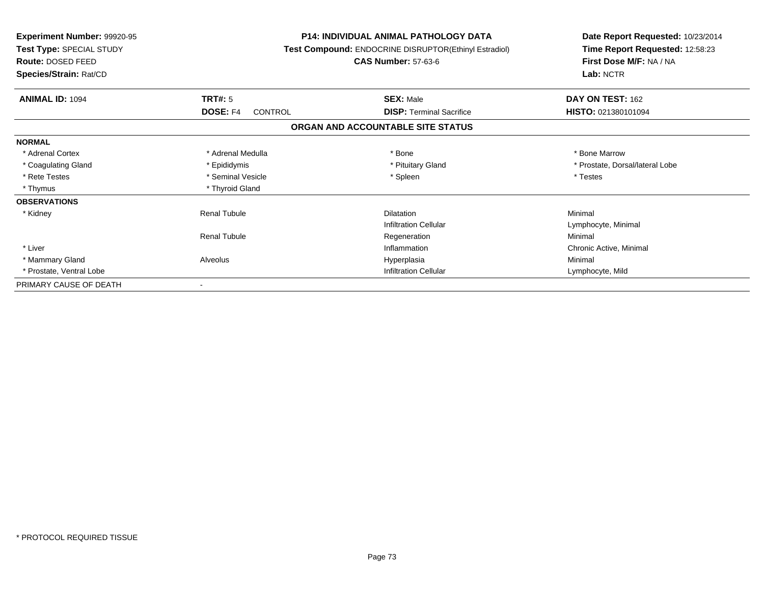| <b>Experiment Number: 99920-95</b><br>Test Type: SPECIAL STUDY<br>Route: DOSED FEED<br>Species/Strain: Rat/CD |                     | <b>P14: INDIVIDUAL ANIMAL PATHOLOGY DATA</b><br><b>Test Compound: ENDOCRINE DISRUPTOR(Ethinyl Estradiol)</b><br><b>CAS Number: 57-63-6</b> | Date Report Requested: 10/23/2014<br>Time Report Requested: 12:58:23<br>First Dose M/F: NA / NA<br>Lab: NCTR |
|---------------------------------------------------------------------------------------------------------------|---------------------|--------------------------------------------------------------------------------------------------------------------------------------------|--------------------------------------------------------------------------------------------------------------|
| <b>ANIMAL ID: 1094</b>                                                                                        | TRT#: 5             | <b>SEX: Male</b>                                                                                                                           | DAY ON TEST: 162                                                                                             |
|                                                                                                               | DOSE: F4<br>CONTROL | <b>DISP: Terminal Sacrifice</b>                                                                                                            | HISTO: 021380101094                                                                                          |
|                                                                                                               |                     | ORGAN AND ACCOUNTABLE SITE STATUS                                                                                                          |                                                                                                              |
| <b>NORMAL</b>                                                                                                 |                     |                                                                                                                                            |                                                                                                              |
| * Adrenal Cortex                                                                                              | * Adrenal Medulla   | * Bone                                                                                                                                     | * Bone Marrow                                                                                                |
| * Coagulating Gland                                                                                           | * Epididymis        | * Pituitary Gland                                                                                                                          | * Prostate, Dorsal/lateral Lobe                                                                              |
| * Rete Testes                                                                                                 | * Seminal Vesicle   | * Spleen                                                                                                                                   | * Testes                                                                                                     |
| * Thymus                                                                                                      | * Thyroid Gland     |                                                                                                                                            |                                                                                                              |
| <b>OBSERVATIONS</b>                                                                                           |                     |                                                                                                                                            |                                                                                                              |
| * Kidney                                                                                                      | <b>Renal Tubule</b> | <b>Dilatation</b>                                                                                                                          | Minimal                                                                                                      |
|                                                                                                               |                     | <b>Infiltration Cellular</b>                                                                                                               | Lymphocyte, Minimal                                                                                          |
|                                                                                                               | <b>Renal Tubule</b> | Regeneration                                                                                                                               | Minimal                                                                                                      |
| * Liver                                                                                                       |                     | Inflammation                                                                                                                               | Chronic Active, Minimal                                                                                      |
| * Mammary Gland                                                                                               | Alveolus            | Hyperplasia                                                                                                                                | Minimal                                                                                                      |
| * Prostate, Ventral Lobe                                                                                      |                     | <b>Infiltration Cellular</b>                                                                                                               | Lymphocyte, Mild                                                                                             |
| PRIMARY CAUSE OF DEATH                                                                                        |                     |                                                                                                                                            |                                                                                                              |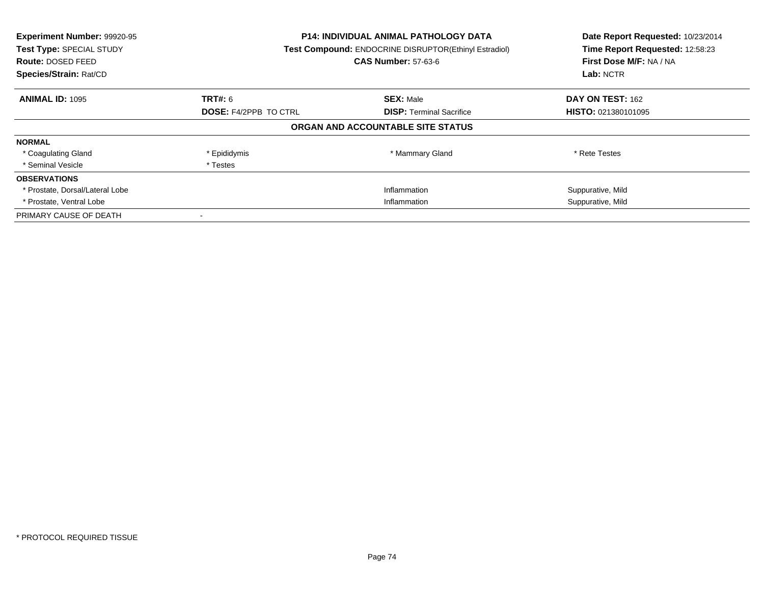| Experiment Number: 99920-95<br>Test Type: SPECIAL STUDY<br><b>Route: DOSED FEED</b><br>Species/Strain: Rat/CD | <b>P14: INDIVIDUAL ANIMAL PATHOLOGY DATA</b><br><b>Test Compound: ENDOCRINE DISRUPTOR(Ethinyl Estradiol)</b><br><b>CAS Number: 57-63-6</b> |                                   | Date Report Requested: 10/23/2014<br>Time Report Requested: 12:58:23<br>First Dose M/F: NA / NA<br>Lab: NCTR |
|---------------------------------------------------------------------------------------------------------------|--------------------------------------------------------------------------------------------------------------------------------------------|-----------------------------------|--------------------------------------------------------------------------------------------------------------|
| <b>ANIMAL ID: 1095</b>                                                                                        | <b>TRT#: 6</b>                                                                                                                             | <b>SEX: Male</b>                  | DAY ON TEST: 162                                                                                             |
|                                                                                                               | <b>DOSE: F4/2PPB TO CTRL</b>                                                                                                               | <b>DISP:</b> Terminal Sacrifice   | <b>HISTO: 021380101095</b>                                                                                   |
|                                                                                                               |                                                                                                                                            | ORGAN AND ACCOUNTABLE SITE STATUS |                                                                                                              |
| <b>NORMAL</b>                                                                                                 |                                                                                                                                            |                                   |                                                                                                              |
| * Coagulating Gland                                                                                           | * Epididymis                                                                                                                               | * Mammary Gland                   | * Rete Testes                                                                                                |
| * Seminal Vesicle                                                                                             | * Testes                                                                                                                                   |                                   |                                                                                                              |
| <b>OBSERVATIONS</b>                                                                                           |                                                                                                                                            |                                   |                                                                                                              |
| * Prostate, Dorsal/Lateral Lobe                                                                               |                                                                                                                                            | Inflammation                      | Suppurative, Mild                                                                                            |
| * Prostate, Ventral Lobe                                                                                      | Inflammation                                                                                                                               |                                   | Suppurative, Mild                                                                                            |
| PRIMARY CAUSE OF DEATH                                                                                        |                                                                                                                                            |                                   |                                                                                                              |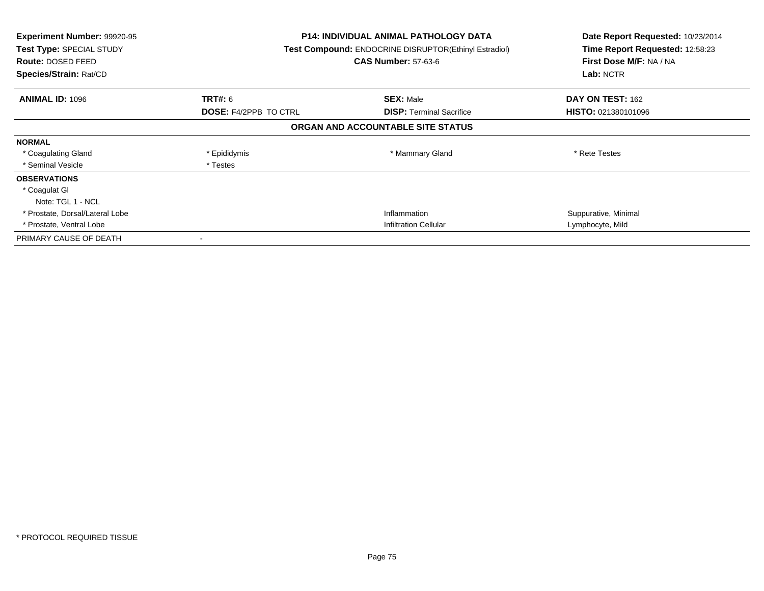| <b>Experiment Number: 99920-95</b><br>Test Type: SPECIAL STUDY<br><b>Route: DOSED FEED</b><br>Species/Strain: Rat/CD |                              | <b>P14: INDIVIDUAL ANIMAL PATHOLOGY DATA</b><br>Test Compound: ENDOCRINE DISRUPTOR(Ethinyl Estradiol)<br><b>CAS Number: 57-63-6</b> | Date Report Requested: 10/23/2014<br>Time Report Requested: 12:58:23<br>First Dose M/F: NA / NA<br>Lab: NCTR |
|----------------------------------------------------------------------------------------------------------------------|------------------------------|-------------------------------------------------------------------------------------------------------------------------------------|--------------------------------------------------------------------------------------------------------------|
| <b>ANIMAL ID: 1096</b>                                                                                               | <b>TRT#: 6</b>               | <b>SEX: Male</b>                                                                                                                    | DAY ON TEST: 162                                                                                             |
|                                                                                                                      | <b>DOSE: F4/2PPB TO CTRL</b> | <b>DISP:</b> Terminal Sacrifice                                                                                                     | <b>HISTO: 021380101096</b>                                                                                   |
|                                                                                                                      |                              | ORGAN AND ACCOUNTABLE SITE STATUS                                                                                                   |                                                                                                              |
| <b>NORMAL</b>                                                                                                        |                              |                                                                                                                                     |                                                                                                              |
| * Coagulating Gland                                                                                                  | * Epididymis                 | * Mammary Gland                                                                                                                     | * Rete Testes                                                                                                |
| * Seminal Vesicle                                                                                                    | * Testes                     |                                                                                                                                     |                                                                                                              |
| <b>OBSERVATIONS</b>                                                                                                  |                              |                                                                                                                                     |                                                                                                              |
| * Coagulat GI                                                                                                        |                              |                                                                                                                                     |                                                                                                              |
| Note: TGL 1 - NCL                                                                                                    |                              |                                                                                                                                     |                                                                                                              |
| * Prostate, Dorsal/Lateral Lobe                                                                                      |                              | Inflammation                                                                                                                        | Suppurative, Minimal                                                                                         |
| * Prostate, Ventral Lobe                                                                                             |                              | <b>Infiltration Cellular</b>                                                                                                        | Lymphocyte, Mild                                                                                             |
| PRIMARY CAUSE OF DEATH                                                                                               |                              |                                                                                                                                     |                                                                                                              |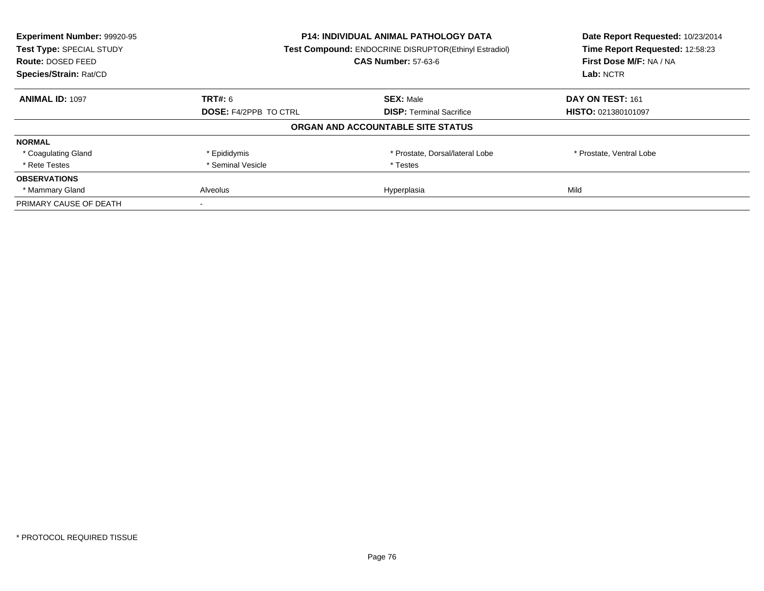| Experiment Number: 99920-95<br>Test Type: SPECIAL STUDY<br>Route: DOSED FEED<br>Species/Strain: Rat/CD | <b>P14: INDIVIDUAL ANIMAL PATHOLOGY DATA</b><br>Test Compound: ENDOCRINE DISRUPTOR(Ethinyl Estradiol)<br><b>CAS Number: 57-63-6</b> |                                   | Date Report Requested: 10/23/2014<br>Time Report Requested: 12:58:23<br>First Dose M/F: NA / NA<br>Lab: NCTR |
|--------------------------------------------------------------------------------------------------------|-------------------------------------------------------------------------------------------------------------------------------------|-----------------------------------|--------------------------------------------------------------------------------------------------------------|
|                                                                                                        |                                                                                                                                     |                                   |                                                                                                              |
| <b>ANIMAL ID: 1097</b>                                                                                 | TRT#: 6                                                                                                                             | <b>SEX: Male</b>                  | DAY ON TEST: 161                                                                                             |
|                                                                                                        | <b>DOSE: F4/2PPB TO CTRL</b>                                                                                                        | <b>DISP:</b> Terminal Sacrifice   | <b>HISTO: 021380101097</b>                                                                                   |
|                                                                                                        |                                                                                                                                     | ORGAN AND ACCOUNTABLE SITE STATUS |                                                                                                              |
| <b>NORMAL</b>                                                                                          |                                                                                                                                     |                                   |                                                                                                              |
| * Coagulating Gland                                                                                    | * Epididymis                                                                                                                        | * Prostate, Dorsal/lateral Lobe   | * Prostate, Ventral Lobe                                                                                     |
| * Rete Testes                                                                                          | * Seminal Vesicle                                                                                                                   | * Testes                          |                                                                                                              |
| <b>OBSERVATIONS</b>                                                                                    |                                                                                                                                     |                                   |                                                                                                              |
| * Mammary Gland                                                                                        | Hyperplasia<br>Alveolus                                                                                                             |                                   | Mild                                                                                                         |
| PRIMARY CAUSE OF DEATH                                                                                 |                                                                                                                                     |                                   |                                                                                                              |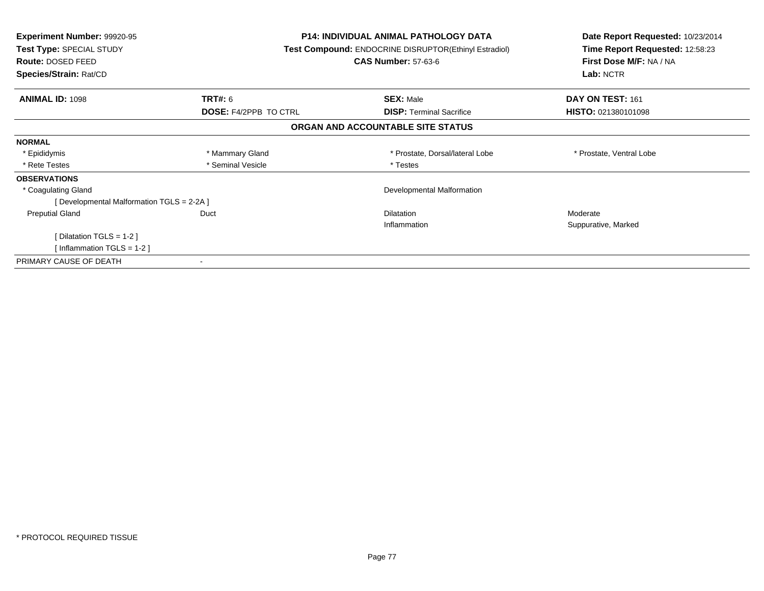| <b>Experiment Number: 99920-95</b><br>Test Type: SPECIAL STUDY<br>Route: DOSED FEED<br>Species/Strain: Rat/CD |                              | <b>P14: INDIVIDUAL ANIMAL PATHOLOGY DATA</b><br>Test Compound: ENDOCRINE DISRUPTOR(Ethinyl Estradiol)<br><b>CAS Number: 57-63-6</b> | Date Report Requested: 10/23/2014<br>Time Report Requested: 12:58:23<br>First Dose M/F: NA / NA<br>Lab: NCTR |
|---------------------------------------------------------------------------------------------------------------|------------------------------|-------------------------------------------------------------------------------------------------------------------------------------|--------------------------------------------------------------------------------------------------------------|
| <b>ANIMAL ID: 1098</b>                                                                                        | <b>TRT#: 6</b>               | <b>SEX: Male</b>                                                                                                                    | DAY ON TEST: 161                                                                                             |
|                                                                                                               | <b>DOSE: F4/2PPB TO CTRL</b> | <b>DISP:</b> Terminal Sacrifice                                                                                                     | HISTO: 021380101098                                                                                          |
|                                                                                                               |                              | ORGAN AND ACCOUNTABLE SITE STATUS                                                                                                   |                                                                                                              |
| <b>NORMAL</b>                                                                                                 |                              |                                                                                                                                     |                                                                                                              |
| * Epididymis                                                                                                  | * Mammary Gland              | * Prostate, Dorsal/lateral Lobe                                                                                                     | * Prostate, Ventral Lobe                                                                                     |
| * Rete Testes                                                                                                 | * Seminal Vesicle            | * Testes                                                                                                                            |                                                                                                              |
| <b>OBSERVATIONS</b>                                                                                           |                              |                                                                                                                                     |                                                                                                              |
| * Coagulating Gland                                                                                           |                              | Developmental Malformation                                                                                                          |                                                                                                              |
| [Developmental Malformation TGLS = 2-2A]                                                                      |                              |                                                                                                                                     |                                                                                                              |
| <b>Preputial Gland</b>                                                                                        | Duct                         | <b>Dilatation</b>                                                                                                                   | Moderate                                                                                                     |
|                                                                                                               |                              | Inflammation                                                                                                                        | Suppurative, Marked                                                                                          |
| [Dilatation TGLS = 1-2]                                                                                       |                              |                                                                                                                                     |                                                                                                              |
| [Inflammation TGLS = $1-2$ ]                                                                                  |                              |                                                                                                                                     |                                                                                                              |
| PRIMARY CAUSE OF DEATH                                                                                        |                              |                                                                                                                                     |                                                                                                              |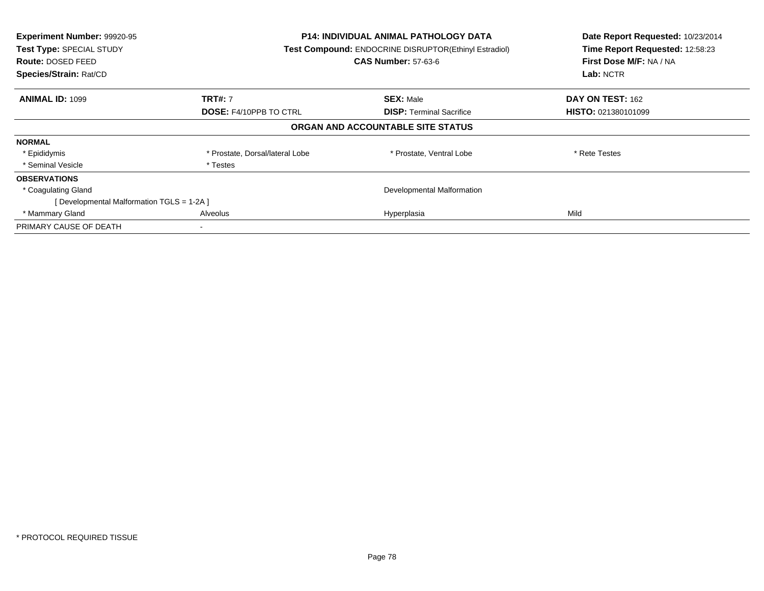| Experiment Number: 99920-95<br>Test Type: SPECIAL STUDY<br>Route: DOSED FEED<br>Species/Strain: Rat/CD | <b>P14: INDIVIDUAL ANIMAL PATHOLOGY DATA</b><br>Test Compound: ENDOCRINE DISRUPTOR(Ethinyl Estradiol)<br><b>CAS Number: 57-63-6</b> |                                   | Date Report Requested: 10/23/2014<br>Time Report Requested: 12:58:23<br>First Dose M/F: NA / NA<br>Lab: NCTR |
|--------------------------------------------------------------------------------------------------------|-------------------------------------------------------------------------------------------------------------------------------------|-----------------------------------|--------------------------------------------------------------------------------------------------------------|
| <b>ANIMAL ID: 1099</b>                                                                                 | <b>TRT#: 7</b>                                                                                                                      | <b>SEX: Male</b>                  | <b>DAY ON TEST: 162</b>                                                                                      |
|                                                                                                        | <b>DOSE: F4/10PPB TO CTRL</b>                                                                                                       | <b>DISP:</b> Terminal Sacrifice   | HISTO: 021380101099                                                                                          |
|                                                                                                        |                                                                                                                                     | ORGAN AND ACCOUNTABLE SITE STATUS |                                                                                                              |
| <b>NORMAL</b>                                                                                          |                                                                                                                                     |                                   |                                                                                                              |
| * Epididymis                                                                                           | * Prostate, Dorsal/lateral Lobe                                                                                                     | * Prostate, Ventral Lobe          | * Rete Testes                                                                                                |
| * Seminal Vesicle                                                                                      | * Testes                                                                                                                            |                                   |                                                                                                              |
| <b>OBSERVATIONS</b>                                                                                    |                                                                                                                                     |                                   |                                                                                                              |
| * Coagulating Gland                                                                                    |                                                                                                                                     | Developmental Malformation        |                                                                                                              |
| [ Developmental Malformation TGLS = 1-2A ]                                                             |                                                                                                                                     |                                   |                                                                                                              |
| * Mammary Gland                                                                                        | Alveolus                                                                                                                            | Hyperplasia                       | Mild                                                                                                         |
| PRIMARY CAUSE OF DEATH                                                                                 |                                                                                                                                     |                                   |                                                                                                              |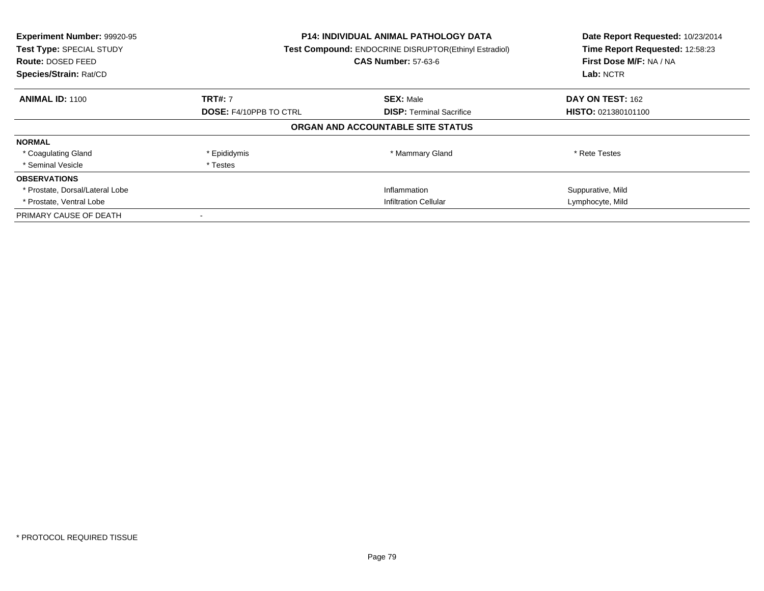| Experiment Number: 99920-95<br>Test Type: SPECIAL STUDY<br><b>Route: DOSED FEED</b><br>Species/Strain: Rat/CD | <b>P14: INDIVIDUAL ANIMAL PATHOLOGY DATA</b><br><b>Test Compound: ENDOCRINE DISRUPTOR(Ethinyl Estradiol)</b><br><b>CAS Number: 57-63-6</b> |                                   | Date Report Requested: 10/23/2014<br>Time Report Requested: 12:58:23<br>First Dose M/F: NA / NA<br>Lab: NCTR |
|---------------------------------------------------------------------------------------------------------------|--------------------------------------------------------------------------------------------------------------------------------------------|-----------------------------------|--------------------------------------------------------------------------------------------------------------|
| <b>ANIMAL ID: 1100</b>                                                                                        | <b>TRT#: 7</b>                                                                                                                             | <b>SEX: Male</b>                  | DAY ON TEST: 162                                                                                             |
|                                                                                                               | <b>DOSE: F4/10PPB TO CTRL</b>                                                                                                              | <b>DISP:</b> Terminal Sacrifice   | <b>HISTO: 021380101100</b>                                                                                   |
|                                                                                                               |                                                                                                                                            | ORGAN AND ACCOUNTABLE SITE STATUS |                                                                                                              |
| <b>NORMAL</b>                                                                                                 |                                                                                                                                            |                                   |                                                                                                              |
| * Coagulating Gland                                                                                           | * Epididymis                                                                                                                               | * Mammary Gland                   | * Rete Testes                                                                                                |
| * Seminal Vesicle                                                                                             | * Testes                                                                                                                                   |                                   |                                                                                                              |
| <b>OBSERVATIONS</b>                                                                                           |                                                                                                                                            |                                   |                                                                                                              |
| * Prostate, Dorsal/Lateral Lobe                                                                               |                                                                                                                                            | Inflammation                      | Suppurative, Mild                                                                                            |
| * Prostate, Ventral Lobe                                                                                      | <b>Infiltration Cellular</b>                                                                                                               |                                   | Lymphocyte, Mild                                                                                             |
| PRIMARY CAUSE OF DEATH                                                                                        |                                                                                                                                            |                                   |                                                                                                              |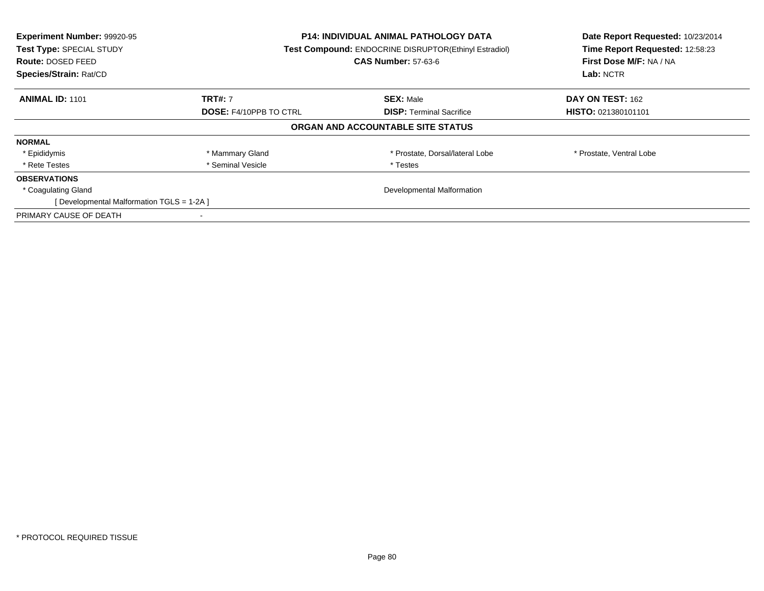| Experiment Number: 99920-95<br>Test Type: SPECIAL STUDY<br>Route: DOSED FEED<br>Species/Strain: Rat/CD | <b>P14: INDIVIDUAL ANIMAL PATHOLOGY DATA</b><br><b>Test Compound: ENDOCRINE DISRUPTOR(Ethinyl Estradiol)</b><br><b>CAS Number: 57-63-6</b> |                                   | Date Report Requested: 10/23/2014<br>Time Report Requested: 12:58:23<br>First Dose M/F: NA / NA<br>Lab: NCTR |
|--------------------------------------------------------------------------------------------------------|--------------------------------------------------------------------------------------------------------------------------------------------|-----------------------------------|--------------------------------------------------------------------------------------------------------------|
| <b>ANIMAL ID: 1101</b>                                                                                 | <b>TRT#: 7</b>                                                                                                                             | <b>SEX: Male</b>                  | DAY ON TEST: 162                                                                                             |
|                                                                                                        | <b>DOSE: F4/10PPB TO CTRL</b>                                                                                                              | <b>DISP:</b> Terminal Sacrifice   | <b>HISTO: 021380101101</b>                                                                                   |
|                                                                                                        |                                                                                                                                            | ORGAN AND ACCOUNTABLE SITE STATUS |                                                                                                              |
| <b>NORMAL</b>                                                                                          |                                                                                                                                            |                                   |                                                                                                              |
| * Epididymis                                                                                           | * Mammary Gland                                                                                                                            | * Prostate, Dorsal/lateral Lobe   | * Prostate, Ventral Lobe                                                                                     |
| * Rete Testes                                                                                          | * Seminal Vesicle                                                                                                                          | * Testes                          |                                                                                                              |
| <b>OBSERVATIONS</b>                                                                                    |                                                                                                                                            |                                   |                                                                                                              |
| * Coagulating Gland                                                                                    | Developmental Malformation                                                                                                                 |                                   |                                                                                                              |
| [Developmental Malformation TGLS = 1-2A]                                                               |                                                                                                                                            |                                   |                                                                                                              |
| PRIMARY CAUSE OF DEATH                                                                                 |                                                                                                                                            |                                   |                                                                                                              |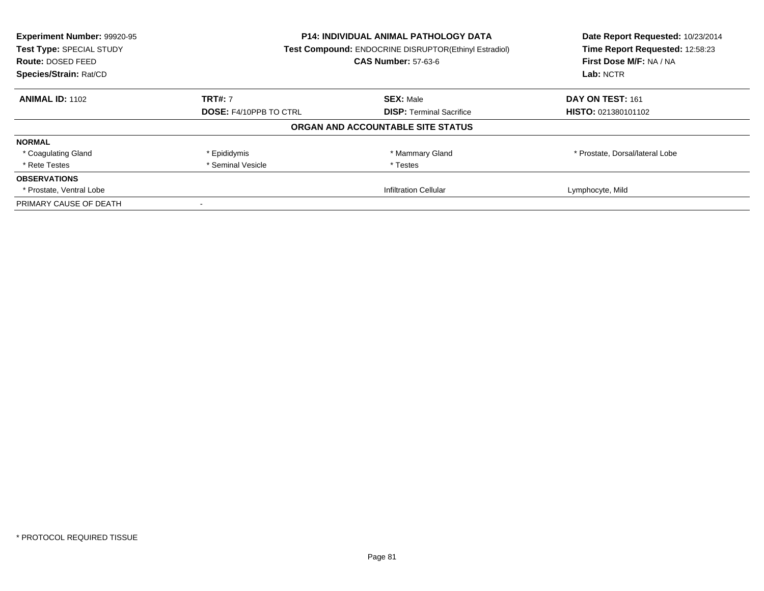| Experiment Number: 99920-95<br>Test Type: SPECIAL STUDY | <b>P14: INDIVIDUAL ANIMAL PATHOLOGY DATA</b><br>Test Compound: ENDOCRINE DISRUPTOR(Ethinyl Estradiol) |                                   | Date Report Requested: 10/23/2014<br>Time Report Requested: 12:58:23 |
|---------------------------------------------------------|-------------------------------------------------------------------------------------------------------|-----------------------------------|----------------------------------------------------------------------|
| Route: DOSED FEED                                       |                                                                                                       | <b>CAS Number: 57-63-6</b>        | First Dose M/F: NA / NA                                              |
| Species/Strain: Rat/CD                                  |                                                                                                       |                                   | Lab: NCTR                                                            |
| <b>ANIMAL ID: 1102</b>                                  | <b>TRT#: 7</b>                                                                                        | <b>SEX: Male</b>                  | DAY ON TEST: 161                                                     |
|                                                         | <b>DOSE: F4/10PPB TO CTRL</b>                                                                         | <b>DISP:</b> Terminal Sacrifice   | <b>HISTO: 021380101102</b>                                           |
|                                                         |                                                                                                       | ORGAN AND ACCOUNTABLE SITE STATUS |                                                                      |
| <b>NORMAL</b>                                           |                                                                                                       |                                   |                                                                      |
| * Coagulating Gland                                     | * Epididymis                                                                                          | * Mammary Gland                   | * Prostate, Dorsal/lateral Lobe                                      |
| * Rete Testes                                           | * Seminal Vesicle                                                                                     | * Testes                          |                                                                      |
| <b>OBSERVATIONS</b>                                     |                                                                                                       |                                   |                                                                      |
| * Prostate, Ventral Lobe                                | <b>Infiltration Cellular</b>                                                                          |                                   | Lymphocyte, Mild                                                     |
| PRIMARY CAUSE OF DEATH                                  |                                                                                                       |                                   |                                                                      |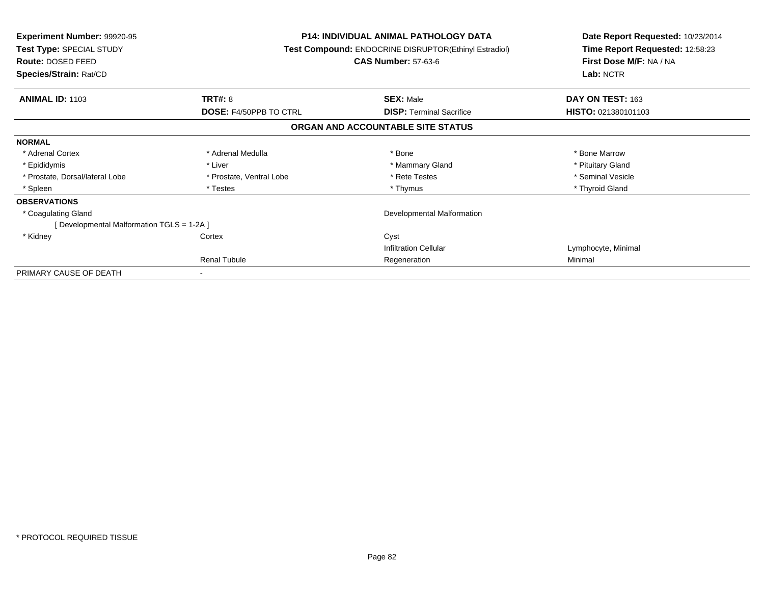| <b>Experiment Number: 99920-95</b><br>Test Type: SPECIAL STUDY<br>Route: DOSED FEED<br>Species/Strain: Rat/CD |                               | <b>P14: INDIVIDUAL ANIMAL PATHOLOGY DATA</b><br>Test Compound: ENDOCRINE DISRUPTOR(Ethinyl Estradiol)<br><b>CAS Number: 57-63-6</b> |                     |
|---------------------------------------------------------------------------------------------------------------|-------------------------------|-------------------------------------------------------------------------------------------------------------------------------------|---------------------|
| <b>ANIMAL ID: 1103</b>                                                                                        | <b>TRT#: 8</b>                | <b>SEX: Male</b>                                                                                                                    | DAY ON TEST: 163    |
|                                                                                                               | <b>DOSE: F4/50PPB TO CTRL</b> | <b>DISP:</b> Terminal Sacrifice                                                                                                     | HISTO: 021380101103 |
|                                                                                                               |                               | ORGAN AND ACCOUNTABLE SITE STATUS                                                                                                   |                     |
| <b>NORMAL</b>                                                                                                 |                               |                                                                                                                                     |                     |
| * Adrenal Cortex                                                                                              | * Adrenal Medulla             | * Bone                                                                                                                              | * Bone Marrow       |
| * Epididymis                                                                                                  | * Liver                       | * Mammary Gland                                                                                                                     | * Pituitary Gland   |
| * Prostate, Dorsal/lateral Lobe                                                                               | * Prostate, Ventral Lobe      | * Rete Testes                                                                                                                       | * Seminal Vesicle   |
| * Spleen                                                                                                      | * Testes                      | * Thymus                                                                                                                            | * Thyroid Gland     |
| <b>OBSERVATIONS</b>                                                                                           |                               |                                                                                                                                     |                     |
| * Coagulating Gland                                                                                           |                               | Developmental Malformation                                                                                                          |                     |
| [ Developmental Malformation TGLS = 1-2A ]                                                                    |                               |                                                                                                                                     |                     |
| * Kidney                                                                                                      | Cortex                        | Cyst                                                                                                                                |                     |
|                                                                                                               |                               | <b>Infiltration Cellular</b>                                                                                                        | Lymphocyte, Minimal |
|                                                                                                               | Renal Tubule                  | Regeneration                                                                                                                        | Minimal             |
| PRIMARY CAUSE OF DEATH                                                                                        |                               |                                                                                                                                     |                     |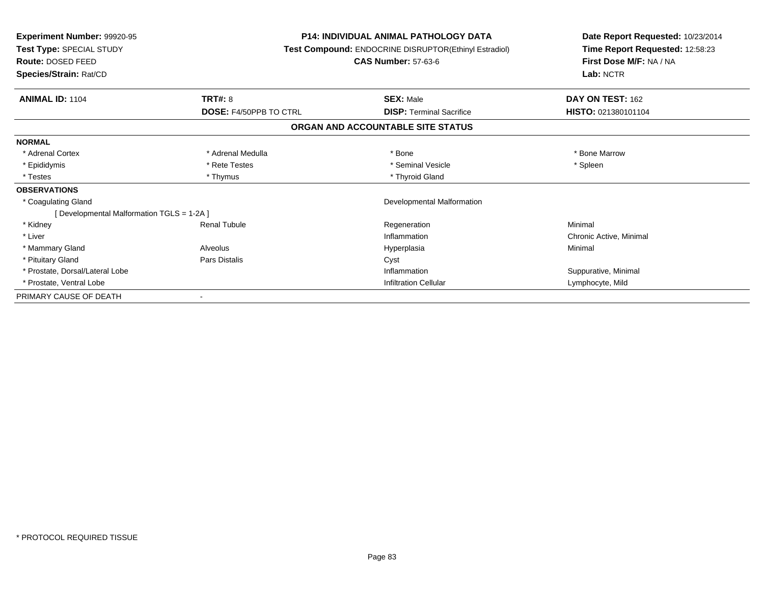| <b>Experiment Number: 99920-95</b><br>Test Type: SPECIAL STUDY<br><b>Route: DOSED FEED</b><br>Species/Strain: Rat/CD |                               | <b>P14: INDIVIDUAL ANIMAL PATHOLOGY DATA</b><br>Test Compound: ENDOCRINE DISRUPTOR(Ethinyl Estradiol)<br><b>CAS Number: 57-63-6</b> | Date Report Requested: 10/23/2014<br>Time Report Requested: 12:58:23<br>First Dose M/F: NA / NA<br>Lab: NCTR |
|----------------------------------------------------------------------------------------------------------------------|-------------------------------|-------------------------------------------------------------------------------------------------------------------------------------|--------------------------------------------------------------------------------------------------------------|
| <b>ANIMAL ID: 1104</b>                                                                                               | TRT#: 8                       | <b>SEX: Male</b>                                                                                                                    | DAY ON TEST: 162                                                                                             |
|                                                                                                                      | <b>DOSE: F4/50PPB TO CTRL</b> | <b>DISP: Terminal Sacrifice</b>                                                                                                     | HISTO: 021380101104                                                                                          |
|                                                                                                                      |                               | ORGAN AND ACCOUNTABLE SITE STATUS                                                                                                   |                                                                                                              |
| <b>NORMAL</b>                                                                                                        |                               |                                                                                                                                     |                                                                                                              |
| * Adrenal Cortex                                                                                                     | * Adrenal Medulla             | * Bone                                                                                                                              | * Bone Marrow                                                                                                |
| * Epididymis                                                                                                         | * Rete Testes                 | * Seminal Vesicle                                                                                                                   | * Spleen                                                                                                     |
| * Testes                                                                                                             | * Thymus                      | * Thyroid Gland                                                                                                                     |                                                                                                              |
| <b>OBSERVATIONS</b>                                                                                                  |                               |                                                                                                                                     |                                                                                                              |
| * Coagulating Gland                                                                                                  |                               | Developmental Malformation                                                                                                          |                                                                                                              |
| [ Developmental Malformation TGLS = 1-2A ]                                                                           |                               |                                                                                                                                     |                                                                                                              |
| * Kidney                                                                                                             | <b>Renal Tubule</b>           | Regeneration                                                                                                                        | Minimal                                                                                                      |
| * Liver                                                                                                              |                               | Inflammation                                                                                                                        | Chronic Active, Minimal                                                                                      |
| * Mammary Gland                                                                                                      | Alveolus                      | Hyperplasia                                                                                                                         | Minimal                                                                                                      |
| * Pituitary Gland                                                                                                    | <b>Pars Distalis</b>          | Cyst                                                                                                                                |                                                                                                              |
| * Prostate, Dorsal/Lateral Lobe                                                                                      |                               | Inflammation                                                                                                                        | Suppurative, Minimal                                                                                         |
| * Prostate, Ventral Lobe                                                                                             |                               | <b>Infiltration Cellular</b>                                                                                                        | Lymphocyte, Mild                                                                                             |
| PRIMARY CAUSE OF DEATH                                                                                               |                               |                                                                                                                                     |                                                                                                              |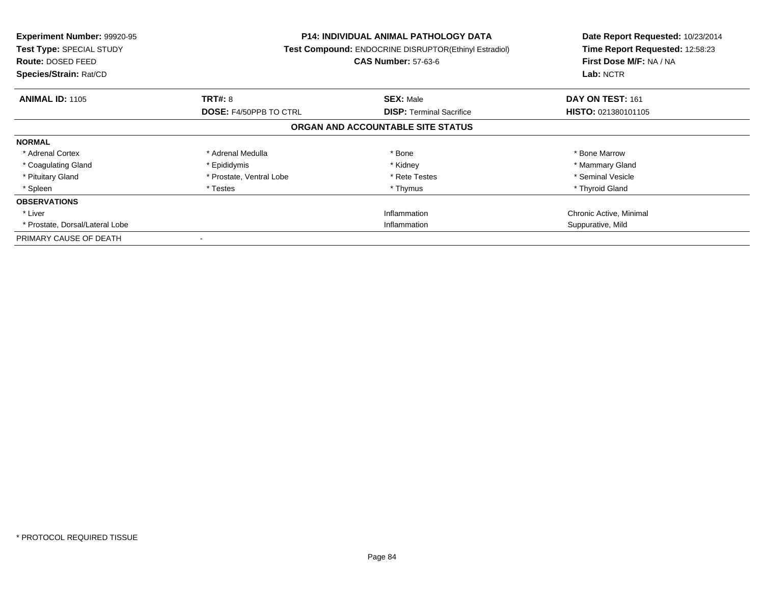| <b>Experiment Number: 99920-95</b><br>Test Type: SPECIAL STUDY<br>Route: DOSED FEED<br>Species/Strain: Rat/CD |                          | <b>P14: INDIVIDUAL ANIMAL PATHOLOGY DATA</b><br>Test Compound: ENDOCRINE DISRUPTOR(Ethinyl Estradiol)<br><b>CAS Number: 57-63-6</b> | Date Report Requested: 10/23/2014<br>Time Report Requested: 12:58:23<br>First Dose M/F: NA / NA<br>Lab: NCTR |
|---------------------------------------------------------------------------------------------------------------|--------------------------|-------------------------------------------------------------------------------------------------------------------------------------|--------------------------------------------------------------------------------------------------------------|
| <b>ANIMAL ID: 1105</b>                                                                                        | TRT#: 8                  | <b>SEX: Male</b>                                                                                                                    | DAY ON TEST: 161                                                                                             |
|                                                                                                               | DOSE: F4/50PPB TO CTRL   | <b>DISP:</b> Terminal Sacrifice                                                                                                     | <b>HISTO: 021380101105</b>                                                                                   |
|                                                                                                               |                          | ORGAN AND ACCOUNTABLE SITE STATUS                                                                                                   |                                                                                                              |
| <b>NORMAL</b>                                                                                                 |                          |                                                                                                                                     |                                                                                                              |
| * Adrenal Cortex                                                                                              | * Adrenal Medulla        | * Bone                                                                                                                              | * Bone Marrow                                                                                                |
| * Coagulating Gland                                                                                           | * Epididymis             | * Kidney                                                                                                                            | * Mammary Gland                                                                                              |
| * Pituitary Gland                                                                                             | * Prostate, Ventral Lobe | * Rete Testes                                                                                                                       | * Seminal Vesicle                                                                                            |
| * Spleen                                                                                                      | * Testes                 | * Thymus                                                                                                                            | * Thyroid Gland                                                                                              |
| <b>OBSERVATIONS</b>                                                                                           |                          |                                                                                                                                     |                                                                                                              |
| * Liver                                                                                                       |                          | Inflammation                                                                                                                        | Chronic Active, Minimal                                                                                      |
| * Prostate, Dorsal/Lateral Lobe                                                                               | Inflammation             |                                                                                                                                     | Suppurative, Mild                                                                                            |
| PRIMARY CAUSE OF DEATH                                                                                        |                          |                                                                                                                                     |                                                                                                              |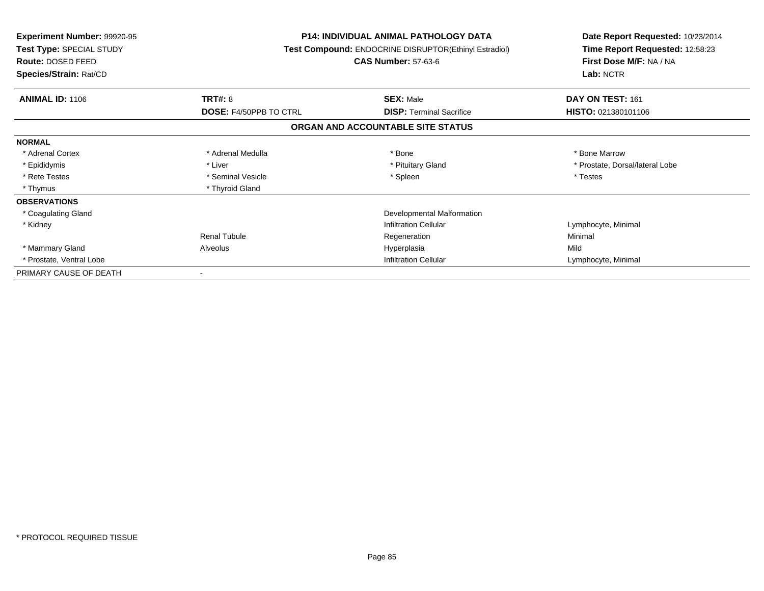| <b>Experiment Number: 99920-95</b><br>Test Type: SPECIAL STUDY<br><b>Route: DOSED FEED</b><br>Species/Strain: Rat/CD |                               | <b>P14: INDIVIDUAL ANIMAL PATHOLOGY DATA</b><br>Test Compound: ENDOCRINE DISRUPTOR(Ethinyl Estradiol)<br><b>CAS Number: 57-63-6</b> | Date Report Requested: 10/23/2014<br>Time Report Requested: 12:58:23<br>First Dose M/F: NA / NA<br>Lab: NCTR |
|----------------------------------------------------------------------------------------------------------------------|-------------------------------|-------------------------------------------------------------------------------------------------------------------------------------|--------------------------------------------------------------------------------------------------------------|
| <b>ANIMAL ID: 1106</b>                                                                                               | <b>TRT#: 8</b>                | <b>SEX: Male</b>                                                                                                                    | DAY ON TEST: 161                                                                                             |
|                                                                                                                      | <b>DOSE: F4/50PPB TO CTRL</b> | <b>DISP:</b> Terminal Sacrifice                                                                                                     | HISTO: 021380101106                                                                                          |
|                                                                                                                      |                               | ORGAN AND ACCOUNTABLE SITE STATUS                                                                                                   |                                                                                                              |
| <b>NORMAL</b>                                                                                                        |                               |                                                                                                                                     |                                                                                                              |
| * Adrenal Cortex                                                                                                     | * Adrenal Medulla             | * Bone                                                                                                                              | * Bone Marrow                                                                                                |
| * Epididymis                                                                                                         | * Liver                       | * Pituitary Gland                                                                                                                   | * Prostate, Dorsal/lateral Lobe                                                                              |
| * Rete Testes                                                                                                        | * Seminal Vesicle             | * Spleen                                                                                                                            | * Testes                                                                                                     |
| * Thymus                                                                                                             | * Thyroid Gland               |                                                                                                                                     |                                                                                                              |
| <b>OBSERVATIONS</b>                                                                                                  |                               |                                                                                                                                     |                                                                                                              |
| * Coagulating Gland                                                                                                  |                               | Developmental Malformation                                                                                                          |                                                                                                              |
| * Kidney                                                                                                             |                               | <b>Infiltration Cellular</b>                                                                                                        | Lymphocyte, Minimal                                                                                          |
|                                                                                                                      | Renal Tubule                  | Regeneration                                                                                                                        | Minimal                                                                                                      |
| * Mammary Gland                                                                                                      | Alveolus                      | Hyperplasia                                                                                                                         | Mild                                                                                                         |
| * Prostate, Ventral Lobe                                                                                             |                               | <b>Infiltration Cellular</b>                                                                                                        | Lymphocyte, Minimal                                                                                          |
| PRIMARY CAUSE OF DEATH                                                                                               |                               |                                                                                                                                     |                                                                                                              |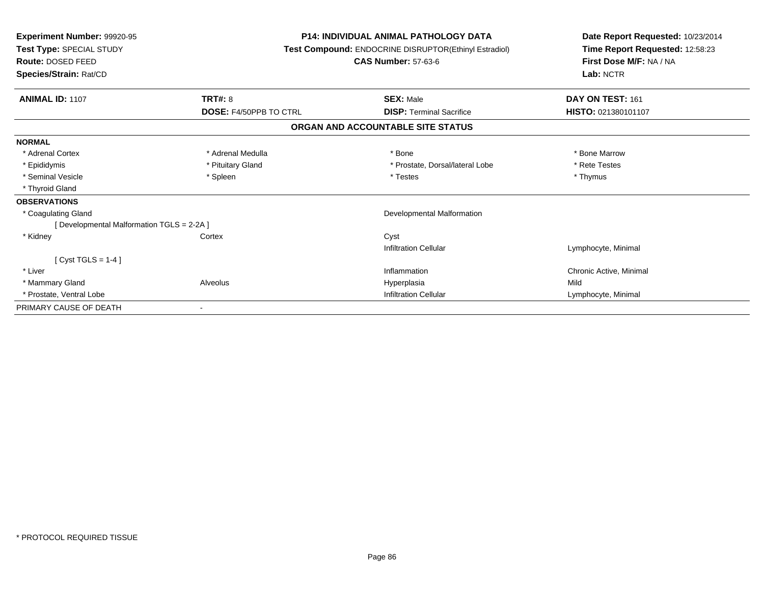| <b>Experiment Number: 99920-95</b><br>Test Type: SPECIAL STUDY<br>Route: DOSED FEED<br>Species/Strain: Rat/CD |                        | <b>P14: INDIVIDUAL ANIMAL PATHOLOGY DATA</b><br>Test Compound: ENDOCRINE DISRUPTOR(Ethinyl Estradiol)<br><b>CAS Number: 57-63-6</b> | Date Report Requested: 10/23/2014<br>Time Report Requested: 12:58:23<br>First Dose M/F: NA / NA<br>Lab: NCTR |
|---------------------------------------------------------------------------------------------------------------|------------------------|-------------------------------------------------------------------------------------------------------------------------------------|--------------------------------------------------------------------------------------------------------------|
| <b>ANIMAL ID: 1107</b>                                                                                        | <b>TRT#: 8</b>         | <b>SEX: Male</b>                                                                                                                    | DAY ON TEST: 161                                                                                             |
|                                                                                                               | DOSE: F4/50PPB TO CTRL | <b>DISP: Terminal Sacrifice</b>                                                                                                     | HISTO: 021380101107                                                                                          |
|                                                                                                               |                        | ORGAN AND ACCOUNTABLE SITE STATUS                                                                                                   |                                                                                                              |
| <b>NORMAL</b>                                                                                                 |                        |                                                                                                                                     |                                                                                                              |
| * Adrenal Cortex                                                                                              | * Adrenal Medulla      | * Bone                                                                                                                              | * Bone Marrow                                                                                                |
| * Epididymis                                                                                                  | * Pituitary Gland      | * Prostate, Dorsal/lateral Lobe                                                                                                     | * Rete Testes                                                                                                |
| * Seminal Vesicle                                                                                             | * Spleen               | * Testes                                                                                                                            | * Thymus                                                                                                     |
| * Thyroid Gland                                                                                               |                        |                                                                                                                                     |                                                                                                              |
| <b>OBSERVATIONS</b>                                                                                           |                        |                                                                                                                                     |                                                                                                              |
| * Coagulating Gland                                                                                           |                        | Developmental Malformation                                                                                                          |                                                                                                              |
| [ Developmental Malformation TGLS = 2-2A ]                                                                    |                        |                                                                                                                                     |                                                                                                              |
| * Kidney                                                                                                      | Cortex                 | Cyst                                                                                                                                |                                                                                                              |
|                                                                                                               |                        | <b>Infiltration Cellular</b>                                                                                                        | Lymphocyte, Minimal                                                                                          |
| [ $Cyst TGLS = 1-4$ ]                                                                                         |                        |                                                                                                                                     |                                                                                                              |
| * Liver                                                                                                       |                        | Inflammation                                                                                                                        | Chronic Active, Minimal                                                                                      |
| * Mammary Gland                                                                                               | Alveolus               | Hyperplasia                                                                                                                         | Mild                                                                                                         |
| * Prostate, Ventral Lobe                                                                                      |                        | <b>Infiltration Cellular</b>                                                                                                        | Lymphocyte, Minimal                                                                                          |
| PRIMARY CAUSE OF DEATH                                                                                        |                        |                                                                                                                                     |                                                                                                              |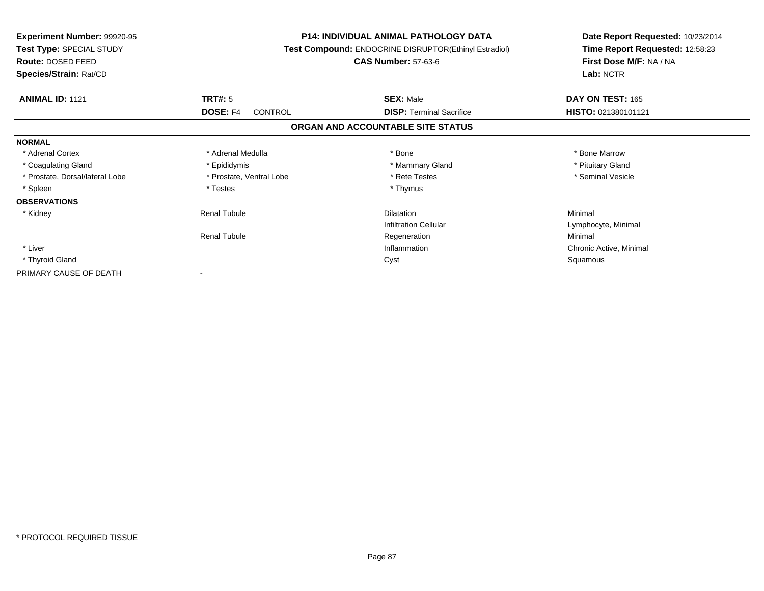| <b>Experiment Number: 99920-95</b><br>Test Type: SPECIAL STUDY<br>Route: DOSED FEED<br>Species/Strain: Rat/CD | <b>P14: INDIVIDUAL ANIMAL PATHOLOGY DATA</b><br>Test Compound: ENDOCRINE DISRUPTOR(Ethinyl Estradiol)<br><b>CAS Number: 57-63-6</b> |                                   | Date Report Requested: 10/23/2014<br>Time Report Requested: 12:58:23<br>First Dose M/F: NA / NA<br>Lab: NCTR |
|---------------------------------------------------------------------------------------------------------------|-------------------------------------------------------------------------------------------------------------------------------------|-----------------------------------|--------------------------------------------------------------------------------------------------------------|
| <b>ANIMAL ID: 1121</b>                                                                                        | TRT#: 5                                                                                                                             | <b>SEX: Male</b>                  | DAY ON TEST: 165                                                                                             |
|                                                                                                               | <b>DOSE: F4</b><br><b>CONTROL</b>                                                                                                   | <b>DISP:</b> Terminal Sacrifice   | HISTO: 021380101121                                                                                          |
|                                                                                                               |                                                                                                                                     | ORGAN AND ACCOUNTABLE SITE STATUS |                                                                                                              |
| <b>NORMAL</b>                                                                                                 |                                                                                                                                     |                                   |                                                                                                              |
| * Adrenal Cortex                                                                                              | * Adrenal Medulla                                                                                                                   | * Bone                            | * Bone Marrow                                                                                                |
| * Coagulating Gland                                                                                           | * Epididymis                                                                                                                        | * Mammary Gland                   | * Pituitary Gland                                                                                            |
| * Prostate, Dorsal/lateral Lobe                                                                               | * Prostate, Ventral Lobe                                                                                                            | * Rete Testes                     | * Seminal Vesicle                                                                                            |
| * Spleen                                                                                                      | * Testes                                                                                                                            | * Thymus                          |                                                                                                              |
| <b>OBSERVATIONS</b>                                                                                           |                                                                                                                                     |                                   |                                                                                                              |
| * Kidney                                                                                                      | <b>Renal Tubule</b>                                                                                                                 | <b>Dilatation</b>                 | Minimal                                                                                                      |
|                                                                                                               |                                                                                                                                     | <b>Infiltration Cellular</b>      | Lymphocyte, Minimal                                                                                          |
|                                                                                                               | <b>Renal Tubule</b>                                                                                                                 | Regeneration                      | Minimal                                                                                                      |
| * Liver                                                                                                       | Inflammation                                                                                                                        |                                   | Chronic Active, Minimal                                                                                      |
| * Thyroid Gland                                                                                               | Cyst                                                                                                                                |                                   | Squamous                                                                                                     |
| PRIMARY CAUSE OF DEATH                                                                                        |                                                                                                                                     |                                   |                                                                                                              |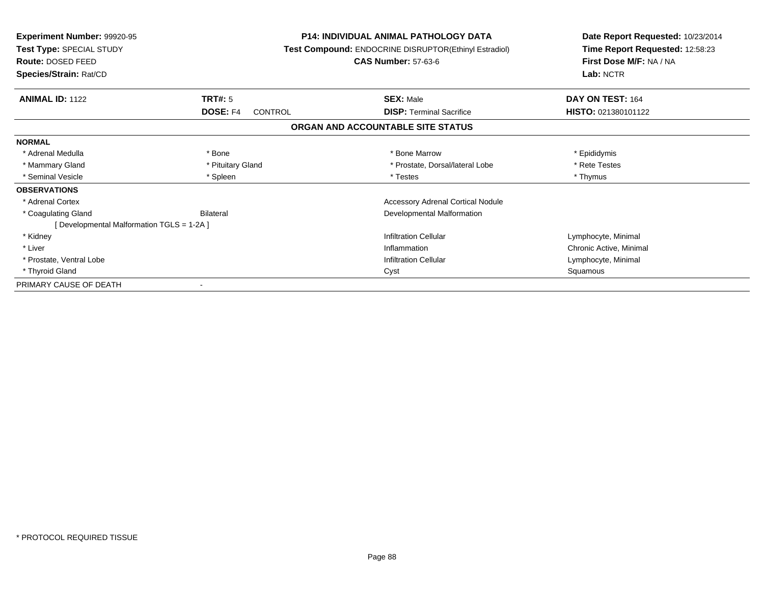| <b>Experiment Number: 99920-95</b><br>Test Type: SPECIAL STUDY<br>Route: DOSED FEED<br>Species/Strain: Rat/CD |                     | <b>P14: INDIVIDUAL ANIMAL PATHOLOGY DATA</b><br><b>Test Compound: ENDOCRINE DISRUPTOR(Ethinyl Estradiol)</b><br><b>CAS Number: 57-63-6</b> | Date Report Requested: 10/23/2014<br>Time Report Requested: 12:58:23<br>First Dose M/F: NA / NA<br>Lab: NCTR |
|---------------------------------------------------------------------------------------------------------------|---------------------|--------------------------------------------------------------------------------------------------------------------------------------------|--------------------------------------------------------------------------------------------------------------|
| <b>ANIMAL ID: 1122</b>                                                                                        | TRT#: 5             | <b>SEX: Male</b>                                                                                                                           | DAY ON TEST: 164                                                                                             |
|                                                                                                               | DOSE: F4<br>CONTROL | <b>DISP: Terminal Sacrifice</b>                                                                                                            | HISTO: 021380101122                                                                                          |
|                                                                                                               |                     | ORGAN AND ACCOUNTABLE SITE STATUS                                                                                                          |                                                                                                              |
| <b>NORMAL</b>                                                                                                 |                     |                                                                                                                                            |                                                                                                              |
| * Adrenal Medulla                                                                                             | * Bone              | * Bone Marrow                                                                                                                              | * Epididymis                                                                                                 |
| * Mammary Gland                                                                                               | * Pituitary Gland   | * Prostate, Dorsal/lateral Lobe                                                                                                            | * Rete Testes                                                                                                |
| * Seminal Vesicle                                                                                             | * Spleen            | * Testes                                                                                                                                   | * Thymus                                                                                                     |
| <b>OBSERVATIONS</b>                                                                                           |                     |                                                                                                                                            |                                                                                                              |
| * Adrenal Cortex                                                                                              |                     | <b>Accessory Adrenal Cortical Nodule</b>                                                                                                   |                                                                                                              |
| * Coagulating Gland                                                                                           | Bilateral           | Developmental Malformation                                                                                                                 |                                                                                                              |
| [ Developmental Malformation TGLS = 1-2A ]                                                                    |                     |                                                                                                                                            |                                                                                                              |
| * Kidney                                                                                                      |                     | <b>Infiltration Cellular</b>                                                                                                               | Lymphocyte, Minimal                                                                                          |
| * Liver                                                                                                       |                     | Inflammation                                                                                                                               |                                                                                                              |
| * Prostate, Ventral Lobe                                                                                      |                     | <b>Infiltration Cellular</b>                                                                                                               | Lymphocyte, Minimal                                                                                          |
| * Thyroid Gland                                                                                               |                     | Cyst                                                                                                                                       |                                                                                                              |
| PRIMARY CAUSE OF DEATH                                                                                        |                     |                                                                                                                                            |                                                                                                              |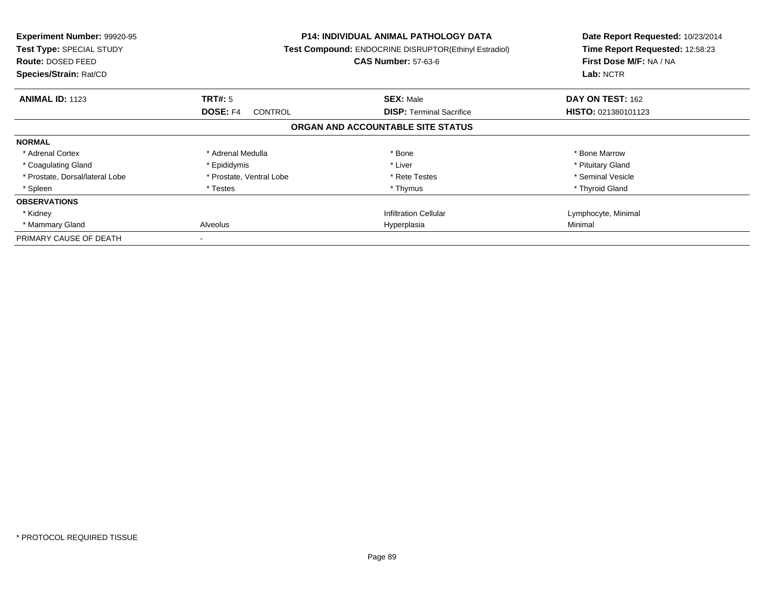| <b>Experiment Number: 99920-95</b><br>Test Type: SPECIAL STUDY<br><b>Route: DOSED FEED</b><br>Species/Strain: Rat/CD |                                   | <b>P14: INDIVIDUAL ANIMAL PATHOLOGY DATA</b><br>Test Compound: ENDOCRINE DISRUPTOR(Ethinyl Estradiol)<br><b>CAS Number: 57-63-6</b> | Date Report Requested: 10/23/2014<br>Time Report Requested: 12:58:23<br>First Dose M/F: NA / NA<br>Lab: NCTR |
|----------------------------------------------------------------------------------------------------------------------|-----------------------------------|-------------------------------------------------------------------------------------------------------------------------------------|--------------------------------------------------------------------------------------------------------------|
| <b>ANIMAL ID: 1123</b>                                                                                               | TRT#: 5                           | <b>SEX: Male</b>                                                                                                                    | DAY ON TEST: 162                                                                                             |
|                                                                                                                      | <b>DOSE: F4</b><br><b>CONTROL</b> | <b>DISP:</b> Terminal Sacrifice                                                                                                     | HISTO: 021380101123                                                                                          |
|                                                                                                                      |                                   | ORGAN AND ACCOUNTABLE SITE STATUS                                                                                                   |                                                                                                              |
| <b>NORMAL</b>                                                                                                        |                                   |                                                                                                                                     |                                                                                                              |
| * Adrenal Cortex                                                                                                     | * Adrenal Medulla                 | * Bone                                                                                                                              | * Bone Marrow                                                                                                |
| * Coagulating Gland                                                                                                  | * Epididymis                      | * Liver                                                                                                                             | * Pituitary Gland                                                                                            |
| * Prostate, Dorsal/lateral Lobe                                                                                      | * Prostate, Ventral Lobe          | * Rete Testes                                                                                                                       | * Seminal Vesicle                                                                                            |
| * Spleen                                                                                                             | * Testes                          | * Thymus                                                                                                                            | * Thyroid Gland                                                                                              |
| <b>OBSERVATIONS</b>                                                                                                  |                                   |                                                                                                                                     |                                                                                                              |
| * Kidney                                                                                                             |                                   | <b>Infiltration Cellular</b>                                                                                                        | Lymphocyte, Minimal                                                                                          |
| * Mammary Gland                                                                                                      | Alveolus<br>Hyperplasia           |                                                                                                                                     | Minimal                                                                                                      |
| PRIMARY CAUSE OF DEATH                                                                                               |                                   |                                                                                                                                     |                                                                                                              |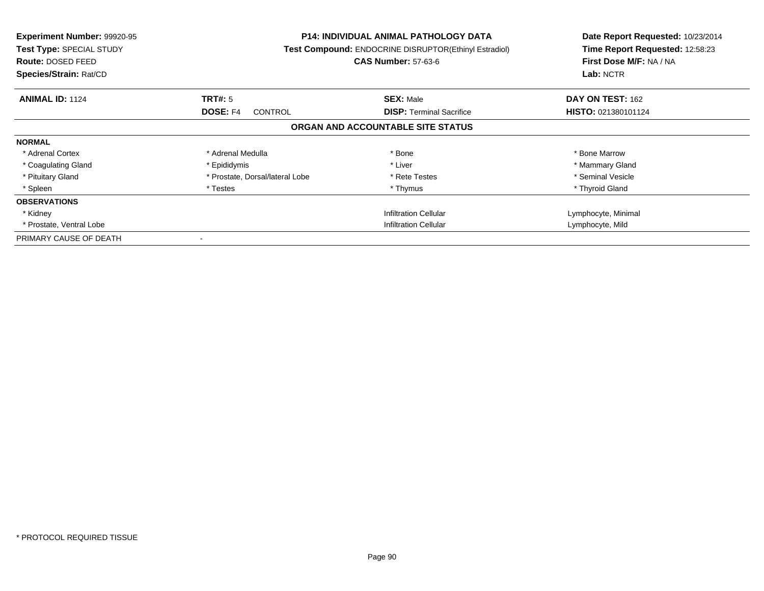| <b>Experiment Number: 99920-95</b><br>Test Type: SPECIAL STUDY<br>Route: DOSED FEED<br>Species/Strain: Rat/CD |                                   | <b>P14: INDIVIDUAL ANIMAL PATHOLOGY DATA</b><br><b>Test Compound: ENDOCRINE DISRUPTOR(Ethinyl Estradiol)</b><br><b>CAS Number: 57-63-6</b> | Date Report Requested: 10/23/2014<br>Time Report Requested: 12:58:23<br>First Dose M/F: NA / NA<br>Lab: NCTR |
|---------------------------------------------------------------------------------------------------------------|-----------------------------------|--------------------------------------------------------------------------------------------------------------------------------------------|--------------------------------------------------------------------------------------------------------------|
| <b>ANIMAL ID: 1124</b>                                                                                        | TRT#: 5                           | <b>SEX: Male</b>                                                                                                                           | DAY ON TEST: 162                                                                                             |
|                                                                                                               | <b>DOSE: F4</b><br><b>CONTROL</b> | <b>DISP:</b> Terminal Sacrifice                                                                                                            | <b>HISTO: 021380101124</b>                                                                                   |
|                                                                                                               |                                   | ORGAN AND ACCOUNTABLE SITE STATUS                                                                                                          |                                                                                                              |
| <b>NORMAL</b>                                                                                                 |                                   |                                                                                                                                            |                                                                                                              |
| * Adrenal Cortex                                                                                              | * Adrenal Medulla                 | * Bone                                                                                                                                     | * Bone Marrow                                                                                                |
| * Coagulating Gland                                                                                           | * Epididymis                      | * Liver                                                                                                                                    | * Mammary Gland                                                                                              |
| * Pituitary Gland                                                                                             | * Prostate, Dorsal/lateral Lobe   | * Rete Testes                                                                                                                              | * Seminal Vesicle                                                                                            |
| * Spleen                                                                                                      | * Testes                          | * Thymus                                                                                                                                   | * Thyroid Gland                                                                                              |
| <b>OBSERVATIONS</b>                                                                                           |                                   |                                                                                                                                            |                                                                                                              |
| * Kidney                                                                                                      |                                   | <b>Infiltration Cellular</b>                                                                                                               | Lymphocyte, Minimal                                                                                          |
| * Prostate, Ventral Lobe                                                                                      | <b>Infiltration Cellular</b>      |                                                                                                                                            | Lymphocyte, Mild                                                                                             |
| PRIMARY CAUSE OF DEATH                                                                                        |                                   |                                                                                                                                            |                                                                                                              |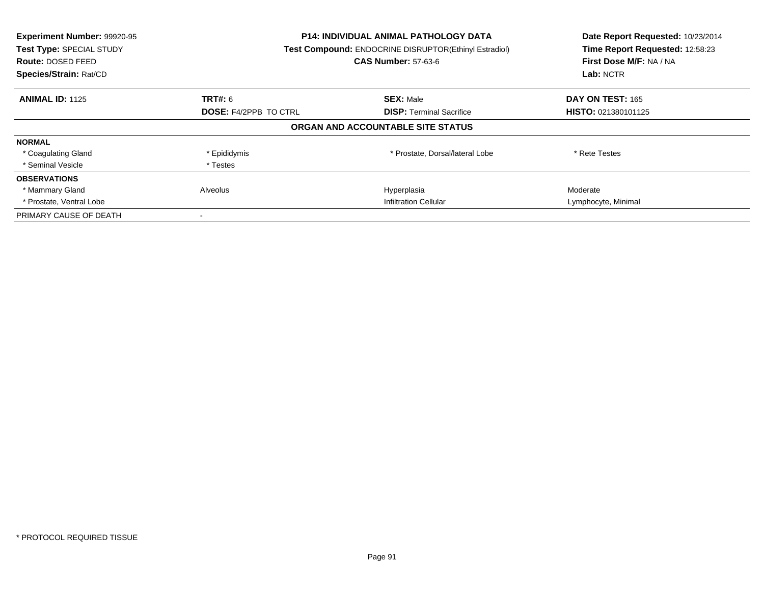| Experiment Number: 99920-95<br>Test Type: SPECIAL STUDY<br><b>Route: DOSED FEED</b><br>Species/Strain: Rat/CD | <b>P14: INDIVIDUAL ANIMAL PATHOLOGY DATA</b><br><b>Test Compound: ENDOCRINE DISRUPTOR(Ethinyl Estradiol)</b><br><b>CAS Number: 57-63-6</b> |                                   | Date Report Requested: 10/23/2014<br>Time Report Requested: 12:58:23<br>First Dose M/F: NA / NA<br>Lab: NCTR |
|---------------------------------------------------------------------------------------------------------------|--------------------------------------------------------------------------------------------------------------------------------------------|-----------------------------------|--------------------------------------------------------------------------------------------------------------|
| <b>ANIMAL ID: 1125</b>                                                                                        | <b>TRT#: 6</b>                                                                                                                             | <b>SEX: Male</b>                  | DAY ON TEST: 165                                                                                             |
|                                                                                                               | <b>DOSE: F4/2PPB TO CTRL</b>                                                                                                               | <b>DISP:</b> Terminal Sacrifice   | HISTO: 021380101125                                                                                          |
|                                                                                                               |                                                                                                                                            | ORGAN AND ACCOUNTABLE SITE STATUS |                                                                                                              |
| <b>NORMAL</b>                                                                                                 |                                                                                                                                            |                                   |                                                                                                              |
| * Coagulating Gland                                                                                           | * Epididymis                                                                                                                               | * Prostate, Dorsal/lateral Lobe   | * Rete Testes                                                                                                |
| * Seminal Vesicle                                                                                             | * Testes                                                                                                                                   |                                   |                                                                                                              |
| <b>OBSERVATIONS</b>                                                                                           |                                                                                                                                            |                                   |                                                                                                              |
| * Mammary Gland                                                                                               | Alveolus                                                                                                                                   | Hyperplasia                       | Moderate                                                                                                     |
| * Prostate, Ventral Lobe                                                                                      | Infiltration Cellular                                                                                                                      |                                   | Lymphocyte, Minimal                                                                                          |
| PRIMARY CAUSE OF DEATH                                                                                        |                                                                                                                                            |                                   |                                                                                                              |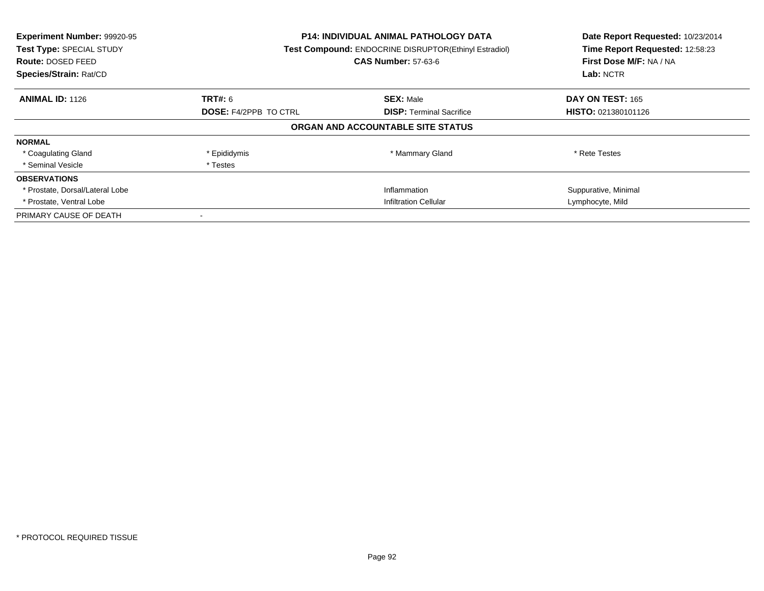| Experiment Number: 99920-95<br>Test Type: SPECIAL STUDY<br><b>Route: DOSED FEED</b><br>Species/Strain: Rat/CD | <b>P14: INDIVIDUAL ANIMAL PATHOLOGY DATA</b><br><b>Test Compound: ENDOCRINE DISRUPTOR(Ethinyl Estradiol)</b><br><b>CAS Number: 57-63-6</b> |                                   | Date Report Requested: 10/23/2014<br>Time Report Requested: 12:58:23<br>First Dose M/F: NA / NA<br>Lab: NCTR |
|---------------------------------------------------------------------------------------------------------------|--------------------------------------------------------------------------------------------------------------------------------------------|-----------------------------------|--------------------------------------------------------------------------------------------------------------|
| <b>ANIMAL ID: 1126</b>                                                                                        | <b>TRT#: 6</b>                                                                                                                             | <b>SEX: Male</b>                  | DAY ON TEST: 165                                                                                             |
|                                                                                                               | <b>DOSE: F4/2PPB TO CTRL</b>                                                                                                               | <b>DISP:</b> Terminal Sacrifice   | HISTO: 021380101126                                                                                          |
|                                                                                                               |                                                                                                                                            | ORGAN AND ACCOUNTABLE SITE STATUS |                                                                                                              |
| <b>NORMAL</b>                                                                                                 |                                                                                                                                            |                                   |                                                                                                              |
| * Coagulating Gland                                                                                           | * Epididymis                                                                                                                               | * Mammary Gland                   | * Rete Testes                                                                                                |
| * Seminal Vesicle                                                                                             | * Testes                                                                                                                                   |                                   |                                                                                                              |
| <b>OBSERVATIONS</b>                                                                                           |                                                                                                                                            |                                   |                                                                                                              |
| * Prostate, Dorsal/Lateral Lobe                                                                               |                                                                                                                                            | Inflammation                      | Suppurative, Minimal                                                                                         |
| * Prostate, Ventral Lobe                                                                                      | <b>Infiltration Cellular</b>                                                                                                               |                                   | Lymphocyte, Mild                                                                                             |
| PRIMARY CAUSE OF DEATH                                                                                        |                                                                                                                                            |                                   |                                                                                                              |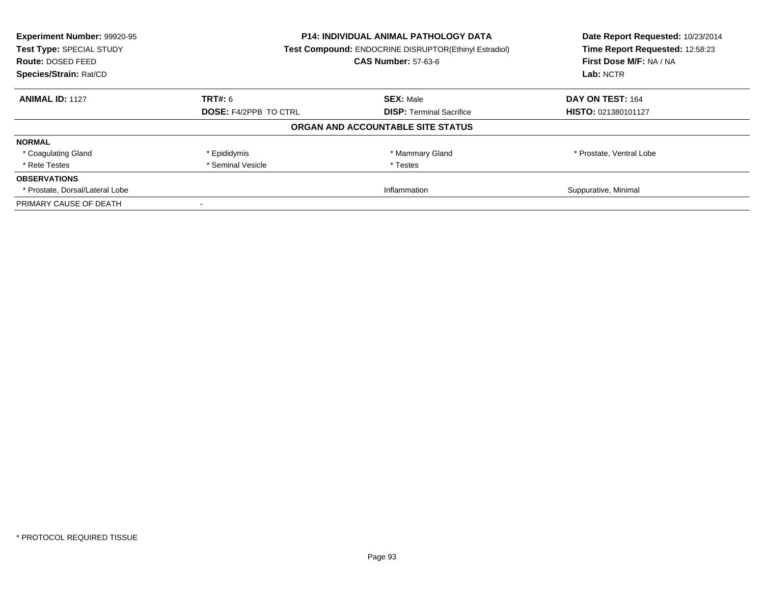| Experiment Number: 99920-95     | <b>P14: INDIVIDUAL ANIMAL PATHOLOGY DATA</b>                    |                                                       | Date Report Requested: 10/23/2014 |
|---------------------------------|-----------------------------------------------------------------|-------------------------------------------------------|-----------------------------------|
| Test Type: SPECIAL STUDY        |                                                                 | Test Compound: ENDOCRINE DISRUPTOR(Ethinyl Estradiol) | Time Report Requested: 12:58:23   |
| Route: DOSED FEED               |                                                                 | <b>CAS Number: 57-63-6</b>                            | First Dose M/F: NA / NA           |
| Species/Strain: Rat/CD          |                                                                 |                                                       | Lab: NCTR                         |
| <b>ANIMAL ID: 1127</b>          | TRT#: 6                                                         | <b>SEX: Male</b>                                      | DAY ON TEST: 164                  |
|                                 | <b>DOSE: F4/2PPB TO CTRL</b><br><b>DISP:</b> Terminal Sacrifice | <b>HISTO: 021380101127</b>                            |                                   |
|                                 |                                                                 | ORGAN AND ACCOUNTABLE SITE STATUS                     |                                   |
| <b>NORMAL</b>                   |                                                                 |                                                       |                                   |
| * Coagulating Gland             | * Epididymis                                                    | * Mammary Gland                                       | * Prostate, Ventral Lobe          |
| * Rete Testes                   | * Seminal Vesicle                                               | * Testes                                              |                                   |
| <b>OBSERVATIONS</b>             |                                                                 |                                                       |                                   |
| * Prostate, Dorsal/Lateral Lobe | Inflammation                                                    |                                                       | Suppurative, Minimal              |
| PRIMARY CAUSE OF DEATH          |                                                                 |                                                       |                                   |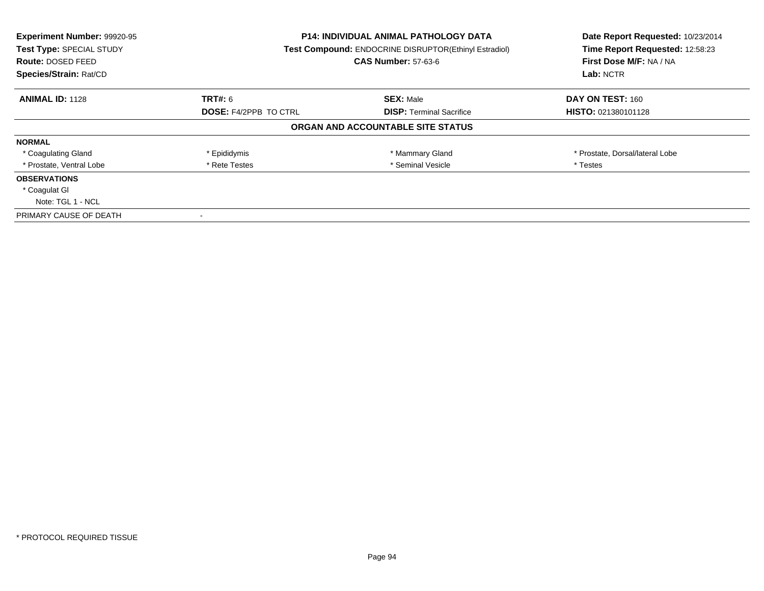| Experiment Number: 99920-95<br>Test Type: SPECIAL STUDY<br><b>Route: DOSED FEED</b><br>Species/Strain: Rat/CD | <b>P14: INDIVIDUAL ANIMAL PATHOLOGY DATA</b><br><b>Test Compound: ENDOCRINE DISRUPTOR(Ethinyl Estradiol)</b><br><b>CAS Number: 57-63-6</b> |                                   | Date Report Requested: 10/23/2014<br>Time Report Requested: 12:58:23<br>First Dose M/F: NA / NA<br>Lab: NCTR |
|---------------------------------------------------------------------------------------------------------------|--------------------------------------------------------------------------------------------------------------------------------------------|-----------------------------------|--------------------------------------------------------------------------------------------------------------|
| <b>ANIMAL ID: 1128</b>                                                                                        | TRT#: 6                                                                                                                                    | <b>SEX: Male</b>                  | DAY ON TEST: 160                                                                                             |
|                                                                                                               | <b>DOSE: F4/2PPB TO CTRL</b>                                                                                                               | <b>DISP:</b> Terminal Sacrifice   | <b>HISTO: 021380101128</b>                                                                                   |
|                                                                                                               |                                                                                                                                            | ORGAN AND ACCOUNTABLE SITE STATUS |                                                                                                              |
| <b>NORMAL</b>                                                                                                 |                                                                                                                                            |                                   |                                                                                                              |
| * Coagulating Gland                                                                                           | * Epididymis                                                                                                                               | * Mammary Gland                   | * Prostate, Dorsal/lateral Lobe                                                                              |
| * Prostate, Ventral Lobe                                                                                      | * Rete Testes                                                                                                                              | * Seminal Vesicle                 | * Testes                                                                                                     |
| <b>OBSERVATIONS</b>                                                                                           |                                                                                                                                            |                                   |                                                                                                              |
| * Coagulat GI                                                                                                 |                                                                                                                                            |                                   |                                                                                                              |
| Note: TGL 1 - NCL                                                                                             |                                                                                                                                            |                                   |                                                                                                              |
| PRIMARY CAUSE OF DEATH                                                                                        |                                                                                                                                            |                                   |                                                                                                              |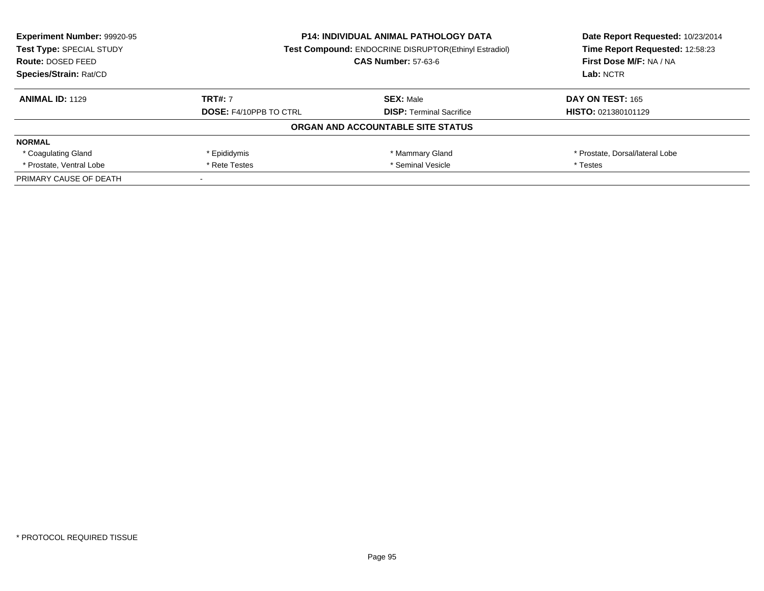| <b>Experiment Number: 99920-95</b><br>Test Type: SPECIAL STUDY | <b>P14: INDIVIDUAL ANIMAL PATHOLOGY DATA</b><br><b>Test Compound: ENDOCRINE DISRUPTOR(Ethinyl Estradiol)</b><br><b>CAS Number: 57-63-6</b> |                                   | Date Report Requested: 10/23/2014<br>Time Report Requested: 12:58:23 |  |
|----------------------------------------------------------------|--------------------------------------------------------------------------------------------------------------------------------------------|-----------------------------------|----------------------------------------------------------------------|--|
| <b>Route: DOSED FEED</b>                                       |                                                                                                                                            |                                   | First Dose M/F: NA / NA                                              |  |
| Species/Strain: Rat/CD                                         |                                                                                                                                            |                                   | Lab: NCTR                                                            |  |
| <b>ANIMAL ID: 1129</b>                                         | <b>TRT#: 7</b>                                                                                                                             | <b>SEX: Male</b>                  | DAY ON TEST: 165                                                     |  |
|                                                                | <b>DOSE: F4/10PPB TO CTRL</b><br><b>DISP:</b> Terminal Sacrifice                                                                           |                                   | <b>HISTO: 021380101129</b>                                           |  |
|                                                                |                                                                                                                                            | ORGAN AND ACCOUNTABLE SITE STATUS |                                                                      |  |
| <b>NORMAL</b>                                                  |                                                                                                                                            |                                   |                                                                      |  |
| * Coagulating Gland                                            | * Epididymis                                                                                                                               | * Mammary Gland                   | * Prostate, Dorsal/lateral Lobe                                      |  |
| * Prostate, Ventral Lobe                                       | * Seminal Vesicle<br>* Rete Testes                                                                                                         |                                   | * Testes                                                             |  |
| PRIMARY CAUSE OF DEATH                                         |                                                                                                                                            |                                   |                                                                      |  |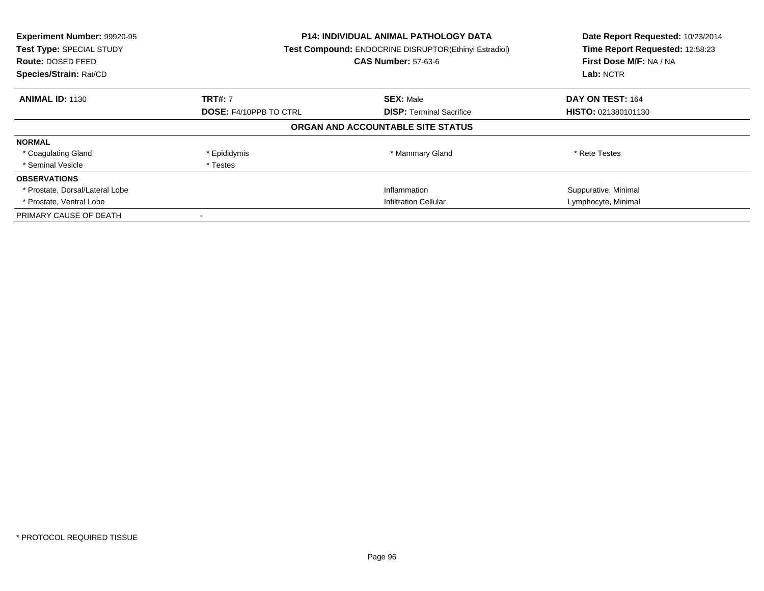| Experiment Number: 99920-95<br>Test Type: SPECIAL STUDY<br><b>Route: DOSED FEED</b><br>Species/Strain: Rat/CD | <b>P14: INDIVIDUAL ANIMAL PATHOLOGY DATA</b><br><b>Test Compound: ENDOCRINE DISRUPTOR(Ethinyl Estradiol)</b><br><b>CAS Number: 57-63-6</b> |                                   | Date Report Requested: 10/23/2014<br>Time Report Requested: 12:58:23<br>First Dose M/F: NA / NA<br>Lab: NCTR |
|---------------------------------------------------------------------------------------------------------------|--------------------------------------------------------------------------------------------------------------------------------------------|-----------------------------------|--------------------------------------------------------------------------------------------------------------|
| <b>ANIMAL ID: 1130</b>                                                                                        | <b>TRT#: 7</b>                                                                                                                             | <b>SEX: Male</b>                  | DAY ON TEST: 164                                                                                             |
|                                                                                                               | <b>DOSE: F4/10PPB TO CTRL</b><br><b>DISP:</b> Terminal Sacrifice                                                                           |                                   | <b>HISTO: 021380101130</b>                                                                                   |
|                                                                                                               |                                                                                                                                            | ORGAN AND ACCOUNTABLE SITE STATUS |                                                                                                              |
| <b>NORMAL</b>                                                                                                 |                                                                                                                                            |                                   |                                                                                                              |
| * Coagulating Gland                                                                                           | * Epididymis                                                                                                                               | * Mammary Gland                   | * Rete Testes                                                                                                |
| * Seminal Vesicle                                                                                             | * Testes                                                                                                                                   |                                   |                                                                                                              |
| <b>OBSERVATIONS</b>                                                                                           |                                                                                                                                            |                                   |                                                                                                              |
| * Prostate, Dorsal/Lateral Lobe                                                                               | Inflammation                                                                                                                               |                                   | Suppurative, Minimal                                                                                         |
| * Prostate, Ventral Lobe                                                                                      | <b>Infiltration Cellular</b>                                                                                                               |                                   | Lymphocyte, Minimal                                                                                          |
| PRIMARY CAUSE OF DEATH                                                                                        |                                                                                                                                            |                                   |                                                                                                              |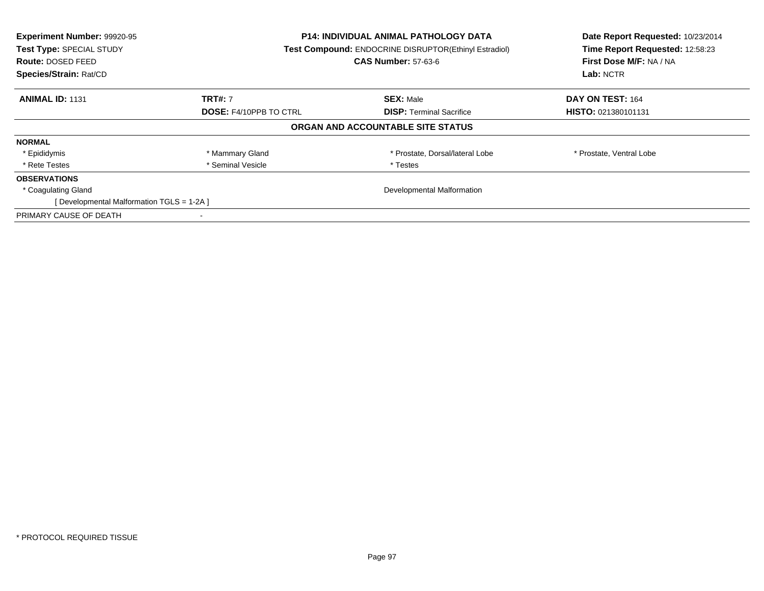| Experiment Number: 99920-95<br>Test Type: SPECIAL STUDY<br>Route: DOSED FEED<br>Species/Strain: Rat/CD | <b>P14: INDIVIDUAL ANIMAL PATHOLOGY DATA</b><br><b>Test Compound: ENDOCRINE DISRUPTOR(Ethinyl Estradiol)</b><br><b>CAS Number: 57-63-6</b> |                                   | Date Report Requested: 10/23/2014<br>Time Report Requested: 12:58:23<br>First Dose M/F: NA / NA<br>Lab: NCTR |
|--------------------------------------------------------------------------------------------------------|--------------------------------------------------------------------------------------------------------------------------------------------|-----------------------------------|--------------------------------------------------------------------------------------------------------------|
| <b>ANIMAL ID: 1131</b>                                                                                 | <b>TRT#: 7</b>                                                                                                                             | <b>SEX: Male</b>                  | DAY ON TEST: 164                                                                                             |
|                                                                                                        | <b>DOSE: F4/10PPB TO CTRL</b>                                                                                                              | <b>DISP:</b> Terminal Sacrifice   | <b>HISTO: 021380101131</b>                                                                                   |
|                                                                                                        |                                                                                                                                            | ORGAN AND ACCOUNTABLE SITE STATUS |                                                                                                              |
| <b>NORMAL</b>                                                                                          |                                                                                                                                            |                                   |                                                                                                              |
| * Epididymis                                                                                           | * Mammary Gland                                                                                                                            | * Prostate, Dorsal/lateral Lobe   | * Prostate, Ventral Lobe                                                                                     |
| * Rete Testes                                                                                          | * Seminal Vesicle                                                                                                                          | * Testes                          |                                                                                                              |
| <b>OBSERVATIONS</b>                                                                                    |                                                                                                                                            |                                   |                                                                                                              |
| * Coagulating Gland                                                                                    |                                                                                                                                            | Developmental Malformation        |                                                                                                              |
| [Developmental Malformation TGLS = 1-2A]                                                               |                                                                                                                                            |                                   |                                                                                                              |
| PRIMARY CAUSE OF DEATH                                                                                 |                                                                                                                                            |                                   |                                                                                                              |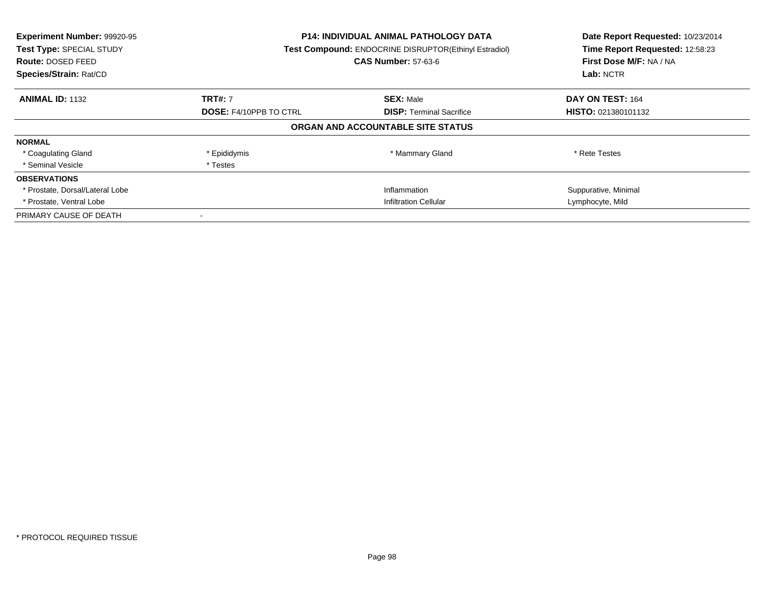| Experiment Number: 99920-95<br>Test Type: SPECIAL STUDY<br><b>Route: DOSED FEED</b><br>Species/Strain: Rat/CD | <b>P14: INDIVIDUAL ANIMAL PATHOLOGY DATA</b><br><b>Test Compound: ENDOCRINE DISRUPTOR(Ethinyl Estradiol)</b><br><b>CAS Number: 57-63-6</b> |                                   | Date Report Requested: 10/23/2014<br>Time Report Requested: 12:58:23<br>First Dose M/F: NA / NA<br>Lab: NCTR |
|---------------------------------------------------------------------------------------------------------------|--------------------------------------------------------------------------------------------------------------------------------------------|-----------------------------------|--------------------------------------------------------------------------------------------------------------|
| <b>ANIMAL ID: 1132</b>                                                                                        | <b>TRT#: 7</b>                                                                                                                             | <b>SEX: Male</b>                  | DAY ON TEST: 164                                                                                             |
|                                                                                                               | <b>DOSE: F4/10PPB TO CTRL</b>                                                                                                              | <b>DISP:</b> Terminal Sacrifice   | <b>HISTO: 021380101132</b>                                                                                   |
|                                                                                                               |                                                                                                                                            | ORGAN AND ACCOUNTABLE SITE STATUS |                                                                                                              |
| <b>NORMAL</b>                                                                                                 |                                                                                                                                            |                                   |                                                                                                              |
| * Coagulating Gland                                                                                           | * Epididymis                                                                                                                               | * Mammary Gland                   | * Rete Testes                                                                                                |
| * Seminal Vesicle                                                                                             | * Testes                                                                                                                                   |                                   |                                                                                                              |
| <b>OBSERVATIONS</b>                                                                                           |                                                                                                                                            |                                   |                                                                                                              |
| * Prostate, Dorsal/Lateral Lobe                                                                               |                                                                                                                                            | Inflammation                      | Suppurative, Minimal                                                                                         |
| * Prostate, Ventral Lobe                                                                                      | <b>Infiltration Cellular</b>                                                                                                               |                                   | Lymphocyte, Mild                                                                                             |
| PRIMARY CAUSE OF DEATH                                                                                        |                                                                                                                                            |                                   |                                                                                                              |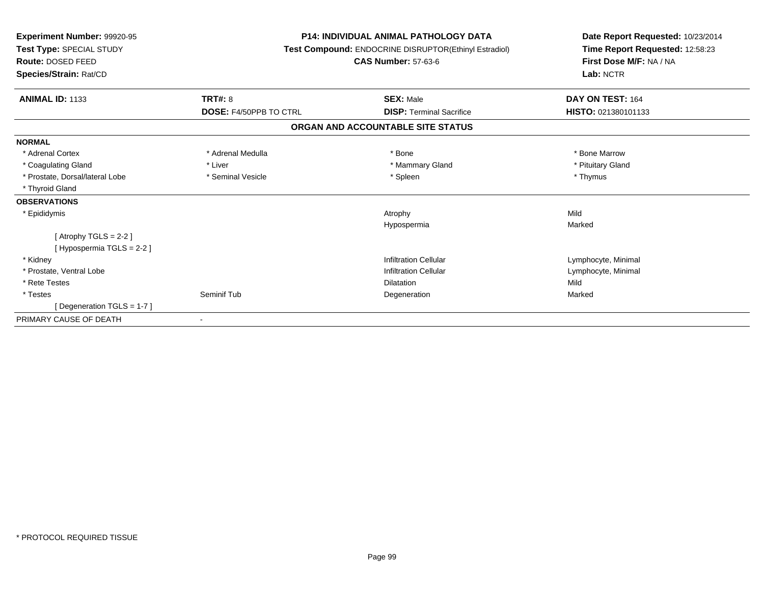| Experiment Number: 99920-95<br>Test Type: SPECIAL STUDY<br><b>Route: DOSED FEED</b><br>Species/Strain: Rat/CD |                               | <b>P14: INDIVIDUAL ANIMAL PATHOLOGY DATA</b><br>Test Compound: ENDOCRINE DISRUPTOR(Ethinyl Estradiol)<br><b>CAS Number: 57-63-6</b> | Date Report Requested: 10/23/2014<br>Time Report Requested: 12:58:23<br>First Dose M/F: NA / NA<br>Lab: NCTR |
|---------------------------------------------------------------------------------------------------------------|-------------------------------|-------------------------------------------------------------------------------------------------------------------------------------|--------------------------------------------------------------------------------------------------------------|
| <b>ANIMAL ID: 1133</b>                                                                                        | TRT#: 8                       | <b>SEX: Male</b>                                                                                                                    | DAY ON TEST: 164                                                                                             |
|                                                                                                               | <b>DOSE: F4/50PPB TO CTRL</b> | <b>DISP: Terminal Sacrifice</b>                                                                                                     | HISTO: 021380101133                                                                                          |
|                                                                                                               |                               | ORGAN AND ACCOUNTABLE SITE STATUS                                                                                                   |                                                                                                              |
| <b>NORMAL</b>                                                                                                 |                               |                                                                                                                                     |                                                                                                              |
| * Adrenal Cortex                                                                                              | * Adrenal Medulla             | * Bone                                                                                                                              | * Bone Marrow                                                                                                |
| * Coagulating Gland                                                                                           | * Liver                       | * Mammary Gland                                                                                                                     | * Pituitary Gland                                                                                            |
| * Prostate, Dorsal/lateral Lobe                                                                               | * Seminal Vesicle             | * Spleen                                                                                                                            | * Thymus                                                                                                     |
| * Thyroid Gland                                                                                               |                               |                                                                                                                                     |                                                                                                              |
| <b>OBSERVATIONS</b>                                                                                           |                               |                                                                                                                                     |                                                                                                              |
| * Epididymis                                                                                                  |                               | Atrophy                                                                                                                             | Mild                                                                                                         |
|                                                                                                               |                               | Hypospermia                                                                                                                         | Marked                                                                                                       |
| [Atrophy TGLS = 2-2]                                                                                          |                               |                                                                                                                                     |                                                                                                              |
| [Hypospermia TGLS = 2-2]                                                                                      |                               |                                                                                                                                     |                                                                                                              |
| * Kidney                                                                                                      |                               | <b>Infiltration Cellular</b>                                                                                                        | Lymphocyte, Minimal                                                                                          |
| * Prostate, Ventral Lobe                                                                                      |                               | <b>Infiltration Cellular</b>                                                                                                        | Lymphocyte, Minimal                                                                                          |
| * Rete Testes                                                                                                 |                               | Dilatation                                                                                                                          | Mild                                                                                                         |
| * Testes                                                                                                      | Seminif Tub                   | Degeneration                                                                                                                        | Marked                                                                                                       |
| [Degeneration TGLS = $1-7$ ]                                                                                  |                               |                                                                                                                                     |                                                                                                              |
| PRIMARY CAUSE OF DEATH                                                                                        |                               |                                                                                                                                     |                                                                                                              |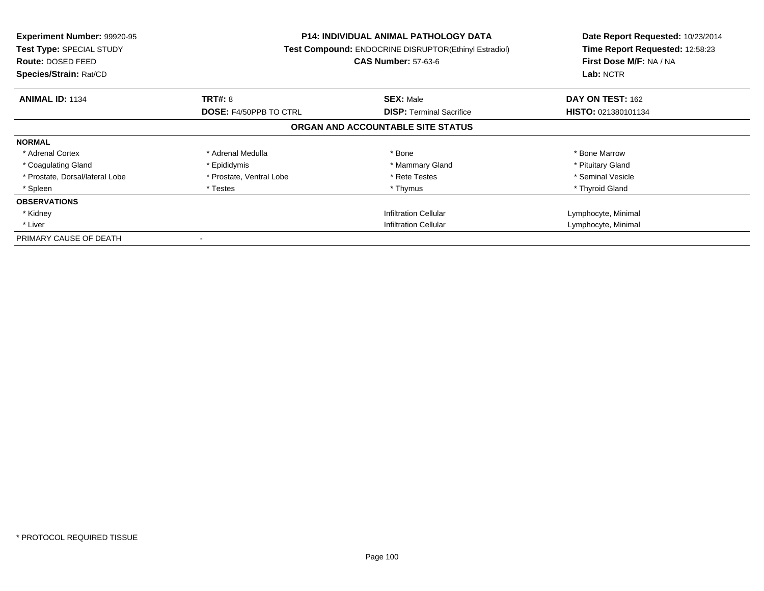| <b>Experiment Number: 99920-95</b><br>Test Type: SPECIAL STUDY<br>Route: DOSED FEED<br>Species/Strain: Rat/CD |                               | <b>P14: INDIVIDUAL ANIMAL PATHOLOGY DATA</b><br>Test Compound: ENDOCRINE DISRUPTOR(Ethinyl Estradiol)<br><b>CAS Number: 57-63-6</b> | Date Report Requested: 10/23/2014<br>Time Report Requested: 12:58:23<br>First Dose M/F: NA / NA<br>Lab: NCTR |
|---------------------------------------------------------------------------------------------------------------|-------------------------------|-------------------------------------------------------------------------------------------------------------------------------------|--------------------------------------------------------------------------------------------------------------|
| <b>ANIMAL ID: 1134</b>                                                                                        | <b>TRT#: 8</b>                | <b>SEX: Male</b>                                                                                                                    | DAY ON TEST: 162                                                                                             |
|                                                                                                               | <b>DOSE: F4/50PPB TO CTRL</b> | <b>DISP:</b> Terminal Sacrifice                                                                                                     | HISTO: 021380101134                                                                                          |
|                                                                                                               |                               | ORGAN AND ACCOUNTABLE SITE STATUS                                                                                                   |                                                                                                              |
| <b>NORMAL</b>                                                                                                 |                               |                                                                                                                                     |                                                                                                              |
| * Adrenal Cortex                                                                                              | * Adrenal Medulla             | * Bone                                                                                                                              | * Bone Marrow                                                                                                |
| * Coagulating Gland                                                                                           | * Epididymis                  | * Mammary Gland                                                                                                                     | * Pituitary Gland                                                                                            |
| * Prostate, Dorsal/lateral Lobe                                                                               | * Prostate, Ventral Lobe      | * Rete Testes                                                                                                                       | * Seminal Vesicle                                                                                            |
| * Spleen                                                                                                      | * Testes                      | * Thymus                                                                                                                            | * Thyroid Gland                                                                                              |
| <b>OBSERVATIONS</b>                                                                                           |                               |                                                                                                                                     |                                                                                                              |
| * Kidney                                                                                                      |                               | <b>Infiltration Cellular</b>                                                                                                        | Lymphocyte, Minimal                                                                                          |
| * Liver                                                                                                       | Infiltration Cellular         |                                                                                                                                     | Lymphocyte, Minimal                                                                                          |
| PRIMARY CAUSE OF DEATH                                                                                        |                               |                                                                                                                                     |                                                                                                              |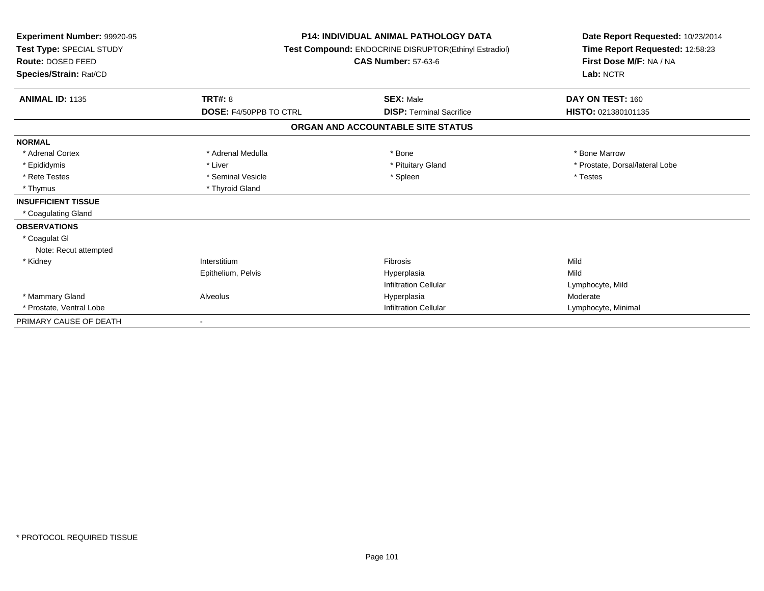| Experiment Number: 99920-95<br>Test Type: SPECIAL STUDY<br><b>Route: DOSED FEED</b><br>Species/Strain: Rat/CD |                        | <b>P14: INDIVIDUAL ANIMAL PATHOLOGY DATA</b><br>Test Compound: ENDOCRINE DISRUPTOR(Ethinyl Estradiol)<br><b>CAS Number: 57-63-6</b> | Date Report Requested: 10/23/2014<br>Time Report Requested: 12:58:23<br>First Dose M/F: NA / NA<br>Lab: NCTR |  |
|---------------------------------------------------------------------------------------------------------------|------------------------|-------------------------------------------------------------------------------------------------------------------------------------|--------------------------------------------------------------------------------------------------------------|--|
| <b>ANIMAL ID: 1135</b>                                                                                        | TRT#: 8                | <b>SEX: Male</b>                                                                                                                    | DAY ON TEST: 160                                                                                             |  |
|                                                                                                               | DOSE: F4/50PPB TO CTRL | <b>DISP: Terminal Sacrifice</b>                                                                                                     | HISTO: 021380101135                                                                                          |  |
|                                                                                                               |                        | ORGAN AND ACCOUNTABLE SITE STATUS                                                                                                   |                                                                                                              |  |
| <b>NORMAL</b>                                                                                                 |                        |                                                                                                                                     |                                                                                                              |  |
| * Adrenal Cortex                                                                                              | * Adrenal Medulla      | * Bone                                                                                                                              | * Bone Marrow                                                                                                |  |
| * Epididymis                                                                                                  | * Liver                | * Pituitary Gland                                                                                                                   | * Prostate, Dorsal/lateral Lobe                                                                              |  |
| * Rete Testes                                                                                                 | * Seminal Vesicle      | * Spleen                                                                                                                            | * Testes                                                                                                     |  |
| * Thymus                                                                                                      | * Thyroid Gland        |                                                                                                                                     |                                                                                                              |  |
| <b>INSUFFICIENT TISSUE</b>                                                                                    |                        |                                                                                                                                     |                                                                                                              |  |
| * Coagulating Gland                                                                                           |                        |                                                                                                                                     |                                                                                                              |  |
| <b>OBSERVATIONS</b>                                                                                           |                        |                                                                                                                                     |                                                                                                              |  |
| * Coagulat GI                                                                                                 |                        |                                                                                                                                     |                                                                                                              |  |
| Note: Recut attempted                                                                                         |                        |                                                                                                                                     |                                                                                                              |  |
| * Kidney                                                                                                      | Interstitium           | Fibrosis                                                                                                                            | Mild                                                                                                         |  |
|                                                                                                               | Epithelium, Pelvis     | Hyperplasia                                                                                                                         | Mild                                                                                                         |  |
|                                                                                                               |                        | <b>Infiltration Cellular</b>                                                                                                        | Lymphocyte, Mild                                                                                             |  |
| * Mammary Gland                                                                                               | Alveolus               | Hyperplasia                                                                                                                         | Moderate                                                                                                     |  |
| * Prostate, Ventral Lobe                                                                                      |                        | <b>Infiltration Cellular</b>                                                                                                        | Lymphocyte, Minimal                                                                                          |  |
| PRIMARY CAUSE OF DEATH                                                                                        |                        |                                                                                                                                     |                                                                                                              |  |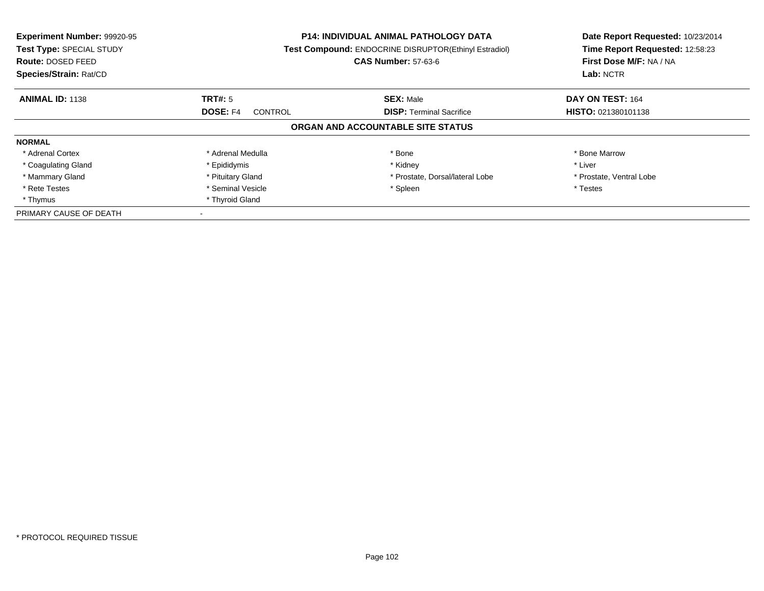| Experiment Number: 99920-95<br>Test Type: SPECIAL STUDY<br>Route: DOSED FEED<br>Species/Strain: Rat/CD |                            | <b>P14: INDIVIDUAL ANIMAL PATHOLOGY DATA</b><br>Test Compound: ENDOCRINE DISRUPTOR(Ethinyl Estradiol)<br><b>CAS Number: 57-63-6</b> |                            |
|--------------------------------------------------------------------------------------------------------|----------------------------|-------------------------------------------------------------------------------------------------------------------------------------|----------------------------|
| <b>ANIMAL ID: 1138</b>                                                                                 | TRT#: 5                    | <b>SEX: Male</b>                                                                                                                    | DAY ON TEST: 164           |
|                                                                                                        | <b>DOSE: F4</b><br>CONTROL | <b>DISP:</b> Terminal Sacrifice                                                                                                     | <b>HISTO: 021380101138</b> |
|                                                                                                        |                            | ORGAN AND ACCOUNTABLE SITE STATUS                                                                                                   |                            |
| <b>NORMAL</b>                                                                                          |                            |                                                                                                                                     |                            |
| * Adrenal Cortex                                                                                       | * Adrenal Medulla          | * Bone                                                                                                                              | * Bone Marrow              |
| * Coagulating Gland                                                                                    | * Epididymis               | * Kidney                                                                                                                            | * Liver                    |
| * Mammary Gland                                                                                        | * Pituitary Gland          | * Prostate, Dorsal/lateral Lobe                                                                                                     | * Prostate, Ventral Lobe   |
| * Rete Testes                                                                                          | * Seminal Vesicle          | * Spleen                                                                                                                            | * Testes                   |
| * Thymus                                                                                               | * Thyroid Gland            |                                                                                                                                     |                            |
| PRIMARY CAUSE OF DEATH                                                                                 |                            |                                                                                                                                     |                            |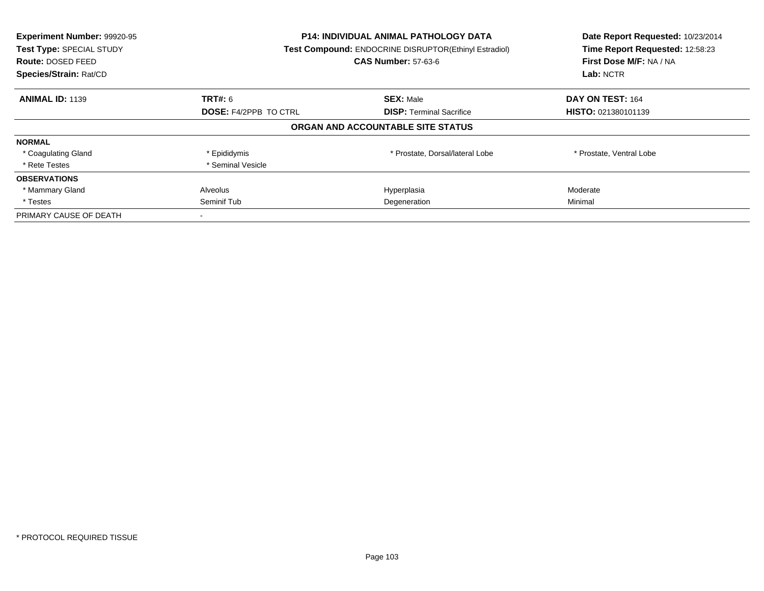| Experiment Number: 99920-95<br>Test Type: SPECIAL STUDY<br><b>Route: DOSED FEED</b><br>Species/Strain: Rat/CD | <b>P14: INDIVIDUAL ANIMAL PATHOLOGY DATA</b><br><b>Test Compound: ENDOCRINE DISRUPTOR(Ethinyl Estradiol)</b><br><b>CAS Number: 57-63-6</b> |                                   | Date Report Requested: 10/23/2014<br>Time Report Requested: 12:58:23<br>First Dose M/F: NA / NA<br>Lab: NCTR |
|---------------------------------------------------------------------------------------------------------------|--------------------------------------------------------------------------------------------------------------------------------------------|-----------------------------------|--------------------------------------------------------------------------------------------------------------|
| <b>ANIMAL ID: 1139</b>                                                                                        | <b>TRT#:</b> 6                                                                                                                             | <b>SEX: Male</b>                  | DAY ON TEST: 164                                                                                             |
|                                                                                                               | <b>DOSE: F4/2PPB TO CTRL</b>                                                                                                               | <b>DISP: Terminal Sacrifice</b>   | <b>HISTO: 021380101139</b>                                                                                   |
|                                                                                                               |                                                                                                                                            | ORGAN AND ACCOUNTABLE SITE STATUS |                                                                                                              |
| <b>NORMAL</b>                                                                                                 |                                                                                                                                            |                                   |                                                                                                              |
| * Coagulating Gland                                                                                           | * Epididymis                                                                                                                               | * Prostate, Dorsal/lateral Lobe   | * Prostate, Ventral Lobe                                                                                     |
| * Rete Testes                                                                                                 | * Seminal Vesicle                                                                                                                          |                                   |                                                                                                              |
| <b>OBSERVATIONS</b>                                                                                           |                                                                                                                                            |                                   |                                                                                                              |
| * Mammary Gland                                                                                               | Alveolus                                                                                                                                   | Hyperplasia                       | Moderate                                                                                                     |
| * Testes                                                                                                      | Seminif Tub<br>Degeneration                                                                                                                |                                   | Minimal                                                                                                      |
| PRIMARY CAUSE OF DEATH                                                                                        |                                                                                                                                            |                                   |                                                                                                              |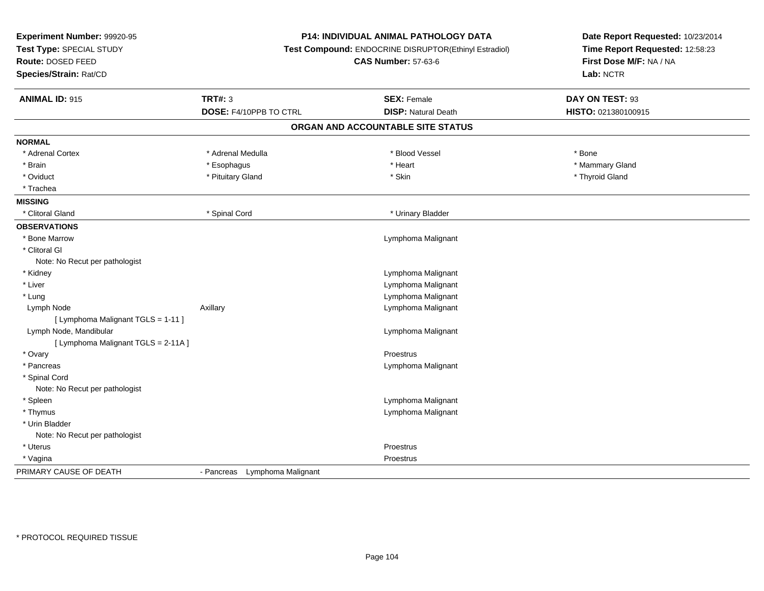| Experiment Number: 99920-95<br>Test Type: SPECIAL STUDY<br>Route: DOSED FEED<br>Species/Strain: Rat/CD |                               | P14: INDIVIDUAL ANIMAL PATHOLOGY DATA<br>Test Compound: ENDOCRINE DISRUPTOR(Ethinyl Estradiol)<br><b>CAS Number: 57-63-6</b> | Date Report Requested: 10/23/2014<br>Time Report Requested: 12:58:23<br>First Dose M/F: NA / NA<br>Lab: NCTR |
|--------------------------------------------------------------------------------------------------------|-------------------------------|------------------------------------------------------------------------------------------------------------------------------|--------------------------------------------------------------------------------------------------------------|
| <b>ANIMAL ID: 915</b>                                                                                  | <b>TRT#: 3</b>                | <b>SEX: Female</b>                                                                                                           | DAY ON TEST: 93                                                                                              |
|                                                                                                        | DOSE: F4/10PPB TO CTRL        | <b>DISP: Natural Death</b>                                                                                                   | HISTO: 021380100915                                                                                          |
|                                                                                                        |                               | ORGAN AND ACCOUNTABLE SITE STATUS                                                                                            |                                                                                                              |
| <b>NORMAL</b>                                                                                          |                               |                                                                                                                              |                                                                                                              |
| * Adrenal Cortex                                                                                       | * Adrenal Medulla             | * Blood Vessel                                                                                                               | * Bone                                                                                                       |
| * Brain                                                                                                | * Esophagus                   | * Heart                                                                                                                      | * Mammary Gland                                                                                              |
| * Oviduct                                                                                              | * Pituitary Gland             | * Skin                                                                                                                       | * Thyroid Gland                                                                                              |
| * Trachea                                                                                              |                               |                                                                                                                              |                                                                                                              |
| <b>MISSING</b>                                                                                         |                               |                                                                                                                              |                                                                                                              |
| * Clitoral Gland                                                                                       | * Spinal Cord                 | * Urinary Bladder                                                                                                            |                                                                                                              |
| <b>OBSERVATIONS</b>                                                                                    |                               |                                                                                                                              |                                                                                                              |
| * Bone Marrow                                                                                          |                               | Lymphoma Malignant                                                                                                           |                                                                                                              |
| * Clitoral GI                                                                                          |                               |                                                                                                                              |                                                                                                              |
| Note: No Recut per pathologist                                                                         |                               |                                                                                                                              |                                                                                                              |
| * Kidney                                                                                               |                               | Lymphoma Malignant                                                                                                           |                                                                                                              |
| * Liver                                                                                                |                               | Lymphoma Malignant                                                                                                           |                                                                                                              |
| * Lung                                                                                                 |                               | Lymphoma Malignant                                                                                                           |                                                                                                              |
| Lymph Node                                                                                             | Axillary                      | Lymphoma Malignant                                                                                                           |                                                                                                              |
| [ Lymphoma Malignant TGLS = 1-11 ]                                                                     |                               |                                                                                                                              |                                                                                                              |
| Lymph Node, Mandibular                                                                                 |                               | Lymphoma Malignant                                                                                                           |                                                                                                              |
| [ Lymphoma Malignant TGLS = 2-11A ]                                                                    |                               |                                                                                                                              |                                                                                                              |
| * Ovary                                                                                                |                               | Proestrus                                                                                                                    |                                                                                                              |
| * Pancreas                                                                                             |                               | Lymphoma Malignant                                                                                                           |                                                                                                              |
| * Spinal Cord                                                                                          |                               |                                                                                                                              |                                                                                                              |
| Note: No Recut per pathologist                                                                         |                               |                                                                                                                              |                                                                                                              |
| * Spleen                                                                                               |                               | Lymphoma Malignant                                                                                                           |                                                                                                              |
| * Thymus                                                                                               |                               | Lymphoma Malignant                                                                                                           |                                                                                                              |
| * Urin Bladder                                                                                         |                               |                                                                                                                              |                                                                                                              |
| Note: No Recut per pathologist                                                                         |                               |                                                                                                                              |                                                                                                              |
| * Uterus                                                                                               |                               | Proestrus                                                                                                                    |                                                                                                              |
| * Vagina                                                                                               |                               | Proestrus                                                                                                                    |                                                                                                              |
| PRIMARY CAUSE OF DEATH                                                                                 | - Pancreas Lymphoma Malignant |                                                                                                                              |                                                                                                              |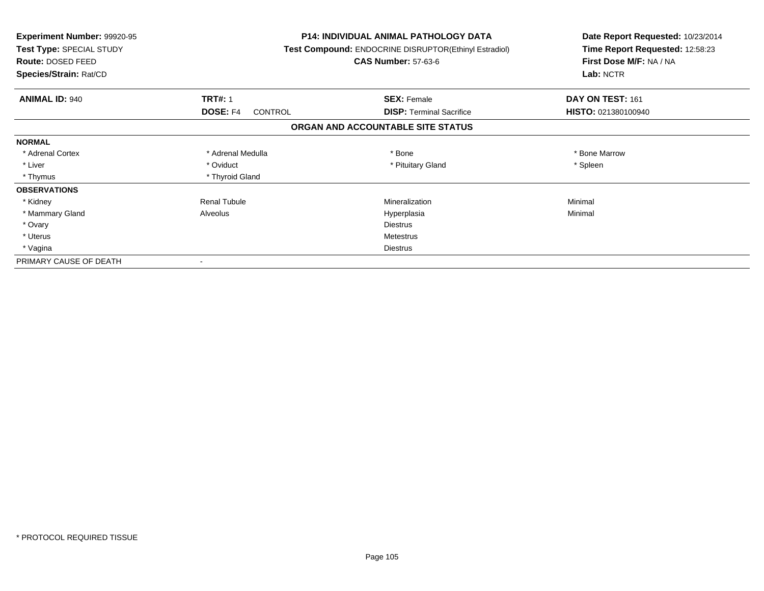| <b>Experiment Number: 99920-95</b><br>Test Type: SPECIAL STUDY<br>Route: DOSED FEED<br>Species/Strain: Rat/CD |                            | <b>P14: INDIVIDUAL ANIMAL PATHOLOGY DATA</b><br>Test Compound: ENDOCRINE DISRUPTOR(Ethinyl Estradiol)<br><b>CAS Number: 57-63-6</b> | Date Report Requested: 10/23/2014<br>Time Report Requested: 12:58:23<br>First Dose M/F: NA / NA<br>Lab: NCTR |
|---------------------------------------------------------------------------------------------------------------|----------------------------|-------------------------------------------------------------------------------------------------------------------------------------|--------------------------------------------------------------------------------------------------------------|
| <b>ANIMAL ID: 940</b>                                                                                         | <b>TRT#: 1</b>             | <b>SEX: Female</b>                                                                                                                  | DAY ON TEST: 161                                                                                             |
|                                                                                                               | <b>DOSE: F4</b><br>CONTROL | <b>DISP:</b> Terminal Sacrifice                                                                                                     | HISTO: 021380100940                                                                                          |
|                                                                                                               |                            | ORGAN AND ACCOUNTABLE SITE STATUS                                                                                                   |                                                                                                              |
| <b>NORMAL</b>                                                                                                 |                            |                                                                                                                                     |                                                                                                              |
| * Adrenal Cortex                                                                                              | * Adrenal Medulla          | * Bone                                                                                                                              | * Bone Marrow                                                                                                |
| * Liver                                                                                                       | * Oviduct                  | * Pituitary Gland                                                                                                                   | * Spleen                                                                                                     |
| * Thymus                                                                                                      | * Thyroid Gland            |                                                                                                                                     |                                                                                                              |
| <b>OBSERVATIONS</b>                                                                                           |                            |                                                                                                                                     |                                                                                                              |
| * Kidney                                                                                                      | <b>Renal Tubule</b>        | Mineralization                                                                                                                      | Minimal                                                                                                      |
| * Mammary Gland                                                                                               | Alveolus                   | Hyperplasia                                                                                                                         | Minimal                                                                                                      |
| * Ovary                                                                                                       |                            | <b>Diestrus</b>                                                                                                                     |                                                                                                              |
| * Uterus                                                                                                      |                            | <b>Metestrus</b>                                                                                                                    |                                                                                                              |
| * Vagina                                                                                                      |                            | Diestrus                                                                                                                            |                                                                                                              |
| PRIMARY CAUSE OF DEATH                                                                                        |                            |                                                                                                                                     |                                                                                                              |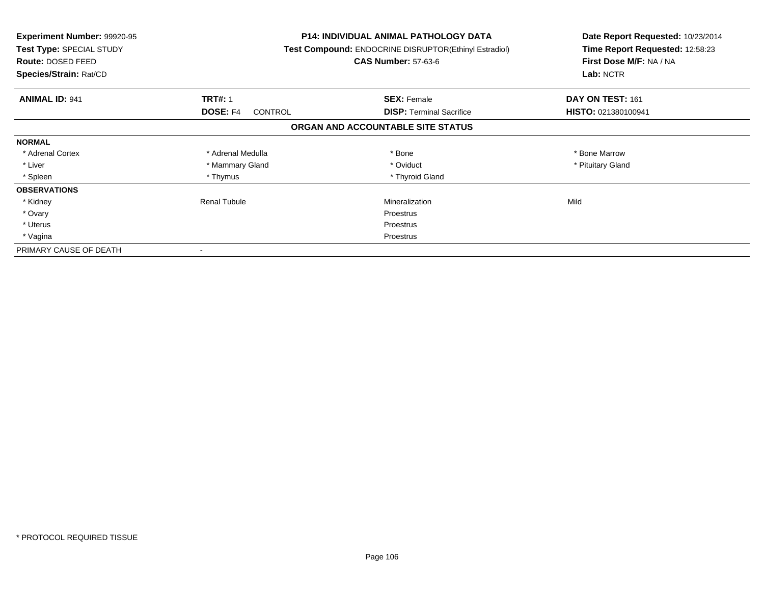| <b>Experiment Number: 99920-95</b><br>Test Type: SPECIAL STUDY<br>Route: DOSED FEED<br>Species/Strain: Rat/CD |                                   | <b>P14: INDIVIDUAL ANIMAL PATHOLOGY DATA</b><br>Test Compound: ENDOCRINE DISRUPTOR(Ethinyl Estradiol)<br><b>CAS Number: 57-63-6</b> | Date Report Requested: 10/23/2014<br>Time Report Requested: 12:58:23<br>First Dose M/F: NA / NA<br>Lab: NCTR |
|---------------------------------------------------------------------------------------------------------------|-----------------------------------|-------------------------------------------------------------------------------------------------------------------------------------|--------------------------------------------------------------------------------------------------------------|
| <b>ANIMAL ID: 941</b>                                                                                         | <b>TRT#: 1</b>                    | <b>SEX: Female</b>                                                                                                                  | DAY ON TEST: 161                                                                                             |
|                                                                                                               | <b>DOSE: F4</b><br><b>CONTROL</b> | <b>DISP:</b> Terminal Sacrifice                                                                                                     | HISTO: 021380100941                                                                                          |
|                                                                                                               |                                   | ORGAN AND ACCOUNTABLE SITE STATUS                                                                                                   |                                                                                                              |
| <b>NORMAL</b>                                                                                                 |                                   |                                                                                                                                     |                                                                                                              |
| * Adrenal Cortex                                                                                              | * Adrenal Medulla                 | * Bone                                                                                                                              | * Bone Marrow                                                                                                |
| * Liver                                                                                                       | * Mammary Gland                   | * Oviduct                                                                                                                           | * Pituitary Gland                                                                                            |
| * Spleen                                                                                                      | * Thymus                          | * Thyroid Gland                                                                                                                     |                                                                                                              |
| <b>OBSERVATIONS</b>                                                                                           |                                   |                                                                                                                                     |                                                                                                              |
| * Kidney                                                                                                      | Renal Tubule                      | Mineralization                                                                                                                      | Mild                                                                                                         |
| * Ovary                                                                                                       |                                   | Proestrus                                                                                                                           |                                                                                                              |
| * Uterus                                                                                                      |                                   | Proestrus                                                                                                                           |                                                                                                              |
| * Vagina                                                                                                      |                                   | Proestrus                                                                                                                           |                                                                                                              |
| PRIMARY CAUSE OF DEATH                                                                                        |                                   |                                                                                                                                     |                                                                                                              |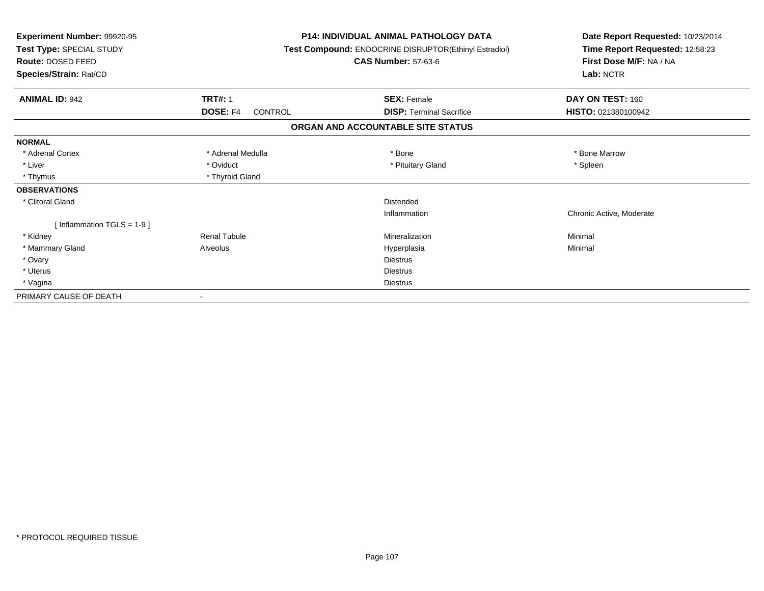| Experiment Number: 99920-95<br>Test Type: SPECIAL STUDY<br><b>Route: DOSED FEED</b><br>Species/Strain: Rat/CD |                                   | <b>P14: INDIVIDUAL ANIMAL PATHOLOGY DATA</b><br>Test Compound: ENDOCRINE DISRUPTOR(Ethinyl Estradiol)<br><b>CAS Number: 57-63-6</b> | Date Report Requested: 10/23/2014<br>Time Report Requested: 12:58:23<br>First Dose M/F: NA / NA<br>Lab: NCTR |
|---------------------------------------------------------------------------------------------------------------|-----------------------------------|-------------------------------------------------------------------------------------------------------------------------------------|--------------------------------------------------------------------------------------------------------------|
| <b>ANIMAL ID: 942</b>                                                                                         | <b>TRT#: 1</b>                    | <b>SEX: Female</b>                                                                                                                  | DAY ON TEST: 160                                                                                             |
|                                                                                                               | <b>DOSE: F4</b><br><b>CONTROL</b> | <b>DISP:</b> Terminal Sacrifice                                                                                                     | HISTO: 021380100942                                                                                          |
|                                                                                                               |                                   | ORGAN AND ACCOUNTABLE SITE STATUS                                                                                                   |                                                                                                              |
| <b>NORMAL</b>                                                                                                 |                                   |                                                                                                                                     |                                                                                                              |
| * Adrenal Cortex                                                                                              | * Adrenal Medulla                 | * Bone                                                                                                                              | * Bone Marrow                                                                                                |
| * Liver                                                                                                       | * Oviduct                         | * Pituitary Gland                                                                                                                   | * Spleen                                                                                                     |
| * Thymus                                                                                                      | * Thyroid Gland                   |                                                                                                                                     |                                                                                                              |
| <b>OBSERVATIONS</b>                                                                                           |                                   |                                                                                                                                     |                                                                                                              |
| * Clitoral Gland                                                                                              |                                   | Distended                                                                                                                           |                                                                                                              |
|                                                                                                               |                                   | Inflammation                                                                                                                        | Chronic Active, Moderate                                                                                     |
| [Inflammation TGLS = $1-9$ ]                                                                                  |                                   |                                                                                                                                     |                                                                                                              |
| * Kidney                                                                                                      | <b>Renal Tubule</b>               | Mineralization                                                                                                                      | Minimal                                                                                                      |
| * Mammary Gland                                                                                               | Alveolus                          | Hyperplasia                                                                                                                         | Minimal                                                                                                      |
| * Ovary                                                                                                       |                                   | <b>Diestrus</b>                                                                                                                     |                                                                                                              |
| * Uterus                                                                                                      |                                   | <b>Diestrus</b>                                                                                                                     |                                                                                                              |
| * Vagina                                                                                                      |                                   | <b>Diestrus</b>                                                                                                                     |                                                                                                              |
| PRIMARY CAUSE OF DEATH                                                                                        |                                   |                                                                                                                                     |                                                                                                              |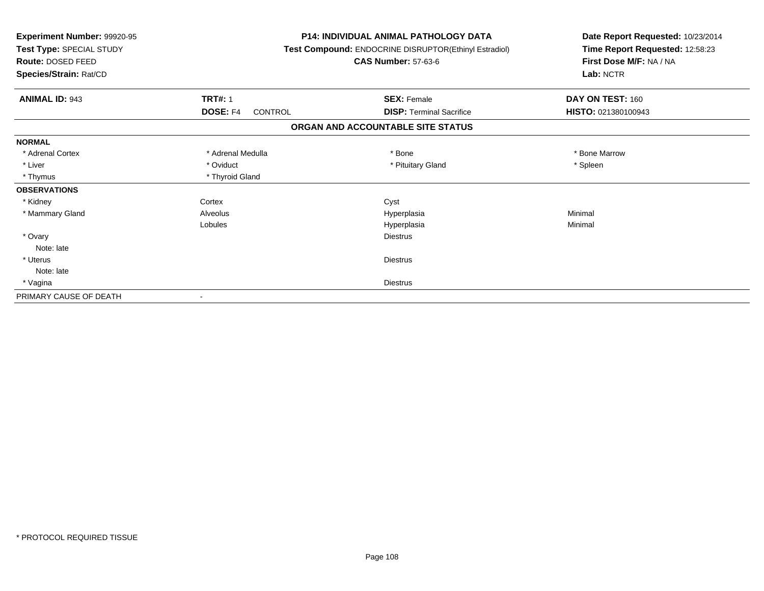| Experiment Number: 99920-95<br>Test Type: SPECIAL STUDY<br>Route: DOSED FEED<br>Species/Strain: Rat/CD |                            | <b>P14: INDIVIDUAL ANIMAL PATHOLOGY DATA</b><br>Test Compound: ENDOCRINE DISRUPTOR(Ethinyl Estradiol)<br><b>CAS Number: 57-63-6</b> | Date Report Requested: 10/23/2014<br>Time Report Requested: 12:58:23<br>First Dose M/F: NA / NA<br>Lab: NCTR |
|--------------------------------------------------------------------------------------------------------|----------------------------|-------------------------------------------------------------------------------------------------------------------------------------|--------------------------------------------------------------------------------------------------------------|
| <b>ANIMAL ID: 943</b>                                                                                  | <b>TRT#: 1</b>             | <b>SEX: Female</b>                                                                                                                  | DAY ON TEST: 160                                                                                             |
|                                                                                                        | DOSE: F4<br><b>CONTROL</b> | <b>DISP: Terminal Sacrifice</b>                                                                                                     | HISTO: 021380100943                                                                                          |
|                                                                                                        |                            | ORGAN AND ACCOUNTABLE SITE STATUS                                                                                                   |                                                                                                              |
| <b>NORMAL</b>                                                                                          |                            |                                                                                                                                     |                                                                                                              |
| * Adrenal Cortex                                                                                       | * Adrenal Medulla          | * Bone                                                                                                                              | * Bone Marrow                                                                                                |
| * Liver                                                                                                | * Oviduct                  | * Pituitary Gland                                                                                                                   | * Spleen                                                                                                     |
| * Thymus                                                                                               | * Thyroid Gland            |                                                                                                                                     |                                                                                                              |
| <b>OBSERVATIONS</b>                                                                                    |                            |                                                                                                                                     |                                                                                                              |
| * Kidney                                                                                               | Cortex                     | Cyst                                                                                                                                |                                                                                                              |
| * Mammary Gland                                                                                        | Alveolus                   | Hyperplasia                                                                                                                         | Minimal                                                                                                      |
|                                                                                                        | Lobules                    | Hyperplasia                                                                                                                         | Minimal                                                                                                      |
| * Ovary                                                                                                |                            | <b>Diestrus</b>                                                                                                                     |                                                                                                              |
| Note: late                                                                                             |                            |                                                                                                                                     |                                                                                                              |
| * Uterus                                                                                               |                            | <b>Diestrus</b>                                                                                                                     |                                                                                                              |
| Note: late                                                                                             |                            |                                                                                                                                     |                                                                                                              |
| * Vagina                                                                                               |                            | <b>Diestrus</b>                                                                                                                     |                                                                                                              |
| PRIMARY CAUSE OF DEATH                                                                                 |                            |                                                                                                                                     |                                                                                                              |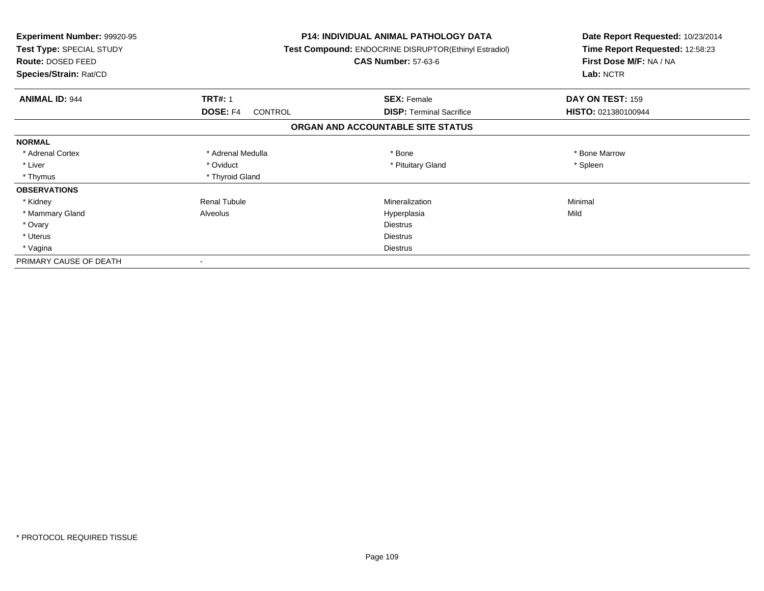| <b>Experiment Number: 99920-95</b><br>Test Type: SPECIAL STUDY<br><b>Route: DOSED FEED</b><br>Species/Strain: Rat/CD |                            | <b>P14: INDIVIDUAL ANIMAL PATHOLOGY DATA</b><br>Test Compound: ENDOCRINE DISRUPTOR(Ethinyl Estradiol)<br><b>CAS Number: 57-63-6</b> | Date Report Requested: 10/23/2014<br>Time Report Requested: 12:58:23<br>First Dose M/F: NA / NA<br>Lab: NCTR |
|----------------------------------------------------------------------------------------------------------------------|----------------------------|-------------------------------------------------------------------------------------------------------------------------------------|--------------------------------------------------------------------------------------------------------------|
| <b>ANIMAL ID: 944</b>                                                                                                | <b>TRT#: 1</b>             | <b>SEX: Female</b>                                                                                                                  | <b>DAY ON TEST: 159</b>                                                                                      |
|                                                                                                                      | DOSE: F4<br><b>CONTROL</b> | <b>DISP: Terminal Sacrifice</b>                                                                                                     | HISTO: 021380100944                                                                                          |
|                                                                                                                      |                            | ORGAN AND ACCOUNTABLE SITE STATUS                                                                                                   |                                                                                                              |
| <b>NORMAL</b>                                                                                                        |                            |                                                                                                                                     |                                                                                                              |
| * Adrenal Cortex                                                                                                     | * Adrenal Medulla          | * Bone                                                                                                                              | * Bone Marrow                                                                                                |
| * Liver                                                                                                              | * Oviduct                  | * Pituitary Gland                                                                                                                   | * Spleen                                                                                                     |
| * Thymus                                                                                                             | * Thyroid Gland            |                                                                                                                                     |                                                                                                              |
| <b>OBSERVATIONS</b>                                                                                                  |                            |                                                                                                                                     |                                                                                                              |
| * Kidney                                                                                                             | <b>Renal Tubule</b>        | Mineralization                                                                                                                      | Minimal                                                                                                      |
| * Mammary Gland                                                                                                      | Alveolus                   | Hyperplasia                                                                                                                         | Mild                                                                                                         |
| * Ovary                                                                                                              |                            | <b>Diestrus</b>                                                                                                                     |                                                                                                              |
| * Uterus                                                                                                             |                            | <b>Diestrus</b>                                                                                                                     |                                                                                                              |
| * Vagina                                                                                                             |                            | <b>Diestrus</b>                                                                                                                     |                                                                                                              |
| PRIMARY CAUSE OF DEATH                                                                                               |                            |                                                                                                                                     |                                                                                                              |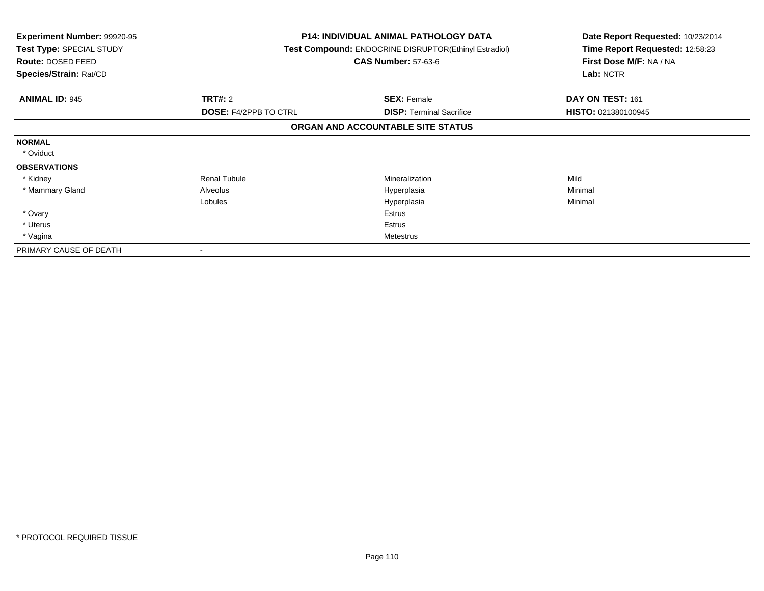| <b>Experiment Number: 99920-95</b><br>Test Type: SPECIAL STUDY<br>Route: DOSED FEED<br>Species/Strain: Rat/CD |                              | <b>P14: INDIVIDUAL ANIMAL PATHOLOGY DATA</b><br>Test Compound: ENDOCRINE DISRUPTOR(Ethinyl Estradiol)<br><b>CAS Number: 57-63-6</b> | Date Report Requested: 10/23/2014<br>Time Report Requested: 12:58:23<br>First Dose M/F: NA / NA<br>Lab: NCTR |
|---------------------------------------------------------------------------------------------------------------|------------------------------|-------------------------------------------------------------------------------------------------------------------------------------|--------------------------------------------------------------------------------------------------------------|
| <b>ANIMAL ID: 945</b>                                                                                         | <b>TRT#: 2</b>               | <b>SEX: Female</b>                                                                                                                  | DAY ON TEST: 161                                                                                             |
|                                                                                                               | <b>DOSE: F4/2PPB TO CTRL</b> | <b>DISP:</b> Terminal Sacrifice                                                                                                     | HISTO: 021380100945                                                                                          |
|                                                                                                               |                              | ORGAN AND ACCOUNTABLE SITE STATUS                                                                                                   |                                                                                                              |
| <b>NORMAL</b>                                                                                                 |                              |                                                                                                                                     |                                                                                                              |
| * Oviduct                                                                                                     |                              |                                                                                                                                     |                                                                                                              |
| <b>OBSERVATIONS</b>                                                                                           |                              |                                                                                                                                     |                                                                                                              |
| * Kidney                                                                                                      | <b>Renal Tubule</b>          | <b>Mineralization</b>                                                                                                               | Mild                                                                                                         |
| * Mammary Gland                                                                                               | Alveolus                     | Hyperplasia                                                                                                                         | Minimal                                                                                                      |
|                                                                                                               | Lobules                      | Hyperplasia                                                                                                                         | Minimal                                                                                                      |
| * Ovary                                                                                                       |                              | Estrus                                                                                                                              |                                                                                                              |
| * Uterus                                                                                                      |                              | Estrus                                                                                                                              |                                                                                                              |
| * Vagina                                                                                                      |                              | Metestrus                                                                                                                           |                                                                                                              |
| PRIMARY CAUSE OF DEATH                                                                                        |                              |                                                                                                                                     |                                                                                                              |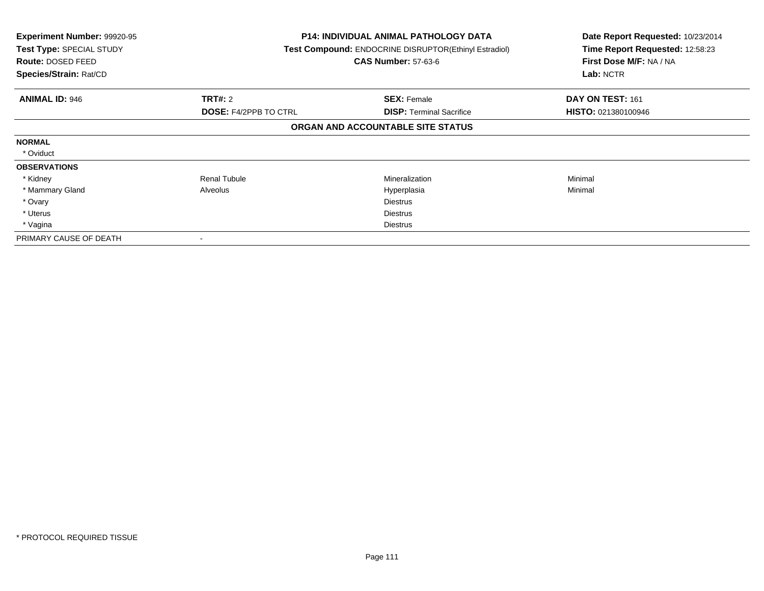| <b>Experiment Number: 99920-95</b><br>Test Type: SPECIAL STUDY<br>Route: DOSED FEED<br>Species/Strain: Rat/CD |                              | <b>P14: INDIVIDUAL ANIMAL PATHOLOGY DATA</b><br>Test Compound: ENDOCRINE DISRUPTOR(Ethinyl Estradiol)<br><b>CAS Number: 57-63-6</b> | Date Report Requested: 10/23/2014<br>Time Report Requested: 12:58:23<br>First Dose M/F: NA / NA<br>Lab: NCTR |
|---------------------------------------------------------------------------------------------------------------|------------------------------|-------------------------------------------------------------------------------------------------------------------------------------|--------------------------------------------------------------------------------------------------------------|
| <b>ANIMAL ID: 946</b>                                                                                         | <b>TRT#: 2</b>               | <b>SEX: Female</b>                                                                                                                  | DAY ON TEST: 161                                                                                             |
|                                                                                                               | <b>DOSE: F4/2PPB TO CTRL</b> | <b>DISP: Terminal Sacrifice</b>                                                                                                     | <b>HISTO: 021380100946</b>                                                                                   |
|                                                                                                               |                              | ORGAN AND ACCOUNTABLE SITE STATUS                                                                                                   |                                                                                                              |
| <b>NORMAL</b>                                                                                                 |                              |                                                                                                                                     |                                                                                                              |
| * Oviduct                                                                                                     |                              |                                                                                                                                     |                                                                                                              |
| <b>OBSERVATIONS</b>                                                                                           |                              |                                                                                                                                     |                                                                                                              |
| * Kidney                                                                                                      | <b>Renal Tubule</b>          | Mineralization                                                                                                                      | Minimal                                                                                                      |
| * Mammary Gland                                                                                               | Alveolus                     | Hyperplasia                                                                                                                         | Minimal                                                                                                      |
| * Ovary                                                                                                       |                              | <b>Diestrus</b>                                                                                                                     |                                                                                                              |
| * Uterus                                                                                                      |                              | <b>Diestrus</b>                                                                                                                     |                                                                                                              |
| * Vagina                                                                                                      |                              | <b>Diestrus</b>                                                                                                                     |                                                                                                              |
| PRIMARY CAUSE OF DEATH                                                                                        |                              |                                                                                                                                     |                                                                                                              |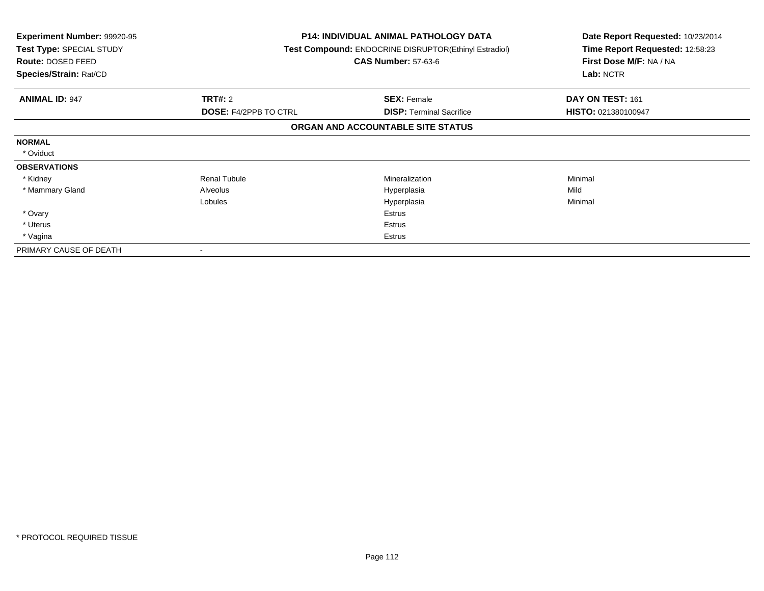| <b>Experiment Number: 99920-95</b><br>Test Type: SPECIAL STUDY<br>Route: DOSED FEED<br>Species/Strain: Rat/CD |                              | <b>P14: INDIVIDUAL ANIMAL PATHOLOGY DATA</b><br>Test Compound: ENDOCRINE DISRUPTOR(Ethinyl Estradiol)<br><b>CAS Number: 57-63-6</b> | Date Report Requested: 10/23/2014<br>Time Report Requested: 12:58:23<br>First Dose M/F: NA / NA<br>Lab: NCTR |
|---------------------------------------------------------------------------------------------------------------|------------------------------|-------------------------------------------------------------------------------------------------------------------------------------|--------------------------------------------------------------------------------------------------------------|
| <b>ANIMAL ID: 947</b>                                                                                         | <b>TRT#: 2</b>               | <b>SEX: Female</b>                                                                                                                  | DAY ON TEST: 161                                                                                             |
|                                                                                                               | <b>DOSE: F4/2PPB TO CTRL</b> | <b>DISP:</b> Terminal Sacrifice                                                                                                     | HISTO: 021380100947                                                                                          |
|                                                                                                               |                              | ORGAN AND ACCOUNTABLE SITE STATUS                                                                                                   |                                                                                                              |
| <b>NORMAL</b>                                                                                                 |                              |                                                                                                                                     |                                                                                                              |
| * Oviduct                                                                                                     |                              |                                                                                                                                     |                                                                                                              |
| <b>OBSERVATIONS</b>                                                                                           |                              |                                                                                                                                     |                                                                                                              |
| * Kidney                                                                                                      | <b>Renal Tubule</b>          | <b>Mineralization</b>                                                                                                               | Minimal                                                                                                      |
| * Mammary Gland                                                                                               | Alveolus                     | Hyperplasia                                                                                                                         | Mild                                                                                                         |
|                                                                                                               | Lobules                      | Hyperplasia                                                                                                                         | Minimal                                                                                                      |
| * Ovary                                                                                                       |                              | Estrus                                                                                                                              |                                                                                                              |
| * Uterus                                                                                                      |                              | Estrus                                                                                                                              |                                                                                                              |
| * Vagina                                                                                                      |                              | Estrus                                                                                                                              |                                                                                                              |
| PRIMARY CAUSE OF DEATH                                                                                        |                              |                                                                                                                                     |                                                                                                              |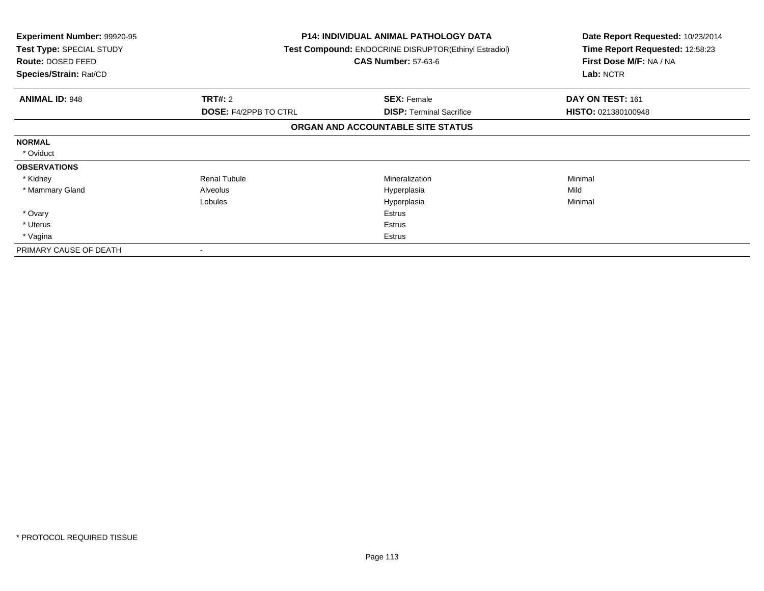| <b>Experiment Number: 99920-95</b><br>Test Type: SPECIAL STUDY<br>Route: DOSED FEED<br>Species/Strain: Rat/CD |                              | <b>P14: INDIVIDUAL ANIMAL PATHOLOGY DATA</b><br>Test Compound: ENDOCRINE DISRUPTOR(Ethinyl Estradiol)<br><b>CAS Number: 57-63-6</b> | Date Report Requested: 10/23/2014<br>Time Report Requested: 12:58:23<br>First Dose M/F: NA / NA<br>Lab: NCTR |
|---------------------------------------------------------------------------------------------------------------|------------------------------|-------------------------------------------------------------------------------------------------------------------------------------|--------------------------------------------------------------------------------------------------------------|
| <b>ANIMAL ID: 948</b>                                                                                         | <b>TRT#: 2</b>               | <b>SEX: Female</b>                                                                                                                  | DAY ON TEST: 161                                                                                             |
|                                                                                                               | <b>DOSE: F4/2PPB TO CTRL</b> | <b>DISP:</b> Terminal Sacrifice                                                                                                     | HISTO: 021380100948                                                                                          |
|                                                                                                               |                              | ORGAN AND ACCOUNTABLE SITE STATUS                                                                                                   |                                                                                                              |
| <b>NORMAL</b>                                                                                                 |                              |                                                                                                                                     |                                                                                                              |
| * Oviduct                                                                                                     |                              |                                                                                                                                     |                                                                                                              |
| <b>OBSERVATIONS</b>                                                                                           |                              |                                                                                                                                     |                                                                                                              |
| * Kidney                                                                                                      | <b>Renal Tubule</b>          | <b>Mineralization</b>                                                                                                               | Minimal                                                                                                      |
| * Mammary Gland                                                                                               | Alveolus                     | Hyperplasia                                                                                                                         | Mild                                                                                                         |
|                                                                                                               | Lobules                      | Hyperplasia                                                                                                                         | Minimal                                                                                                      |
| * Ovary                                                                                                       |                              | Estrus                                                                                                                              |                                                                                                              |
| * Uterus                                                                                                      |                              | Estrus                                                                                                                              |                                                                                                              |
| * Vagina                                                                                                      |                              | Estrus                                                                                                                              |                                                                                                              |
| PRIMARY CAUSE OF DEATH                                                                                        |                              |                                                                                                                                     |                                                                                                              |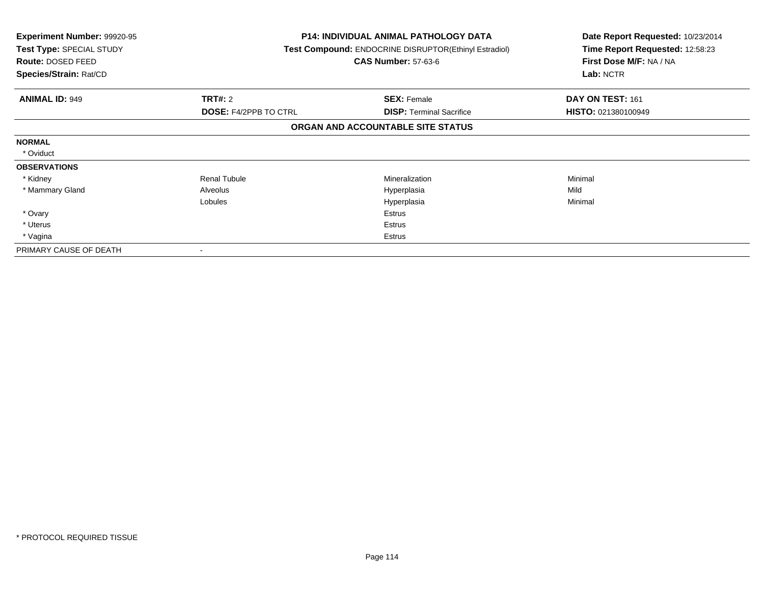| <b>Experiment Number: 99920-95</b><br>Test Type: SPECIAL STUDY<br>Route: DOSED FEED<br>Species/Strain: Rat/CD |                              | <b>P14: INDIVIDUAL ANIMAL PATHOLOGY DATA</b><br>Test Compound: ENDOCRINE DISRUPTOR(Ethinyl Estradiol)<br><b>CAS Number: 57-63-6</b> | Date Report Requested: 10/23/2014<br>Time Report Requested: 12:58:23<br>First Dose M/F: NA / NA<br>Lab: NCTR |
|---------------------------------------------------------------------------------------------------------------|------------------------------|-------------------------------------------------------------------------------------------------------------------------------------|--------------------------------------------------------------------------------------------------------------|
| <b>ANIMAL ID: 949</b>                                                                                         | <b>TRT#: 2</b>               | <b>SEX: Female</b>                                                                                                                  | DAY ON TEST: 161                                                                                             |
|                                                                                                               | <b>DOSE: F4/2PPB TO CTRL</b> | <b>DISP:</b> Terminal Sacrifice                                                                                                     | HISTO: 021380100949                                                                                          |
|                                                                                                               |                              | ORGAN AND ACCOUNTABLE SITE STATUS                                                                                                   |                                                                                                              |
| <b>NORMAL</b>                                                                                                 |                              |                                                                                                                                     |                                                                                                              |
| * Oviduct                                                                                                     |                              |                                                                                                                                     |                                                                                                              |
| <b>OBSERVATIONS</b>                                                                                           |                              |                                                                                                                                     |                                                                                                              |
| * Kidney                                                                                                      | <b>Renal Tubule</b>          | <b>Mineralization</b>                                                                                                               | Minimal                                                                                                      |
| * Mammary Gland                                                                                               | Alveolus                     | Hyperplasia                                                                                                                         | Mild                                                                                                         |
|                                                                                                               | Lobules                      | Hyperplasia                                                                                                                         | Minimal                                                                                                      |
| * Ovary                                                                                                       |                              | Estrus                                                                                                                              |                                                                                                              |
| * Uterus                                                                                                      |                              | Estrus                                                                                                                              |                                                                                                              |
| * Vagina                                                                                                      |                              | Estrus                                                                                                                              |                                                                                                              |
| PRIMARY CAUSE OF DEATH                                                                                        |                              |                                                                                                                                     |                                                                                                              |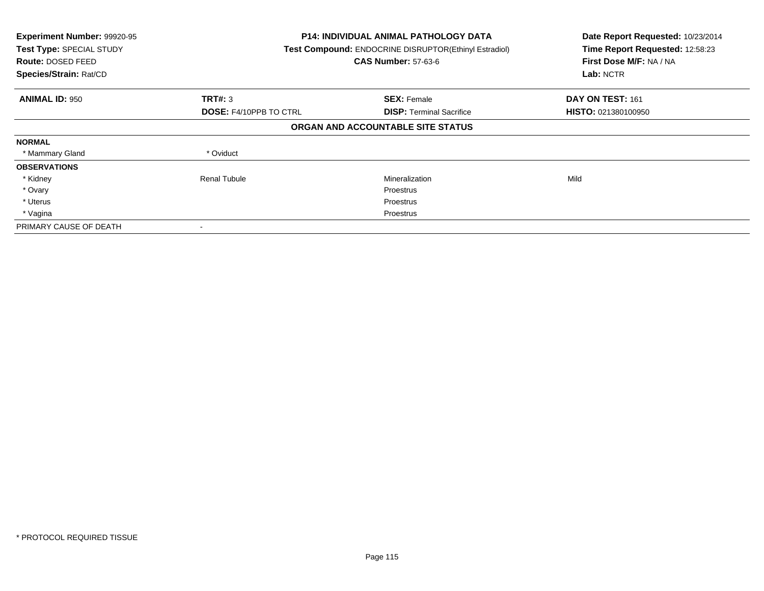| Experiment Number: 99920-95<br>Test Type: SPECIAL STUDY<br><b>Route: DOSED FEED</b><br>Species/Strain: Rat/CD |                               | <b>P14: INDIVIDUAL ANIMAL PATHOLOGY DATA</b><br>Test Compound: ENDOCRINE DISRUPTOR(Ethinyl Estradiol)<br><b>CAS Number: 57-63-6</b> | Date Report Requested: 10/23/2014<br>Time Report Requested: 12:58:23<br>First Dose M/F: NA / NA<br>Lab: NCTR |
|---------------------------------------------------------------------------------------------------------------|-------------------------------|-------------------------------------------------------------------------------------------------------------------------------------|--------------------------------------------------------------------------------------------------------------|
| <b>ANIMAL ID: 950</b>                                                                                         | TRT#: 3                       | <b>SEX: Female</b>                                                                                                                  | DAY ON TEST: 161                                                                                             |
|                                                                                                               | <b>DOSE: F4/10PPB TO CTRL</b> | <b>DISP:</b> Terminal Sacrifice                                                                                                     | <b>HISTO: 021380100950</b>                                                                                   |
|                                                                                                               |                               | ORGAN AND ACCOUNTABLE SITE STATUS                                                                                                   |                                                                                                              |
| <b>NORMAL</b>                                                                                                 |                               |                                                                                                                                     |                                                                                                              |
| * Mammary Gland                                                                                               | * Oviduct                     |                                                                                                                                     |                                                                                                              |
| <b>OBSERVATIONS</b>                                                                                           |                               |                                                                                                                                     |                                                                                                              |
| * Kidney                                                                                                      | Renal Tubule                  | Mineralization                                                                                                                      | Mild                                                                                                         |
| * Ovary                                                                                                       |                               | <b>Proestrus</b>                                                                                                                    |                                                                                                              |
| * Uterus                                                                                                      |                               | Proestrus                                                                                                                           |                                                                                                              |
| * Vagina                                                                                                      |                               | Proestrus                                                                                                                           |                                                                                                              |
| PRIMARY CAUSE OF DEATH                                                                                        |                               |                                                                                                                                     |                                                                                                              |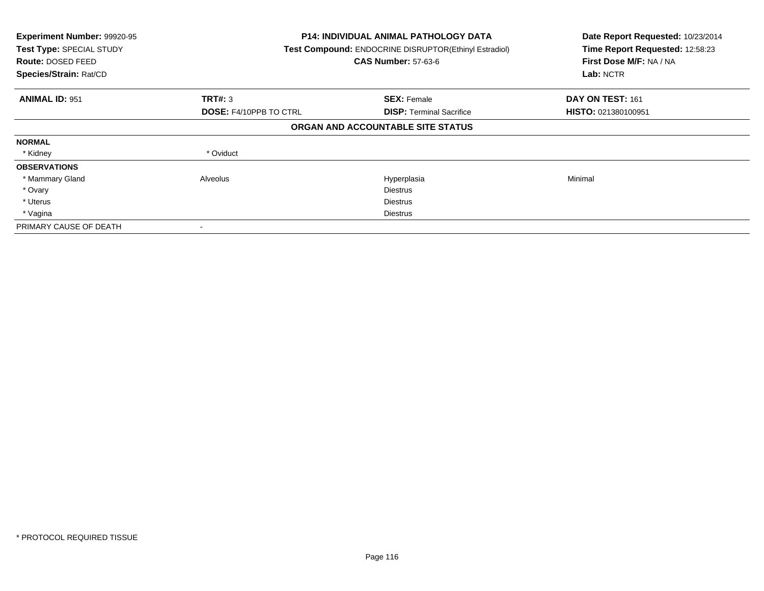| Experiment Number: 99920-95<br>Test Type: SPECIAL STUDY<br>Route: DOSED FEED<br>Species/Strain: Rat/CD |                               | <b>P14: INDIVIDUAL ANIMAL PATHOLOGY DATA</b><br>Test Compound: ENDOCRINE DISRUPTOR(Ethinyl Estradiol)<br><b>CAS Number: 57-63-6</b> |                            |
|--------------------------------------------------------------------------------------------------------|-------------------------------|-------------------------------------------------------------------------------------------------------------------------------------|----------------------------|
| <b>ANIMAL ID: 951</b>                                                                                  | <b>TRT#: 3</b>                | <b>SEX: Female</b>                                                                                                                  | DAY ON TEST: 161           |
|                                                                                                        | <b>DOSE: F4/10PPB TO CTRL</b> | <b>DISP:</b> Terminal Sacrifice                                                                                                     | <b>HISTO: 021380100951</b> |
|                                                                                                        |                               | ORGAN AND ACCOUNTABLE SITE STATUS                                                                                                   |                            |
| <b>NORMAL</b>                                                                                          |                               |                                                                                                                                     |                            |
| * Kidney                                                                                               | * Oviduct                     |                                                                                                                                     |                            |
| <b>OBSERVATIONS</b>                                                                                    |                               |                                                                                                                                     |                            |
| * Mammary Gland                                                                                        | Alveolus                      | Hyperplasia                                                                                                                         | Minimal                    |
| * Ovary                                                                                                |                               | <b>Diestrus</b>                                                                                                                     |                            |
| * Uterus                                                                                               |                               | Diestrus                                                                                                                            |                            |
| * Vagina                                                                                               |                               | <b>Diestrus</b>                                                                                                                     |                            |
| PRIMARY CAUSE OF DEATH                                                                                 |                               |                                                                                                                                     |                            |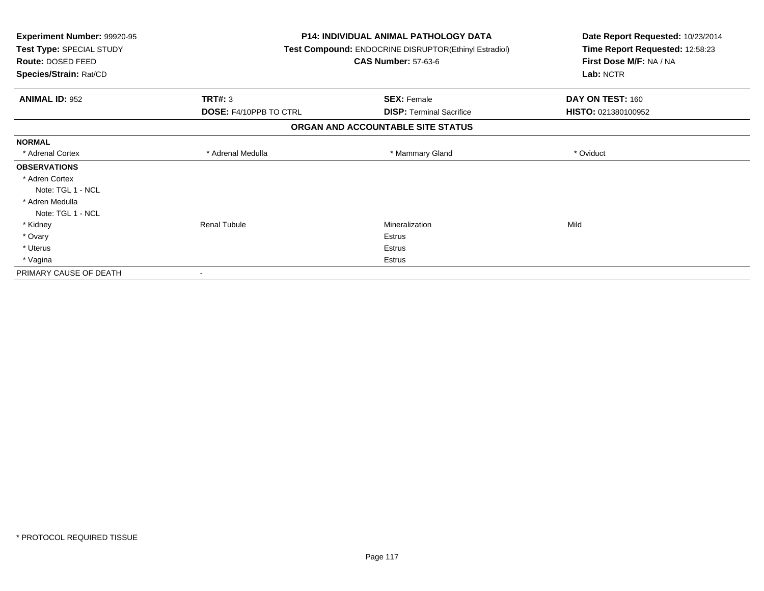| Experiment Number: 99920-95<br>Test Type: SPECIAL STUDY<br>Route: DOSED FEED<br>Species/Strain: Rat/CD |                               | <b>P14: INDIVIDUAL ANIMAL PATHOLOGY DATA</b><br>Test Compound: ENDOCRINE DISRUPTOR(Ethinyl Estradiol)<br><b>CAS Number: 57-63-6</b> | Date Report Requested: 10/23/2014<br>Time Report Requested: 12:58:23<br>First Dose M/F: NA / NA<br>Lab: NCTR |
|--------------------------------------------------------------------------------------------------------|-------------------------------|-------------------------------------------------------------------------------------------------------------------------------------|--------------------------------------------------------------------------------------------------------------|
| <b>ANIMAL ID: 952</b>                                                                                  | <b>TRT#: 3</b>                | <b>SEX: Female</b>                                                                                                                  | DAY ON TEST: 160                                                                                             |
|                                                                                                        | <b>DOSE: F4/10PPB TO CTRL</b> | <b>DISP: Terminal Sacrifice</b>                                                                                                     | HISTO: 021380100952                                                                                          |
|                                                                                                        |                               | ORGAN AND ACCOUNTABLE SITE STATUS                                                                                                   |                                                                                                              |
| <b>NORMAL</b>                                                                                          |                               |                                                                                                                                     |                                                                                                              |
| * Adrenal Cortex                                                                                       | * Adrenal Medulla             | * Mammary Gland                                                                                                                     | * Oviduct                                                                                                    |
| <b>OBSERVATIONS</b>                                                                                    |                               |                                                                                                                                     |                                                                                                              |
| * Adren Cortex                                                                                         |                               |                                                                                                                                     |                                                                                                              |
| Note: TGL 1 - NCL                                                                                      |                               |                                                                                                                                     |                                                                                                              |
| * Adren Medulla                                                                                        |                               |                                                                                                                                     |                                                                                                              |
| Note: TGL 1 - NCL                                                                                      |                               |                                                                                                                                     |                                                                                                              |
| * Kidney                                                                                               | <b>Renal Tubule</b>           | Mineralization                                                                                                                      | Mild                                                                                                         |
| * Ovary                                                                                                |                               | Estrus                                                                                                                              |                                                                                                              |
| * Uterus                                                                                               |                               | <b>Estrus</b>                                                                                                                       |                                                                                                              |
| * Vagina                                                                                               |                               | <b>Estrus</b>                                                                                                                       |                                                                                                              |
| PRIMARY CAUSE OF DEATH                                                                                 |                               |                                                                                                                                     |                                                                                                              |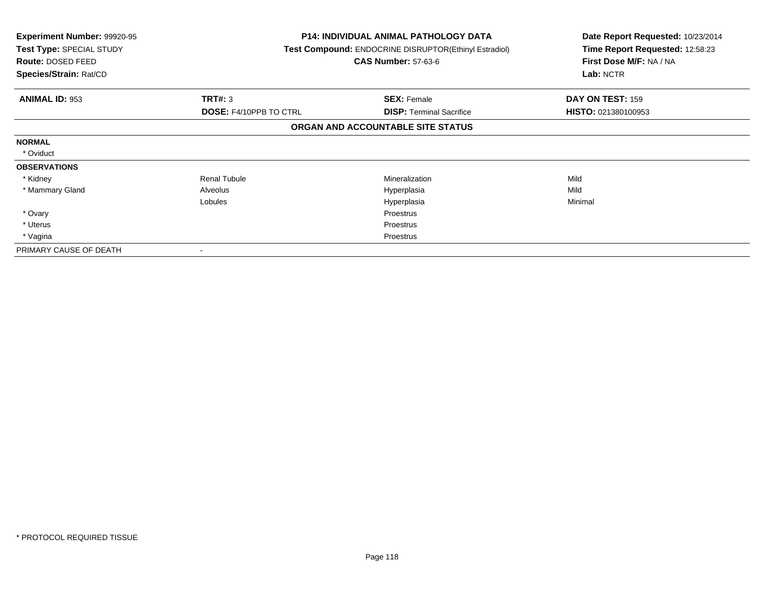| <b>Experiment Number: 99920-95</b><br>Test Type: SPECIAL STUDY<br>Route: DOSED FEED<br>Species/Strain: Rat/CD |                               | <b>P14: INDIVIDUAL ANIMAL PATHOLOGY DATA</b><br>Test Compound: ENDOCRINE DISRUPTOR(Ethinyl Estradiol)<br><b>CAS Number: 57-63-6</b> | Date Report Requested: 10/23/2014<br>Time Report Requested: 12:58:23<br>First Dose M/F: NA / NA<br>Lab: NCTR |
|---------------------------------------------------------------------------------------------------------------|-------------------------------|-------------------------------------------------------------------------------------------------------------------------------------|--------------------------------------------------------------------------------------------------------------|
| <b>ANIMAL ID: 953</b>                                                                                         | TRT#: 3                       | <b>SEX: Female</b>                                                                                                                  | DAY ON TEST: 159                                                                                             |
|                                                                                                               | <b>DOSE: F4/10PPB TO CTRL</b> | <b>DISP:</b> Terminal Sacrifice                                                                                                     | HISTO: 021380100953                                                                                          |
|                                                                                                               |                               | ORGAN AND ACCOUNTABLE SITE STATUS                                                                                                   |                                                                                                              |
| <b>NORMAL</b>                                                                                                 |                               |                                                                                                                                     |                                                                                                              |
| * Oviduct                                                                                                     |                               |                                                                                                                                     |                                                                                                              |
| <b>OBSERVATIONS</b>                                                                                           |                               |                                                                                                                                     |                                                                                                              |
| * Kidney                                                                                                      | <b>Renal Tubule</b>           | Mineralization                                                                                                                      | Mild                                                                                                         |
| * Mammary Gland                                                                                               | Alveolus                      | Hyperplasia                                                                                                                         | Mild                                                                                                         |
|                                                                                                               | Lobules                       | Hyperplasia                                                                                                                         | Minimal                                                                                                      |
| * Ovary                                                                                                       |                               | <b>Proestrus</b>                                                                                                                    |                                                                                                              |
| * Uterus                                                                                                      |                               | <b>Proestrus</b>                                                                                                                    |                                                                                                              |
| * Vagina                                                                                                      |                               | Proestrus                                                                                                                           |                                                                                                              |
| PRIMARY CAUSE OF DEATH                                                                                        |                               |                                                                                                                                     |                                                                                                              |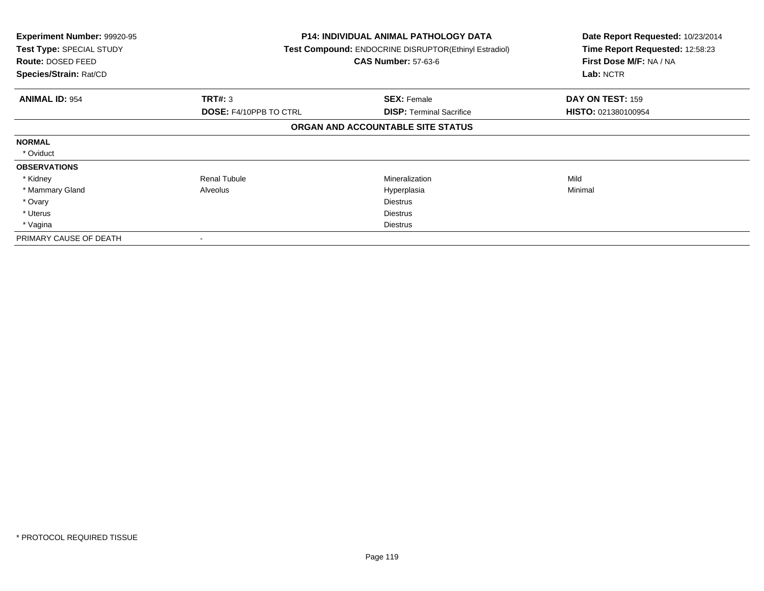| <b>Experiment Number: 99920-95</b><br>Test Type: SPECIAL STUDY<br>Route: DOSED FEED<br>Species/Strain: Rat/CD |                               | <b>P14: INDIVIDUAL ANIMAL PATHOLOGY DATA</b><br>Test Compound: ENDOCRINE DISRUPTOR(Ethinyl Estradiol)<br><b>CAS Number: 57-63-6</b> | Date Report Requested: 10/23/2014<br>Time Report Requested: 12:58:23<br>First Dose M/F: NA / NA<br>Lab: NCTR |
|---------------------------------------------------------------------------------------------------------------|-------------------------------|-------------------------------------------------------------------------------------------------------------------------------------|--------------------------------------------------------------------------------------------------------------|
| <b>ANIMAL ID: 954</b>                                                                                         | <b>TRT#: 3</b>                | <b>SEX: Female</b>                                                                                                                  | DAY ON TEST: 159                                                                                             |
|                                                                                                               | <b>DOSE: F4/10PPB TO CTRL</b> | <b>DISP: Terminal Sacrifice</b>                                                                                                     | <b>HISTO: 021380100954</b>                                                                                   |
|                                                                                                               |                               | ORGAN AND ACCOUNTABLE SITE STATUS                                                                                                   |                                                                                                              |
| <b>NORMAL</b>                                                                                                 |                               |                                                                                                                                     |                                                                                                              |
| * Oviduct                                                                                                     |                               |                                                                                                                                     |                                                                                                              |
| <b>OBSERVATIONS</b>                                                                                           |                               |                                                                                                                                     |                                                                                                              |
| * Kidney                                                                                                      | <b>Renal Tubule</b>           | Mineralization                                                                                                                      | Mild                                                                                                         |
| * Mammary Gland                                                                                               | Alveolus                      | Hyperplasia                                                                                                                         | Minimal                                                                                                      |
| * Ovary                                                                                                       |                               | <b>Diestrus</b>                                                                                                                     |                                                                                                              |
| * Uterus                                                                                                      |                               | <b>Diestrus</b>                                                                                                                     |                                                                                                              |
| * Vagina                                                                                                      |                               | <b>Diestrus</b>                                                                                                                     |                                                                                                              |
| PRIMARY CAUSE OF DEATH                                                                                        |                               |                                                                                                                                     |                                                                                                              |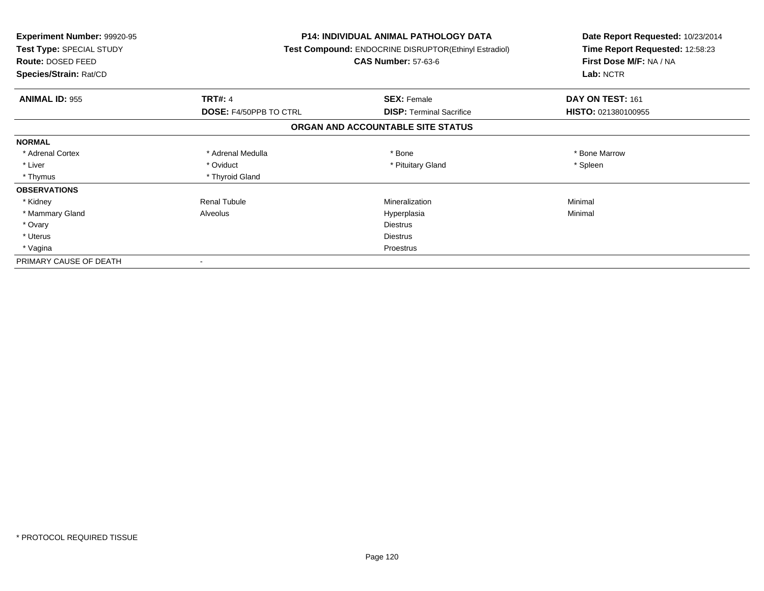| <b>Experiment Number: 99920-95</b><br>Test Type: SPECIAL STUDY<br><b>Route: DOSED FEED</b><br>Species/Strain: Rat/CD |                               | <b>P14: INDIVIDUAL ANIMAL PATHOLOGY DATA</b><br><b>Test Compound: ENDOCRINE DISRUPTOR(Ethinyl Estradiol)</b><br><b>CAS Number: 57-63-6</b> | Date Report Requested: 10/23/2014<br>Time Report Requested: 12:58:23<br>First Dose M/F: NA / NA<br>Lab: NCTR |
|----------------------------------------------------------------------------------------------------------------------|-------------------------------|--------------------------------------------------------------------------------------------------------------------------------------------|--------------------------------------------------------------------------------------------------------------|
| <b>ANIMAL ID: 955</b>                                                                                                | <b>TRT#: 4</b>                | <b>SEX: Female</b>                                                                                                                         | DAY ON TEST: 161                                                                                             |
|                                                                                                                      | <b>DOSE: F4/50PPB TO CTRL</b> | <b>DISP:</b> Terminal Sacrifice                                                                                                            | HISTO: 021380100955                                                                                          |
|                                                                                                                      |                               | ORGAN AND ACCOUNTABLE SITE STATUS                                                                                                          |                                                                                                              |
| <b>NORMAL</b>                                                                                                        |                               |                                                                                                                                            |                                                                                                              |
| * Adrenal Cortex                                                                                                     | * Adrenal Medulla             | * Bone                                                                                                                                     | * Bone Marrow                                                                                                |
| * Liver                                                                                                              | * Oviduct                     | * Pituitary Gland                                                                                                                          | * Spleen                                                                                                     |
| * Thymus                                                                                                             | * Thyroid Gland               |                                                                                                                                            |                                                                                                              |
| <b>OBSERVATIONS</b>                                                                                                  |                               |                                                                                                                                            |                                                                                                              |
| * Kidney                                                                                                             | <b>Renal Tubule</b>           | Mineralization                                                                                                                             | Minimal                                                                                                      |
| * Mammary Gland                                                                                                      | Alveolus                      | Hyperplasia                                                                                                                                | Minimal                                                                                                      |
| * Ovary                                                                                                              |                               | <b>Diestrus</b>                                                                                                                            |                                                                                                              |
| * Uterus                                                                                                             |                               | <b>Diestrus</b>                                                                                                                            |                                                                                                              |
| * Vagina                                                                                                             | Proestrus                     |                                                                                                                                            |                                                                                                              |
| PRIMARY CAUSE OF DEATH                                                                                               |                               |                                                                                                                                            |                                                                                                              |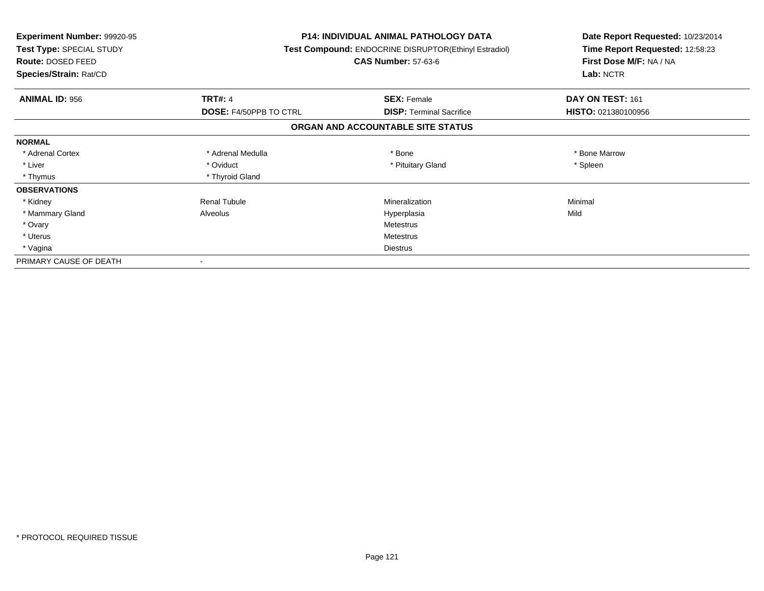| <b>Experiment Number: 99920-95</b><br>Test Type: SPECIAL STUDY<br><b>Route: DOSED FEED</b><br>Species/Strain: Rat/CD |                        | <b>P14: INDIVIDUAL ANIMAL PATHOLOGY DATA</b><br>Test Compound: ENDOCRINE DISRUPTOR(Ethinyl Estradiol)<br><b>CAS Number: 57-63-6</b> | Date Report Requested: 10/23/2014<br>Time Report Requested: 12:58:23<br>First Dose M/F: NA / NA<br>Lab: NCTR |
|----------------------------------------------------------------------------------------------------------------------|------------------------|-------------------------------------------------------------------------------------------------------------------------------------|--------------------------------------------------------------------------------------------------------------|
| <b>ANIMAL ID: 956</b>                                                                                                | <b>TRT#: 4</b>         | <b>SEX: Female</b>                                                                                                                  | DAY ON TEST: 161                                                                                             |
|                                                                                                                      | DOSE: F4/50PPB TO CTRL | <b>DISP: Terminal Sacrifice</b>                                                                                                     | HISTO: 021380100956                                                                                          |
|                                                                                                                      |                        | ORGAN AND ACCOUNTABLE SITE STATUS                                                                                                   |                                                                                                              |
| <b>NORMAL</b>                                                                                                        |                        |                                                                                                                                     |                                                                                                              |
| * Adrenal Cortex                                                                                                     | * Adrenal Medulla      | * Bone                                                                                                                              | * Bone Marrow                                                                                                |
| * Liver                                                                                                              | * Oviduct              | * Pituitary Gland                                                                                                                   | * Spleen                                                                                                     |
| * Thymus                                                                                                             | * Thyroid Gland        |                                                                                                                                     |                                                                                                              |
| <b>OBSERVATIONS</b>                                                                                                  |                        |                                                                                                                                     |                                                                                                              |
| * Kidney                                                                                                             | <b>Renal Tubule</b>    | Mineralization                                                                                                                      | Minimal                                                                                                      |
| * Mammary Gland                                                                                                      | Alveolus               | Hyperplasia                                                                                                                         | Mild                                                                                                         |
| * Ovary                                                                                                              |                        | Metestrus                                                                                                                           |                                                                                                              |
| * Uterus                                                                                                             |                        | Metestrus                                                                                                                           |                                                                                                              |
| * Vagina                                                                                                             |                        | Diestrus                                                                                                                            |                                                                                                              |
| PRIMARY CAUSE OF DEATH                                                                                               |                        |                                                                                                                                     |                                                                                                              |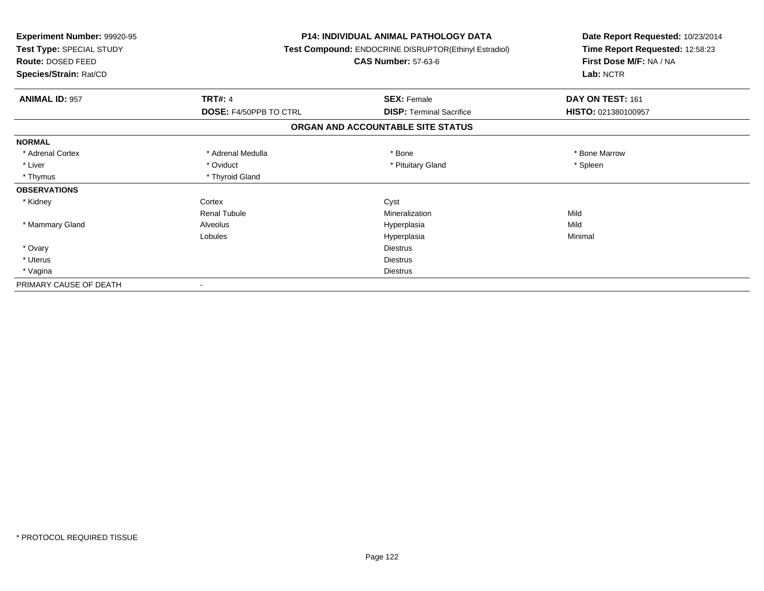| <b>Experiment Number: 99920-95</b><br>Test Type: SPECIAL STUDY<br>Route: DOSED FEED<br>Species/Strain: Rat/CD |                        | <b>P14: INDIVIDUAL ANIMAL PATHOLOGY DATA</b><br>Test Compound: ENDOCRINE DISRUPTOR(Ethinyl Estradiol)<br><b>CAS Number: 57-63-6</b> | Date Report Requested: 10/23/2014<br>Time Report Requested: 12:58:23<br>First Dose M/F: NA / NA<br>Lab: NCTR |
|---------------------------------------------------------------------------------------------------------------|------------------------|-------------------------------------------------------------------------------------------------------------------------------------|--------------------------------------------------------------------------------------------------------------|
| <b>ANIMAL ID: 957</b>                                                                                         | <b>TRT#: 4</b>         | <b>SEX: Female</b>                                                                                                                  | DAY ON TEST: 161                                                                                             |
|                                                                                                               | DOSE: F4/50PPB TO CTRL | <b>DISP: Terminal Sacrifice</b>                                                                                                     | HISTO: 021380100957                                                                                          |
|                                                                                                               |                        | ORGAN AND ACCOUNTABLE SITE STATUS                                                                                                   |                                                                                                              |
| <b>NORMAL</b>                                                                                                 |                        |                                                                                                                                     |                                                                                                              |
| * Adrenal Cortex                                                                                              | * Adrenal Medulla      | * Bone                                                                                                                              | * Bone Marrow                                                                                                |
| * Liver                                                                                                       | * Oviduct              | * Pituitary Gland                                                                                                                   | * Spleen                                                                                                     |
| * Thymus                                                                                                      | * Thyroid Gland        |                                                                                                                                     |                                                                                                              |
| <b>OBSERVATIONS</b>                                                                                           |                        |                                                                                                                                     |                                                                                                              |
| * Kidney                                                                                                      | Cortex                 | Cyst                                                                                                                                |                                                                                                              |
|                                                                                                               | <b>Renal Tubule</b>    | Mineralization                                                                                                                      | Mild                                                                                                         |
| * Mammary Gland                                                                                               | Alveolus               | Hyperplasia                                                                                                                         | Mild                                                                                                         |
|                                                                                                               | Lobules                | Hyperplasia                                                                                                                         | Minimal                                                                                                      |
| * Ovary                                                                                                       |                        | <b>Diestrus</b>                                                                                                                     |                                                                                                              |
| * Uterus                                                                                                      |                        | <b>Diestrus</b>                                                                                                                     |                                                                                                              |
| * Vagina                                                                                                      |                        | <b>Diestrus</b>                                                                                                                     |                                                                                                              |
| PRIMARY CAUSE OF DEATH                                                                                        |                        |                                                                                                                                     |                                                                                                              |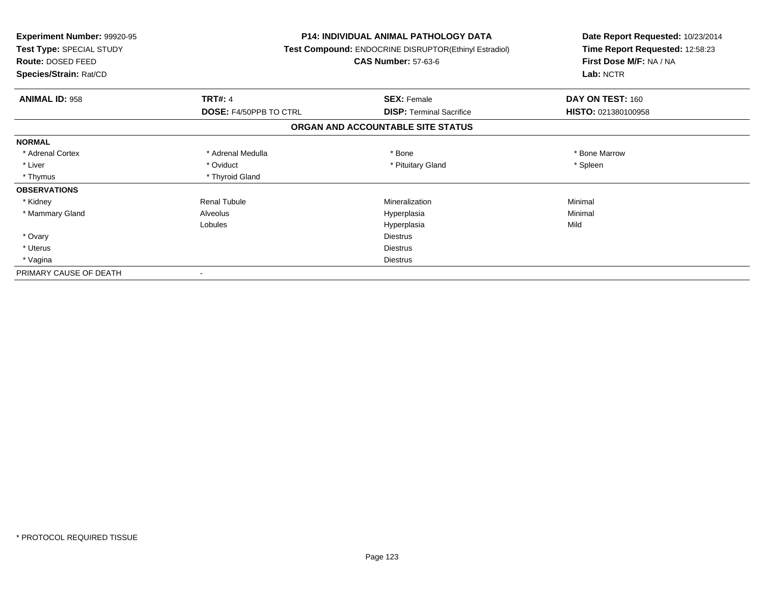| Experiment Number: 99920-95<br>Test Type: SPECIAL STUDY<br><b>Route: DOSED FEED</b> |                               | <b>P14: INDIVIDUAL ANIMAL PATHOLOGY DATA</b><br>Test Compound: ENDOCRINE DISRUPTOR(Ethinyl Estradiol)<br><b>CAS Number: 57-63-6</b> | Date Report Requested: 10/23/2014<br>Time Report Requested: 12:58:23<br>First Dose M/F: NA / NA |  |
|-------------------------------------------------------------------------------------|-------------------------------|-------------------------------------------------------------------------------------------------------------------------------------|-------------------------------------------------------------------------------------------------|--|
| Species/Strain: Rat/CD                                                              |                               |                                                                                                                                     | Lab: NCTR                                                                                       |  |
| <b>ANIMAL ID: 958</b>                                                               | <b>TRT#: 4</b>                | <b>SEX: Female</b>                                                                                                                  | DAY ON TEST: 160                                                                                |  |
|                                                                                     | <b>DOSE: F4/50PPB TO CTRL</b> | <b>DISP: Terminal Sacrifice</b>                                                                                                     | HISTO: 021380100958                                                                             |  |
|                                                                                     |                               | ORGAN AND ACCOUNTABLE SITE STATUS                                                                                                   |                                                                                                 |  |
| <b>NORMAL</b>                                                                       |                               |                                                                                                                                     |                                                                                                 |  |
| * Adrenal Cortex                                                                    | * Adrenal Medulla             | * Bone                                                                                                                              | * Bone Marrow                                                                                   |  |
| * Liver                                                                             | * Oviduct                     | * Pituitary Gland                                                                                                                   | * Spleen                                                                                        |  |
| * Thymus                                                                            | * Thyroid Gland               |                                                                                                                                     |                                                                                                 |  |
| <b>OBSERVATIONS</b>                                                                 |                               |                                                                                                                                     |                                                                                                 |  |
| * Kidney                                                                            | <b>Renal Tubule</b>           | Mineralization                                                                                                                      | Minimal                                                                                         |  |
| * Mammary Gland                                                                     | Alveolus                      | Hyperplasia                                                                                                                         | Minimal                                                                                         |  |
|                                                                                     | Lobules                       | Hyperplasia                                                                                                                         | Mild                                                                                            |  |
| * Ovary                                                                             |                               | <b>Diestrus</b>                                                                                                                     |                                                                                                 |  |
| * Uterus                                                                            |                               | <b>Diestrus</b>                                                                                                                     |                                                                                                 |  |
| * Vagina                                                                            |                               | <b>Diestrus</b>                                                                                                                     |                                                                                                 |  |
| PRIMARY CAUSE OF DEATH                                                              |                               |                                                                                                                                     |                                                                                                 |  |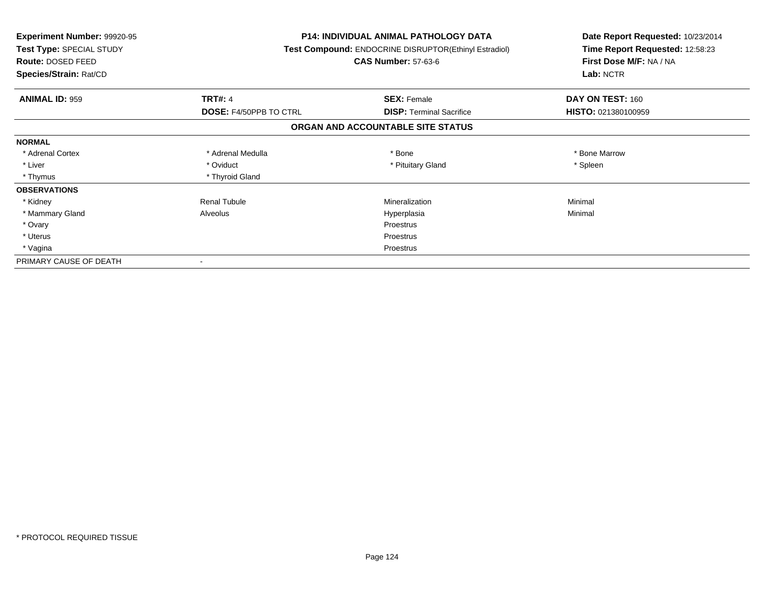| <b>Experiment Number: 99920-95</b><br>Test Type: SPECIAL STUDY<br><b>Route: DOSED FEED</b><br>Species/Strain: Rat/CD |                        | <b>P14: INDIVIDUAL ANIMAL PATHOLOGY DATA</b><br>Test Compound: ENDOCRINE DISRUPTOR(Ethinyl Estradiol)<br><b>CAS Number: 57-63-6</b> | Date Report Requested: 10/23/2014<br>Time Report Requested: 12:58:23<br>First Dose M/F: NA / NA<br>Lab: NCTR |
|----------------------------------------------------------------------------------------------------------------------|------------------------|-------------------------------------------------------------------------------------------------------------------------------------|--------------------------------------------------------------------------------------------------------------|
| <b>ANIMAL ID: 959</b>                                                                                                | <b>TRT#: 4</b>         | <b>SEX: Female</b>                                                                                                                  | DAY ON TEST: 160                                                                                             |
|                                                                                                                      | DOSE: F4/50PPB TO CTRL | <b>DISP: Terminal Sacrifice</b>                                                                                                     | HISTO: 021380100959                                                                                          |
|                                                                                                                      |                        | ORGAN AND ACCOUNTABLE SITE STATUS                                                                                                   |                                                                                                              |
| <b>NORMAL</b>                                                                                                        |                        |                                                                                                                                     |                                                                                                              |
| * Adrenal Cortex                                                                                                     | * Adrenal Medulla      | * Bone                                                                                                                              | * Bone Marrow                                                                                                |
| * Liver                                                                                                              | * Oviduct              | * Pituitary Gland                                                                                                                   | * Spleen                                                                                                     |
| * Thymus                                                                                                             | * Thyroid Gland        |                                                                                                                                     |                                                                                                              |
| <b>OBSERVATIONS</b>                                                                                                  |                        |                                                                                                                                     |                                                                                                              |
| * Kidney                                                                                                             | <b>Renal Tubule</b>    | Mineralization                                                                                                                      | Minimal                                                                                                      |
| * Mammary Gland                                                                                                      | Alveolus               | Hyperplasia                                                                                                                         | Minimal                                                                                                      |
| * Ovary                                                                                                              |                        | <b>Proestrus</b>                                                                                                                    |                                                                                                              |
| * Uterus                                                                                                             |                        | Proestrus                                                                                                                           |                                                                                                              |
| * Vagina                                                                                                             |                        | Proestrus                                                                                                                           |                                                                                                              |
| PRIMARY CAUSE OF DEATH                                                                                               |                        |                                                                                                                                     |                                                                                                              |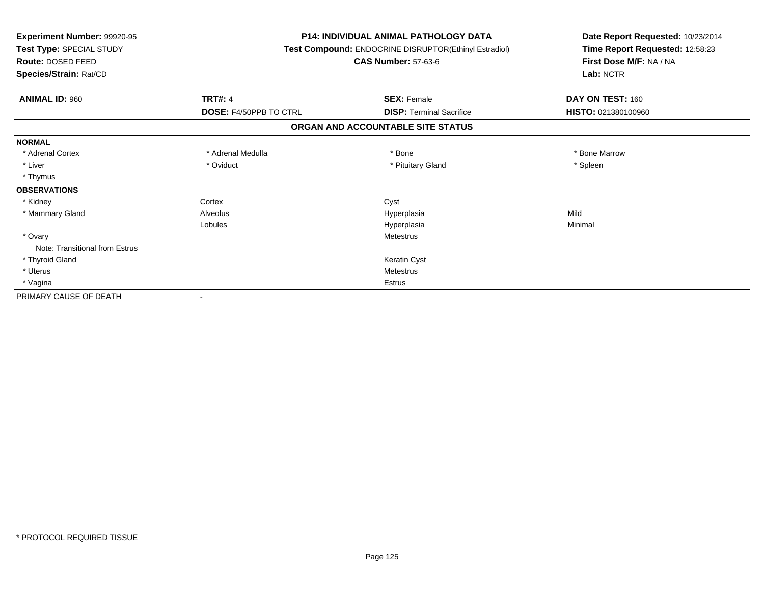| Experiment Number: 99920-95<br>Test Type: SPECIAL STUDY<br><b>Route: DOSED FEED</b><br>Species/Strain: Rat/CD |                               | <b>P14: INDIVIDUAL ANIMAL PATHOLOGY DATA</b><br>Test Compound: ENDOCRINE DISRUPTOR(Ethinyl Estradiol)<br><b>CAS Number: 57-63-6</b> | Date Report Requested: 10/23/2014<br>Time Report Requested: 12:58:23<br>First Dose M/F: NA / NA<br>Lab: NCTR |  |
|---------------------------------------------------------------------------------------------------------------|-------------------------------|-------------------------------------------------------------------------------------------------------------------------------------|--------------------------------------------------------------------------------------------------------------|--|
| <b>ANIMAL ID: 960</b>                                                                                         | <b>TRT#: 4</b>                | <b>SEX: Female</b>                                                                                                                  | DAY ON TEST: 160                                                                                             |  |
|                                                                                                               | <b>DOSE: F4/50PPB TO CTRL</b> | <b>DISP:</b> Terminal Sacrifice                                                                                                     | HISTO: 021380100960                                                                                          |  |
|                                                                                                               |                               | ORGAN AND ACCOUNTABLE SITE STATUS                                                                                                   |                                                                                                              |  |
| <b>NORMAL</b>                                                                                                 |                               |                                                                                                                                     |                                                                                                              |  |
| * Adrenal Cortex                                                                                              | * Adrenal Medulla             | * Bone                                                                                                                              | * Bone Marrow                                                                                                |  |
| * Liver                                                                                                       | * Oviduct                     | * Pituitary Gland                                                                                                                   | * Spleen                                                                                                     |  |
| * Thymus                                                                                                      |                               |                                                                                                                                     |                                                                                                              |  |
| <b>OBSERVATIONS</b>                                                                                           |                               |                                                                                                                                     |                                                                                                              |  |
| * Kidney                                                                                                      | Cortex                        | Cyst                                                                                                                                |                                                                                                              |  |
| * Mammary Gland                                                                                               | Alveolus                      | Hyperplasia                                                                                                                         | Mild                                                                                                         |  |
|                                                                                                               | Lobules                       | Hyperplasia                                                                                                                         | Minimal                                                                                                      |  |
| * Ovary                                                                                                       |                               | <b>Metestrus</b>                                                                                                                    |                                                                                                              |  |
| Note: Transitional from Estrus                                                                                |                               |                                                                                                                                     |                                                                                                              |  |
| * Thyroid Gland                                                                                               |                               | Keratin Cyst                                                                                                                        |                                                                                                              |  |
| * Uterus                                                                                                      |                               | <b>Metestrus</b>                                                                                                                    |                                                                                                              |  |
| * Vagina                                                                                                      |                               | Estrus                                                                                                                              |                                                                                                              |  |
| PRIMARY CAUSE OF DEATH                                                                                        |                               |                                                                                                                                     |                                                                                                              |  |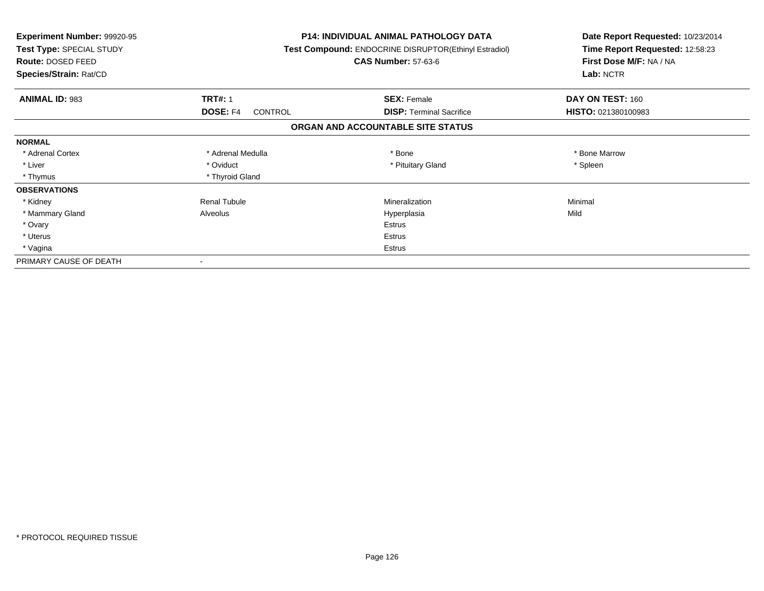| <b>Experiment Number: 99920-95</b><br>Test Type: SPECIAL STUDY<br>Route: DOSED FEED<br>Species/Strain: Rat/CD |                            | <b>P14: INDIVIDUAL ANIMAL PATHOLOGY DATA</b><br>Test Compound: ENDOCRINE DISRUPTOR(Ethinyl Estradiol)<br><b>CAS Number: 57-63-6</b> | Date Report Requested: 10/23/2014<br>Time Report Requested: 12:58:23<br>First Dose M/F: NA / NA<br>Lab: NCTR |
|---------------------------------------------------------------------------------------------------------------|----------------------------|-------------------------------------------------------------------------------------------------------------------------------------|--------------------------------------------------------------------------------------------------------------|
| <b>ANIMAL ID: 983</b>                                                                                         | <b>TRT#: 1</b>             | <b>SEX: Female</b>                                                                                                                  | DAY ON TEST: 160                                                                                             |
|                                                                                                               | DOSE: F4<br><b>CONTROL</b> | <b>DISP:</b> Terminal Sacrifice                                                                                                     | HISTO: 021380100983                                                                                          |
|                                                                                                               |                            | ORGAN AND ACCOUNTABLE SITE STATUS                                                                                                   |                                                                                                              |
| <b>NORMAL</b>                                                                                                 |                            |                                                                                                                                     |                                                                                                              |
| * Adrenal Cortex                                                                                              | * Adrenal Medulla          | * Bone                                                                                                                              | * Bone Marrow                                                                                                |
| * Liver                                                                                                       | * Oviduct                  | * Pituitary Gland                                                                                                                   | * Spleen                                                                                                     |
| * Thymus                                                                                                      | * Thyroid Gland            |                                                                                                                                     |                                                                                                              |
| <b>OBSERVATIONS</b>                                                                                           |                            |                                                                                                                                     |                                                                                                              |
| * Kidney                                                                                                      | <b>Renal Tubule</b>        | Mineralization                                                                                                                      | Minimal                                                                                                      |
| * Mammary Gland                                                                                               | Alveolus                   | Hyperplasia                                                                                                                         | Mild                                                                                                         |
| * Ovary                                                                                                       |                            | Estrus                                                                                                                              |                                                                                                              |
| * Uterus                                                                                                      |                            | Estrus                                                                                                                              |                                                                                                              |
| * Vagina                                                                                                      | Estrus                     |                                                                                                                                     |                                                                                                              |
| PRIMARY CAUSE OF DEATH                                                                                        |                            |                                                                                                                                     |                                                                                                              |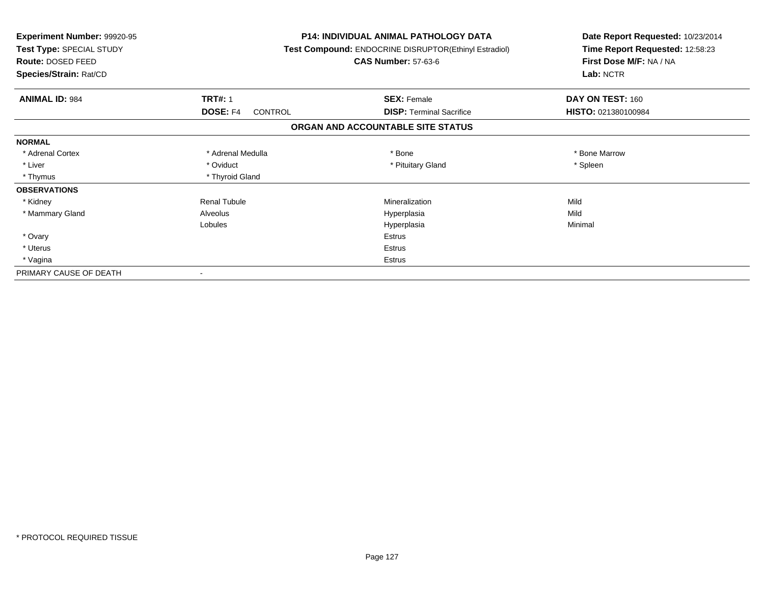| Experiment Number: 99920-95<br>Test Type: SPECIAL STUDY<br>Route: DOSED FEED<br>Species/Strain: Rat/CD |                            | <b>P14: INDIVIDUAL ANIMAL PATHOLOGY DATA</b><br>Test Compound: ENDOCRINE DISRUPTOR(Ethinyl Estradiol)<br><b>CAS Number: 57-63-6</b> | Date Report Requested: 10/23/2014<br>Time Report Requested: 12:58:23<br>First Dose M/F: NA / NA<br>Lab: NCTR |
|--------------------------------------------------------------------------------------------------------|----------------------------|-------------------------------------------------------------------------------------------------------------------------------------|--------------------------------------------------------------------------------------------------------------|
| <b>ANIMAL ID: 984</b>                                                                                  | <b>TRT#: 1</b>             | <b>SEX: Female</b>                                                                                                                  | DAY ON TEST: 160                                                                                             |
|                                                                                                        | DOSE: F4<br><b>CONTROL</b> | <b>DISP:</b> Terminal Sacrifice                                                                                                     | HISTO: 021380100984                                                                                          |
|                                                                                                        |                            | ORGAN AND ACCOUNTABLE SITE STATUS                                                                                                   |                                                                                                              |
| <b>NORMAL</b>                                                                                          |                            |                                                                                                                                     |                                                                                                              |
| * Adrenal Cortex                                                                                       | * Adrenal Medulla          | * Bone                                                                                                                              | * Bone Marrow                                                                                                |
| * Liver                                                                                                | * Oviduct                  | * Pituitary Gland                                                                                                                   | * Spleen                                                                                                     |
| * Thymus                                                                                               | * Thyroid Gland            |                                                                                                                                     |                                                                                                              |
| <b>OBSERVATIONS</b>                                                                                    |                            |                                                                                                                                     |                                                                                                              |
| * Kidney                                                                                               | <b>Renal Tubule</b>        | Mineralization                                                                                                                      | Mild                                                                                                         |
| * Mammary Gland                                                                                        | Alveolus                   | Hyperplasia                                                                                                                         | Mild                                                                                                         |
|                                                                                                        | Lobules                    | Hyperplasia                                                                                                                         | Minimal                                                                                                      |
| * Ovary                                                                                                |                            | <b>Estrus</b>                                                                                                                       |                                                                                                              |
| * Uterus                                                                                               |                            | <b>Estrus</b>                                                                                                                       |                                                                                                              |
| * Vagina                                                                                               |                            | <b>Estrus</b>                                                                                                                       |                                                                                                              |
| PRIMARY CAUSE OF DEATH                                                                                 |                            |                                                                                                                                     |                                                                                                              |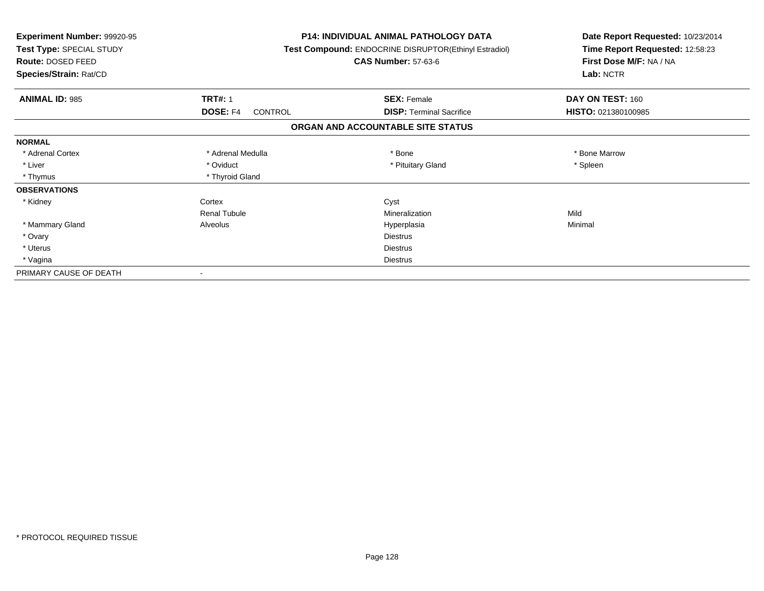| Experiment Number: 99920-95<br>Test Type: SPECIAL STUDY<br>Route: DOSED FEED<br>Species/Strain: Rat/CD |                                   | <b>P14: INDIVIDUAL ANIMAL PATHOLOGY DATA</b><br>Test Compound: ENDOCRINE DISRUPTOR(Ethinyl Estradiol)<br><b>CAS Number: 57-63-6</b> | Date Report Requested: 10/23/2014<br>Time Report Requested: 12:58:23<br>First Dose M/F: NA / NA<br>Lab: NCTR |
|--------------------------------------------------------------------------------------------------------|-----------------------------------|-------------------------------------------------------------------------------------------------------------------------------------|--------------------------------------------------------------------------------------------------------------|
| <b>ANIMAL ID: 985</b>                                                                                  | <b>TRT#: 1</b>                    | <b>SEX: Female</b>                                                                                                                  | DAY ON TEST: 160                                                                                             |
|                                                                                                        | <b>DOSE: F4</b><br><b>CONTROL</b> | <b>DISP: Terminal Sacrifice</b>                                                                                                     | HISTO: 021380100985                                                                                          |
|                                                                                                        |                                   | ORGAN AND ACCOUNTABLE SITE STATUS                                                                                                   |                                                                                                              |
| <b>NORMAL</b>                                                                                          |                                   |                                                                                                                                     |                                                                                                              |
| * Adrenal Cortex                                                                                       | * Adrenal Medulla                 | * Bone                                                                                                                              | * Bone Marrow                                                                                                |
| * Liver                                                                                                | * Oviduct                         | * Pituitary Gland                                                                                                                   | * Spleen                                                                                                     |
| * Thymus                                                                                               | * Thyroid Gland                   |                                                                                                                                     |                                                                                                              |
| <b>OBSERVATIONS</b>                                                                                    |                                   |                                                                                                                                     |                                                                                                              |
| * Kidney                                                                                               | Cortex                            | Cyst                                                                                                                                |                                                                                                              |
|                                                                                                        | <b>Renal Tubule</b>               | Mineralization                                                                                                                      | Mild                                                                                                         |
| * Mammary Gland                                                                                        | Alveolus                          | Hyperplasia                                                                                                                         | Minimal                                                                                                      |
| * Ovary                                                                                                |                                   | <b>Diestrus</b>                                                                                                                     |                                                                                                              |
| * Uterus                                                                                               |                                   | <b>Diestrus</b>                                                                                                                     |                                                                                                              |
| * Vagina                                                                                               |                                   | <b>Diestrus</b>                                                                                                                     |                                                                                                              |
| PRIMARY CAUSE OF DEATH                                                                                 |                                   |                                                                                                                                     |                                                                                                              |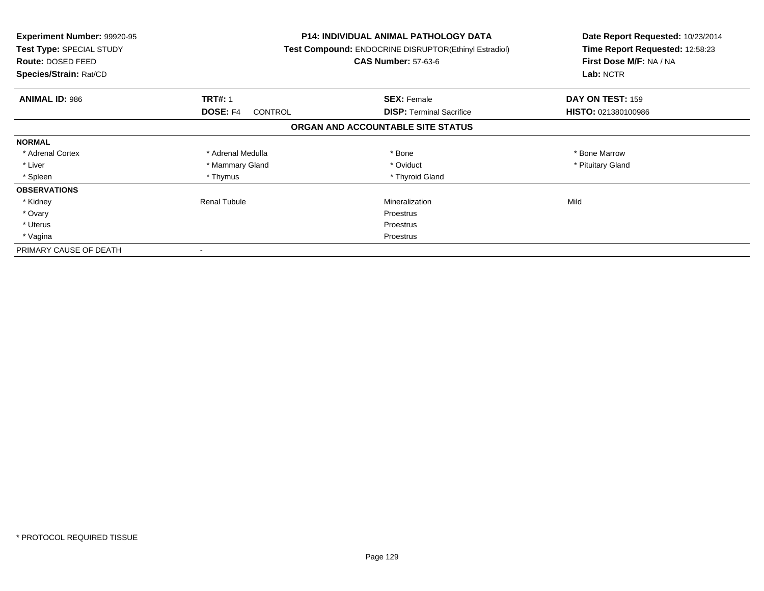| <b>Experiment Number: 99920-95</b><br>Test Type: SPECIAL STUDY<br><b>Route: DOSED FEED</b><br>Species/Strain: Rat/CD |                            | P14: INDIVIDUAL ANIMAL PATHOLOGY DATA<br>Test Compound: ENDOCRINE DISRUPTOR(Ethinyl Estradiol)<br><b>CAS Number: 57-63-6</b> | Date Report Requested: 10/23/2014<br>Time Report Requested: 12:58:23<br>First Dose M/F: NA / NA<br>Lab: NCTR |
|----------------------------------------------------------------------------------------------------------------------|----------------------------|------------------------------------------------------------------------------------------------------------------------------|--------------------------------------------------------------------------------------------------------------|
| <b>ANIMAL ID: 986</b>                                                                                                | <b>TRT#: 1</b>             | <b>SEX: Female</b>                                                                                                           | DAY ON TEST: 159                                                                                             |
|                                                                                                                      | DOSE: F4<br><b>CONTROL</b> | <b>DISP:</b> Terminal Sacrifice                                                                                              | HISTO: 021380100986                                                                                          |
|                                                                                                                      |                            | ORGAN AND ACCOUNTABLE SITE STATUS                                                                                            |                                                                                                              |
| <b>NORMAL</b>                                                                                                        |                            |                                                                                                                              |                                                                                                              |
| * Adrenal Cortex                                                                                                     | * Adrenal Medulla          | * Bone                                                                                                                       | * Bone Marrow                                                                                                |
| * Liver                                                                                                              | * Mammary Gland            | * Oviduct                                                                                                                    | * Pituitary Gland                                                                                            |
| * Spleen                                                                                                             | * Thymus                   | * Thyroid Gland                                                                                                              |                                                                                                              |
| <b>OBSERVATIONS</b>                                                                                                  |                            |                                                                                                                              |                                                                                                              |
| * Kidney                                                                                                             | <b>Renal Tubule</b>        | Mineralization                                                                                                               | Mild                                                                                                         |
| * Ovary                                                                                                              |                            | Proestrus                                                                                                                    |                                                                                                              |
| * Uterus                                                                                                             |                            | Proestrus                                                                                                                    |                                                                                                              |
| * Vagina                                                                                                             |                            | Proestrus                                                                                                                    |                                                                                                              |
| PRIMARY CAUSE OF DEATH                                                                                               |                            |                                                                                                                              |                                                                                                              |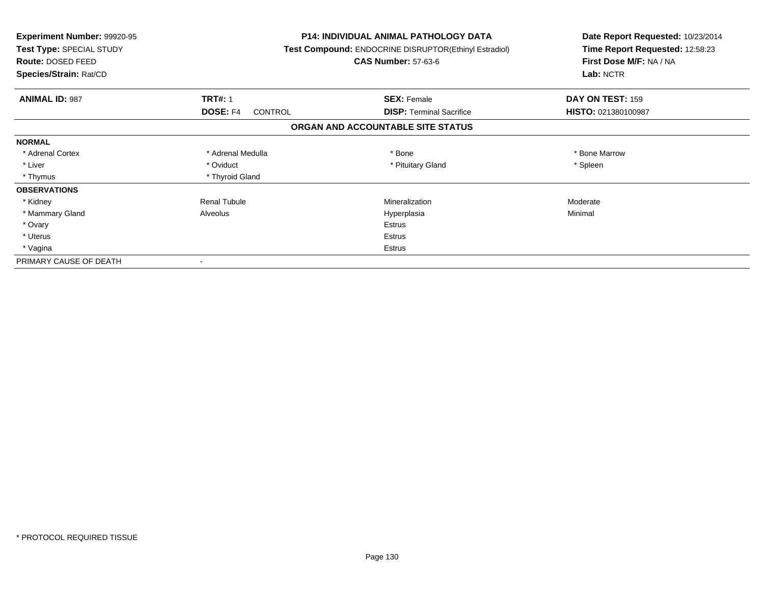| <b>Experiment Number: 99920-95</b><br>Test Type: SPECIAL STUDY<br>Route: DOSED FEED<br>Species/Strain: Rat/CD |                            | <b>P14: INDIVIDUAL ANIMAL PATHOLOGY DATA</b><br>Test Compound: ENDOCRINE DISRUPTOR(Ethinyl Estradiol)<br><b>CAS Number: 57-63-6</b> | Date Report Requested: 10/23/2014<br>Time Report Requested: 12:58:23<br>First Dose M/F: NA / NA<br>Lab: NCTR |
|---------------------------------------------------------------------------------------------------------------|----------------------------|-------------------------------------------------------------------------------------------------------------------------------------|--------------------------------------------------------------------------------------------------------------|
| <b>ANIMAL ID: 987</b>                                                                                         | <b>TRT#: 1</b>             | <b>SEX: Female</b>                                                                                                                  | DAY ON TEST: 159                                                                                             |
|                                                                                                               | <b>DOSE: F4</b><br>CONTROL | <b>DISP: Terminal Sacrifice</b>                                                                                                     | HISTO: 021380100987                                                                                          |
|                                                                                                               |                            | ORGAN AND ACCOUNTABLE SITE STATUS                                                                                                   |                                                                                                              |
| <b>NORMAL</b>                                                                                                 |                            |                                                                                                                                     |                                                                                                              |
| * Adrenal Cortex                                                                                              | * Adrenal Medulla          | * Bone                                                                                                                              | * Bone Marrow                                                                                                |
| * Liver                                                                                                       | * Oviduct                  | * Pituitary Gland                                                                                                                   | * Spleen                                                                                                     |
| * Thymus                                                                                                      | * Thyroid Gland            |                                                                                                                                     |                                                                                                              |
| <b>OBSERVATIONS</b>                                                                                           |                            |                                                                                                                                     |                                                                                                              |
| * Kidney                                                                                                      | <b>Renal Tubule</b>        | Mineralization                                                                                                                      | Moderate                                                                                                     |
| * Mammary Gland                                                                                               | Alveolus                   | Hyperplasia                                                                                                                         | Minimal                                                                                                      |
| * Ovary                                                                                                       |                            | <b>Estrus</b>                                                                                                                       |                                                                                                              |
| * Uterus                                                                                                      |                            | Estrus                                                                                                                              |                                                                                                              |
| * Vagina                                                                                                      |                            | Estrus                                                                                                                              |                                                                                                              |
| PRIMARY CAUSE OF DEATH                                                                                        |                            |                                                                                                                                     |                                                                                                              |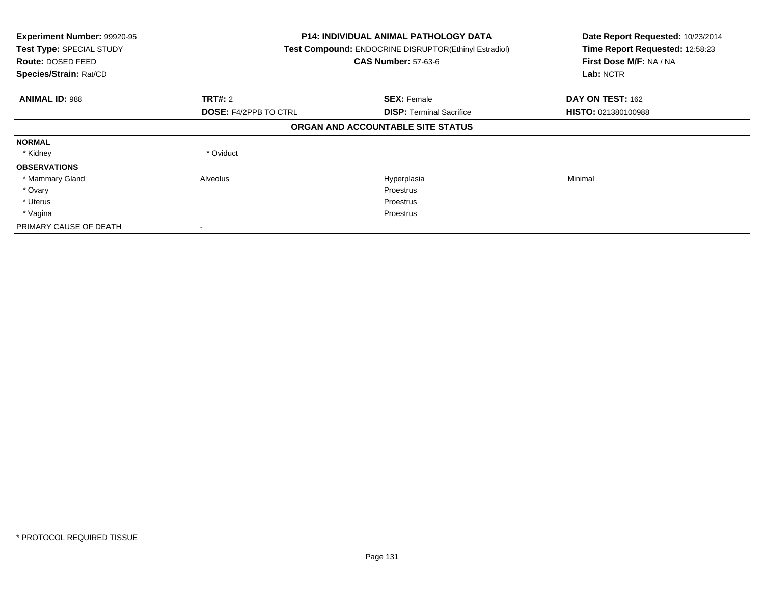| Experiment Number: 99920-95<br>Test Type: SPECIAL STUDY<br>Route: DOSED FEED<br>Species/Strain: Rat/CD | <b>P14: INDIVIDUAL ANIMAL PATHOLOGY DATA</b><br>Test Compound: ENDOCRINE DISRUPTOR(Ethinyl Estradiol)<br><b>CAS Number: 57-63-6</b> |                                   | Date Report Requested: 10/23/2014<br>Time Report Requested: 12:58:23<br>First Dose M/F: NA / NA<br>Lab: NCTR |
|--------------------------------------------------------------------------------------------------------|-------------------------------------------------------------------------------------------------------------------------------------|-----------------------------------|--------------------------------------------------------------------------------------------------------------|
| <b>ANIMAL ID: 988</b>                                                                                  | TRT#: 2                                                                                                                             | <b>SEX: Female</b>                | DAY ON TEST: 162                                                                                             |
|                                                                                                        | <b>DOSE: F4/2PPB TO CTRL</b>                                                                                                        | <b>DISP:</b> Terminal Sacrifice   | <b>HISTO: 021380100988</b>                                                                                   |
|                                                                                                        |                                                                                                                                     | ORGAN AND ACCOUNTABLE SITE STATUS |                                                                                                              |
| <b>NORMAL</b>                                                                                          |                                                                                                                                     |                                   |                                                                                                              |
| * Kidney                                                                                               | * Oviduct                                                                                                                           |                                   |                                                                                                              |
| <b>OBSERVATIONS</b>                                                                                    |                                                                                                                                     |                                   |                                                                                                              |
| * Mammary Gland                                                                                        | Alveolus                                                                                                                            | Hyperplasia                       | Minimal                                                                                                      |
| * Ovary                                                                                                |                                                                                                                                     | <b>Proestrus</b>                  |                                                                                                              |
| * Uterus                                                                                               |                                                                                                                                     | <b>Proestrus</b>                  |                                                                                                              |
| * Vagina                                                                                               |                                                                                                                                     | Proestrus                         |                                                                                                              |
| PRIMARY CAUSE OF DEATH                                                                                 |                                                                                                                                     |                                   |                                                                                                              |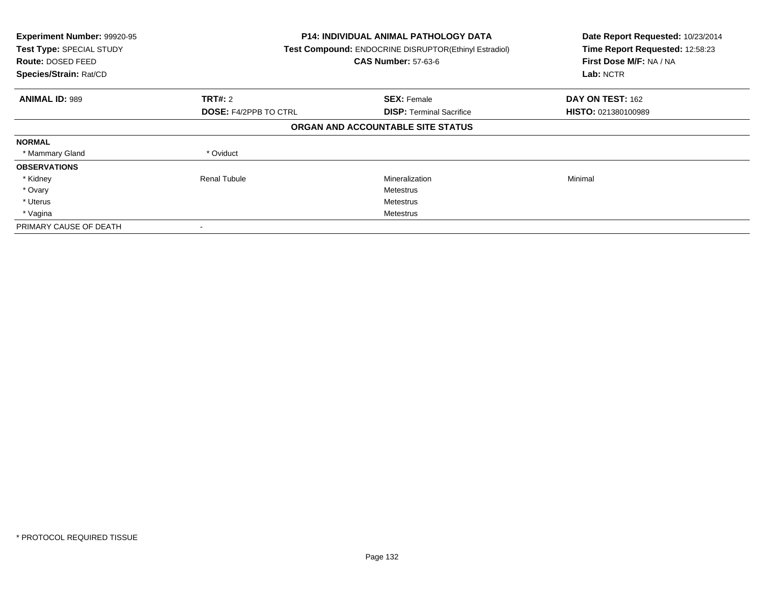| Experiment Number: 99920-95<br>Test Type: SPECIAL STUDY<br><b>Route: DOSED FEED</b><br>Species/Strain: Rat/CD | P14: INDIVIDUAL ANIMAL PATHOLOGY DATA<br>Test Compound: ENDOCRINE DISRUPTOR(Ethinyl Estradiol)<br><b>CAS Number: 57-63-6</b> |                                   | Date Report Requested: 10/23/2014<br>Time Report Requested: 12:58:23<br>First Dose M/F: NA / NA<br>Lab: NCTR |
|---------------------------------------------------------------------------------------------------------------|------------------------------------------------------------------------------------------------------------------------------|-----------------------------------|--------------------------------------------------------------------------------------------------------------|
| <b>ANIMAL ID: 989</b>                                                                                         | TRT#: 2                                                                                                                      | <b>SEX: Female</b>                | DAY ON TEST: 162                                                                                             |
|                                                                                                               | <b>DOSE: F4/2PPB TO CTRL</b>                                                                                                 | <b>DISP:</b> Terminal Sacrifice   | <b>HISTO: 021380100989</b>                                                                                   |
|                                                                                                               |                                                                                                                              | ORGAN AND ACCOUNTABLE SITE STATUS |                                                                                                              |
| <b>NORMAL</b>                                                                                                 |                                                                                                                              |                                   |                                                                                                              |
| * Mammary Gland                                                                                               | * Oviduct                                                                                                                    |                                   |                                                                                                              |
| <b>OBSERVATIONS</b>                                                                                           |                                                                                                                              |                                   |                                                                                                              |
| * Kidney                                                                                                      | Renal Tubule                                                                                                                 | Mineralization                    | Minimal                                                                                                      |
| * Ovary                                                                                                       |                                                                                                                              | Metestrus                         |                                                                                                              |
| * Uterus                                                                                                      |                                                                                                                              | Metestrus                         |                                                                                                              |
| * Vagina                                                                                                      |                                                                                                                              | Metestrus                         |                                                                                                              |
| PRIMARY CAUSE OF DEATH                                                                                        |                                                                                                                              |                                   |                                                                                                              |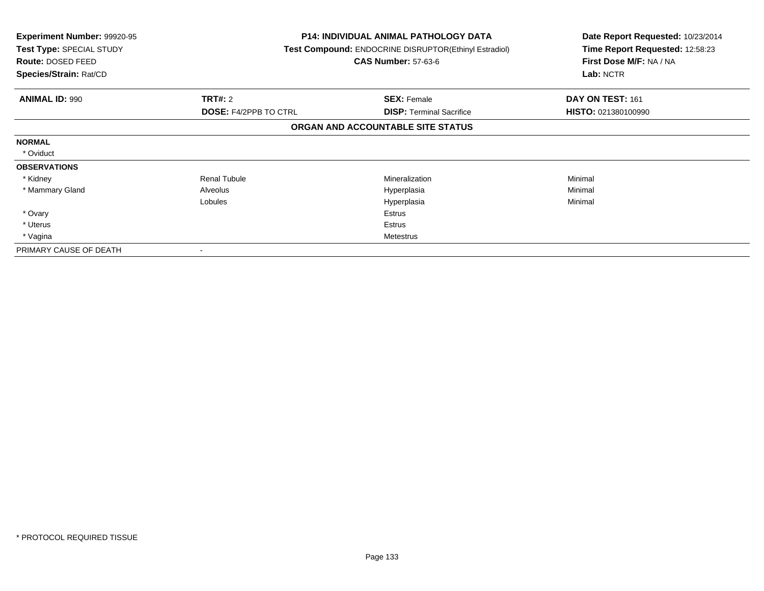| <b>Experiment Number: 99920-95</b><br>Test Type: SPECIAL STUDY<br>Route: DOSED FEED<br>Species/Strain: Rat/CD |                              | <b>P14: INDIVIDUAL ANIMAL PATHOLOGY DATA</b><br>Test Compound: ENDOCRINE DISRUPTOR(Ethinyl Estradiol)<br><b>CAS Number: 57-63-6</b> | Date Report Requested: 10/23/2014<br>Time Report Requested: 12:58:23<br>First Dose M/F: NA / NA<br>Lab: NCTR |
|---------------------------------------------------------------------------------------------------------------|------------------------------|-------------------------------------------------------------------------------------------------------------------------------------|--------------------------------------------------------------------------------------------------------------|
| <b>ANIMAL ID: 990</b>                                                                                         | <b>TRT#: 2</b>               | <b>SEX: Female</b>                                                                                                                  | DAY ON TEST: 161                                                                                             |
|                                                                                                               | <b>DOSE: F4/2PPB TO CTRL</b> | <b>DISP:</b> Terminal Sacrifice                                                                                                     | HISTO: 021380100990                                                                                          |
|                                                                                                               |                              | ORGAN AND ACCOUNTABLE SITE STATUS                                                                                                   |                                                                                                              |
| <b>NORMAL</b>                                                                                                 |                              |                                                                                                                                     |                                                                                                              |
| * Oviduct                                                                                                     |                              |                                                                                                                                     |                                                                                                              |
| <b>OBSERVATIONS</b>                                                                                           |                              |                                                                                                                                     |                                                                                                              |
| * Kidney                                                                                                      | <b>Renal Tubule</b>          | <b>Mineralization</b>                                                                                                               | Minimal                                                                                                      |
| * Mammary Gland                                                                                               | Alveolus                     | Hyperplasia                                                                                                                         | Minimal                                                                                                      |
|                                                                                                               | Lobules                      | Hyperplasia                                                                                                                         | Minimal                                                                                                      |
| * Ovary                                                                                                       |                              | Estrus                                                                                                                              |                                                                                                              |
| * Uterus                                                                                                      |                              | Estrus                                                                                                                              |                                                                                                              |
| * Vagina                                                                                                      |                              | Metestrus                                                                                                                           |                                                                                                              |
| PRIMARY CAUSE OF DEATH                                                                                        |                              |                                                                                                                                     |                                                                                                              |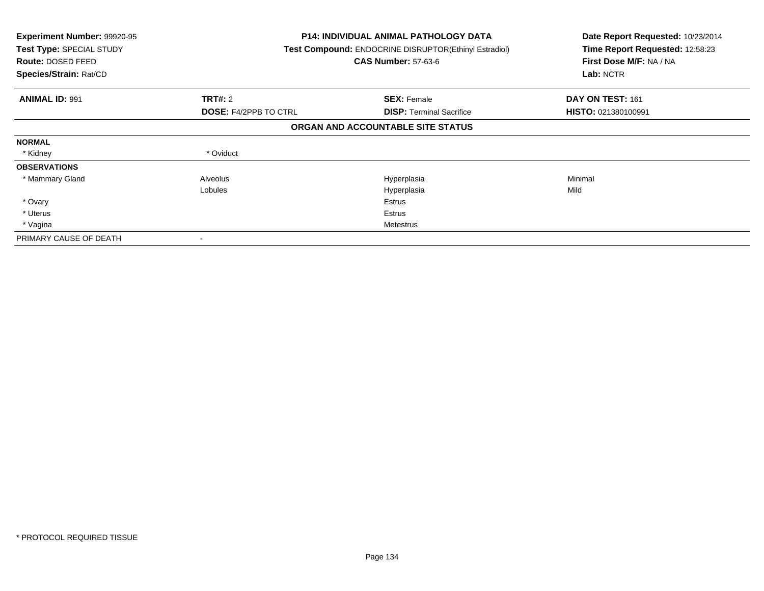| Experiment Number: 99920-95<br>Test Type: SPECIAL STUDY<br>Route: DOSED FEED<br>Species/Strain: Rat/CD |                              | <b>P14: INDIVIDUAL ANIMAL PATHOLOGY DATA</b><br><b>Test Compound: ENDOCRINE DISRUPTOR(Ethinyl Estradiol)</b><br><b>CAS Number: 57-63-6</b> | Date Report Requested: 10/23/2014<br>Time Report Requested: 12:58:23<br>First Dose M/F: NA / NA<br>Lab: NCTR |
|--------------------------------------------------------------------------------------------------------|------------------------------|--------------------------------------------------------------------------------------------------------------------------------------------|--------------------------------------------------------------------------------------------------------------|
| <b>ANIMAL ID: 991</b>                                                                                  | <b>TRT#: 2</b>               | <b>SEX: Female</b>                                                                                                                         | DAY ON TEST: 161                                                                                             |
|                                                                                                        | <b>DOSE: F4/2PPB TO CTRL</b> | <b>DISP:</b> Terminal Sacrifice                                                                                                            | HISTO: 021380100991                                                                                          |
|                                                                                                        |                              | ORGAN AND ACCOUNTABLE SITE STATUS                                                                                                          |                                                                                                              |
| <b>NORMAL</b>                                                                                          |                              |                                                                                                                                            |                                                                                                              |
| * Kidney                                                                                               | * Oviduct                    |                                                                                                                                            |                                                                                                              |
| <b>OBSERVATIONS</b>                                                                                    |                              |                                                                                                                                            |                                                                                                              |
| * Mammary Gland                                                                                        | Alveolus                     | Hyperplasia                                                                                                                                | Minimal                                                                                                      |
|                                                                                                        | Lobules                      | Hyperplasia                                                                                                                                | Mild                                                                                                         |
| * Ovary                                                                                                |                              | Estrus                                                                                                                                     |                                                                                                              |
| * Uterus                                                                                               |                              | Estrus                                                                                                                                     |                                                                                                              |
| * Vagina                                                                                               |                              | Metestrus                                                                                                                                  |                                                                                                              |
| PRIMARY CAUSE OF DEATH                                                                                 |                              |                                                                                                                                            |                                                                                                              |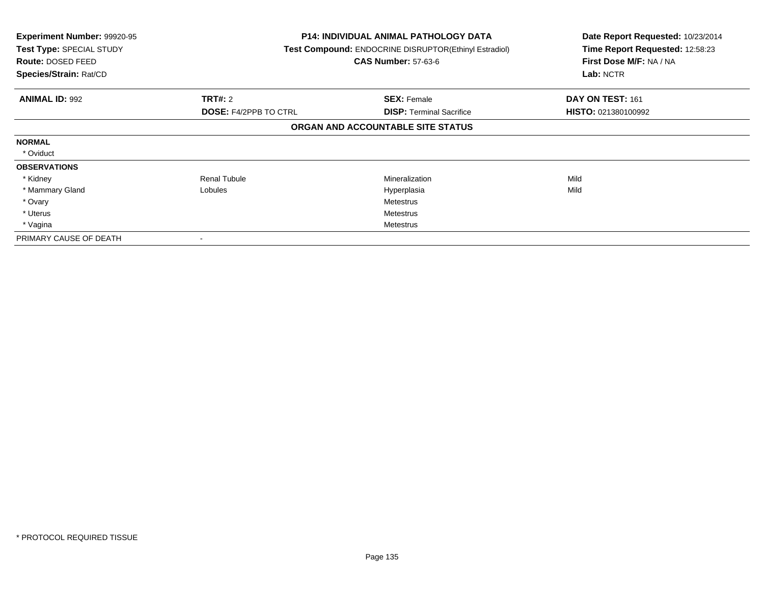| <b>Experiment Number: 99920-95</b><br>Test Type: SPECIAL STUDY<br><b>Route: DOSED FEED</b><br>Species/Strain: Rat/CD |                              | <b>P14: INDIVIDUAL ANIMAL PATHOLOGY DATA</b><br>Test Compound: ENDOCRINE DISRUPTOR(Ethinyl Estradiol)<br><b>CAS Number: 57-63-6</b> | Date Report Requested: 10/23/2014<br>Time Report Requested: 12:58:23<br>First Dose M/F: NA / NA<br>Lab: NCTR |
|----------------------------------------------------------------------------------------------------------------------|------------------------------|-------------------------------------------------------------------------------------------------------------------------------------|--------------------------------------------------------------------------------------------------------------|
| <b>ANIMAL ID: 992</b>                                                                                                | <b>TRT#: 2</b>               | <b>SEX: Female</b>                                                                                                                  | DAY ON TEST: 161                                                                                             |
|                                                                                                                      | <b>DOSE: F4/2PPB TO CTRL</b> | <b>DISP: Terminal Sacrifice</b>                                                                                                     | <b>HISTO: 021380100992</b>                                                                                   |
|                                                                                                                      |                              | ORGAN AND ACCOUNTABLE SITE STATUS                                                                                                   |                                                                                                              |
| <b>NORMAL</b>                                                                                                        |                              |                                                                                                                                     |                                                                                                              |
| * Oviduct                                                                                                            |                              |                                                                                                                                     |                                                                                                              |
| <b>OBSERVATIONS</b>                                                                                                  |                              |                                                                                                                                     |                                                                                                              |
| * Kidney                                                                                                             | <b>Renal Tubule</b>          | Mineralization                                                                                                                      | Mild                                                                                                         |
| * Mammary Gland                                                                                                      | Lobules                      | Hyperplasia                                                                                                                         | Mild                                                                                                         |
| * Ovary                                                                                                              |                              | Metestrus                                                                                                                           |                                                                                                              |
| * Uterus                                                                                                             |                              | Metestrus                                                                                                                           |                                                                                                              |
| * Vagina                                                                                                             |                              | Metestrus                                                                                                                           |                                                                                                              |
| PRIMARY CAUSE OF DEATH                                                                                               |                              |                                                                                                                                     |                                                                                                              |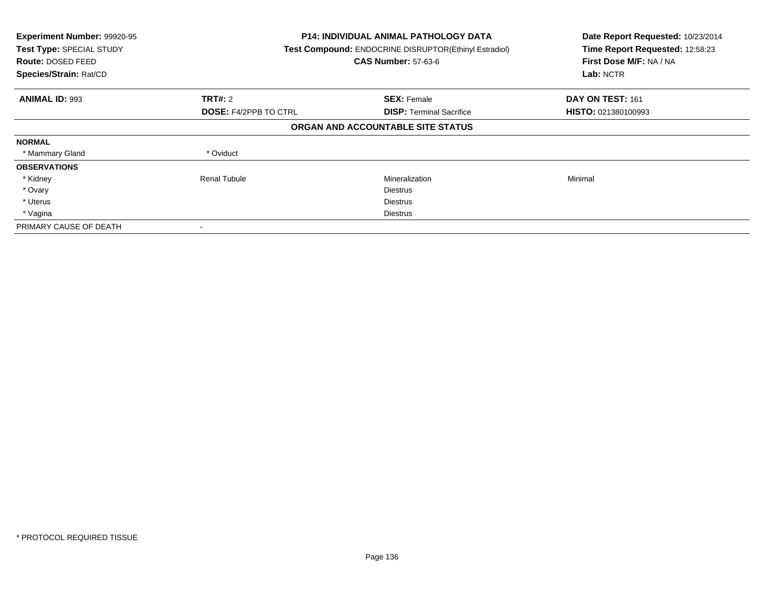| Experiment Number: 99920-95<br>Test Type: SPECIAL STUDY<br><b>Route: DOSED FEED</b><br>Species/Strain: Rat/CD | P14: INDIVIDUAL ANIMAL PATHOLOGY DATA<br>Test Compound: ENDOCRINE DISRUPTOR(Ethinyl Estradiol)<br><b>CAS Number: 57-63-6</b> |                                   | Date Report Requested: 10/23/2014<br>Time Report Requested: 12:58:23<br>First Dose M/F: NA / NA<br>Lab: NCTR |
|---------------------------------------------------------------------------------------------------------------|------------------------------------------------------------------------------------------------------------------------------|-----------------------------------|--------------------------------------------------------------------------------------------------------------|
| <b>ANIMAL ID: 993</b>                                                                                         | TRT#: 2                                                                                                                      | <b>SEX: Female</b>                | DAY ON TEST: 161                                                                                             |
|                                                                                                               | <b>DOSE: F4/2PPB TO CTRL</b>                                                                                                 | <b>DISP:</b> Terminal Sacrifice   | <b>HISTO: 021380100993</b>                                                                                   |
|                                                                                                               |                                                                                                                              | ORGAN AND ACCOUNTABLE SITE STATUS |                                                                                                              |
| <b>NORMAL</b>                                                                                                 |                                                                                                                              |                                   |                                                                                                              |
| * Mammary Gland                                                                                               | * Oviduct                                                                                                                    |                                   |                                                                                                              |
| <b>OBSERVATIONS</b>                                                                                           |                                                                                                                              |                                   |                                                                                                              |
| * Kidney                                                                                                      | Renal Tubule                                                                                                                 | Mineralization                    | Minimal                                                                                                      |
| * Ovary                                                                                                       |                                                                                                                              | <b>Diestrus</b>                   |                                                                                                              |
| * Uterus                                                                                                      |                                                                                                                              | <b>Diestrus</b>                   |                                                                                                              |
| * Vagina                                                                                                      |                                                                                                                              | <b>Diestrus</b>                   |                                                                                                              |
| PRIMARY CAUSE OF DEATH                                                                                        |                                                                                                                              |                                   |                                                                                                              |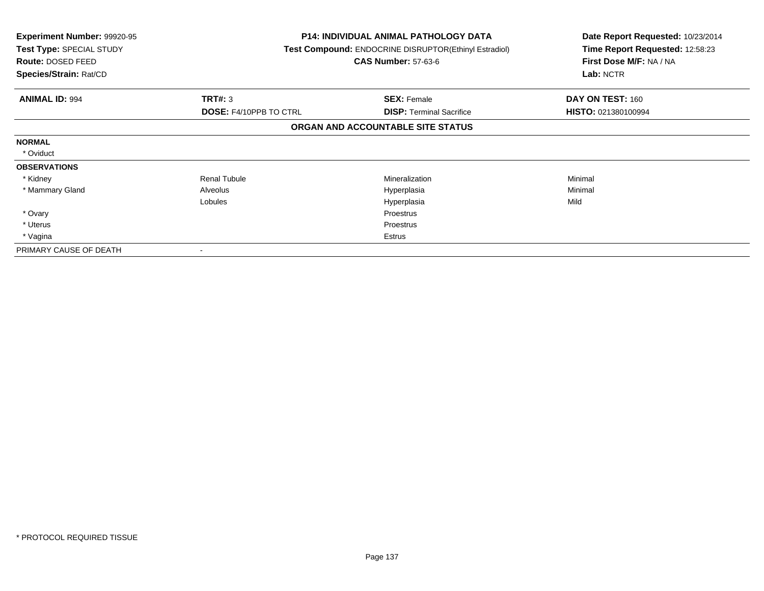| <b>Experiment Number: 99920-95</b><br>Test Type: SPECIAL STUDY<br>Route: DOSED FEED<br>Species/Strain: Rat/CD |                               | <b>P14: INDIVIDUAL ANIMAL PATHOLOGY DATA</b><br>Test Compound: ENDOCRINE DISRUPTOR(Ethinyl Estradiol)<br><b>CAS Number: 57-63-6</b> | Date Report Requested: 10/23/2014<br>Time Report Requested: 12:58:23<br>First Dose M/F: NA / NA<br>Lab: NCTR |
|---------------------------------------------------------------------------------------------------------------|-------------------------------|-------------------------------------------------------------------------------------------------------------------------------------|--------------------------------------------------------------------------------------------------------------|
| <b>ANIMAL ID: 994</b>                                                                                         | TRT#: 3                       | <b>SEX: Female</b>                                                                                                                  | DAY ON TEST: 160                                                                                             |
|                                                                                                               | <b>DOSE: F4/10PPB TO CTRL</b> | <b>DISP:</b> Terminal Sacrifice                                                                                                     | HISTO: 021380100994                                                                                          |
|                                                                                                               |                               | ORGAN AND ACCOUNTABLE SITE STATUS                                                                                                   |                                                                                                              |
| <b>NORMAL</b>                                                                                                 |                               |                                                                                                                                     |                                                                                                              |
| * Oviduct                                                                                                     |                               |                                                                                                                                     |                                                                                                              |
| <b>OBSERVATIONS</b>                                                                                           |                               |                                                                                                                                     |                                                                                                              |
| * Kidney                                                                                                      | <b>Renal Tubule</b>           | <b>Mineralization</b>                                                                                                               | Minimal                                                                                                      |
| * Mammary Gland                                                                                               | Alveolus                      | Hyperplasia                                                                                                                         | Minimal                                                                                                      |
|                                                                                                               | Lobules                       | Hyperplasia                                                                                                                         | Mild                                                                                                         |
| * Ovary                                                                                                       |                               | <b>Proestrus</b>                                                                                                                    |                                                                                                              |
| * Uterus                                                                                                      |                               | Proestrus                                                                                                                           |                                                                                                              |
| * Vagina                                                                                                      |                               | Estrus                                                                                                                              |                                                                                                              |
| PRIMARY CAUSE OF DEATH                                                                                        |                               |                                                                                                                                     |                                                                                                              |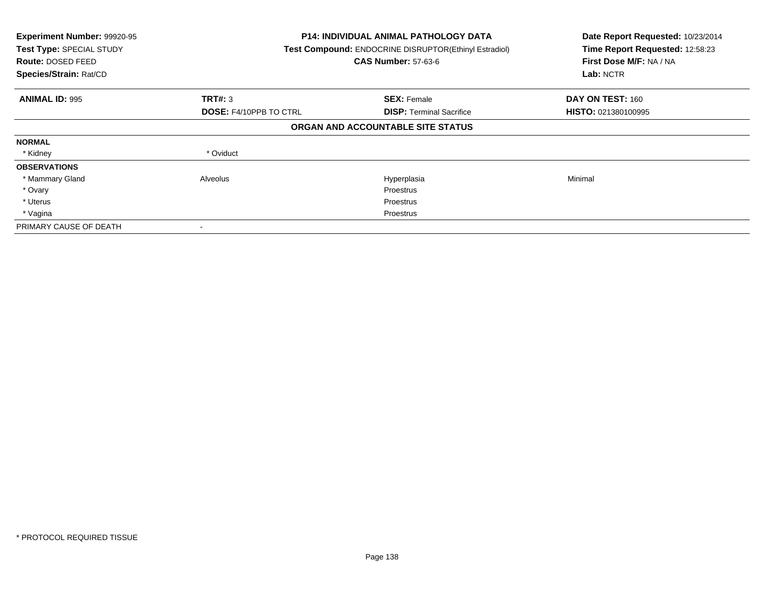| Experiment Number: 99920-95<br>Test Type: SPECIAL STUDY<br>Route: DOSED FEED<br>Species/Strain: Rat/CD |                               | <b>P14: INDIVIDUAL ANIMAL PATHOLOGY DATA</b><br>Test Compound: ENDOCRINE DISRUPTOR(Ethinyl Estradiol)<br><b>CAS Number: 57-63-6</b> | Date Report Requested: 10/23/2014<br>Time Report Requested: 12:58:23<br>First Dose M/F: NA / NA<br>Lab: NCTR |
|--------------------------------------------------------------------------------------------------------|-------------------------------|-------------------------------------------------------------------------------------------------------------------------------------|--------------------------------------------------------------------------------------------------------------|
| <b>ANIMAL ID: 995</b>                                                                                  | TRT#: 3                       | <b>SEX: Female</b>                                                                                                                  | DAY ON TEST: 160                                                                                             |
|                                                                                                        | <b>DOSE: F4/10PPB TO CTRL</b> | <b>DISP:</b> Terminal Sacrifice                                                                                                     | <b>HISTO: 021380100995</b>                                                                                   |
|                                                                                                        |                               | ORGAN AND ACCOUNTABLE SITE STATUS                                                                                                   |                                                                                                              |
| <b>NORMAL</b>                                                                                          |                               |                                                                                                                                     |                                                                                                              |
| * Kidney                                                                                               | * Oviduct                     |                                                                                                                                     |                                                                                                              |
| <b>OBSERVATIONS</b>                                                                                    |                               |                                                                                                                                     |                                                                                                              |
| * Mammary Gland                                                                                        | Alveolus                      | Hyperplasia                                                                                                                         | Minimal                                                                                                      |
| * Ovary                                                                                                |                               | <b>Proestrus</b>                                                                                                                    |                                                                                                              |
| * Uterus                                                                                               |                               | <b>Proestrus</b>                                                                                                                    |                                                                                                              |
| * Vagina                                                                                               |                               | Proestrus                                                                                                                           |                                                                                                              |
| PRIMARY CAUSE OF DEATH                                                                                 |                               |                                                                                                                                     |                                                                                                              |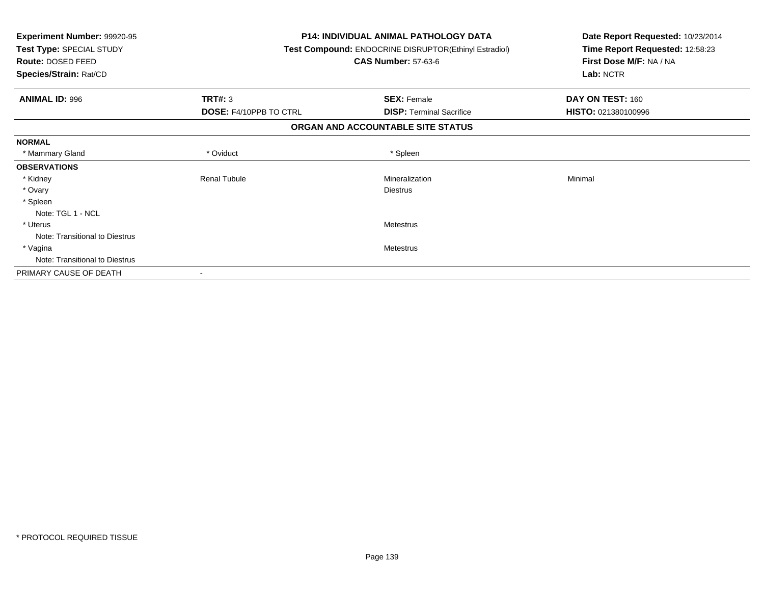| <b>Experiment Number: 99920-95</b><br>Test Type: SPECIAL STUDY<br>Route: DOSED FEED<br>Species/Strain: Rat/CD |                                          | <b>P14: INDIVIDUAL ANIMAL PATHOLOGY DATA</b><br>Test Compound: ENDOCRINE DISRUPTOR(Ethinyl Estradiol)<br><b>CAS Number: 57-63-6</b> | Date Report Requested: 10/23/2014<br>Time Report Requested: 12:58:23<br>First Dose M/F: NA / NA<br>Lab: NCTR |
|---------------------------------------------------------------------------------------------------------------|------------------------------------------|-------------------------------------------------------------------------------------------------------------------------------------|--------------------------------------------------------------------------------------------------------------|
| <b>ANIMAL ID: 996</b>                                                                                         | TRT#: 3<br><b>DOSE: F4/10PPB TO CTRL</b> | <b>SEX: Female</b><br><b>DISP: Terminal Sacrifice</b>                                                                               | DAY ON TEST: 160<br>HISTO: 021380100996                                                                      |
|                                                                                                               |                                          | ORGAN AND ACCOUNTABLE SITE STATUS                                                                                                   |                                                                                                              |
| <b>NORMAL</b>                                                                                                 |                                          |                                                                                                                                     |                                                                                                              |
| * Mammary Gland                                                                                               | * Oviduct                                | * Spleen                                                                                                                            |                                                                                                              |
| <b>OBSERVATIONS</b>                                                                                           |                                          |                                                                                                                                     |                                                                                                              |
| * Kidney                                                                                                      | <b>Renal Tubule</b>                      | Mineralization                                                                                                                      | Minimal                                                                                                      |
| * Ovary                                                                                                       |                                          | <b>Diestrus</b>                                                                                                                     |                                                                                                              |
| * Spleen                                                                                                      |                                          |                                                                                                                                     |                                                                                                              |
| Note: TGL 1 - NCL                                                                                             |                                          |                                                                                                                                     |                                                                                                              |
| * Uterus                                                                                                      |                                          | <b>Metestrus</b>                                                                                                                    |                                                                                                              |
| Note: Transitional to Diestrus                                                                                |                                          |                                                                                                                                     |                                                                                                              |
| * Vagina                                                                                                      |                                          | Metestrus                                                                                                                           |                                                                                                              |
| Note: Transitional to Diestrus                                                                                |                                          |                                                                                                                                     |                                                                                                              |
| PRIMARY CAUSE OF DEATH                                                                                        |                                          |                                                                                                                                     |                                                                                                              |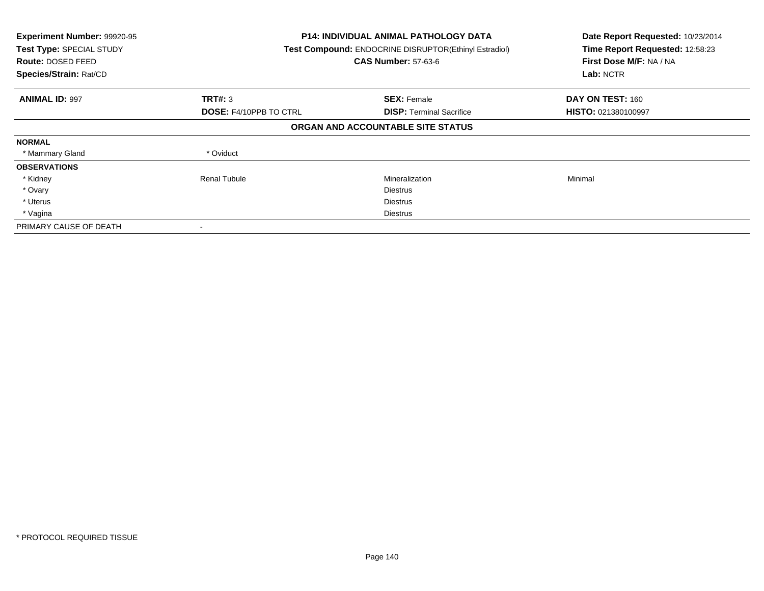| Experiment Number: 99920-95<br>Test Type: SPECIAL STUDY<br><b>Route: DOSED FEED</b><br>Species/Strain: Rat/CD |                               | <b>P14: INDIVIDUAL ANIMAL PATHOLOGY DATA</b><br>Test Compound: ENDOCRINE DISRUPTOR(Ethinyl Estradiol)<br><b>CAS Number: 57-63-6</b> |                     |
|---------------------------------------------------------------------------------------------------------------|-------------------------------|-------------------------------------------------------------------------------------------------------------------------------------|---------------------|
| <b>ANIMAL ID: 997</b>                                                                                         | TRT#: 3                       | <b>SEX: Female</b>                                                                                                                  | DAY ON TEST: 160    |
|                                                                                                               | <b>DOSE: F4/10PPB TO CTRL</b> | <b>DISP:</b> Terminal Sacrifice                                                                                                     | HISTO: 021380100997 |
|                                                                                                               |                               | ORGAN AND ACCOUNTABLE SITE STATUS                                                                                                   |                     |
| <b>NORMAL</b>                                                                                                 |                               |                                                                                                                                     |                     |
| * Mammary Gland                                                                                               | * Oviduct                     |                                                                                                                                     |                     |
| <b>OBSERVATIONS</b>                                                                                           |                               |                                                                                                                                     |                     |
| * Kidney                                                                                                      | <b>Renal Tubule</b>           | Mineralization                                                                                                                      | Minimal             |
| * Ovary                                                                                                       |                               | <b>Diestrus</b>                                                                                                                     |                     |
| * Uterus                                                                                                      |                               | <b>Diestrus</b>                                                                                                                     |                     |
| * Vagina                                                                                                      |                               | Diestrus                                                                                                                            |                     |
| PRIMARY CAUSE OF DEATH                                                                                        |                               |                                                                                                                                     |                     |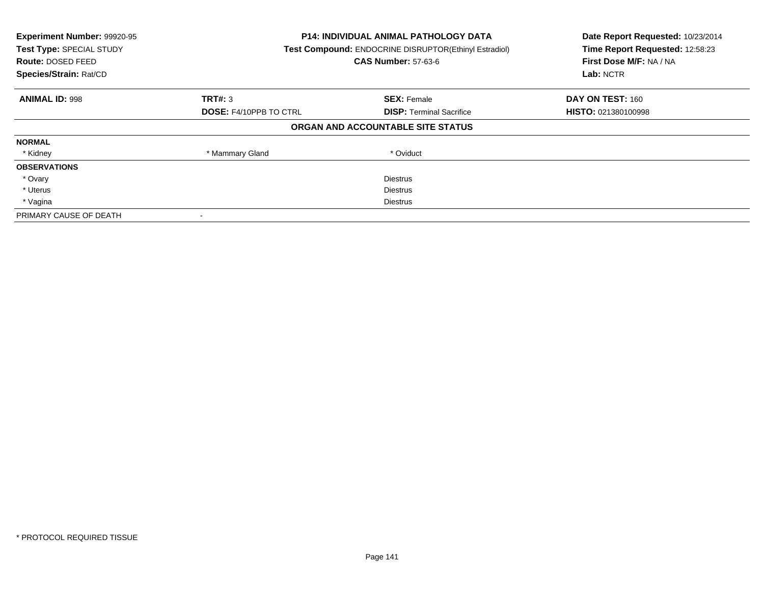| Experiment Number: 99920-95<br>Test Type: SPECIAL STUDY<br>Route: DOSED FEED<br>Species/Strain: Rat/CD | <b>P14: INDIVIDUAL ANIMAL PATHOLOGY DATA</b><br>Test Compound: ENDOCRINE DISRUPTOR(Ethinyl Estradiol)<br><b>CAS Number: 57-63-6</b> |                                   | Date Report Requested: 10/23/2014<br>Time Report Requested: 12:58:23<br>First Dose M/F: NA / NA<br>Lab: NCTR |
|--------------------------------------------------------------------------------------------------------|-------------------------------------------------------------------------------------------------------------------------------------|-----------------------------------|--------------------------------------------------------------------------------------------------------------|
| <b>ANIMAL ID: 998</b>                                                                                  | TRT#: 3                                                                                                                             | <b>SEX: Female</b>                | DAY ON TEST: 160                                                                                             |
|                                                                                                        | <b>DOSE: F4/10PPB TO CTRL</b>                                                                                                       | <b>DISP:</b> Terminal Sacrifice   | <b>HISTO: 021380100998</b>                                                                                   |
|                                                                                                        |                                                                                                                                     | ORGAN AND ACCOUNTABLE SITE STATUS |                                                                                                              |
| <b>NORMAL</b>                                                                                          |                                                                                                                                     |                                   |                                                                                                              |
| * Kidney                                                                                               | * Mammary Gland                                                                                                                     | * Oviduct                         |                                                                                                              |
| <b>OBSERVATIONS</b>                                                                                    |                                                                                                                                     |                                   |                                                                                                              |
| * Ovary                                                                                                |                                                                                                                                     | <b>Diestrus</b>                   |                                                                                                              |
| * Uterus                                                                                               |                                                                                                                                     | Diestrus                          |                                                                                                              |
| * Vagina                                                                                               | Diestrus                                                                                                                            |                                   |                                                                                                              |
| PRIMARY CAUSE OF DEATH                                                                                 |                                                                                                                                     |                                   |                                                                                                              |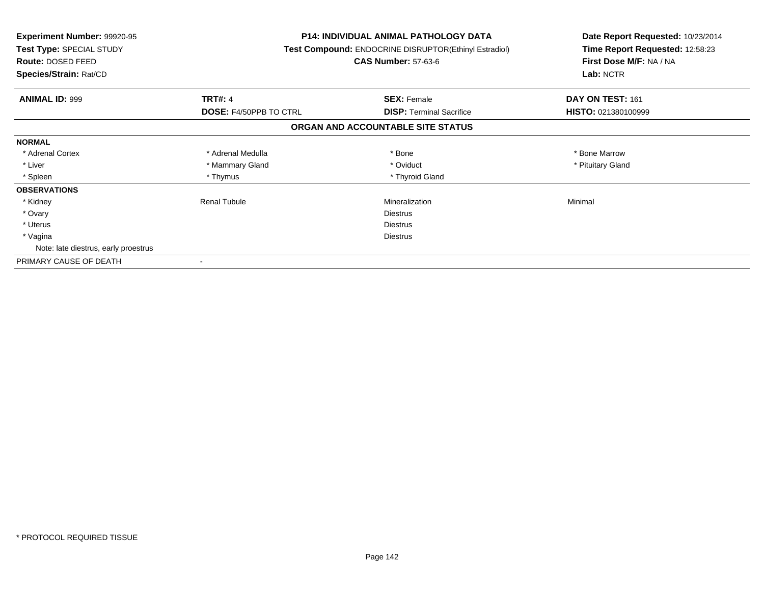| <b>Experiment Number: 99920-95</b><br>Test Type: SPECIAL STUDY<br>Route: DOSED FEED<br>Species/Strain: Rat/CD |                               | <b>P14: INDIVIDUAL ANIMAL PATHOLOGY DATA</b><br>Test Compound: ENDOCRINE DISRUPTOR(Ethinyl Estradiol)<br><b>CAS Number: 57-63-6</b> | Date Report Requested: 10/23/2014<br>Time Report Requested: 12:58:23<br>First Dose M/F: NA / NA<br>Lab: NCTR |
|---------------------------------------------------------------------------------------------------------------|-------------------------------|-------------------------------------------------------------------------------------------------------------------------------------|--------------------------------------------------------------------------------------------------------------|
| <b>ANIMAL ID: 999</b>                                                                                         | <b>TRT#: 4</b>                | <b>SEX: Female</b>                                                                                                                  | DAY ON TEST: 161                                                                                             |
|                                                                                                               | <b>DOSE: F4/50PPB TO CTRL</b> | <b>DISP:</b> Terminal Sacrifice                                                                                                     | <b>HISTO: 021380100999</b>                                                                                   |
|                                                                                                               |                               | ORGAN AND ACCOUNTABLE SITE STATUS                                                                                                   |                                                                                                              |
| <b>NORMAL</b>                                                                                                 |                               |                                                                                                                                     |                                                                                                              |
| * Adrenal Cortex                                                                                              | * Adrenal Medulla             | * Bone                                                                                                                              | * Bone Marrow                                                                                                |
| * Liver                                                                                                       | * Mammary Gland               | * Oviduct                                                                                                                           | * Pituitary Gland                                                                                            |
| * Spleen                                                                                                      | * Thymus                      | * Thyroid Gland                                                                                                                     |                                                                                                              |
| <b>OBSERVATIONS</b>                                                                                           |                               |                                                                                                                                     |                                                                                                              |
| * Kidney                                                                                                      | <b>Renal Tubule</b>           | Mineralization                                                                                                                      | Minimal                                                                                                      |
| * Ovary                                                                                                       |                               | <b>Diestrus</b>                                                                                                                     |                                                                                                              |
| * Uterus                                                                                                      |                               | <b>Diestrus</b>                                                                                                                     |                                                                                                              |
| * Vagina                                                                                                      |                               | <b>Diestrus</b>                                                                                                                     |                                                                                                              |
| Note: late diestrus, early proestrus                                                                          |                               |                                                                                                                                     |                                                                                                              |
| PRIMARY CAUSE OF DEATH                                                                                        |                               |                                                                                                                                     |                                                                                                              |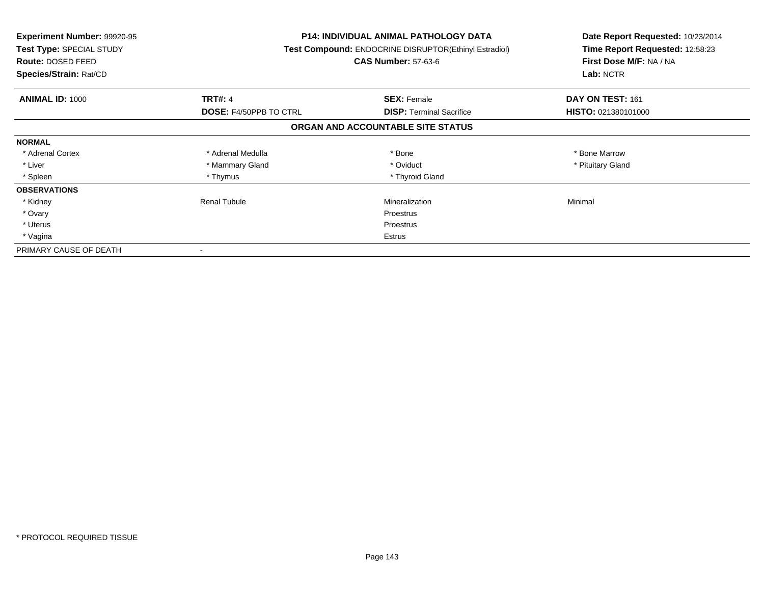| <b>Experiment Number: 99920-95</b><br>Test Type: SPECIAL STUDY<br><b>Route: DOSED FEED</b><br>Species/Strain: Rat/CD |                               | P14: INDIVIDUAL ANIMAL PATHOLOGY DATA<br>Test Compound: ENDOCRINE DISRUPTOR(Ethinyl Estradiol)<br><b>CAS Number: 57-63-6</b> | Date Report Requested: 10/23/2014<br>Time Report Requested: 12:58:23<br>First Dose M/F: NA / NA<br>Lab: NCTR |
|----------------------------------------------------------------------------------------------------------------------|-------------------------------|------------------------------------------------------------------------------------------------------------------------------|--------------------------------------------------------------------------------------------------------------|
| <b>ANIMAL ID: 1000</b>                                                                                               | <b>TRT#: 4</b>                | <b>SEX: Female</b>                                                                                                           | DAY ON TEST: 161                                                                                             |
|                                                                                                                      | <b>DOSE: F4/50PPB TO CTRL</b> | <b>DISP:</b> Terminal Sacrifice                                                                                              | HISTO: 021380101000                                                                                          |
|                                                                                                                      |                               | ORGAN AND ACCOUNTABLE SITE STATUS                                                                                            |                                                                                                              |
| <b>NORMAL</b>                                                                                                        |                               |                                                                                                                              |                                                                                                              |
| * Adrenal Cortex                                                                                                     | * Adrenal Medulla             | * Bone                                                                                                                       | * Bone Marrow                                                                                                |
| * Liver                                                                                                              | * Mammary Gland               | * Oviduct                                                                                                                    | * Pituitary Gland                                                                                            |
| * Spleen                                                                                                             | * Thymus                      | * Thyroid Gland                                                                                                              |                                                                                                              |
| <b>OBSERVATIONS</b>                                                                                                  |                               |                                                                                                                              |                                                                                                              |
| * Kidney                                                                                                             | Renal Tubule                  | Mineralization                                                                                                               | Minimal                                                                                                      |
| * Ovary                                                                                                              |                               | Proestrus                                                                                                                    |                                                                                                              |
| * Uterus                                                                                                             |                               | Proestrus                                                                                                                    |                                                                                                              |
| * Vagina                                                                                                             |                               | Estrus                                                                                                                       |                                                                                                              |
| PRIMARY CAUSE OF DEATH                                                                                               |                               |                                                                                                                              |                                                                                                              |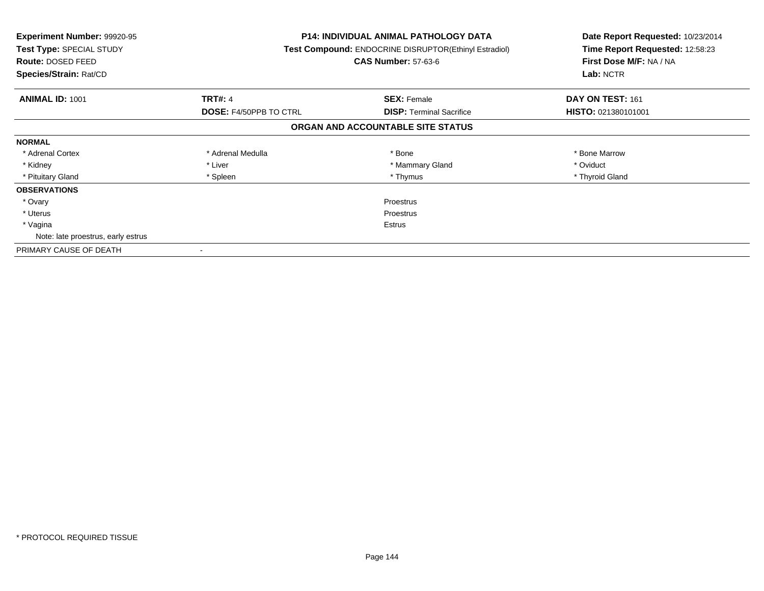| <b>Experiment Number: 99920-95</b><br>Test Type: SPECIAL STUDY<br><b>Route: DOSED FEED</b><br>Species/Strain: Rat/CD |                               | <b>P14: INDIVIDUAL ANIMAL PATHOLOGY DATA</b><br>Test Compound: ENDOCRINE DISRUPTOR(Ethinyl Estradiol)<br><b>CAS Number: 57-63-6</b> | Date Report Requested: 10/23/2014<br>Time Report Requested: 12:58:23<br>First Dose M/F: NA / NA<br>Lab: NCTR |
|----------------------------------------------------------------------------------------------------------------------|-------------------------------|-------------------------------------------------------------------------------------------------------------------------------------|--------------------------------------------------------------------------------------------------------------|
| <b>ANIMAL ID: 1001</b>                                                                                               | <b>TRT#: 4</b>                | <b>SEX: Female</b>                                                                                                                  | DAY ON TEST: 161                                                                                             |
|                                                                                                                      | <b>DOSE: F4/50PPB TO CTRL</b> | <b>DISP:</b> Terminal Sacrifice                                                                                                     | <b>HISTO: 021380101001</b>                                                                                   |
|                                                                                                                      |                               | ORGAN AND ACCOUNTABLE SITE STATUS                                                                                                   |                                                                                                              |
| <b>NORMAL</b>                                                                                                        |                               |                                                                                                                                     |                                                                                                              |
| * Adrenal Cortex                                                                                                     | * Adrenal Medulla             | * Bone                                                                                                                              | * Bone Marrow                                                                                                |
| * Kidney                                                                                                             | * Liver                       | * Mammary Gland                                                                                                                     | * Oviduct                                                                                                    |
| * Pituitary Gland                                                                                                    | * Spleen                      | * Thymus                                                                                                                            | * Thyroid Gland                                                                                              |
| <b>OBSERVATIONS</b>                                                                                                  |                               |                                                                                                                                     |                                                                                                              |
| * Ovary                                                                                                              |                               | Proestrus                                                                                                                           |                                                                                                              |
| * Uterus                                                                                                             | <b>Proestrus</b>              |                                                                                                                                     |                                                                                                              |
| * Vagina                                                                                                             | Estrus                        |                                                                                                                                     |                                                                                                              |
| Note: late proestrus, early estrus                                                                                   |                               |                                                                                                                                     |                                                                                                              |
| PRIMARY CAUSE OF DEATH                                                                                               |                               |                                                                                                                                     |                                                                                                              |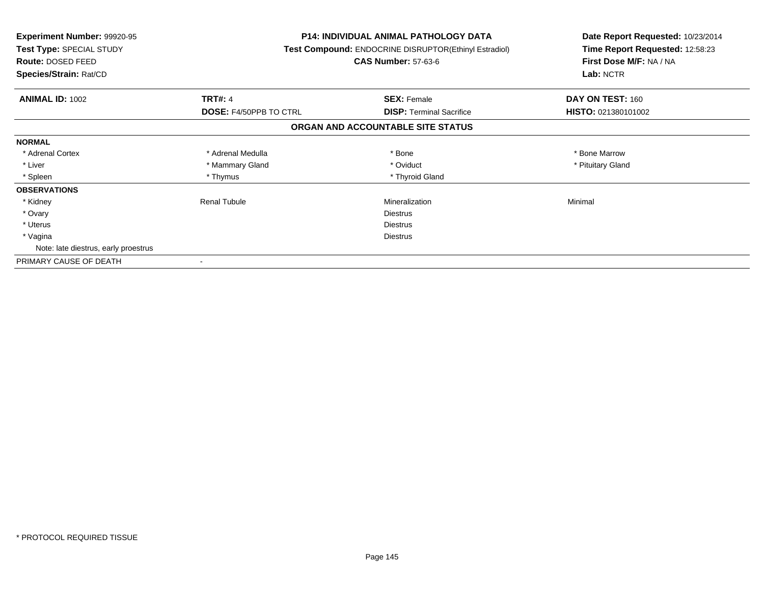| <b>Experiment Number: 99920-95</b><br>Test Type: SPECIAL STUDY<br>Route: DOSED FEED<br>Species/Strain: Rat/CD |                               | <b>P14: INDIVIDUAL ANIMAL PATHOLOGY DATA</b><br>Test Compound: ENDOCRINE DISRUPTOR(Ethinyl Estradiol)<br><b>CAS Number: 57-63-6</b> | Date Report Requested: 10/23/2014<br>Time Report Requested: 12:58:23<br>First Dose M/F: NA / NA<br>Lab: NCTR |
|---------------------------------------------------------------------------------------------------------------|-------------------------------|-------------------------------------------------------------------------------------------------------------------------------------|--------------------------------------------------------------------------------------------------------------|
| <b>ANIMAL ID: 1002</b>                                                                                        | <b>TRT#: 4</b>                | <b>SEX: Female</b>                                                                                                                  | DAY ON TEST: 160                                                                                             |
|                                                                                                               | <b>DOSE: F4/50PPB TO CTRL</b> | <b>DISP:</b> Terminal Sacrifice                                                                                                     | HISTO: 021380101002                                                                                          |
|                                                                                                               |                               | ORGAN AND ACCOUNTABLE SITE STATUS                                                                                                   |                                                                                                              |
| <b>NORMAL</b>                                                                                                 |                               |                                                                                                                                     |                                                                                                              |
| * Adrenal Cortex                                                                                              | * Adrenal Medulla             | * Bone                                                                                                                              | * Bone Marrow                                                                                                |
| * Liver                                                                                                       | * Mammary Gland               | * Oviduct                                                                                                                           | * Pituitary Gland                                                                                            |
| * Spleen                                                                                                      | * Thymus                      | * Thyroid Gland                                                                                                                     |                                                                                                              |
| <b>OBSERVATIONS</b>                                                                                           |                               |                                                                                                                                     |                                                                                                              |
| * Kidney                                                                                                      | <b>Renal Tubule</b>           | Mineralization                                                                                                                      | Minimal                                                                                                      |
| * Ovary                                                                                                       |                               | <b>Diestrus</b>                                                                                                                     |                                                                                                              |
| * Uterus                                                                                                      | Diestrus                      |                                                                                                                                     |                                                                                                              |
| * Vagina                                                                                                      | <b>Diestrus</b>               |                                                                                                                                     |                                                                                                              |
| Note: late diestrus, early proestrus                                                                          |                               |                                                                                                                                     |                                                                                                              |
| PRIMARY CAUSE OF DEATH                                                                                        |                               |                                                                                                                                     |                                                                                                              |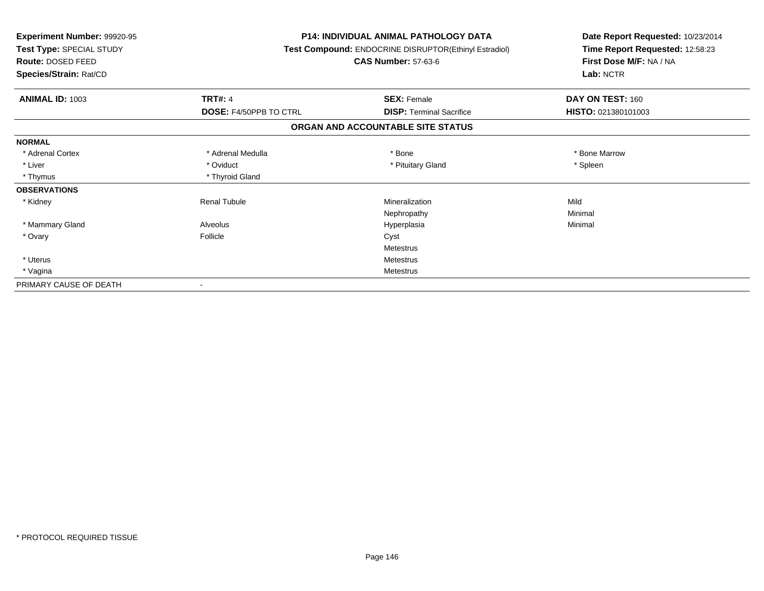| <b>Experiment Number: 99920-95</b><br>Test Type: SPECIAL STUDY<br>Route: DOSED FEED<br>Species/Strain: Rat/CD |                        | <b>P14: INDIVIDUAL ANIMAL PATHOLOGY DATA</b><br><b>Test Compound: ENDOCRINE DISRUPTOR(Ethinyl Estradiol)</b><br><b>CAS Number: 57-63-6</b> | Date Report Requested: 10/23/2014<br>Time Report Requested: 12:58:23<br>First Dose M/F: NA / NA<br>Lab: NCTR |
|---------------------------------------------------------------------------------------------------------------|------------------------|--------------------------------------------------------------------------------------------------------------------------------------------|--------------------------------------------------------------------------------------------------------------|
| <b>ANIMAL ID: 1003</b>                                                                                        | <b>TRT#: 4</b>         | <b>SEX: Female</b>                                                                                                                         | DAY ON TEST: 160                                                                                             |
|                                                                                                               | DOSE: F4/50PPB TO CTRL | <b>DISP: Terminal Sacrifice</b>                                                                                                            | HISTO: 021380101003                                                                                          |
|                                                                                                               |                        | ORGAN AND ACCOUNTABLE SITE STATUS                                                                                                          |                                                                                                              |
| <b>NORMAL</b>                                                                                                 |                        |                                                                                                                                            |                                                                                                              |
| * Adrenal Cortex                                                                                              | * Adrenal Medulla      | * Bone                                                                                                                                     | * Bone Marrow                                                                                                |
| * Liver                                                                                                       | * Oviduct              | * Pituitary Gland                                                                                                                          | * Spleen                                                                                                     |
| * Thymus                                                                                                      | * Thyroid Gland        |                                                                                                                                            |                                                                                                              |
| <b>OBSERVATIONS</b>                                                                                           |                        |                                                                                                                                            |                                                                                                              |
| * Kidney                                                                                                      | <b>Renal Tubule</b>    | Mineralization                                                                                                                             | Mild                                                                                                         |
|                                                                                                               |                        | Nephropathy                                                                                                                                | Minimal                                                                                                      |
| * Mammary Gland                                                                                               | Alveolus               | Hyperplasia                                                                                                                                | Minimal                                                                                                      |
| * Ovary                                                                                                       | Follicle               | Cyst                                                                                                                                       |                                                                                                              |
|                                                                                                               |                        | <b>Metestrus</b>                                                                                                                           |                                                                                                              |
| * Uterus                                                                                                      |                        | <b>Metestrus</b>                                                                                                                           |                                                                                                              |
| * Vagina                                                                                                      |                        | <b>Metestrus</b>                                                                                                                           |                                                                                                              |
| PRIMARY CAUSE OF DEATH                                                                                        |                        |                                                                                                                                            |                                                                                                              |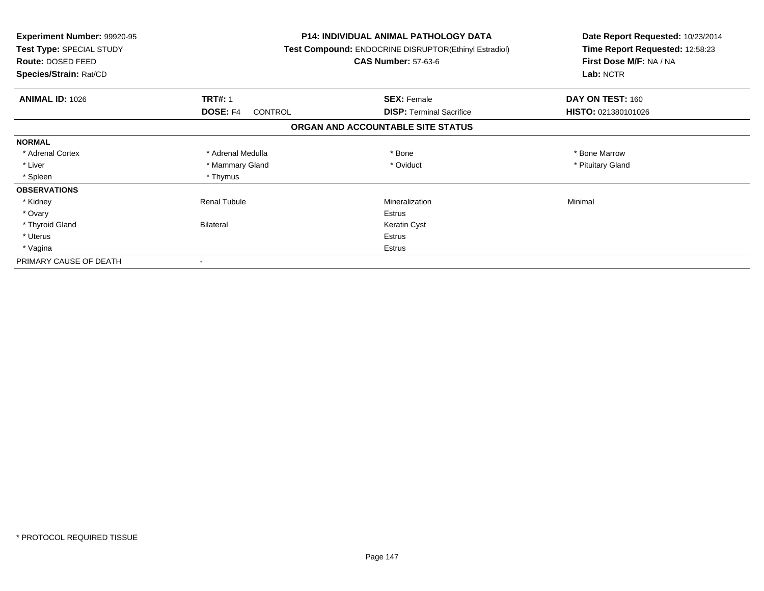| <b>Experiment Number: 99920-95</b><br>Test Type: SPECIAL STUDY<br>Route: DOSED FEED<br>Species/Strain: Rat/CD |                            | <b>P14: INDIVIDUAL ANIMAL PATHOLOGY DATA</b><br>Test Compound: ENDOCRINE DISRUPTOR(Ethinyl Estradiol)<br><b>CAS Number: 57-63-6</b> | Date Report Requested: 10/23/2014<br>Time Report Requested: 12:58:23<br>First Dose M/F: NA / NA<br>Lab: NCTR |
|---------------------------------------------------------------------------------------------------------------|----------------------------|-------------------------------------------------------------------------------------------------------------------------------------|--------------------------------------------------------------------------------------------------------------|
| <b>ANIMAL ID: 1026</b>                                                                                        | <b>TRT#: 1</b>             | <b>SEX: Female</b>                                                                                                                  | DAY ON TEST: 160                                                                                             |
|                                                                                                               | <b>DOSE: F4</b><br>CONTROL | <b>DISP: Terminal Sacrifice</b>                                                                                                     | HISTO: 021380101026                                                                                          |
|                                                                                                               |                            | ORGAN AND ACCOUNTABLE SITE STATUS                                                                                                   |                                                                                                              |
| <b>NORMAL</b>                                                                                                 |                            |                                                                                                                                     |                                                                                                              |
| * Adrenal Cortex                                                                                              | * Adrenal Medulla          | * Bone                                                                                                                              | * Bone Marrow                                                                                                |
| * Liver                                                                                                       | * Mammary Gland            | * Oviduct                                                                                                                           | * Pituitary Gland                                                                                            |
| * Spleen                                                                                                      | * Thymus                   |                                                                                                                                     |                                                                                                              |
| <b>OBSERVATIONS</b>                                                                                           |                            |                                                                                                                                     |                                                                                                              |
| * Kidney                                                                                                      | <b>Renal Tubule</b>        | Mineralization                                                                                                                      | Minimal                                                                                                      |
| * Ovary                                                                                                       |                            | Estrus                                                                                                                              |                                                                                                              |
| * Thyroid Gland                                                                                               | Bilateral                  | Keratin Cyst                                                                                                                        |                                                                                                              |
| * Uterus                                                                                                      |                            | Estrus                                                                                                                              |                                                                                                              |
| * Vagina                                                                                                      | Estrus                     |                                                                                                                                     |                                                                                                              |
| PRIMARY CAUSE OF DEATH                                                                                        |                            |                                                                                                                                     |                                                                                                              |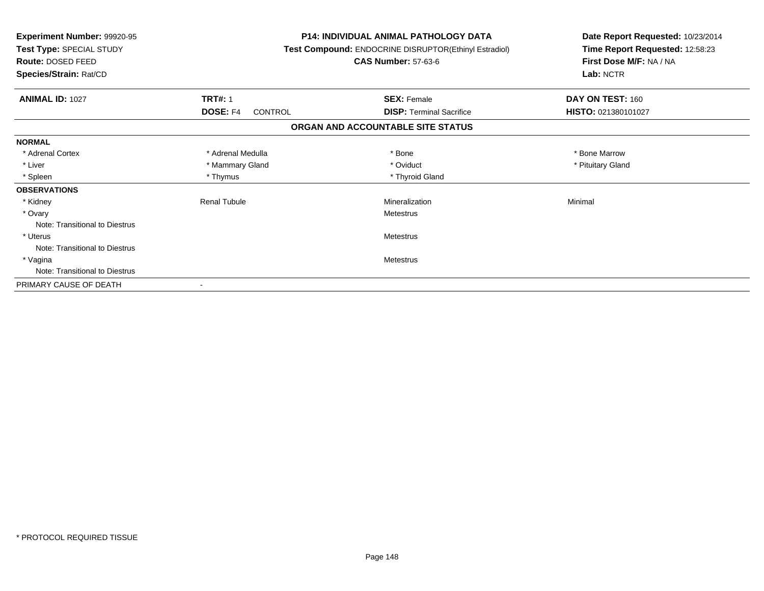| Experiment Number: 99920-95<br>Test Type: SPECIAL STUDY<br>Route: DOSED FEED<br>Species/Strain: Rat/CD |                     | <b>P14: INDIVIDUAL ANIMAL PATHOLOGY DATA</b><br>Test Compound: ENDOCRINE DISRUPTOR(Ethinyl Estradiol)<br><b>CAS Number: 57-63-6</b> | Date Report Requested: 10/23/2014<br>Time Report Requested: 12:58:23<br>First Dose M/F: NA / NA<br>Lab: NCTR |
|--------------------------------------------------------------------------------------------------------|---------------------|-------------------------------------------------------------------------------------------------------------------------------------|--------------------------------------------------------------------------------------------------------------|
| <b>ANIMAL ID: 1027</b>                                                                                 | <b>TRT#: 1</b>      | <b>SEX: Female</b>                                                                                                                  | DAY ON TEST: 160                                                                                             |
|                                                                                                        | DOSE: F4<br>CONTROL | <b>DISP:</b> Terminal Sacrifice                                                                                                     | HISTO: 021380101027                                                                                          |
|                                                                                                        |                     | ORGAN AND ACCOUNTABLE SITE STATUS                                                                                                   |                                                                                                              |
| <b>NORMAL</b>                                                                                          |                     |                                                                                                                                     |                                                                                                              |
| * Adrenal Cortex                                                                                       | * Adrenal Medulla   | * Bone                                                                                                                              | * Bone Marrow                                                                                                |
| * Liver                                                                                                | * Mammary Gland     | * Oviduct                                                                                                                           | * Pituitary Gland                                                                                            |
| * Spleen                                                                                               | * Thymus            | * Thyroid Gland                                                                                                                     |                                                                                                              |
| <b>OBSERVATIONS</b>                                                                                    |                     |                                                                                                                                     |                                                                                                              |
| * Kidney                                                                                               | <b>Renal Tubule</b> | Mineralization                                                                                                                      | Minimal                                                                                                      |
| * Ovary                                                                                                |                     | Metestrus                                                                                                                           |                                                                                                              |
| Note: Transitional to Diestrus                                                                         |                     |                                                                                                                                     |                                                                                                              |
| * Uterus                                                                                               |                     | Metestrus                                                                                                                           |                                                                                                              |
| Note: Transitional to Diestrus                                                                         |                     |                                                                                                                                     |                                                                                                              |
| * Vagina                                                                                               |                     | Metestrus                                                                                                                           |                                                                                                              |
| Note: Transitional to Diestrus                                                                         |                     |                                                                                                                                     |                                                                                                              |
| PRIMARY CAUSE OF DEATH                                                                                 |                     |                                                                                                                                     |                                                                                                              |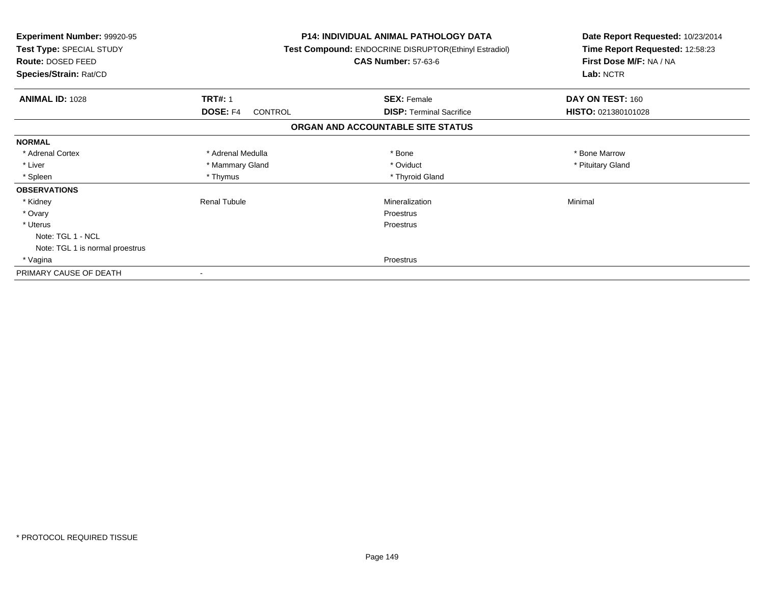| <b>Experiment Number: 99920-95</b><br>Test Type: SPECIAL STUDY<br><b>Route: DOSED FEED</b><br>Species/Strain: Rat/CD |                                   | <b>P14: INDIVIDUAL ANIMAL PATHOLOGY DATA</b><br>Test Compound: ENDOCRINE DISRUPTOR(Ethinyl Estradiol)<br><b>CAS Number: 57-63-6</b> | Date Report Requested: 10/23/2014<br>Time Report Requested: 12:58:23<br>First Dose M/F: NA / NA<br>Lab: NCTR |  |
|----------------------------------------------------------------------------------------------------------------------|-----------------------------------|-------------------------------------------------------------------------------------------------------------------------------------|--------------------------------------------------------------------------------------------------------------|--|
| <b>ANIMAL ID: 1028</b>                                                                                               | <b>TRT#: 1</b>                    | <b>SEX: Female</b>                                                                                                                  | DAY ON TEST: 160                                                                                             |  |
|                                                                                                                      | <b>DOSE: F4</b><br><b>CONTROL</b> | <b>DISP:</b> Terminal Sacrifice                                                                                                     | HISTO: 021380101028                                                                                          |  |
|                                                                                                                      |                                   | ORGAN AND ACCOUNTABLE SITE STATUS                                                                                                   |                                                                                                              |  |
| <b>NORMAL</b>                                                                                                        |                                   |                                                                                                                                     |                                                                                                              |  |
| * Adrenal Cortex                                                                                                     | * Adrenal Medulla                 | * Bone                                                                                                                              | * Bone Marrow                                                                                                |  |
| * Liver                                                                                                              | * Mammary Gland                   | * Oviduct                                                                                                                           | * Pituitary Gland                                                                                            |  |
| * Spleen                                                                                                             | * Thymus                          | * Thyroid Gland                                                                                                                     |                                                                                                              |  |
| <b>OBSERVATIONS</b>                                                                                                  |                                   |                                                                                                                                     |                                                                                                              |  |
| * Kidney                                                                                                             | <b>Renal Tubule</b>               | Mineralization                                                                                                                      | Minimal                                                                                                      |  |
| * Ovary                                                                                                              |                                   | Proestrus                                                                                                                           |                                                                                                              |  |
| * Uterus                                                                                                             |                                   | Proestrus                                                                                                                           |                                                                                                              |  |
| Note: TGL 1 - NCL                                                                                                    |                                   |                                                                                                                                     |                                                                                                              |  |
| Note: TGL 1 is normal proestrus                                                                                      |                                   |                                                                                                                                     |                                                                                                              |  |
| * Vagina                                                                                                             |                                   | Proestrus                                                                                                                           |                                                                                                              |  |
| PRIMARY CAUSE OF DEATH                                                                                               |                                   |                                                                                                                                     |                                                                                                              |  |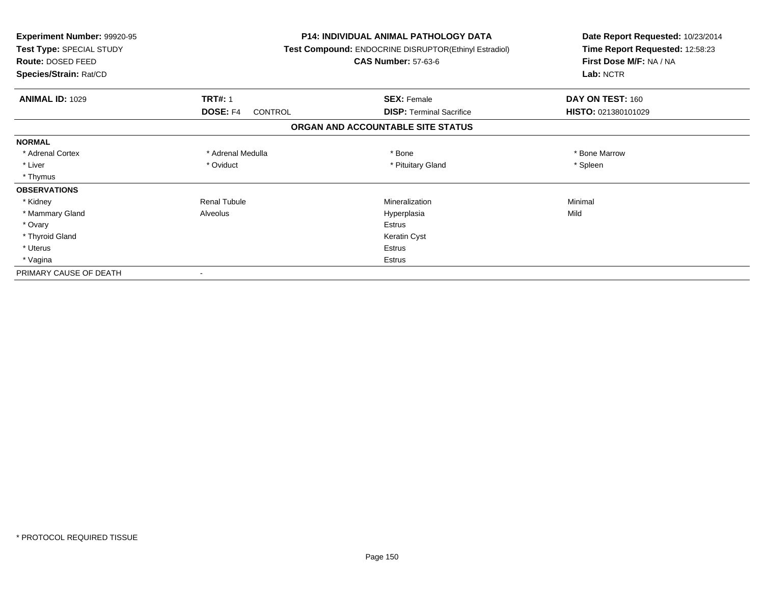| <b>Experiment Number: 99920-95</b><br>Test Type: SPECIAL STUDY<br>Route: DOSED FEED<br>Species/Strain: Rat/CD |                                   | <b>P14: INDIVIDUAL ANIMAL PATHOLOGY DATA</b><br><b>Test Compound: ENDOCRINE DISRUPTOR(Ethinyl Estradiol)</b><br><b>CAS Number: 57-63-6</b> | Date Report Requested: 10/23/2014<br>Time Report Requested: 12:58:23<br>First Dose M/F: NA / NA<br>Lab: NCTR |
|---------------------------------------------------------------------------------------------------------------|-----------------------------------|--------------------------------------------------------------------------------------------------------------------------------------------|--------------------------------------------------------------------------------------------------------------|
| <b>ANIMAL ID: 1029</b>                                                                                        | <b>TRT#: 1</b>                    | <b>SEX: Female</b>                                                                                                                         | DAY ON TEST: 160                                                                                             |
|                                                                                                               | <b>DOSE: F4</b><br><b>CONTROL</b> | <b>DISP: Terminal Sacrifice</b>                                                                                                            | HISTO: 021380101029                                                                                          |
|                                                                                                               |                                   | ORGAN AND ACCOUNTABLE SITE STATUS                                                                                                          |                                                                                                              |
| <b>NORMAL</b>                                                                                                 |                                   |                                                                                                                                            |                                                                                                              |
| * Adrenal Cortex                                                                                              | * Adrenal Medulla                 | * Bone                                                                                                                                     | * Bone Marrow                                                                                                |
| * Liver                                                                                                       | * Oviduct                         | * Pituitary Gland                                                                                                                          | * Spleen                                                                                                     |
| * Thymus                                                                                                      |                                   |                                                                                                                                            |                                                                                                              |
| <b>OBSERVATIONS</b>                                                                                           |                                   |                                                                                                                                            |                                                                                                              |
| * Kidney                                                                                                      | <b>Renal Tubule</b>               | Mineralization                                                                                                                             | Minimal                                                                                                      |
| * Mammary Gland                                                                                               | Alveolus                          | Hyperplasia                                                                                                                                | Mild                                                                                                         |
| * Ovary                                                                                                       |                                   | <b>Estrus</b>                                                                                                                              |                                                                                                              |
| * Thyroid Gland                                                                                               |                                   | Keratin Cyst                                                                                                                               |                                                                                                              |
| * Uterus                                                                                                      |                                   | Estrus                                                                                                                                     |                                                                                                              |
| * Vagina                                                                                                      |                                   | Estrus                                                                                                                                     |                                                                                                              |
| PRIMARY CAUSE OF DEATH                                                                                        |                                   |                                                                                                                                            |                                                                                                              |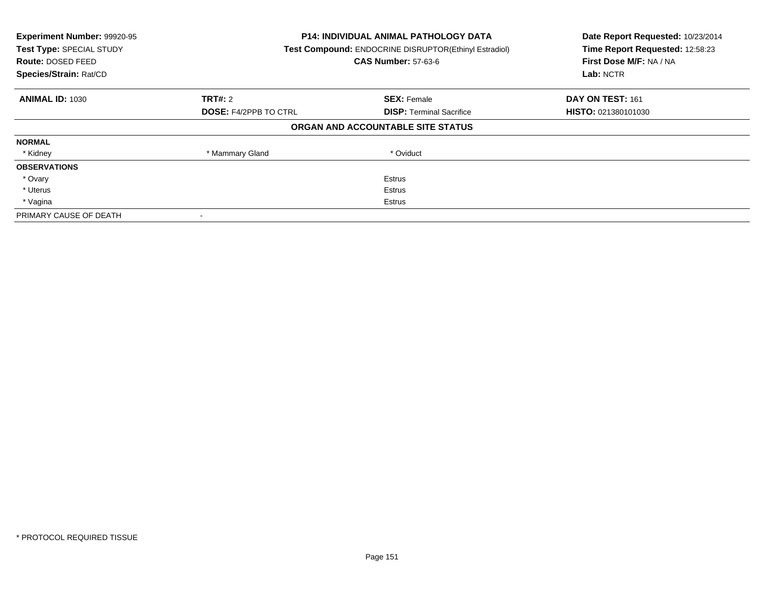| Experiment Number: 99920-95<br>Test Type: SPECIAL STUDY<br><b>Route: DOSED FEED</b><br>Species/Strain: Rat/CD | P14: INDIVIDUAL ANIMAL PATHOLOGY DATA<br><b>Test Compound: ENDOCRINE DISRUPTOR(Ethinyl Estradiol)</b><br><b>CAS Number: 57-63-6</b> |                                   | Date Report Requested: 10/23/2014<br>Time Report Requested: 12:58:23<br>First Dose M/F: NA / NA<br>Lab: NCTR |
|---------------------------------------------------------------------------------------------------------------|-------------------------------------------------------------------------------------------------------------------------------------|-----------------------------------|--------------------------------------------------------------------------------------------------------------|
| <b>ANIMAL ID: 1030</b>                                                                                        | TRT#: 2                                                                                                                             | <b>SEX: Female</b>                | DAY ON TEST: 161                                                                                             |
|                                                                                                               | <b>DOSE: F4/2PPB TO CTRL</b>                                                                                                        | <b>DISP:</b> Terminal Sacrifice   | <b>HISTO: 021380101030</b>                                                                                   |
|                                                                                                               |                                                                                                                                     | ORGAN AND ACCOUNTABLE SITE STATUS |                                                                                                              |
| <b>NORMAL</b>                                                                                                 |                                                                                                                                     |                                   |                                                                                                              |
| * Kidney                                                                                                      | * Mammary Gland                                                                                                                     | * Oviduct                         |                                                                                                              |
| <b>OBSERVATIONS</b>                                                                                           |                                                                                                                                     |                                   |                                                                                                              |
| * Ovary                                                                                                       |                                                                                                                                     | Estrus                            |                                                                                                              |
| * Uterus                                                                                                      | Estrus                                                                                                                              |                                   |                                                                                                              |
| * Vagina                                                                                                      | Estrus                                                                                                                              |                                   |                                                                                                              |
| PRIMARY CAUSE OF DEATH                                                                                        |                                                                                                                                     |                                   |                                                                                                              |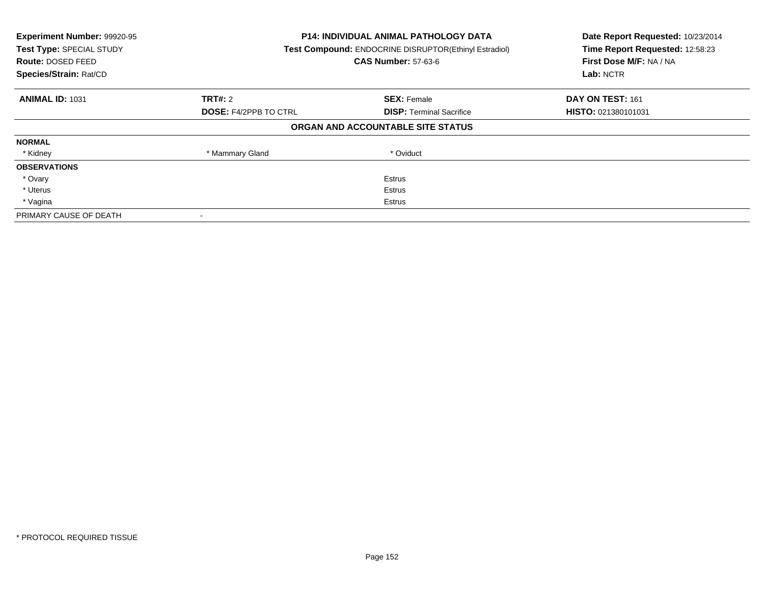| Experiment Number: 99920-95<br>Test Type: SPECIAL STUDY<br><b>Route: DOSED FEED</b><br>Species/Strain: Rat/CD | P14: INDIVIDUAL ANIMAL PATHOLOGY DATA<br><b>Test Compound: ENDOCRINE DISRUPTOR(Ethinyl Estradiol)</b><br><b>CAS Number: 57-63-6</b> |                                   | Date Report Requested: 10/23/2014<br>Time Report Requested: 12:58:23<br>First Dose M/F: NA / NA<br>Lab: NCTR |
|---------------------------------------------------------------------------------------------------------------|-------------------------------------------------------------------------------------------------------------------------------------|-----------------------------------|--------------------------------------------------------------------------------------------------------------|
| <b>ANIMAL ID: 1031</b>                                                                                        | TRT#: 2                                                                                                                             | <b>SEX: Female</b>                | DAY ON TEST: 161                                                                                             |
|                                                                                                               | <b>DOSE: F4/2PPB TO CTRL</b>                                                                                                        | <b>DISP:</b> Terminal Sacrifice   | <b>HISTO: 021380101031</b>                                                                                   |
|                                                                                                               |                                                                                                                                     | ORGAN AND ACCOUNTABLE SITE STATUS |                                                                                                              |
| <b>NORMAL</b>                                                                                                 |                                                                                                                                     |                                   |                                                                                                              |
| * Kidney                                                                                                      | * Mammary Gland                                                                                                                     | * Oviduct                         |                                                                                                              |
| <b>OBSERVATIONS</b>                                                                                           |                                                                                                                                     |                                   |                                                                                                              |
| * Ovary                                                                                                       |                                                                                                                                     | Estrus                            |                                                                                                              |
| * Uterus                                                                                                      | Estrus                                                                                                                              |                                   |                                                                                                              |
| * Vagina                                                                                                      | Estrus                                                                                                                              |                                   |                                                                                                              |
| PRIMARY CAUSE OF DEATH                                                                                        |                                                                                                                                     |                                   |                                                                                                              |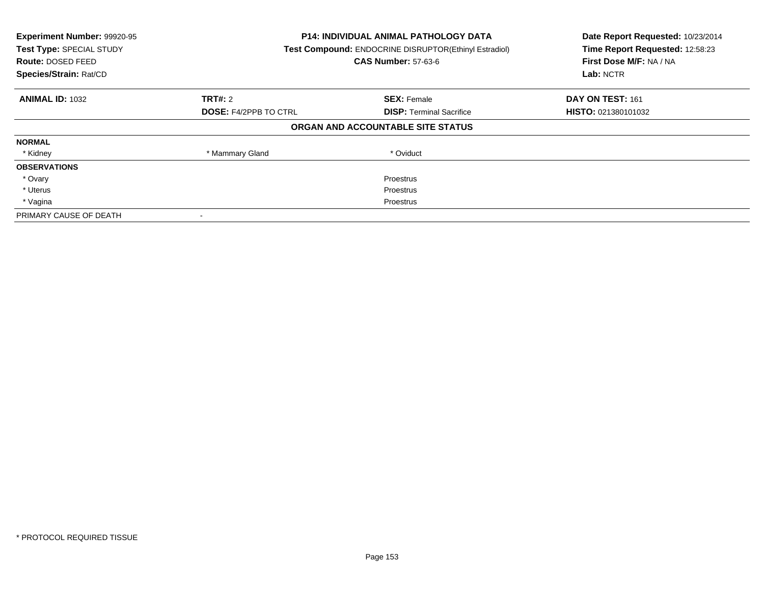| Experiment Number: 99920-95<br>Test Type: SPECIAL STUDY<br>Route: DOSED FEED<br>Species/Strain: Rat/CD | <b>P14: INDIVIDUAL ANIMAL PATHOLOGY DATA</b><br>Test Compound: ENDOCRINE DISRUPTOR(Ethinyl Estradiol)<br><b>CAS Number: 57-63-6</b> |                                   | Date Report Requested: 10/23/2014<br>Time Report Requested: 12:58:23<br>First Dose M/F: NA / NA<br>Lab: NCTR |
|--------------------------------------------------------------------------------------------------------|-------------------------------------------------------------------------------------------------------------------------------------|-----------------------------------|--------------------------------------------------------------------------------------------------------------|
| <b>ANIMAL ID: 1032</b>                                                                                 | TRT#: 2                                                                                                                             | <b>SEX: Female</b>                | DAY ON TEST: 161                                                                                             |
|                                                                                                        | <b>DOSE: F4/2PPB TO CTRL</b>                                                                                                        | <b>DISP:</b> Terminal Sacrifice   | HISTO: 021380101032                                                                                          |
|                                                                                                        |                                                                                                                                     | ORGAN AND ACCOUNTABLE SITE STATUS |                                                                                                              |
| <b>NORMAL</b>                                                                                          |                                                                                                                                     |                                   |                                                                                                              |
| * Kidney                                                                                               | * Mammary Gland                                                                                                                     | * Oviduct                         |                                                                                                              |
| <b>OBSERVATIONS</b>                                                                                    |                                                                                                                                     |                                   |                                                                                                              |
| * Ovary                                                                                                |                                                                                                                                     | Proestrus                         |                                                                                                              |
| * Uterus                                                                                               | Proestrus                                                                                                                           |                                   |                                                                                                              |
| * Vagina                                                                                               | Proestrus                                                                                                                           |                                   |                                                                                                              |
| PRIMARY CAUSE OF DEATH                                                                                 |                                                                                                                                     |                                   |                                                                                                              |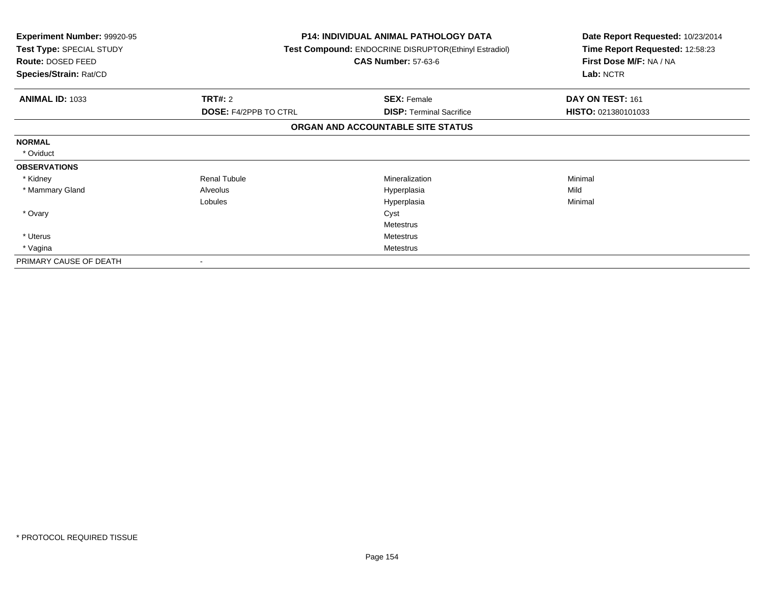| <b>Experiment Number: 99920-95</b><br>Test Type: SPECIAL STUDY<br><b>Route: DOSED FEED</b><br>Species/Strain: Rat/CD |                              | <b>P14: INDIVIDUAL ANIMAL PATHOLOGY DATA</b><br>Test Compound: ENDOCRINE DISRUPTOR(Ethinyl Estradiol)<br><b>CAS Number: 57-63-6</b> | Date Report Requested: 10/23/2014<br>Time Report Requested: 12:58:23<br>First Dose M/F: NA / NA<br>Lab: NCTR |
|----------------------------------------------------------------------------------------------------------------------|------------------------------|-------------------------------------------------------------------------------------------------------------------------------------|--------------------------------------------------------------------------------------------------------------|
| <b>ANIMAL ID: 1033</b>                                                                                               | <b>TRT#: 2</b>               | <b>SEX: Female</b>                                                                                                                  | DAY ON TEST: 161                                                                                             |
|                                                                                                                      | <b>DOSE: F4/2PPB TO CTRL</b> | <b>DISP:</b> Terminal Sacrifice                                                                                                     | HISTO: 021380101033                                                                                          |
|                                                                                                                      |                              | ORGAN AND ACCOUNTABLE SITE STATUS                                                                                                   |                                                                                                              |
| <b>NORMAL</b>                                                                                                        |                              |                                                                                                                                     |                                                                                                              |
| * Oviduct                                                                                                            |                              |                                                                                                                                     |                                                                                                              |
| <b>OBSERVATIONS</b>                                                                                                  |                              |                                                                                                                                     |                                                                                                              |
| * Kidney                                                                                                             | <b>Renal Tubule</b>          | Mineralization                                                                                                                      | Minimal                                                                                                      |
| * Mammary Gland                                                                                                      | Alveolus                     | Hyperplasia                                                                                                                         | Mild                                                                                                         |
|                                                                                                                      | Lobules                      | Hyperplasia                                                                                                                         | Minimal                                                                                                      |
| * Ovary                                                                                                              |                              | Cyst                                                                                                                                |                                                                                                              |
|                                                                                                                      |                              | Metestrus                                                                                                                           |                                                                                                              |
| * Uterus                                                                                                             | <b>Metestrus</b>             |                                                                                                                                     |                                                                                                              |
| * Vagina                                                                                                             | Metestrus                    |                                                                                                                                     |                                                                                                              |
| PRIMARY CAUSE OF DEATH                                                                                               |                              |                                                                                                                                     |                                                                                                              |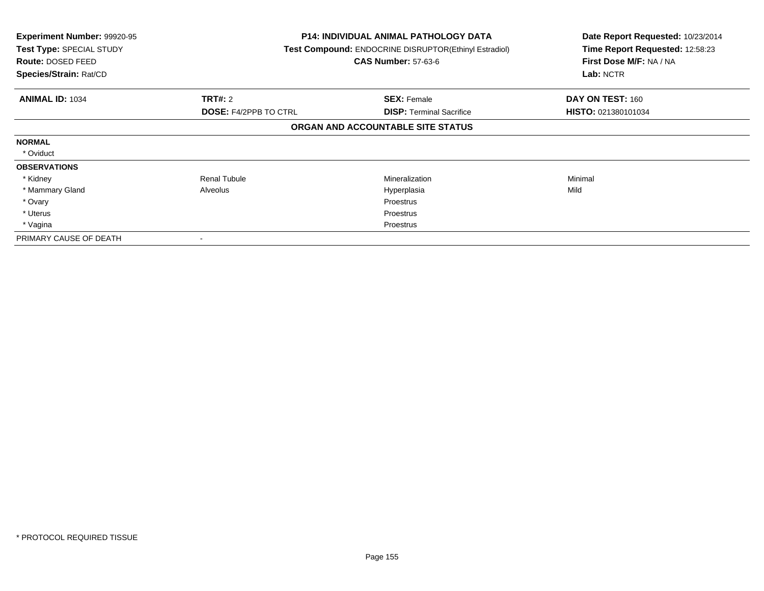| <b>Experiment Number: 99920-95</b><br>Test Type: SPECIAL STUDY<br>Route: DOSED FEED<br>Species/Strain: Rat/CD |                              | <b>P14: INDIVIDUAL ANIMAL PATHOLOGY DATA</b><br>Test Compound: ENDOCRINE DISRUPTOR(Ethinyl Estradiol)<br><b>CAS Number: 57-63-6</b> | Date Report Requested: 10/23/2014<br>Time Report Requested: 12:58:23<br>First Dose M/F: NA / NA<br>Lab: NCTR |
|---------------------------------------------------------------------------------------------------------------|------------------------------|-------------------------------------------------------------------------------------------------------------------------------------|--------------------------------------------------------------------------------------------------------------|
| <b>ANIMAL ID: 1034</b>                                                                                        | TRT#: 2                      | <b>SEX: Female</b>                                                                                                                  | DAY ON TEST: 160                                                                                             |
|                                                                                                               | <b>DOSE: F4/2PPB TO CTRL</b> | <b>DISP: Terminal Sacrifice</b>                                                                                                     | <b>HISTO: 021380101034</b>                                                                                   |
|                                                                                                               |                              | ORGAN AND ACCOUNTABLE SITE STATUS                                                                                                   |                                                                                                              |
| <b>NORMAL</b>                                                                                                 |                              |                                                                                                                                     |                                                                                                              |
| * Oviduct                                                                                                     |                              |                                                                                                                                     |                                                                                                              |
| <b>OBSERVATIONS</b>                                                                                           |                              |                                                                                                                                     |                                                                                                              |
| * Kidney                                                                                                      | <b>Renal Tubule</b>          | Mineralization                                                                                                                      | Minimal                                                                                                      |
| * Mammary Gland                                                                                               | Alveolus                     | Hyperplasia                                                                                                                         | Mild                                                                                                         |
| * Ovary                                                                                                       |                              | Proestrus                                                                                                                           |                                                                                                              |
| * Uterus                                                                                                      |                              | Proestrus                                                                                                                           |                                                                                                              |
| * Vagina                                                                                                      |                              | Proestrus                                                                                                                           |                                                                                                              |
| PRIMARY CAUSE OF DEATH                                                                                        |                              |                                                                                                                                     |                                                                                                              |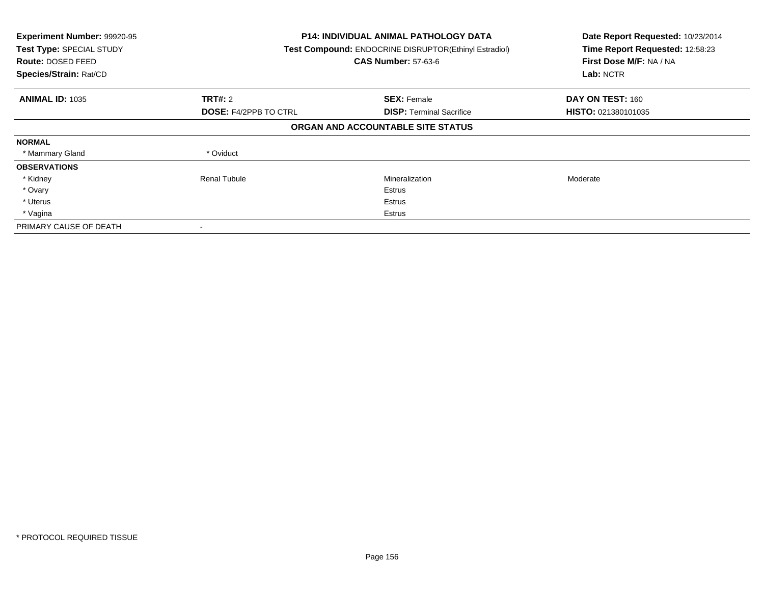| Experiment Number: 99920-95<br>Test Type: SPECIAL STUDY<br><b>Route: DOSED FEED</b><br>Species/Strain: Rat/CD |                              | <b>P14: INDIVIDUAL ANIMAL PATHOLOGY DATA</b><br>Test Compound: ENDOCRINE DISRUPTOR(Ethinyl Estradiol)<br><b>CAS Number: 57-63-6</b> | Date Report Requested: 10/23/2014<br>Time Report Requested: 12:58:23<br>First Dose M/F: NA / NA<br>Lab: NCTR |
|---------------------------------------------------------------------------------------------------------------|------------------------------|-------------------------------------------------------------------------------------------------------------------------------------|--------------------------------------------------------------------------------------------------------------|
| <b>ANIMAL ID: 1035</b>                                                                                        | TRT#: 2                      | <b>SEX: Female</b>                                                                                                                  | DAY ON TEST: 160                                                                                             |
|                                                                                                               | <b>DOSE: F4/2PPB TO CTRL</b> | <b>DISP:</b> Terminal Sacrifice                                                                                                     | <b>HISTO: 021380101035</b>                                                                                   |
|                                                                                                               |                              | ORGAN AND ACCOUNTABLE SITE STATUS                                                                                                   |                                                                                                              |
| <b>NORMAL</b>                                                                                                 |                              |                                                                                                                                     |                                                                                                              |
| * Mammary Gland                                                                                               | * Oviduct                    |                                                                                                                                     |                                                                                                              |
| <b>OBSERVATIONS</b>                                                                                           |                              |                                                                                                                                     |                                                                                                              |
| * Kidney                                                                                                      | <b>Renal Tubule</b>          | Mineralization                                                                                                                      | Moderate                                                                                                     |
| * Ovary                                                                                                       |                              | Estrus                                                                                                                              |                                                                                                              |
| * Uterus                                                                                                      |                              | Estrus                                                                                                                              |                                                                                                              |
| * Vagina                                                                                                      |                              | Estrus                                                                                                                              |                                                                                                              |
| PRIMARY CAUSE OF DEATH                                                                                        |                              |                                                                                                                                     |                                                                                                              |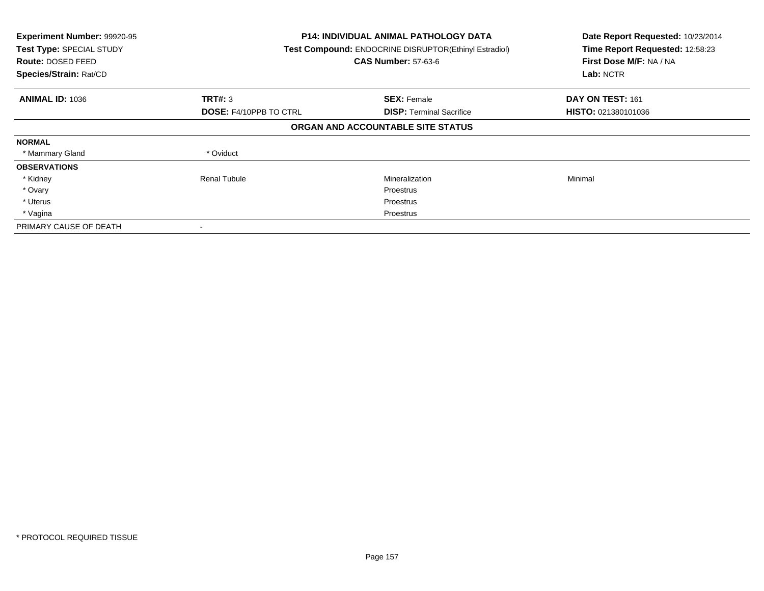| Experiment Number: 99920-95<br>Test Type: SPECIAL STUDY<br><b>Route: DOSED FEED</b><br>Species/Strain: Rat/CD | <b>P14: INDIVIDUAL ANIMAL PATHOLOGY DATA</b><br>Test Compound: ENDOCRINE DISRUPTOR(Ethinyl Estradiol)<br><b>CAS Number: 57-63-6</b> |                                   | Date Report Requested: 10/23/2014<br>Time Report Requested: 12:58:23<br>First Dose M/F: NA / NA<br>Lab: NCTR |
|---------------------------------------------------------------------------------------------------------------|-------------------------------------------------------------------------------------------------------------------------------------|-----------------------------------|--------------------------------------------------------------------------------------------------------------|
| <b>ANIMAL ID: 1036</b>                                                                                        | TRT#: 3                                                                                                                             | <b>SEX: Female</b>                | DAY ON TEST: 161                                                                                             |
|                                                                                                               | <b>DOSE: F4/10PPB TO CTRL</b>                                                                                                       | <b>DISP:</b> Terminal Sacrifice   | HISTO: 021380101036                                                                                          |
|                                                                                                               |                                                                                                                                     | ORGAN AND ACCOUNTABLE SITE STATUS |                                                                                                              |
| <b>NORMAL</b>                                                                                                 |                                                                                                                                     |                                   |                                                                                                              |
| * Mammary Gland                                                                                               | * Oviduct                                                                                                                           |                                   |                                                                                                              |
| <b>OBSERVATIONS</b>                                                                                           |                                                                                                                                     |                                   |                                                                                                              |
| * Kidney                                                                                                      | Renal Tubule                                                                                                                        | Mineralization                    | Minimal                                                                                                      |
| * Ovary                                                                                                       |                                                                                                                                     | <b>Proestrus</b>                  |                                                                                                              |
| * Uterus                                                                                                      |                                                                                                                                     | Proestrus                         |                                                                                                              |
| * Vagina                                                                                                      |                                                                                                                                     | Proestrus                         |                                                                                                              |
| PRIMARY CAUSE OF DEATH                                                                                        |                                                                                                                                     |                                   |                                                                                                              |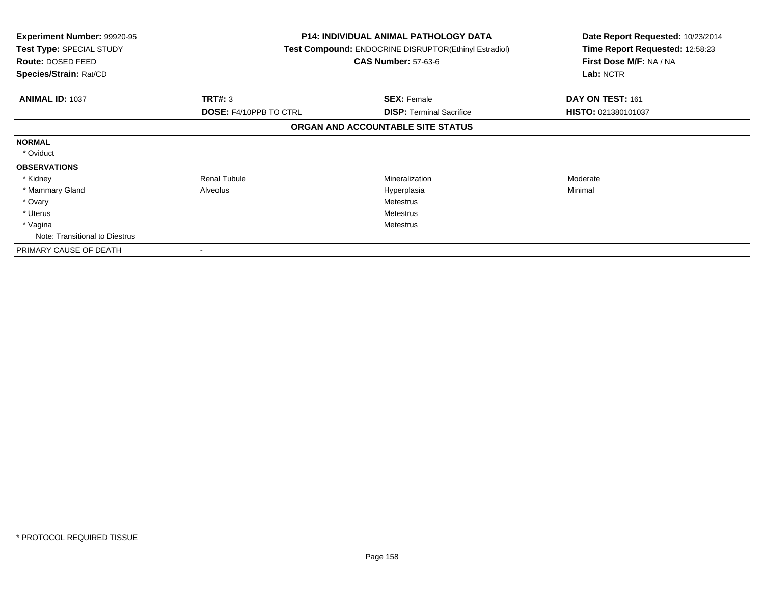| <b>Experiment Number: 99920-95</b><br>Test Type: SPECIAL STUDY<br>Route: DOSED FEED<br>Species/Strain: Rat/CD |                               | <b>P14: INDIVIDUAL ANIMAL PATHOLOGY DATA</b><br>Test Compound: ENDOCRINE DISRUPTOR(Ethinyl Estradiol)<br><b>CAS Number: 57-63-6</b> | Date Report Requested: 10/23/2014<br>Time Report Requested: 12:58:23<br>First Dose M/F: NA / NA<br>Lab: NCTR |
|---------------------------------------------------------------------------------------------------------------|-------------------------------|-------------------------------------------------------------------------------------------------------------------------------------|--------------------------------------------------------------------------------------------------------------|
| <b>ANIMAL ID: 1037</b>                                                                                        | TRT#: 3                       | <b>SEX: Female</b>                                                                                                                  | DAY ON TEST: 161                                                                                             |
|                                                                                                               | <b>DOSE: F4/10PPB TO CTRL</b> | <b>DISP:</b> Terminal Sacrifice                                                                                                     | HISTO: 021380101037                                                                                          |
|                                                                                                               |                               | ORGAN AND ACCOUNTABLE SITE STATUS                                                                                                   |                                                                                                              |
| <b>NORMAL</b>                                                                                                 |                               |                                                                                                                                     |                                                                                                              |
| * Oviduct                                                                                                     |                               |                                                                                                                                     |                                                                                                              |
| <b>OBSERVATIONS</b>                                                                                           |                               |                                                                                                                                     |                                                                                                              |
| * Kidney                                                                                                      | <b>Renal Tubule</b>           | Mineralization                                                                                                                      | Moderate                                                                                                     |
| * Mammary Gland                                                                                               | Alveolus                      | Hyperplasia                                                                                                                         | Minimal                                                                                                      |
| * Ovary                                                                                                       |                               | Metestrus                                                                                                                           |                                                                                                              |
| * Uterus                                                                                                      |                               | <b>Metestrus</b>                                                                                                                    |                                                                                                              |
| * Vagina                                                                                                      | Metestrus                     |                                                                                                                                     |                                                                                                              |
| Note: Transitional to Diestrus                                                                                |                               |                                                                                                                                     |                                                                                                              |
| PRIMARY CAUSE OF DEATH                                                                                        |                               |                                                                                                                                     |                                                                                                              |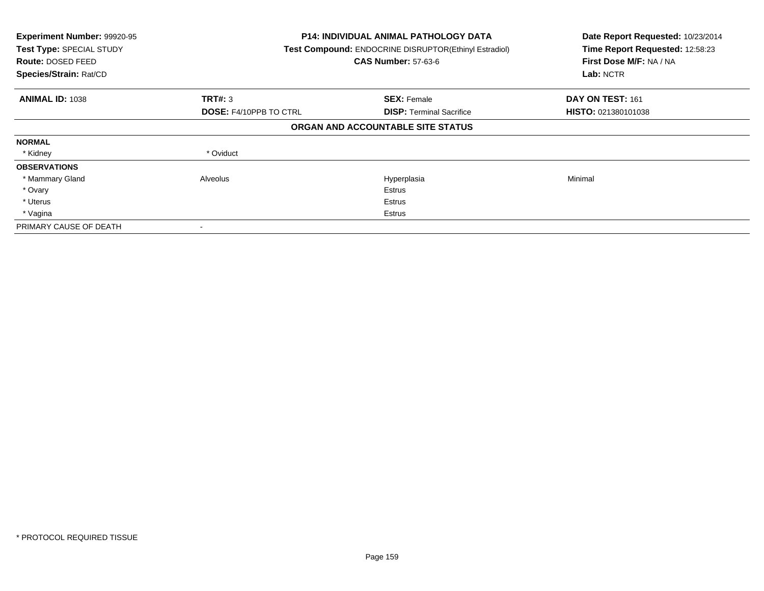| Experiment Number: 99920-95<br>Test Type: SPECIAL STUDY<br>Route: DOSED FEED<br>Species/Strain: Rat/CD |                               | <b>P14: INDIVIDUAL ANIMAL PATHOLOGY DATA</b><br>Test Compound: ENDOCRINE DISRUPTOR(Ethinyl Estradiol)<br><b>CAS Number: 57-63-6</b> |                            |
|--------------------------------------------------------------------------------------------------------|-------------------------------|-------------------------------------------------------------------------------------------------------------------------------------|----------------------------|
| <b>ANIMAL ID: 1038</b>                                                                                 | TRT#: 3                       | <b>SEX: Female</b>                                                                                                                  | DAY ON TEST: 161           |
|                                                                                                        | <b>DOSE: F4/10PPB TO CTRL</b> | <b>DISP: Terminal Sacrifice</b>                                                                                                     | <b>HISTO: 021380101038</b> |
|                                                                                                        |                               | ORGAN AND ACCOUNTABLE SITE STATUS                                                                                                   |                            |
| <b>NORMAL</b>                                                                                          |                               |                                                                                                                                     |                            |
| * Kidney                                                                                               | * Oviduct                     |                                                                                                                                     |                            |
| <b>OBSERVATIONS</b>                                                                                    |                               |                                                                                                                                     |                            |
| * Mammary Gland                                                                                        | Alveolus                      | Hyperplasia                                                                                                                         | Minimal                    |
| * Ovary                                                                                                |                               | Estrus                                                                                                                              |                            |
| * Uterus                                                                                               |                               | Estrus                                                                                                                              |                            |
| * Vagina                                                                                               |                               | Estrus                                                                                                                              |                            |
| PRIMARY CAUSE OF DEATH                                                                                 |                               |                                                                                                                                     |                            |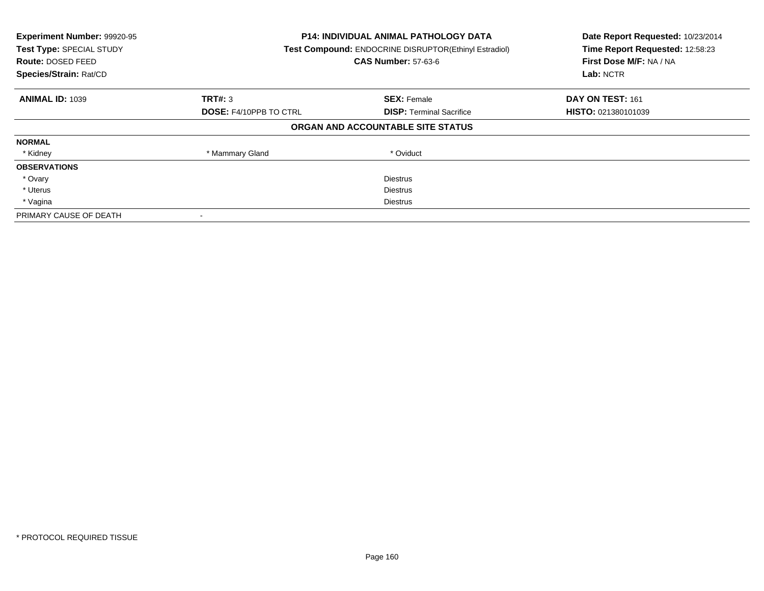| Experiment Number: 99920-95<br>Test Type: SPECIAL STUDY<br>Route: DOSED FEED<br>Species/Strain: Rat/CD | <b>P14: INDIVIDUAL ANIMAL PATHOLOGY DATA</b><br>Test Compound: ENDOCRINE DISRUPTOR(Ethinyl Estradiol)<br><b>CAS Number: 57-63-6</b> |                                   | Date Report Requested: 10/23/2014<br>Time Report Requested: 12:58:23<br>First Dose M/F: NA / NA<br>Lab: NCTR |
|--------------------------------------------------------------------------------------------------------|-------------------------------------------------------------------------------------------------------------------------------------|-----------------------------------|--------------------------------------------------------------------------------------------------------------|
| <b>ANIMAL ID: 1039</b>                                                                                 | <b>TRT#: 3</b>                                                                                                                      | <b>SEX: Female</b>                | DAY ON TEST: 161                                                                                             |
|                                                                                                        | <b>DOSE: F4/10PPB TO CTRL</b>                                                                                                       | <b>DISP:</b> Terminal Sacrifice   | <b>HISTO: 021380101039</b>                                                                                   |
|                                                                                                        |                                                                                                                                     | ORGAN AND ACCOUNTABLE SITE STATUS |                                                                                                              |
| <b>NORMAL</b>                                                                                          |                                                                                                                                     |                                   |                                                                                                              |
| * Kidney                                                                                               | * Mammary Gland                                                                                                                     | * Oviduct                         |                                                                                                              |
| <b>OBSERVATIONS</b>                                                                                    |                                                                                                                                     |                                   |                                                                                                              |
| * Ovary                                                                                                |                                                                                                                                     | <b>Diestrus</b>                   |                                                                                                              |
| * Uterus                                                                                               |                                                                                                                                     | Diestrus                          |                                                                                                              |
| * Vagina                                                                                               | Diestrus                                                                                                                            |                                   |                                                                                                              |
| PRIMARY CAUSE OF DEATH                                                                                 |                                                                                                                                     |                                   |                                                                                                              |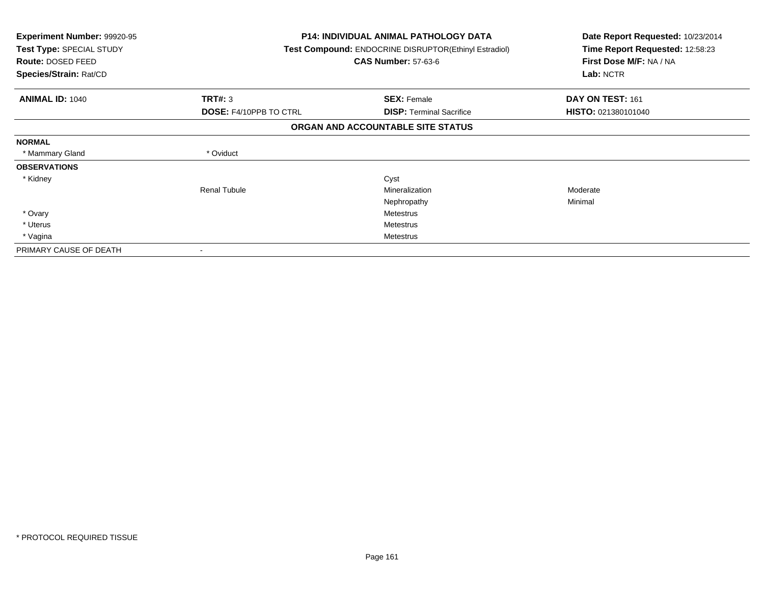| <b>Experiment Number: 99920-95</b><br>Test Type: SPECIAL STUDY<br><b>Route: DOSED FEED</b><br>Species/Strain: Rat/CD |                               | <b>P14: INDIVIDUAL ANIMAL PATHOLOGY DATA</b><br><b>Test Compound: ENDOCRINE DISRUPTOR(Ethinyl Estradiol)</b><br><b>CAS Number: 57-63-6</b> | Date Report Requested: 10/23/2014<br>Time Report Requested: 12:58:23<br>First Dose M/F: NA / NA<br>Lab: NCTR |
|----------------------------------------------------------------------------------------------------------------------|-------------------------------|--------------------------------------------------------------------------------------------------------------------------------------------|--------------------------------------------------------------------------------------------------------------|
| <b>ANIMAL ID: 1040</b>                                                                                               | <b>TRT#: 3</b>                | <b>SEX: Female</b>                                                                                                                         | DAY ON TEST: 161                                                                                             |
|                                                                                                                      | <b>DOSE: F4/10PPB TO CTRL</b> | <b>DISP:</b> Terminal Sacrifice                                                                                                            | HISTO: 021380101040                                                                                          |
|                                                                                                                      |                               | ORGAN AND ACCOUNTABLE SITE STATUS                                                                                                          |                                                                                                              |
| <b>NORMAL</b>                                                                                                        |                               |                                                                                                                                            |                                                                                                              |
| * Mammary Gland                                                                                                      | * Oviduct                     |                                                                                                                                            |                                                                                                              |
| <b>OBSERVATIONS</b>                                                                                                  |                               |                                                                                                                                            |                                                                                                              |
| * Kidney                                                                                                             |                               | Cyst                                                                                                                                       |                                                                                                              |
|                                                                                                                      | <b>Renal Tubule</b>           | Mineralization                                                                                                                             | Moderate                                                                                                     |
|                                                                                                                      |                               | Nephropathy                                                                                                                                | Minimal                                                                                                      |
| * Ovary                                                                                                              |                               | Metestrus                                                                                                                                  |                                                                                                              |
| * Uterus                                                                                                             |                               | Metestrus                                                                                                                                  |                                                                                                              |
| * Vagina                                                                                                             |                               | Metestrus                                                                                                                                  |                                                                                                              |
| PRIMARY CAUSE OF DEATH                                                                                               |                               |                                                                                                                                            |                                                                                                              |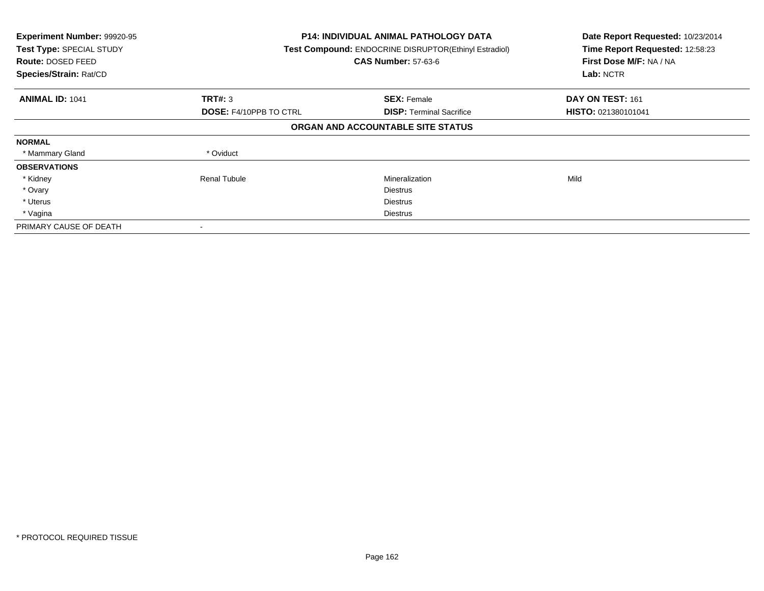| Experiment Number: 99920-95<br>Test Type: SPECIAL STUDY<br><b>Route: DOSED FEED</b><br>Species/Strain: Rat/CD | <b>P14: INDIVIDUAL ANIMAL PATHOLOGY DATA</b><br>Test Compound: ENDOCRINE DISRUPTOR(Ethinyl Estradiol)<br><b>CAS Number: 57-63-6</b> |                                   | Date Report Requested: 10/23/2014<br>Time Report Requested: 12:58:23<br>First Dose M/F: NA / NA<br>Lab: NCTR |
|---------------------------------------------------------------------------------------------------------------|-------------------------------------------------------------------------------------------------------------------------------------|-----------------------------------|--------------------------------------------------------------------------------------------------------------|
| <b>ANIMAL ID: 1041</b>                                                                                        | TRT#: 3                                                                                                                             | <b>SEX: Female</b>                | DAY ON TEST: 161                                                                                             |
|                                                                                                               | <b>DOSE: F4/10PPB TO CTRL</b>                                                                                                       | <b>DISP:</b> Terminal Sacrifice   | <b>HISTO: 021380101041</b>                                                                                   |
|                                                                                                               |                                                                                                                                     | ORGAN AND ACCOUNTABLE SITE STATUS |                                                                                                              |
| <b>NORMAL</b>                                                                                                 |                                                                                                                                     |                                   |                                                                                                              |
| * Mammary Gland                                                                                               | * Oviduct                                                                                                                           |                                   |                                                                                                              |
| <b>OBSERVATIONS</b>                                                                                           |                                                                                                                                     |                                   |                                                                                                              |
| * Kidney                                                                                                      | Renal Tubule                                                                                                                        | Mineralization                    | Mild                                                                                                         |
| * Ovary                                                                                                       |                                                                                                                                     | <b>Diestrus</b>                   |                                                                                                              |
| * Uterus                                                                                                      |                                                                                                                                     | <b>Diestrus</b>                   |                                                                                                              |
| * Vagina                                                                                                      |                                                                                                                                     | Diestrus                          |                                                                                                              |
| PRIMARY CAUSE OF DEATH                                                                                        |                                                                                                                                     |                                   |                                                                                                              |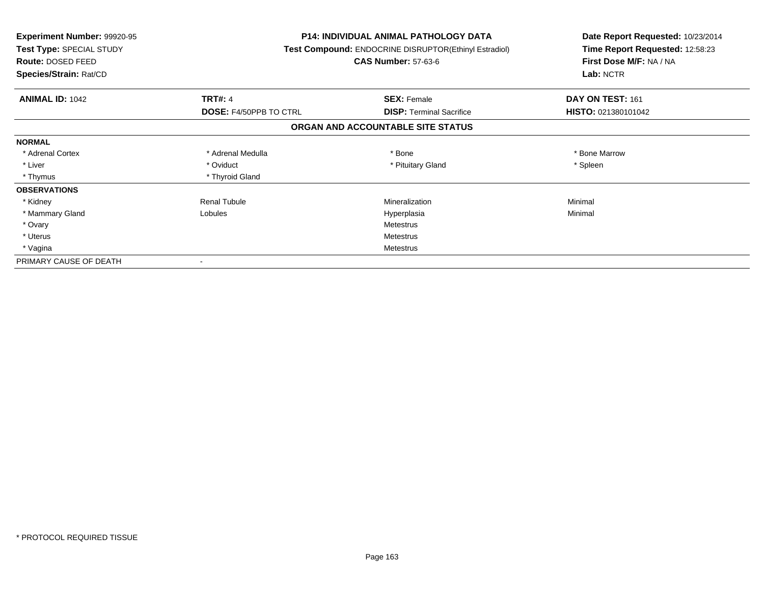| <b>Experiment Number: 99920-95</b><br>Test Type: SPECIAL STUDY<br><b>Route: DOSED FEED</b><br>Species/Strain: Rat/CD |                        | <b>P14: INDIVIDUAL ANIMAL PATHOLOGY DATA</b><br>Test Compound: ENDOCRINE DISRUPTOR(Ethinyl Estradiol)<br><b>CAS Number: 57-63-6</b> | Date Report Requested: 10/23/2014<br>Time Report Requested: 12:58:23<br>First Dose M/F: NA / NA<br>Lab: NCTR |
|----------------------------------------------------------------------------------------------------------------------|------------------------|-------------------------------------------------------------------------------------------------------------------------------------|--------------------------------------------------------------------------------------------------------------|
| <b>ANIMAL ID: 1042</b>                                                                                               | <b>TRT#: 4</b>         | <b>SEX: Female</b>                                                                                                                  | DAY ON TEST: 161                                                                                             |
|                                                                                                                      | DOSE: F4/50PPB TO CTRL | <b>DISP: Terminal Sacrifice</b>                                                                                                     | HISTO: 021380101042                                                                                          |
|                                                                                                                      |                        | ORGAN AND ACCOUNTABLE SITE STATUS                                                                                                   |                                                                                                              |
| <b>NORMAL</b>                                                                                                        |                        |                                                                                                                                     |                                                                                                              |
| * Adrenal Cortex                                                                                                     | * Adrenal Medulla      | * Bone                                                                                                                              | * Bone Marrow                                                                                                |
| * Liver                                                                                                              | * Oviduct              | * Pituitary Gland                                                                                                                   | * Spleen                                                                                                     |
| * Thymus                                                                                                             | * Thyroid Gland        |                                                                                                                                     |                                                                                                              |
| <b>OBSERVATIONS</b>                                                                                                  |                        |                                                                                                                                     |                                                                                                              |
| * Kidney                                                                                                             | <b>Renal Tubule</b>    | Mineralization                                                                                                                      | Minimal                                                                                                      |
| * Mammary Gland                                                                                                      | Lobules                | Hyperplasia                                                                                                                         | Minimal                                                                                                      |
| * Ovary                                                                                                              |                        | Metestrus                                                                                                                           |                                                                                                              |
| * Uterus                                                                                                             |                        | Metestrus                                                                                                                           |                                                                                                              |
| * Vagina                                                                                                             |                        | Metestrus                                                                                                                           |                                                                                                              |
| PRIMARY CAUSE OF DEATH                                                                                               |                        |                                                                                                                                     |                                                                                                              |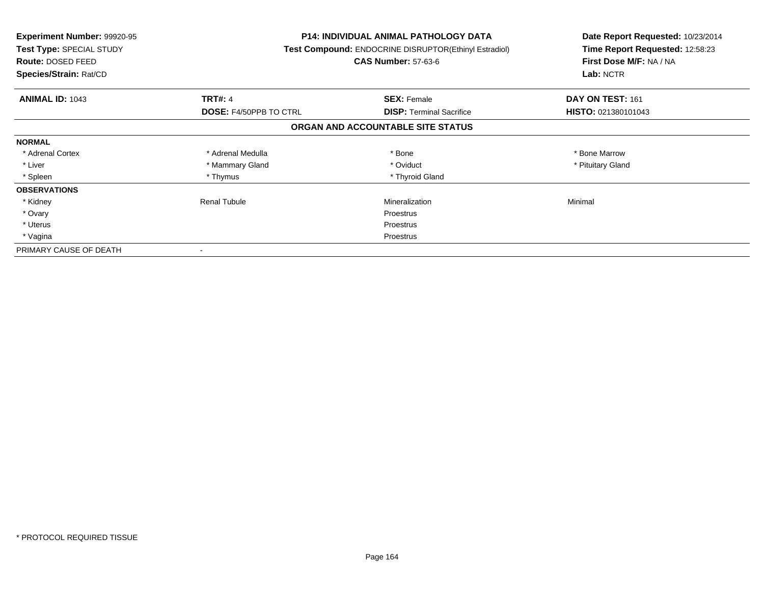| <b>Experiment Number: 99920-95</b><br>Test Type: SPECIAL STUDY<br><b>Route: DOSED FEED</b><br>Species/Strain: Rat/CD |                               | P14: INDIVIDUAL ANIMAL PATHOLOGY DATA<br>Test Compound: ENDOCRINE DISRUPTOR(Ethinyl Estradiol)<br><b>CAS Number: 57-63-6</b> | Date Report Requested: 10/23/2014<br>Time Report Requested: 12:58:23<br>First Dose M/F: NA / NA<br>Lab: NCTR |
|----------------------------------------------------------------------------------------------------------------------|-------------------------------|------------------------------------------------------------------------------------------------------------------------------|--------------------------------------------------------------------------------------------------------------|
| <b>ANIMAL ID: 1043</b>                                                                                               | <b>TRT#: 4</b>                | <b>SEX: Female</b>                                                                                                           | DAY ON TEST: 161                                                                                             |
|                                                                                                                      | <b>DOSE: F4/50PPB TO CTRL</b> | <b>DISP:</b> Terminal Sacrifice                                                                                              | HISTO: 021380101043                                                                                          |
|                                                                                                                      |                               | ORGAN AND ACCOUNTABLE SITE STATUS                                                                                            |                                                                                                              |
| <b>NORMAL</b>                                                                                                        |                               |                                                                                                                              |                                                                                                              |
| * Adrenal Cortex                                                                                                     | * Adrenal Medulla             | * Bone                                                                                                                       | * Bone Marrow                                                                                                |
| * Liver                                                                                                              | * Mammary Gland               | * Oviduct                                                                                                                    | * Pituitary Gland                                                                                            |
| * Spleen                                                                                                             | * Thymus                      | * Thyroid Gland                                                                                                              |                                                                                                              |
| <b>OBSERVATIONS</b>                                                                                                  |                               |                                                                                                                              |                                                                                                              |
| * Kidney                                                                                                             | Renal Tubule                  | Mineralization                                                                                                               | Minimal                                                                                                      |
| * Ovary                                                                                                              |                               | Proestrus                                                                                                                    |                                                                                                              |
| * Uterus                                                                                                             |                               | Proestrus                                                                                                                    |                                                                                                              |
| * Vagina                                                                                                             | Proestrus                     |                                                                                                                              |                                                                                                              |
| PRIMARY CAUSE OF DEATH                                                                                               |                               |                                                                                                                              |                                                                                                              |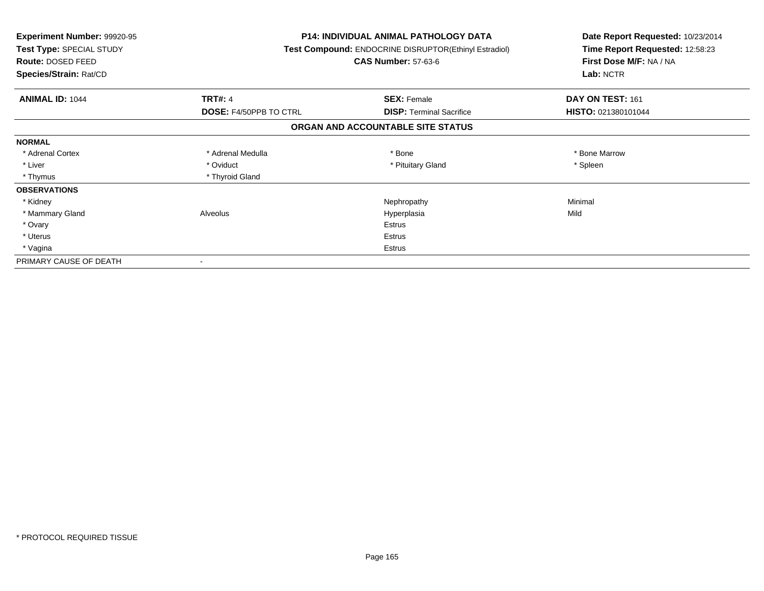| <b>Experiment Number: 99920-95</b><br>Test Type: SPECIAL STUDY<br><b>Route: DOSED FEED</b><br>Species/Strain: Rat/CD |                               | <b>P14: INDIVIDUAL ANIMAL PATHOLOGY DATA</b><br><b>Test Compound: ENDOCRINE DISRUPTOR(Ethinyl Estradiol)</b><br><b>CAS Number: 57-63-6</b> | Date Report Requested: 10/23/2014<br>Time Report Requested: 12:58:23<br>First Dose M/F: NA / NA<br>Lab: NCTR |
|----------------------------------------------------------------------------------------------------------------------|-------------------------------|--------------------------------------------------------------------------------------------------------------------------------------------|--------------------------------------------------------------------------------------------------------------|
| <b>ANIMAL ID: 1044</b>                                                                                               | <b>TRT#: 4</b>                | <b>SEX: Female</b>                                                                                                                         | DAY ON TEST: 161                                                                                             |
|                                                                                                                      | <b>DOSE: F4/50PPB TO CTRL</b> | <b>DISP:</b> Terminal Sacrifice                                                                                                            | HISTO: 021380101044                                                                                          |
|                                                                                                                      |                               | ORGAN AND ACCOUNTABLE SITE STATUS                                                                                                          |                                                                                                              |
| <b>NORMAL</b>                                                                                                        |                               |                                                                                                                                            |                                                                                                              |
| * Adrenal Cortex                                                                                                     | * Adrenal Medulla             | * Bone                                                                                                                                     | * Bone Marrow                                                                                                |
| * Liver                                                                                                              | * Oviduct                     | * Pituitary Gland                                                                                                                          | * Spleen                                                                                                     |
| * Thymus                                                                                                             | * Thyroid Gland               |                                                                                                                                            |                                                                                                              |
| <b>OBSERVATIONS</b>                                                                                                  |                               |                                                                                                                                            |                                                                                                              |
| * Kidney                                                                                                             |                               | Nephropathy                                                                                                                                | Minimal                                                                                                      |
| * Mammary Gland                                                                                                      | Alveolus                      | Hyperplasia                                                                                                                                | Mild                                                                                                         |
| * Ovary                                                                                                              |                               | <b>Estrus</b>                                                                                                                              |                                                                                                              |
| * Uterus                                                                                                             |                               | Estrus                                                                                                                                     |                                                                                                              |
| * Vagina                                                                                                             |                               | Estrus                                                                                                                                     |                                                                                                              |
| PRIMARY CAUSE OF DEATH                                                                                               |                               |                                                                                                                                            |                                                                                                              |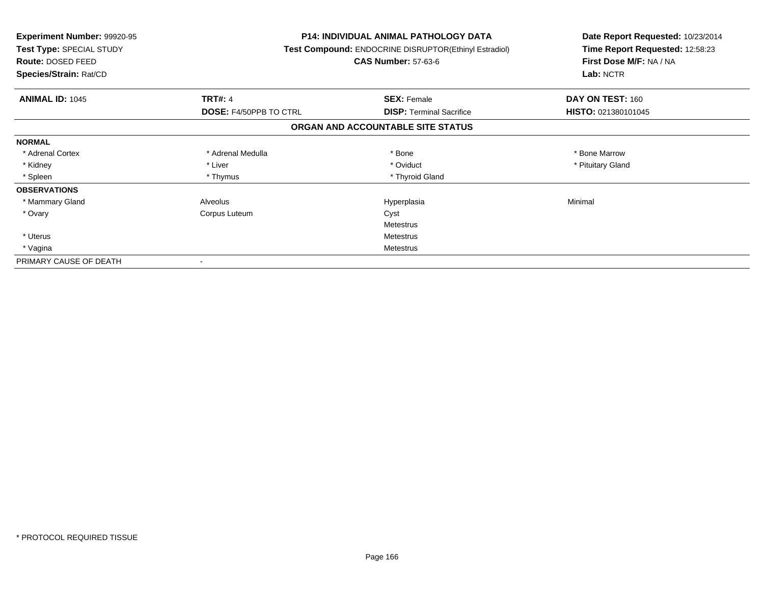| <b>Experiment Number: 99920-95</b><br>Test Type: SPECIAL STUDY<br>Route: DOSED FEED<br>Species/Strain: Rat/CD |                               | <b>P14: INDIVIDUAL ANIMAL PATHOLOGY DATA</b><br>Test Compound: ENDOCRINE DISRUPTOR(Ethinyl Estradiol)<br><b>CAS Number: 57-63-6</b> | Date Report Requested: 10/23/2014<br>Time Report Requested: 12:58:23<br>First Dose M/F: NA / NA<br>Lab: NCTR |
|---------------------------------------------------------------------------------------------------------------|-------------------------------|-------------------------------------------------------------------------------------------------------------------------------------|--------------------------------------------------------------------------------------------------------------|
| <b>ANIMAL ID: 1045</b>                                                                                        | <b>TRT#: 4</b>                | <b>SEX: Female</b>                                                                                                                  | DAY ON TEST: 160                                                                                             |
|                                                                                                               | <b>DOSE: F4/50PPB TO CTRL</b> | <b>DISP:</b> Terminal Sacrifice                                                                                                     | HISTO: 021380101045                                                                                          |
|                                                                                                               |                               | ORGAN AND ACCOUNTABLE SITE STATUS                                                                                                   |                                                                                                              |
| <b>NORMAL</b>                                                                                                 |                               |                                                                                                                                     |                                                                                                              |
| * Adrenal Cortex                                                                                              | * Adrenal Medulla             | * Bone                                                                                                                              | * Bone Marrow                                                                                                |
| * Kidney                                                                                                      | * Liver                       | * Oviduct                                                                                                                           | * Pituitary Gland                                                                                            |
| * Spleen                                                                                                      | * Thymus                      | * Thyroid Gland                                                                                                                     |                                                                                                              |
| <b>OBSERVATIONS</b>                                                                                           |                               |                                                                                                                                     |                                                                                                              |
| * Mammary Gland                                                                                               | Alveolus                      | Hyperplasia                                                                                                                         | Minimal                                                                                                      |
| * Ovary                                                                                                       | Corpus Luteum                 | Cyst                                                                                                                                |                                                                                                              |
|                                                                                                               |                               | Metestrus                                                                                                                           |                                                                                                              |
| * Uterus                                                                                                      |                               | Metestrus                                                                                                                           |                                                                                                              |
| * Vagina                                                                                                      | <b>Metestrus</b>              |                                                                                                                                     |                                                                                                              |
| PRIMARY CAUSE OF DEATH                                                                                        |                               |                                                                                                                                     |                                                                                                              |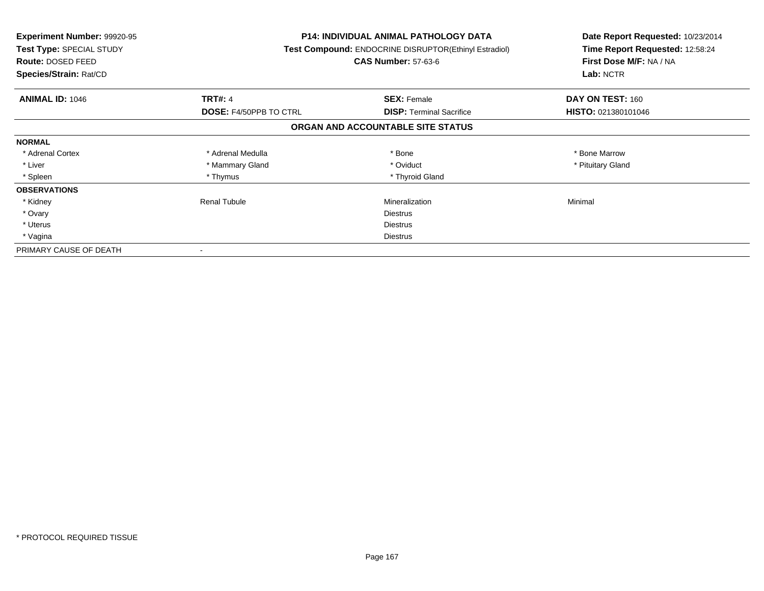| <b>Experiment Number: 99920-95</b><br>Test Type: SPECIAL STUDY<br><b>Route: DOSED FEED</b><br>Species/Strain: Rat/CD |                               | <b>P14: INDIVIDUAL ANIMAL PATHOLOGY DATA</b><br>Test Compound: ENDOCRINE DISRUPTOR(Ethinyl Estradiol)<br><b>CAS Number: 57-63-6</b> | Date Report Requested: 10/23/2014<br>Time Report Requested: 12:58:24<br>First Dose M/F: NA / NA<br>Lab: NCTR |
|----------------------------------------------------------------------------------------------------------------------|-------------------------------|-------------------------------------------------------------------------------------------------------------------------------------|--------------------------------------------------------------------------------------------------------------|
| <b>ANIMAL ID: 1046</b>                                                                                               | <b>TRT#: 4</b>                | <b>SEX: Female</b>                                                                                                                  | DAY ON TEST: 160                                                                                             |
|                                                                                                                      | <b>DOSE: F4/50PPB TO CTRL</b> | <b>DISP:</b> Terminal Sacrifice                                                                                                     | HISTO: 021380101046                                                                                          |
|                                                                                                                      |                               | ORGAN AND ACCOUNTABLE SITE STATUS                                                                                                   |                                                                                                              |
| <b>NORMAL</b>                                                                                                        |                               |                                                                                                                                     |                                                                                                              |
| * Adrenal Cortex                                                                                                     | * Adrenal Medulla             | * Bone                                                                                                                              | * Bone Marrow                                                                                                |
| * Liver                                                                                                              | * Mammary Gland               | * Oviduct                                                                                                                           | * Pituitary Gland                                                                                            |
| * Spleen                                                                                                             | * Thymus                      | * Thyroid Gland                                                                                                                     |                                                                                                              |
| <b>OBSERVATIONS</b>                                                                                                  |                               |                                                                                                                                     |                                                                                                              |
| * Kidney                                                                                                             | <b>Renal Tubule</b>           | Mineralization                                                                                                                      | Minimal                                                                                                      |
| * Ovary                                                                                                              |                               | Diestrus                                                                                                                            |                                                                                                              |
| * Uterus                                                                                                             |                               | Diestrus                                                                                                                            |                                                                                                              |
| * Vagina                                                                                                             | Diestrus                      |                                                                                                                                     |                                                                                                              |
| PRIMARY CAUSE OF DEATH                                                                                               |                               |                                                                                                                                     |                                                                                                              |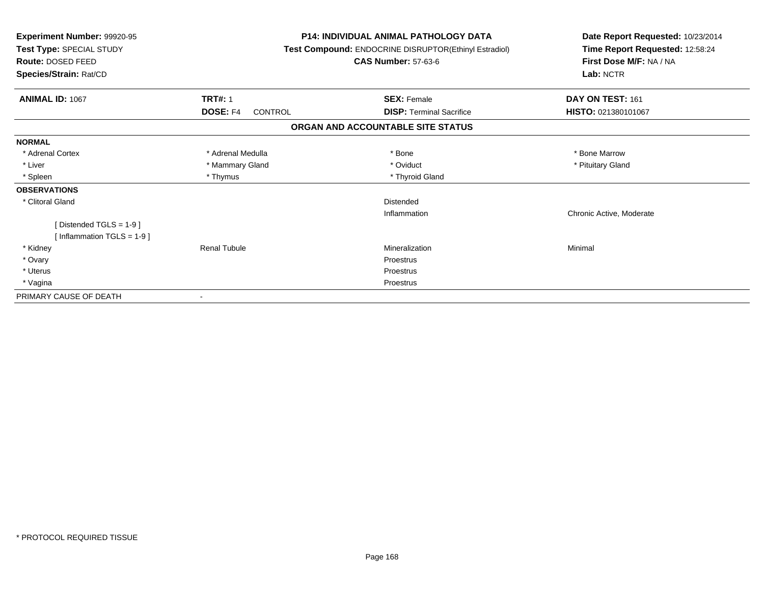| Experiment Number: 99920-95<br>Test Type: SPECIAL STUDY<br>Route: DOSED FEED<br>Species/Strain: Rat/CD |                            | <b>P14: INDIVIDUAL ANIMAL PATHOLOGY DATA</b><br>Test Compound: ENDOCRINE DISRUPTOR(Ethinyl Estradiol)<br><b>CAS Number: 57-63-6</b> | Date Report Requested: 10/23/2014<br>Time Report Requested: 12:58:24<br>First Dose M/F: NA / NA<br>Lab: NCTR |
|--------------------------------------------------------------------------------------------------------|----------------------------|-------------------------------------------------------------------------------------------------------------------------------------|--------------------------------------------------------------------------------------------------------------|
| ANIMAL ID: 1067                                                                                        | <b>TRT#: 1</b>             | <b>SEX: Female</b>                                                                                                                  | DAY ON TEST: 161                                                                                             |
|                                                                                                        | DOSE: F4<br><b>CONTROL</b> | <b>DISP: Terminal Sacrifice</b>                                                                                                     | HISTO: 021380101067                                                                                          |
|                                                                                                        |                            | ORGAN AND ACCOUNTABLE SITE STATUS                                                                                                   |                                                                                                              |
| <b>NORMAL</b>                                                                                          |                            |                                                                                                                                     |                                                                                                              |
| * Adrenal Cortex                                                                                       | * Adrenal Medulla          | * Bone                                                                                                                              | * Bone Marrow                                                                                                |
| * Liver                                                                                                | * Mammary Gland            | * Oviduct                                                                                                                           | * Pituitary Gland                                                                                            |
| * Spleen                                                                                               | * Thymus                   | * Thyroid Gland                                                                                                                     |                                                                                                              |
| <b>OBSERVATIONS</b>                                                                                    |                            |                                                                                                                                     |                                                                                                              |
| * Clitoral Gland                                                                                       |                            | Distended                                                                                                                           |                                                                                                              |
|                                                                                                        |                            | Inflammation                                                                                                                        | Chronic Active, Moderate                                                                                     |
| [Distended TGLS = $1-9$ ]                                                                              |                            |                                                                                                                                     |                                                                                                              |
| [Inflammation TGLS = $1-9$ ]                                                                           |                            |                                                                                                                                     |                                                                                                              |
| * Kidney                                                                                               | <b>Renal Tubule</b>        | Mineralization                                                                                                                      | Minimal                                                                                                      |
| * Ovary                                                                                                |                            | Proestrus                                                                                                                           |                                                                                                              |
| * Uterus                                                                                               |                            | Proestrus                                                                                                                           |                                                                                                              |
| * Vagina                                                                                               |                            | Proestrus                                                                                                                           |                                                                                                              |
| PRIMARY CAUSE OF DEATH                                                                                 |                            |                                                                                                                                     |                                                                                                              |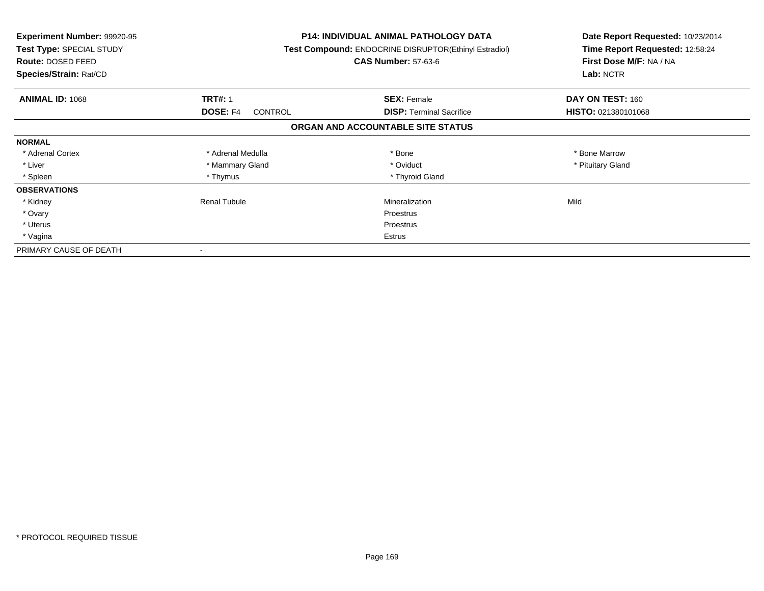| <b>Experiment Number: 99920-95</b><br>Test Type: SPECIAL STUDY<br>Route: DOSED FEED<br>Species/Strain: Rat/CD |                                   | <b>P14: INDIVIDUAL ANIMAL PATHOLOGY DATA</b><br>Test Compound: ENDOCRINE DISRUPTOR(Ethinyl Estradiol)<br><b>CAS Number: 57-63-6</b> | Date Report Requested: 10/23/2014<br>Time Report Requested: 12:58:24<br>First Dose M/F: NA / NA<br>Lab: NCTR |
|---------------------------------------------------------------------------------------------------------------|-----------------------------------|-------------------------------------------------------------------------------------------------------------------------------------|--------------------------------------------------------------------------------------------------------------|
| <b>ANIMAL ID: 1068</b>                                                                                        | <b>TRT#: 1</b>                    | <b>SEX: Female</b>                                                                                                                  | DAY ON TEST: 160                                                                                             |
|                                                                                                               | <b>DOSE: F4</b><br><b>CONTROL</b> | <b>DISP:</b> Terminal Sacrifice                                                                                                     | HISTO: 021380101068                                                                                          |
|                                                                                                               |                                   | ORGAN AND ACCOUNTABLE SITE STATUS                                                                                                   |                                                                                                              |
| <b>NORMAL</b>                                                                                                 |                                   |                                                                                                                                     |                                                                                                              |
| * Adrenal Cortex                                                                                              | * Adrenal Medulla                 | * Bone                                                                                                                              | * Bone Marrow                                                                                                |
| * Liver                                                                                                       | * Mammary Gland                   | * Oviduct                                                                                                                           | * Pituitary Gland                                                                                            |
| * Spleen                                                                                                      | * Thymus                          | * Thyroid Gland                                                                                                                     |                                                                                                              |
| <b>OBSERVATIONS</b>                                                                                           |                                   |                                                                                                                                     |                                                                                                              |
| * Kidney                                                                                                      | Renal Tubule                      | Mineralization                                                                                                                      | Mild                                                                                                         |
| * Ovary                                                                                                       |                                   | Proestrus                                                                                                                           |                                                                                                              |
| * Uterus                                                                                                      |                                   | Proestrus                                                                                                                           |                                                                                                              |
| * Vagina                                                                                                      |                                   | Estrus                                                                                                                              |                                                                                                              |
| PRIMARY CAUSE OF DEATH                                                                                        |                                   |                                                                                                                                     |                                                                                                              |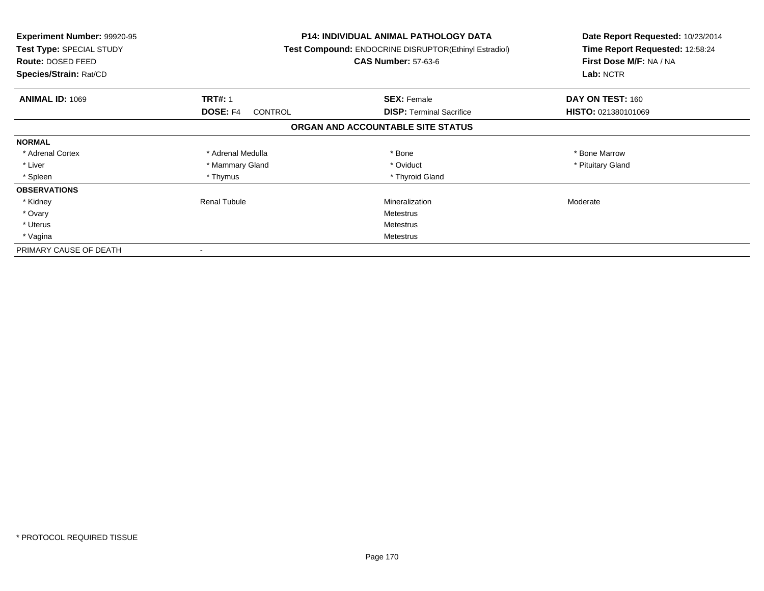| <b>Experiment Number: 99920-95</b><br>Test Type: SPECIAL STUDY<br><b>Route: DOSED FEED</b><br>Species/Strain: Rat/CD |                                   | <b>P14: INDIVIDUAL ANIMAL PATHOLOGY DATA</b><br>Test Compound: ENDOCRINE DISRUPTOR(Ethinyl Estradiol)<br><b>CAS Number: 57-63-6</b> | Date Report Requested: 10/23/2014<br>Time Report Requested: 12:58:24<br>First Dose M/F: NA / NA<br>Lab: NCTR |
|----------------------------------------------------------------------------------------------------------------------|-----------------------------------|-------------------------------------------------------------------------------------------------------------------------------------|--------------------------------------------------------------------------------------------------------------|
| <b>ANIMAL ID: 1069</b>                                                                                               | <b>TRT#: 1</b>                    | <b>SEX: Female</b>                                                                                                                  | DAY ON TEST: 160                                                                                             |
|                                                                                                                      | <b>DOSE: F4</b><br><b>CONTROL</b> | <b>DISP:</b> Terminal Sacrifice                                                                                                     | HISTO: 021380101069                                                                                          |
|                                                                                                                      |                                   | ORGAN AND ACCOUNTABLE SITE STATUS                                                                                                   |                                                                                                              |
| <b>NORMAL</b>                                                                                                        |                                   |                                                                                                                                     |                                                                                                              |
| * Adrenal Cortex                                                                                                     | * Adrenal Medulla                 | * Bone                                                                                                                              | * Bone Marrow                                                                                                |
| * Liver                                                                                                              | * Mammary Gland                   | * Oviduct                                                                                                                           | * Pituitary Gland                                                                                            |
| * Spleen                                                                                                             | * Thymus                          | * Thyroid Gland                                                                                                                     |                                                                                                              |
| <b>OBSERVATIONS</b>                                                                                                  |                                   |                                                                                                                                     |                                                                                                              |
| * Kidney                                                                                                             | Renal Tubule                      | Mineralization                                                                                                                      | Moderate                                                                                                     |
| * Ovary                                                                                                              |                                   | Metestrus                                                                                                                           |                                                                                                              |
| * Uterus                                                                                                             |                                   | Metestrus                                                                                                                           |                                                                                                              |
| * Vagina                                                                                                             |                                   | Metestrus                                                                                                                           |                                                                                                              |
| PRIMARY CAUSE OF DEATH                                                                                               |                                   |                                                                                                                                     |                                                                                                              |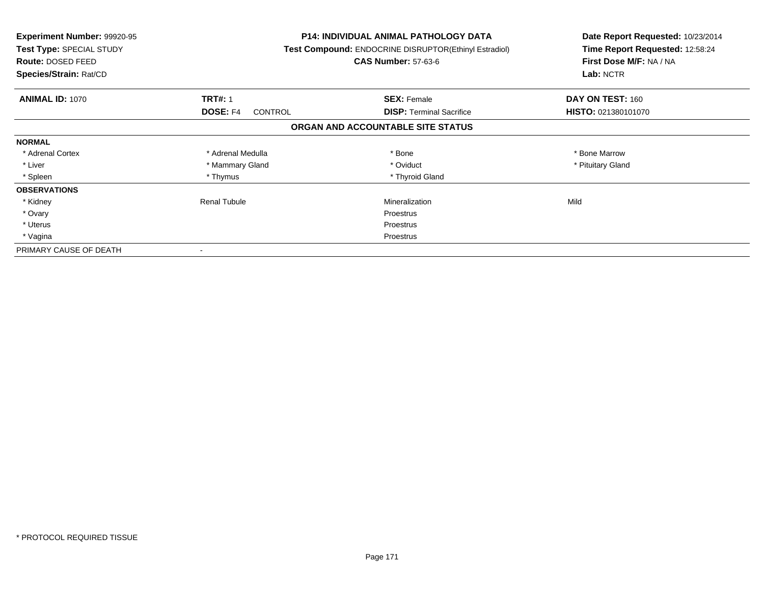| <b>Experiment Number: 99920-95</b><br>Test Type: SPECIAL STUDY<br><b>Route: DOSED FEED</b><br>Species/Strain: Rat/CD |                                   | <b>P14: INDIVIDUAL ANIMAL PATHOLOGY DATA</b><br>Test Compound: ENDOCRINE DISRUPTOR(Ethinyl Estradiol)<br><b>CAS Number: 57-63-6</b> | Date Report Requested: 10/23/2014<br>Time Report Requested: 12:58:24<br>First Dose M/F: NA / NA<br>Lab: NCTR |
|----------------------------------------------------------------------------------------------------------------------|-----------------------------------|-------------------------------------------------------------------------------------------------------------------------------------|--------------------------------------------------------------------------------------------------------------|
| <b>ANIMAL ID: 1070</b>                                                                                               | <b>TRT#: 1</b>                    | <b>SEX: Female</b>                                                                                                                  | DAY ON TEST: 160                                                                                             |
|                                                                                                                      | <b>DOSE: F4</b><br><b>CONTROL</b> | <b>DISP:</b> Terminal Sacrifice                                                                                                     | HISTO: 021380101070                                                                                          |
|                                                                                                                      |                                   | ORGAN AND ACCOUNTABLE SITE STATUS                                                                                                   |                                                                                                              |
| <b>NORMAL</b>                                                                                                        |                                   |                                                                                                                                     |                                                                                                              |
| * Adrenal Cortex                                                                                                     | * Adrenal Medulla                 | * Bone                                                                                                                              | * Bone Marrow                                                                                                |
| * Liver                                                                                                              | * Mammary Gland                   | * Oviduct                                                                                                                           | * Pituitary Gland                                                                                            |
| * Spleen                                                                                                             | * Thymus                          | * Thyroid Gland                                                                                                                     |                                                                                                              |
| <b>OBSERVATIONS</b>                                                                                                  |                                   |                                                                                                                                     |                                                                                                              |
| * Kidney                                                                                                             | Renal Tubule                      | Mineralization                                                                                                                      | Mild                                                                                                         |
| * Ovary                                                                                                              |                                   | Proestrus                                                                                                                           |                                                                                                              |
| * Uterus                                                                                                             |                                   | Proestrus                                                                                                                           |                                                                                                              |
| * Vagina                                                                                                             |                                   | Proestrus                                                                                                                           |                                                                                                              |
| PRIMARY CAUSE OF DEATH                                                                                               |                                   |                                                                                                                                     |                                                                                                              |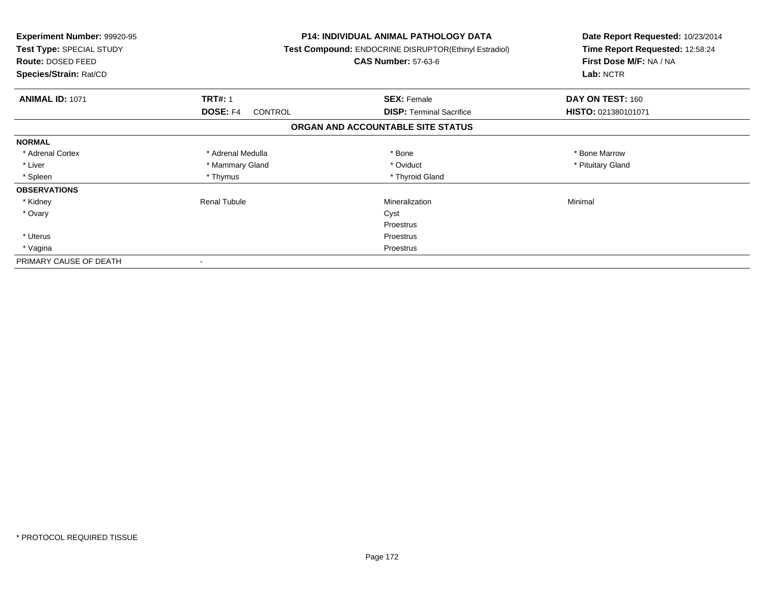| <b>Experiment Number: 99920-95</b><br>Test Type: SPECIAL STUDY<br>Route: DOSED FEED<br>Species/Strain: Rat/CD |                     | <b>P14: INDIVIDUAL ANIMAL PATHOLOGY DATA</b><br><b>Test Compound: ENDOCRINE DISRUPTOR(Ethinyl Estradiol)</b><br><b>CAS Number: 57-63-6</b> | Date Report Requested: 10/23/2014<br>Time Report Requested: 12:58:24<br>First Dose M/F: NA / NA<br>Lab: NCTR |
|---------------------------------------------------------------------------------------------------------------|---------------------|--------------------------------------------------------------------------------------------------------------------------------------------|--------------------------------------------------------------------------------------------------------------|
| <b>ANIMAL ID: 1071</b>                                                                                        | <b>TRT#: 1</b>      | <b>SEX: Female</b>                                                                                                                         | DAY ON TEST: 160                                                                                             |
|                                                                                                               | DOSE: F4<br>CONTROL | <b>DISP:</b> Terminal Sacrifice                                                                                                            | HISTO: 021380101071                                                                                          |
|                                                                                                               |                     | ORGAN AND ACCOUNTABLE SITE STATUS                                                                                                          |                                                                                                              |
| <b>NORMAL</b>                                                                                                 |                     |                                                                                                                                            |                                                                                                              |
| * Adrenal Cortex                                                                                              | * Adrenal Medulla   | * Bone                                                                                                                                     | * Bone Marrow                                                                                                |
| * Liver                                                                                                       | * Mammary Gland     | * Oviduct                                                                                                                                  | * Pituitary Gland                                                                                            |
| * Spleen                                                                                                      | * Thymus            | * Thyroid Gland                                                                                                                            |                                                                                                              |
| <b>OBSERVATIONS</b>                                                                                           |                     |                                                                                                                                            |                                                                                                              |
| * Kidney                                                                                                      | <b>Renal Tubule</b> | Mineralization                                                                                                                             | Minimal                                                                                                      |
| * Ovary                                                                                                       |                     | Cyst                                                                                                                                       |                                                                                                              |
|                                                                                                               |                     | Proestrus                                                                                                                                  |                                                                                                              |
| * Uterus                                                                                                      |                     | Proestrus                                                                                                                                  |                                                                                                              |
| * Vagina                                                                                                      | Proestrus           |                                                                                                                                            |                                                                                                              |
| PRIMARY CAUSE OF DEATH                                                                                        |                     |                                                                                                                                            |                                                                                                              |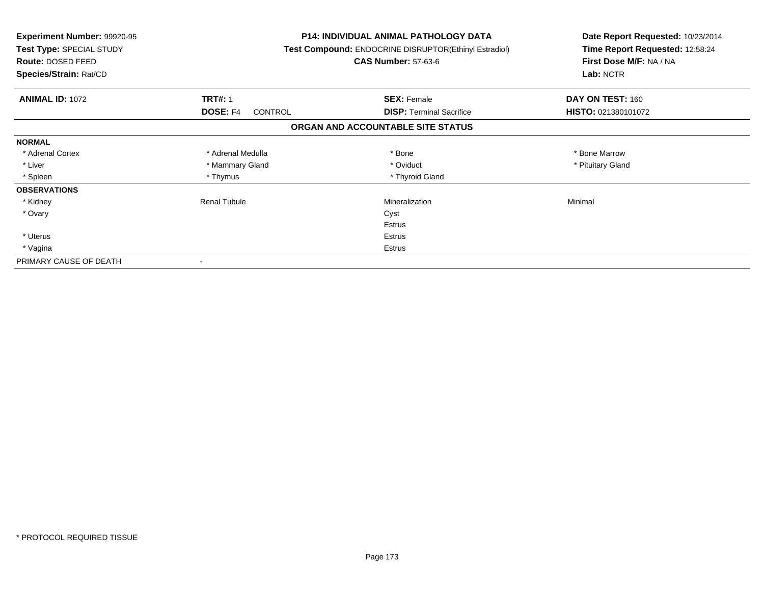| <b>Experiment Number: 99920-95</b><br>Test Type: SPECIAL STUDY<br>Route: DOSED FEED<br>Species/Strain: Rat/CD |                     | <b>P14: INDIVIDUAL ANIMAL PATHOLOGY DATA</b><br><b>Test Compound: ENDOCRINE DISRUPTOR(Ethinyl Estradiol)</b><br><b>CAS Number: 57-63-6</b> | Date Report Requested: 10/23/2014<br>Time Report Requested: 12:58:24<br>First Dose M/F: NA / NA<br>Lab: NCTR |
|---------------------------------------------------------------------------------------------------------------|---------------------|--------------------------------------------------------------------------------------------------------------------------------------------|--------------------------------------------------------------------------------------------------------------|
| <b>ANIMAL ID: 1072</b>                                                                                        | <b>TRT#: 1</b>      | <b>SEX: Female</b>                                                                                                                         | DAY ON TEST: 160                                                                                             |
|                                                                                                               | DOSE: F4<br>CONTROL | <b>DISP:</b> Terminal Sacrifice                                                                                                            | HISTO: 021380101072                                                                                          |
|                                                                                                               |                     | ORGAN AND ACCOUNTABLE SITE STATUS                                                                                                          |                                                                                                              |
| <b>NORMAL</b>                                                                                                 |                     |                                                                                                                                            |                                                                                                              |
| * Adrenal Cortex                                                                                              | * Adrenal Medulla   | * Bone                                                                                                                                     | * Bone Marrow                                                                                                |
| * Liver                                                                                                       | * Mammary Gland     | * Oviduct                                                                                                                                  | * Pituitary Gland                                                                                            |
| * Spleen                                                                                                      | * Thymus            | * Thyroid Gland                                                                                                                            |                                                                                                              |
| <b>OBSERVATIONS</b>                                                                                           |                     |                                                                                                                                            |                                                                                                              |
| * Kidney                                                                                                      | <b>Renal Tubule</b> | Mineralization                                                                                                                             | Minimal                                                                                                      |
| * Ovary                                                                                                       |                     | Cyst                                                                                                                                       |                                                                                                              |
|                                                                                                               |                     | <b>Estrus</b>                                                                                                                              |                                                                                                              |
| * Uterus                                                                                                      |                     | Estrus                                                                                                                                     |                                                                                                              |
| * Vagina                                                                                                      | Estrus              |                                                                                                                                            |                                                                                                              |
| PRIMARY CAUSE OF DEATH                                                                                        |                     |                                                                                                                                            |                                                                                                              |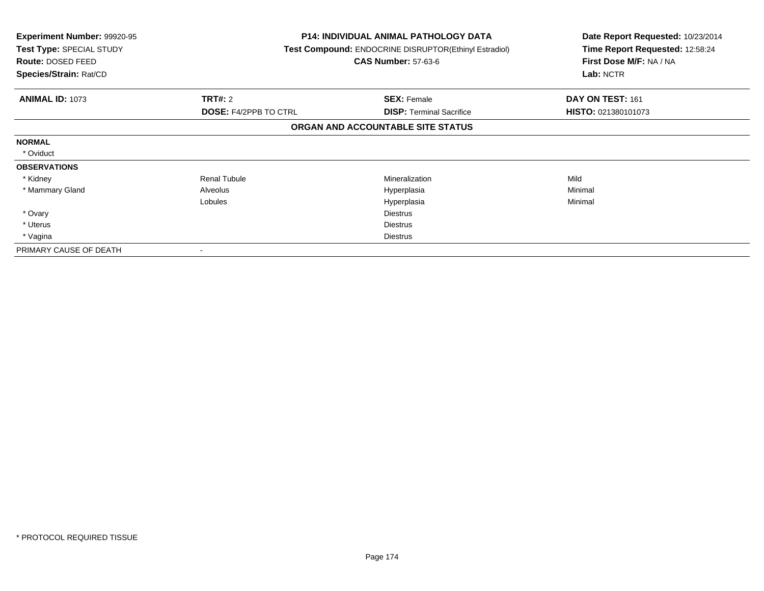| <b>Experiment Number: 99920-95</b><br>Test Type: SPECIAL STUDY<br>Route: DOSED FEED<br>Species/Strain: Rat/CD |                              | <b>P14: INDIVIDUAL ANIMAL PATHOLOGY DATA</b><br>Test Compound: ENDOCRINE DISRUPTOR(Ethinyl Estradiol)<br><b>CAS Number: 57-63-6</b> | Date Report Requested: 10/23/2014<br>Time Report Requested: 12:58:24<br>First Dose M/F: NA / NA<br>Lab: NCTR |
|---------------------------------------------------------------------------------------------------------------|------------------------------|-------------------------------------------------------------------------------------------------------------------------------------|--------------------------------------------------------------------------------------------------------------|
| <b>ANIMAL ID: 1073</b>                                                                                        | <b>TRT#: 2</b>               | <b>SEX: Female</b>                                                                                                                  | DAY ON TEST: 161                                                                                             |
|                                                                                                               | <b>DOSE: F4/2PPB TO CTRL</b> | <b>DISP:</b> Terminal Sacrifice                                                                                                     | HISTO: 021380101073                                                                                          |
|                                                                                                               |                              | ORGAN AND ACCOUNTABLE SITE STATUS                                                                                                   |                                                                                                              |
| <b>NORMAL</b>                                                                                                 |                              |                                                                                                                                     |                                                                                                              |
| * Oviduct                                                                                                     |                              |                                                                                                                                     |                                                                                                              |
| <b>OBSERVATIONS</b>                                                                                           |                              |                                                                                                                                     |                                                                                                              |
| * Kidney                                                                                                      | <b>Renal Tubule</b>          | <b>Mineralization</b>                                                                                                               | Mild                                                                                                         |
| * Mammary Gland                                                                                               | Alveolus                     | Hyperplasia                                                                                                                         | Minimal                                                                                                      |
|                                                                                                               | Lobules                      | Hyperplasia                                                                                                                         | Minimal                                                                                                      |
| * Ovary                                                                                                       |                              | Diestrus                                                                                                                            |                                                                                                              |
| * Uterus                                                                                                      |                              | <b>Diestrus</b>                                                                                                                     |                                                                                                              |
| * Vagina                                                                                                      |                              | <b>Diestrus</b>                                                                                                                     |                                                                                                              |
| PRIMARY CAUSE OF DEATH                                                                                        |                              |                                                                                                                                     |                                                                                                              |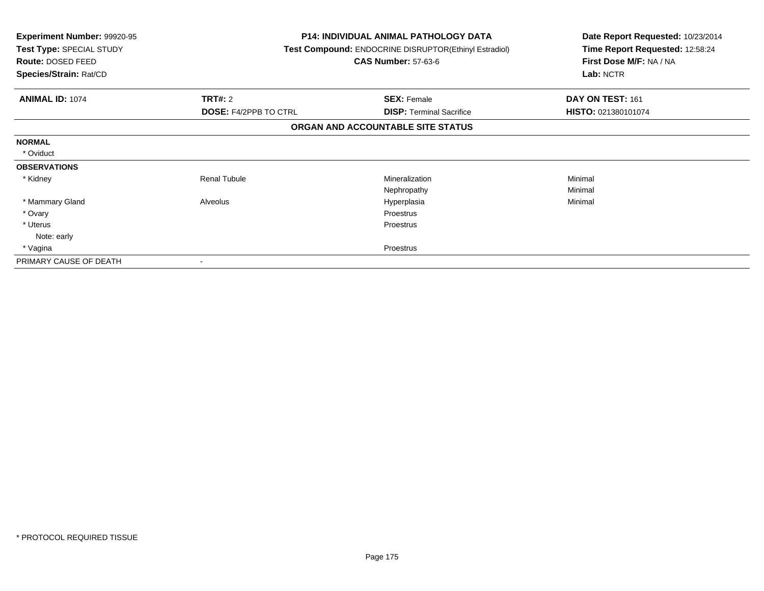| Experiment Number: 99920-95<br>Test Type: SPECIAL STUDY<br><b>Route: DOSED FEED</b><br>Species/Strain: Rat/CD |                              | <b>P14: INDIVIDUAL ANIMAL PATHOLOGY DATA</b><br>Test Compound: ENDOCRINE DISRUPTOR(Ethinyl Estradiol)<br><b>CAS Number: 57-63-6</b> | Date Report Requested: 10/23/2014<br>Time Report Requested: 12:58:24<br>First Dose M/F: NA / NA<br>Lab: NCTR |
|---------------------------------------------------------------------------------------------------------------|------------------------------|-------------------------------------------------------------------------------------------------------------------------------------|--------------------------------------------------------------------------------------------------------------|
| <b>ANIMAL ID: 1074</b>                                                                                        | TRT#: 2                      | <b>SEX: Female</b>                                                                                                                  | DAY ON TEST: 161                                                                                             |
|                                                                                                               | <b>DOSE: F4/2PPB TO CTRL</b> | <b>DISP: Terminal Sacrifice</b>                                                                                                     | HISTO: 021380101074                                                                                          |
|                                                                                                               |                              | ORGAN AND ACCOUNTABLE SITE STATUS                                                                                                   |                                                                                                              |
| <b>NORMAL</b>                                                                                                 |                              |                                                                                                                                     |                                                                                                              |
| * Oviduct                                                                                                     |                              |                                                                                                                                     |                                                                                                              |
| <b>OBSERVATIONS</b>                                                                                           |                              |                                                                                                                                     |                                                                                                              |
| * Kidney                                                                                                      | <b>Renal Tubule</b>          | Mineralization                                                                                                                      | Minimal                                                                                                      |
|                                                                                                               |                              | Nephropathy                                                                                                                         | Minimal                                                                                                      |
| * Mammary Gland                                                                                               | Alveolus                     | Hyperplasia                                                                                                                         | Minimal                                                                                                      |
| * Ovary                                                                                                       |                              | Proestrus                                                                                                                           |                                                                                                              |
| * Uterus                                                                                                      |                              | Proestrus                                                                                                                           |                                                                                                              |
| Note: early                                                                                                   |                              |                                                                                                                                     |                                                                                                              |
| * Vagina                                                                                                      |                              | Proestrus                                                                                                                           |                                                                                                              |
| PRIMARY CAUSE OF DEATH                                                                                        |                              |                                                                                                                                     |                                                                                                              |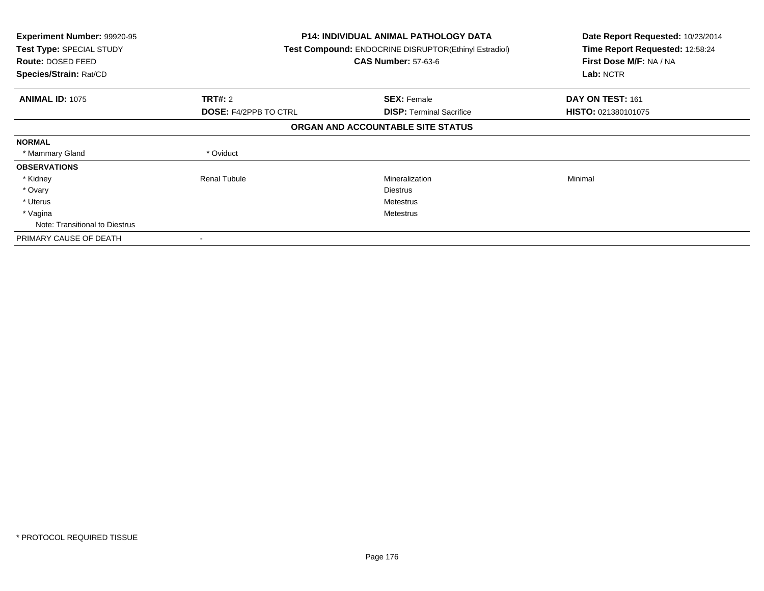| Experiment Number: 99920-95<br>Test Type: SPECIAL STUDY<br>Route: DOSED FEED<br>Species/Strain: Rat/CD |                              | <b>P14: INDIVIDUAL ANIMAL PATHOLOGY DATA</b><br>Test Compound: ENDOCRINE DISRUPTOR(Ethinyl Estradiol)<br><b>CAS Number: 57-63-6</b> | Date Report Requested: 10/23/2014<br>Time Report Requested: 12:58:24<br>First Dose M/F: NA / NA<br>Lab: NCTR |
|--------------------------------------------------------------------------------------------------------|------------------------------|-------------------------------------------------------------------------------------------------------------------------------------|--------------------------------------------------------------------------------------------------------------|
| <b>ANIMAL ID: 1075</b>                                                                                 | TRT#: 2                      | <b>SEX: Female</b>                                                                                                                  | DAY ON TEST: 161                                                                                             |
|                                                                                                        | <b>DOSE: F4/2PPB TO CTRL</b> | <b>DISP:</b> Terminal Sacrifice                                                                                                     | HISTO: 021380101075                                                                                          |
|                                                                                                        |                              | ORGAN AND ACCOUNTABLE SITE STATUS                                                                                                   |                                                                                                              |
| <b>NORMAL</b>                                                                                          |                              |                                                                                                                                     |                                                                                                              |
| * Mammary Gland                                                                                        | * Oviduct                    |                                                                                                                                     |                                                                                                              |
| <b>OBSERVATIONS</b>                                                                                    |                              |                                                                                                                                     |                                                                                                              |
| * Kidney                                                                                               | <b>Renal Tubule</b>          | Mineralization                                                                                                                      | Minimal                                                                                                      |
| * Ovary                                                                                                |                              | <b>Diestrus</b>                                                                                                                     |                                                                                                              |
| * Uterus                                                                                               |                              | Metestrus                                                                                                                           |                                                                                                              |
| * Vagina                                                                                               |                              | Metestrus                                                                                                                           |                                                                                                              |
| Note: Transitional to Diestrus                                                                         |                              |                                                                                                                                     |                                                                                                              |
| PRIMARY CAUSE OF DEATH                                                                                 |                              |                                                                                                                                     |                                                                                                              |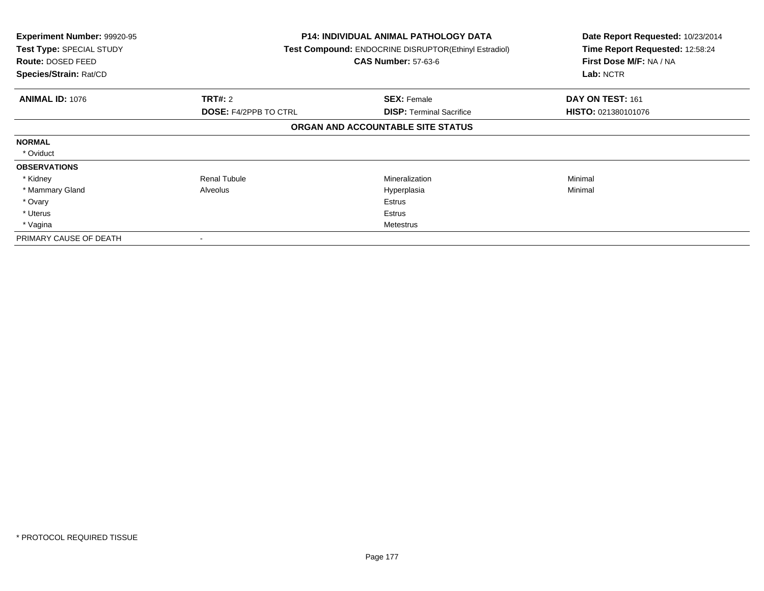| Experiment Number: 99920-95<br>Test Type: SPECIAL STUDY<br>Route: DOSED FEED<br>Species/Strain: Rat/CD |                              | <b>P14: INDIVIDUAL ANIMAL PATHOLOGY DATA</b><br>Test Compound: ENDOCRINE DISRUPTOR(Ethinyl Estradiol)<br><b>CAS Number: 57-63-6</b> | Date Report Requested: 10/23/2014<br>Time Report Requested: 12:58:24<br>First Dose M/F: NA / NA<br>Lab: NCTR |
|--------------------------------------------------------------------------------------------------------|------------------------------|-------------------------------------------------------------------------------------------------------------------------------------|--------------------------------------------------------------------------------------------------------------|
| <b>ANIMAL ID: 1076</b>                                                                                 | TRT#: 2                      | <b>SEX: Female</b>                                                                                                                  | DAY ON TEST: 161                                                                                             |
|                                                                                                        | <b>DOSE: F4/2PPB TO CTRL</b> | <b>DISP: Terminal Sacrifice</b>                                                                                                     | <b>HISTO: 021380101076</b>                                                                                   |
|                                                                                                        |                              | ORGAN AND ACCOUNTABLE SITE STATUS                                                                                                   |                                                                                                              |
| <b>NORMAL</b>                                                                                          |                              |                                                                                                                                     |                                                                                                              |
| * Oviduct                                                                                              |                              |                                                                                                                                     |                                                                                                              |
| <b>OBSERVATIONS</b>                                                                                    |                              |                                                                                                                                     |                                                                                                              |
| * Kidney                                                                                               | <b>Renal Tubule</b>          | Mineralization                                                                                                                      | Minimal                                                                                                      |
| * Mammary Gland                                                                                        | Alveolus                     | Hyperplasia                                                                                                                         | Minimal                                                                                                      |
| * Ovary                                                                                                |                              | Estrus                                                                                                                              |                                                                                                              |
| * Uterus                                                                                               |                              | Estrus                                                                                                                              |                                                                                                              |
| * Vagina                                                                                               |                              | Metestrus                                                                                                                           |                                                                                                              |
| PRIMARY CAUSE OF DEATH                                                                                 | $\overline{\phantom{a}}$     |                                                                                                                                     |                                                                                                              |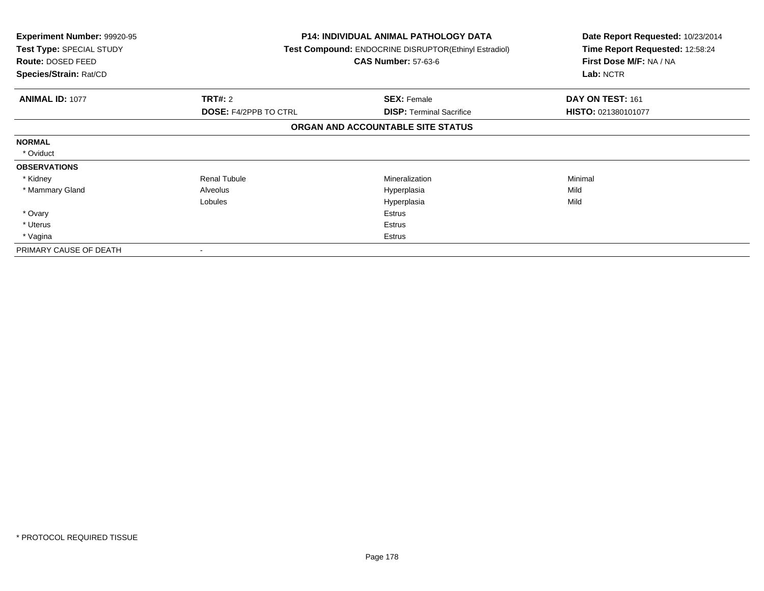| <b>Experiment Number: 99920-95</b><br>Test Type: SPECIAL STUDY<br>Route: DOSED FEED<br>Species/Strain: Rat/CD |                              | <b>P14: INDIVIDUAL ANIMAL PATHOLOGY DATA</b><br>Test Compound: ENDOCRINE DISRUPTOR(Ethinyl Estradiol)<br><b>CAS Number: 57-63-6</b> | Date Report Requested: 10/23/2014<br>Time Report Requested: 12:58:24<br>First Dose M/F: NA / NA<br>Lab: NCTR |
|---------------------------------------------------------------------------------------------------------------|------------------------------|-------------------------------------------------------------------------------------------------------------------------------------|--------------------------------------------------------------------------------------------------------------|
| <b>ANIMAL ID: 1077</b>                                                                                        | <b>TRT#: 2</b>               | <b>SEX: Female</b>                                                                                                                  | DAY ON TEST: 161                                                                                             |
|                                                                                                               | <b>DOSE: F4/2PPB TO CTRL</b> | <b>DISP: Terminal Sacrifice</b>                                                                                                     | HISTO: 021380101077                                                                                          |
|                                                                                                               |                              | ORGAN AND ACCOUNTABLE SITE STATUS                                                                                                   |                                                                                                              |
| <b>NORMAL</b>                                                                                                 |                              |                                                                                                                                     |                                                                                                              |
| * Oviduct                                                                                                     |                              |                                                                                                                                     |                                                                                                              |
| <b>OBSERVATIONS</b>                                                                                           |                              |                                                                                                                                     |                                                                                                              |
| * Kidney                                                                                                      | <b>Renal Tubule</b>          | <b>Mineralization</b>                                                                                                               | Minimal                                                                                                      |
| * Mammary Gland                                                                                               | Alveolus                     | Hyperplasia                                                                                                                         | Mild                                                                                                         |
|                                                                                                               | Lobules                      | Hyperplasia                                                                                                                         | Mild                                                                                                         |
| * Ovary                                                                                                       |                              | Estrus                                                                                                                              |                                                                                                              |
| * Uterus                                                                                                      |                              | Estrus                                                                                                                              |                                                                                                              |
| * Vagina                                                                                                      |                              | Estrus                                                                                                                              |                                                                                                              |
| PRIMARY CAUSE OF DEATH                                                                                        |                              |                                                                                                                                     |                                                                                                              |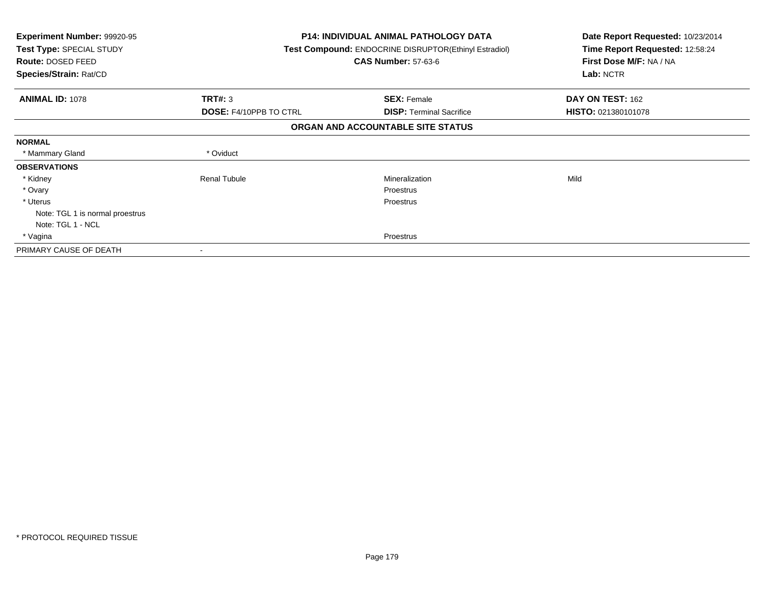| <b>Experiment Number: 99920-95</b><br>Test Type: SPECIAL STUDY<br>Route: DOSED FEED<br>Species/Strain: Rat/CD |                               | <b>P14: INDIVIDUAL ANIMAL PATHOLOGY DATA</b><br><b>Test Compound: ENDOCRINE DISRUPTOR(Ethinyl Estradiol)</b><br><b>CAS Number: 57-63-6</b> | Date Report Requested: 10/23/2014<br>Time Report Requested: 12:58:24<br>First Dose M/F: NA / NA<br>Lab: NCTR |
|---------------------------------------------------------------------------------------------------------------|-------------------------------|--------------------------------------------------------------------------------------------------------------------------------------------|--------------------------------------------------------------------------------------------------------------|
| <b>ANIMAL ID: 1078</b>                                                                                        | TRT#: 3                       | <b>SEX: Female</b>                                                                                                                         | DAY ON TEST: 162                                                                                             |
|                                                                                                               | <b>DOSE: F4/10PPB TO CTRL</b> | <b>DISP:</b> Terminal Sacrifice                                                                                                            | HISTO: 021380101078                                                                                          |
|                                                                                                               |                               | ORGAN AND ACCOUNTABLE SITE STATUS                                                                                                          |                                                                                                              |
| <b>NORMAL</b>                                                                                                 |                               |                                                                                                                                            |                                                                                                              |
| * Mammary Gland                                                                                               | * Oviduct                     |                                                                                                                                            |                                                                                                              |
| <b>OBSERVATIONS</b>                                                                                           |                               |                                                                                                                                            |                                                                                                              |
| * Kidney                                                                                                      | <b>Renal Tubule</b>           | <b>Mineralization</b>                                                                                                                      | Mild                                                                                                         |
| * Ovary                                                                                                       |                               | Proestrus                                                                                                                                  |                                                                                                              |
| * Uterus                                                                                                      |                               | <b>Proestrus</b>                                                                                                                           |                                                                                                              |
| Note: TGL 1 is normal proestrus                                                                               |                               |                                                                                                                                            |                                                                                                              |
| Note: TGL 1 - NCL                                                                                             |                               |                                                                                                                                            |                                                                                                              |
| * Vagina                                                                                                      |                               | <b>Proestrus</b>                                                                                                                           |                                                                                                              |
| PRIMARY CAUSE OF DEATH                                                                                        |                               |                                                                                                                                            |                                                                                                              |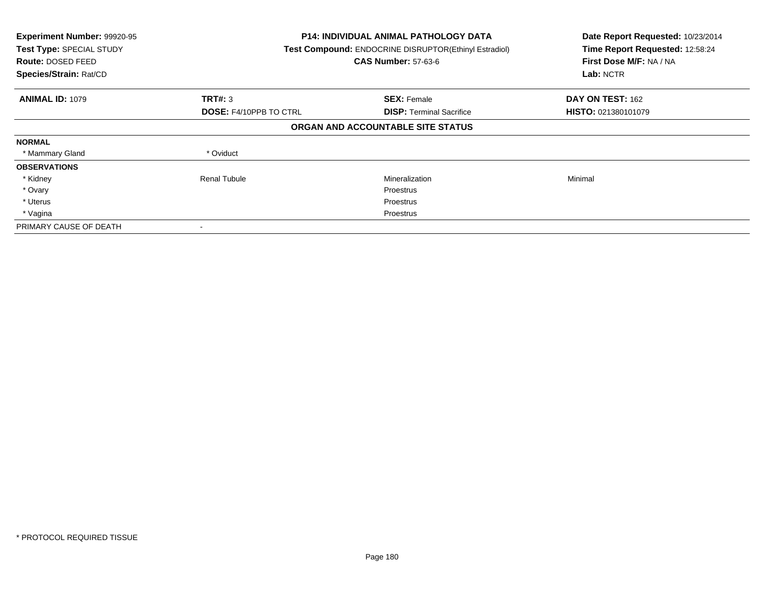| Experiment Number: 99920-95<br>Test Type: SPECIAL STUDY<br><b>Route: DOSED FEED</b><br>Species/Strain: Rat/CD |                               | <b>P14: INDIVIDUAL ANIMAL PATHOLOGY DATA</b><br>Test Compound: ENDOCRINE DISRUPTOR(Ethinyl Estradiol)<br><b>CAS Number: 57-63-6</b> |                     |
|---------------------------------------------------------------------------------------------------------------|-------------------------------|-------------------------------------------------------------------------------------------------------------------------------------|---------------------|
| <b>ANIMAL ID: 1079</b>                                                                                        | TRT#: 3                       | <b>SEX: Female</b>                                                                                                                  | DAY ON TEST: 162    |
|                                                                                                               | <b>DOSE: F4/10PPB TO CTRL</b> | <b>DISP:</b> Terminal Sacrifice                                                                                                     | HISTO: 021380101079 |
|                                                                                                               |                               | ORGAN AND ACCOUNTABLE SITE STATUS                                                                                                   |                     |
| <b>NORMAL</b>                                                                                                 |                               |                                                                                                                                     |                     |
| * Mammary Gland                                                                                               | * Oviduct                     |                                                                                                                                     |                     |
| <b>OBSERVATIONS</b>                                                                                           |                               |                                                                                                                                     |                     |
| * Kidney                                                                                                      | Renal Tubule                  | Mineralization                                                                                                                      | Minimal             |
| * Ovary                                                                                                       |                               | <b>Proestrus</b>                                                                                                                    |                     |
| * Uterus                                                                                                      |                               | Proestrus                                                                                                                           |                     |
| * Vagina                                                                                                      |                               | Proestrus                                                                                                                           |                     |
| PRIMARY CAUSE OF DEATH                                                                                        |                               |                                                                                                                                     |                     |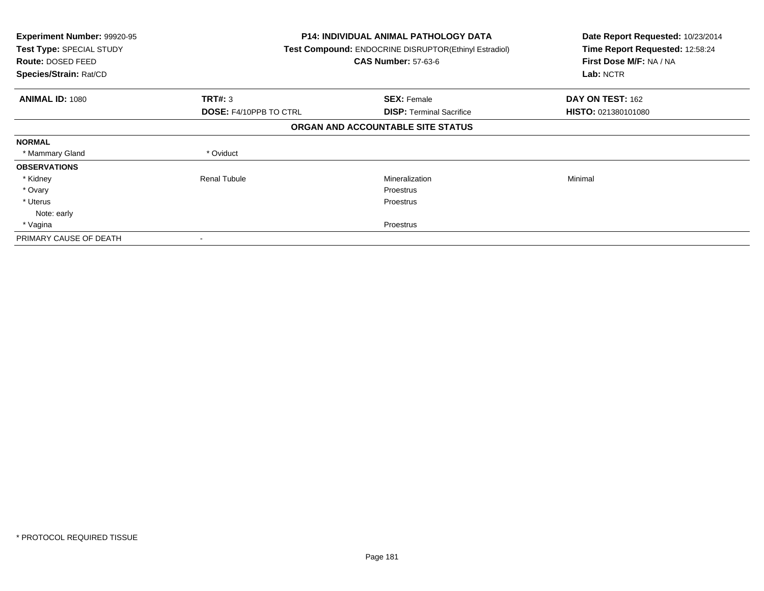| <b>Experiment Number: 99920-95</b><br>Test Type: SPECIAL STUDY<br><b>Route: DOSED FEED</b><br>Species/Strain: Rat/CD |                               | <b>P14: INDIVIDUAL ANIMAL PATHOLOGY DATA</b><br>Test Compound: ENDOCRINE DISRUPTOR(Ethinyl Estradiol)<br><b>CAS Number: 57-63-6</b> | Date Report Requested: 10/23/2014<br>Time Report Requested: 12:58:24<br>First Dose M/F: NA / NA<br>Lab: NCTR |
|----------------------------------------------------------------------------------------------------------------------|-------------------------------|-------------------------------------------------------------------------------------------------------------------------------------|--------------------------------------------------------------------------------------------------------------|
| <b>ANIMAL ID: 1080</b>                                                                                               | TRT#: 3                       | <b>SEX: Female</b>                                                                                                                  | DAY ON TEST: 162                                                                                             |
|                                                                                                                      | <b>DOSE: F4/10PPB TO CTRL</b> | <b>DISP:</b> Terminal Sacrifice                                                                                                     | <b>HISTO: 021380101080</b>                                                                                   |
|                                                                                                                      |                               | ORGAN AND ACCOUNTABLE SITE STATUS                                                                                                   |                                                                                                              |
| <b>NORMAL</b>                                                                                                        |                               |                                                                                                                                     |                                                                                                              |
| * Mammary Gland                                                                                                      | * Oviduct                     |                                                                                                                                     |                                                                                                              |
| <b>OBSERVATIONS</b>                                                                                                  |                               |                                                                                                                                     |                                                                                                              |
| * Kidney                                                                                                             | <b>Renal Tubule</b>           | Mineralization                                                                                                                      | Minimal                                                                                                      |
| * Ovary                                                                                                              |                               | <b>Proestrus</b>                                                                                                                    |                                                                                                              |
| * Uterus                                                                                                             |                               | Proestrus                                                                                                                           |                                                                                                              |
| Note: early                                                                                                          |                               |                                                                                                                                     |                                                                                                              |
| * Vagina                                                                                                             |                               | Proestrus                                                                                                                           |                                                                                                              |
| PRIMARY CAUSE OF DEATH                                                                                               |                               |                                                                                                                                     |                                                                                                              |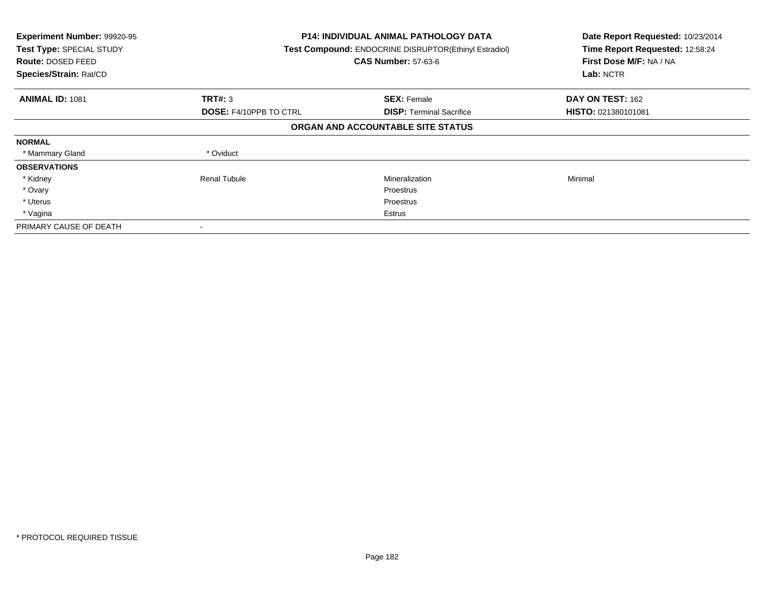| Experiment Number: 99920-95<br>Test Type: SPECIAL STUDY<br><b>Route: DOSED FEED</b><br>Species/Strain: Rat/CD |                               | <b>P14: INDIVIDUAL ANIMAL PATHOLOGY DATA</b><br>Test Compound: ENDOCRINE DISRUPTOR(Ethinyl Estradiol)<br><b>CAS Number: 57-63-6</b> | Date Report Requested: 10/23/2014<br>Time Report Requested: 12:58:24<br>First Dose M/F: NA / NA<br>Lab: NCTR |
|---------------------------------------------------------------------------------------------------------------|-------------------------------|-------------------------------------------------------------------------------------------------------------------------------------|--------------------------------------------------------------------------------------------------------------|
| <b>ANIMAL ID: 1081</b>                                                                                        | TRT#: 3                       | <b>SEX: Female</b>                                                                                                                  | DAY ON TEST: 162                                                                                             |
|                                                                                                               | <b>DOSE: F4/10PPB TO CTRL</b> | <b>DISP:</b> Terminal Sacrifice                                                                                                     | <b>HISTO: 021380101081</b>                                                                                   |
|                                                                                                               |                               | ORGAN AND ACCOUNTABLE SITE STATUS                                                                                                   |                                                                                                              |
| <b>NORMAL</b>                                                                                                 |                               |                                                                                                                                     |                                                                                                              |
| * Mammary Gland                                                                                               | * Oviduct                     |                                                                                                                                     |                                                                                                              |
| <b>OBSERVATIONS</b>                                                                                           |                               |                                                                                                                                     |                                                                                                              |
| * Kidney                                                                                                      | <b>Renal Tubule</b>           | Mineralization                                                                                                                      | Minimal                                                                                                      |
| * Ovary                                                                                                       |                               | Proestrus                                                                                                                           |                                                                                                              |
| * Uterus                                                                                                      |                               | Proestrus                                                                                                                           |                                                                                                              |
| * Vagina                                                                                                      |                               | Estrus                                                                                                                              |                                                                                                              |
| PRIMARY CAUSE OF DEATH                                                                                        |                               |                                                                                                                                     |                                                                                                              |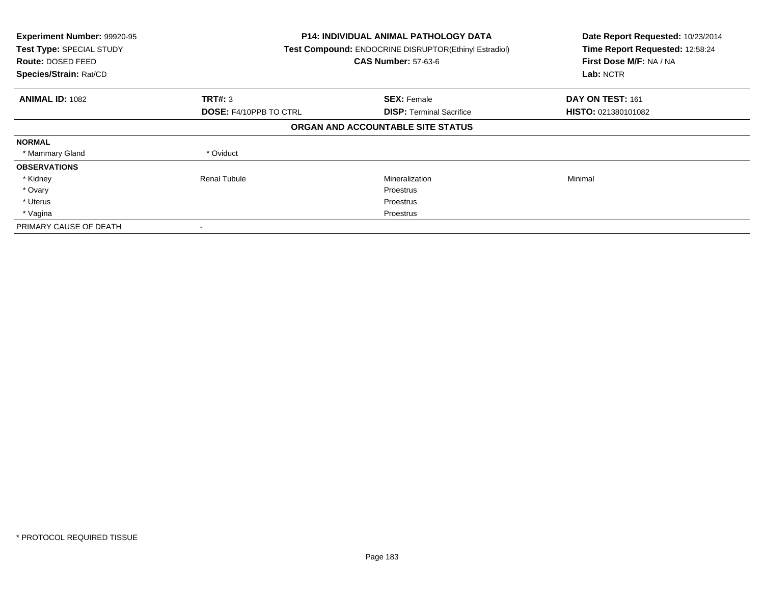| Experiment Number: 99920-95<br>Test Type: SPECIAL STUDY<br><b>Route: DOSED FEED</b><br>Species/Strain: Rat/CD |                               | <b>P14: INDIVIDUAL ANIMAL PATHOLOGY DATA</b><br>Test Compound: ENDOCRINE DISRUPTOR(Ethinyl Estradiol)<br><b>CAS Number: 57-63-6</b> |                            |
|---------------------------------------------------------------------------------------------------------------|-------------------------------|-------------------------------------------------------------------------------------------------------------------------------------|----------------------------|
| <b>ANIMAL ID: 1082</b>                                                                                        | TRT#: 3                       | <b>SEX: Female</b>                                                                                                                  | DAY ON TEST: 161           |
|                                                                                                               | <b>DOSE: F4/10PPB TO CTRL</b> | <b>DISP:</b> Terminal Sacrifice                                                                                                     | <b>HISTO: 021380101082</b> |
|                                                                                                               |                               | ORGAN AND ACCOUNTABLE SITE STATUS                                                                                                   |                            |
| <b>NORMAL</b>                                                                                                 |                               |                                                                                                                                     |                            |
| * Mammary Gland                                                                                               | * Oviduct                     |                                                                                                                                     |                            |
| <b>OBSERVATIONS</b>                                                                                           |                               |                                                                                                                                     |                            |
| * Kidney                                                                                                      | Renal Tubule                  | Mineralization                                                                                                                      | Minimal                    |
| * Ovary                                                                                                       |                               | <b>Proestrus</b>                                                                                                                    |                            |
| * Uterus                                                                                                      |                               | Proestrus                                                                                                                           |                            |
| * Vagina                                                                                                      |                               | Proestrus                                                                                                                           |                            |
| PRIMARY CAUSE OF DEATH                                                                                        |                               |                                                                                                                                     |                            |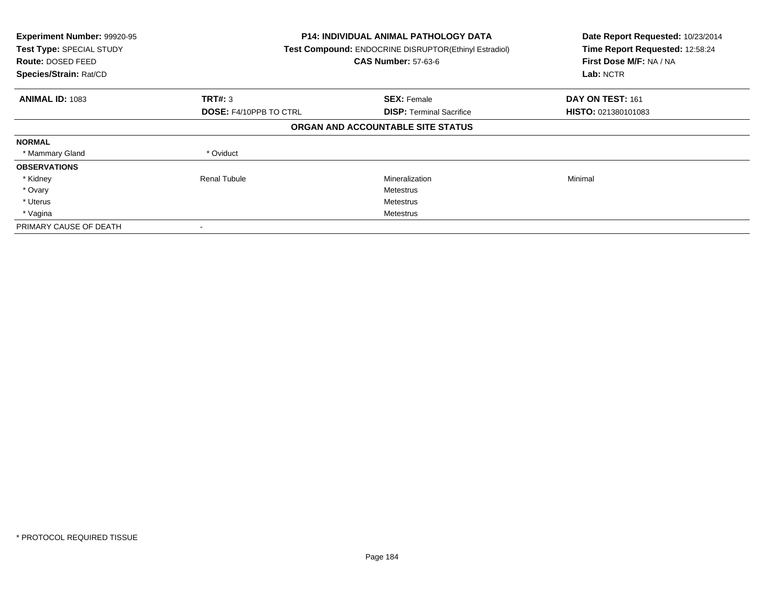| Experiment Number: 99920-95<br>Test Type: SPECIAL STUDY<br><b>Route: DOSED FEED</b><br>Species/Strain: Rat/CD |                               | <b>P14: INDIVIDUAL ANIMAL PATHOLOGY DATA</b><br>Test Compound: ENDOCRINE DISRUPTOR(Ethinyl Estradiol)<br><b>CAS Number: 57-63-6</b> |                            |
|---------------------------------------------------------------------------------------------------------------|-------------------------------|-------------------------------------------------------------------------------------------------------------------------------------|----------------------------|
| <b>ANIMAL ID: 1083</b>                                                                                        | TRT#: 3                       | <b>SEX: Female</b>                                                                                                                  | DAY ON TEST: 161           |
|                                                                                                               | <b>DOSE: F4/10PPB TO CTRL</b> | <b>DISP:</b> Terminal Sacrifice                                                                                                     | <b>HISTO: 021380101083</b> |
|                                                                                                               |                               | ORGAN AND ACCOUNTABLE SITE STATUS                                                                                                   |                            |
| <b>NORMAL</b>                                                                                                 |                               |                                                                                                                                     |                            |
| * Mammary Gland                                                                                               | * Oviduct                     |                                                                                                                                     |                            |
| <b>OBSERVATIONS</b>                                                                                           |                               |                                                                                                                                     |                            |
| * Kidney                                                                                                      | Renal Tubule                  | Mineralization                                                                                                                      | Minimal                    |
| * Ovary                                                                                                       |                               | Metestrus                                                                                                                           |                            |
| * Uterus                                                                                                      |                               | Metestrus                                                                                                                           |                            |
| * Vagina                                                                                                      |                               | Metestrus                                                                                                                           |                            |
| PRIMARY CAUSE OF DEATH                                                                                        |                               |                                                                                                                                     |                            |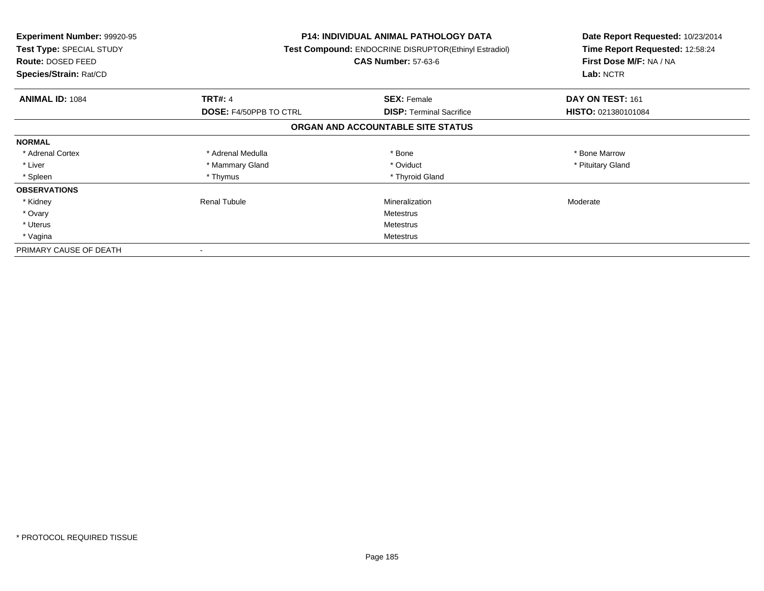| <b>Experiment Number: 99920-95</b><br>Test Type: SPECIAL STUDY<br><b>Route: DOSED FEED</b><br>Species/Strain: Rat/CD |                               | P14: INDIVIDUAL ANIMAL PATHOLOGY DATA<br>Test Compound: ENDOCRINE DISRUPTOR(Ethinyl Estradiol)<br><b>CAS Number: 57-63-6</b> | Date Report Requested: 10/23/2014<br>Time Report Requested: 12:58:24<br>First Dose M/F: NA / NA<br>Lab: NCTR |
|----------------------------------------------------------------------------------------------------------------------|-------------------------------|------------------------------------------------------------------------------------------------------------------------------|--------------------------------------------------------------------------------------------------------------|
| <b>ANIMAL ID: 1084</b>                                                                                               | <b>TRT#: 4</b>                | <b>SEX: Female</b>                                                                                                           | DAY ON TEST: 161                                                                                             |
|                                                                                                                      | <b>DOSE: F4/50PPB TO CTRL</b> | <b>DISP:</b> Terminal Sacrifice                                                                                              | HISTO: 021380101084                                                                                          |
|                                                                                                                      |                               | ORGAN AND ACCOUNTABLE SITE STATUS                                                                                            |                                                                                                              |
| <b>NORMAL</b>                                                                                                        |                               |                                                                                                                              |                                                                                                              |
| * Adrenal Cortex                                                                                                     | * Adrenal Medulla             | * Bone                                                                                                                       | * Bone Marrow                                                                                                |
| * Liver                                                                                                              | * Mammary Gland               | * Oviduct                                                                                                                    | * Pituitary Gland                                                                                            |
| * Spleen                                                                                                             | * Thymus                      | * Thyroid Gland                                                                                                              |                                                                                                              |
| <b>OBSERVATIONS</b>                                                                                                  |                               |                                                                                                                              |                                                                                                              |
| * Kidney                                                                                                             | Renal Tubule                  | Mineralization                                                                                                               | Moderate                                                                                                     |
| * Ovary                                                                                                              |                               | Metestrus                                                                                                                    |                                                                                                              |
| * Uterus                                                                                                             |                               | Metestrus                                                                                                                    |                                                                                                              |
| * Vagina                                                                                                             |                               | Metestrus                                                                                                                    |                                                                                                              |
| PRIMARY CAUSE OF DEATH                                                                                               |                               |                                                                                                                              |                                                                                                              |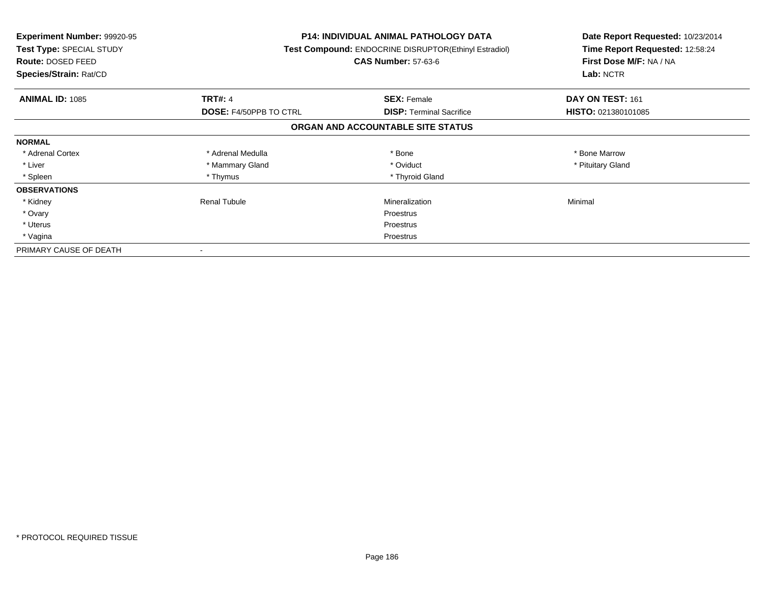| <b>Experiment Number: 99920-95</b><br>Test Type: SPECIAL STUDY<br><b>Route: DOSED FEED</b><br>Species/Strain: Rat/CD |                               | <b>P14: INDIVIDUAL ANIMAL PATHOLOGY DATA</b><br>Test Compound: ENDOCRINE DISRUPTOR(Ethinyl Estradiol)<br><b>CAS Number: 57-63-6</b> | Date Report Requested: 10/23/2014<br>Time Report Requested: 12:58:24<br>First Dose M/F: NA / NA<br>Lab: NCTR |
|----------------------------------------------------------------------------------------------------------------------|-------------------------------|-------------------------------------------------------------------------------------------------------------------------------------|--------------------------------------------------------------------------------------------------------------|
| <b>ANIMAL ID: 1085</b>                                                                                               | <b>TRT#: 4</b>                | <b>SEX: Female</b>                                                                                                                  | DAY ON TEST: 161                                                                                             |
|                                                                                                                      | <b>DOSE: F4/50PPB TO CTRL</b> | <b>DISP:</b> Terminal Sacrifice                                                                                                     | HISTO: 021380101085                                                                                          |
|                                                                                                                      |                               | ORGAN AND ACCOUNTABLE SITE STATUS                                                                                                   |                                                                                                              |
| <b>NORMAL</b>                                                                                                        |                               |                                                                                                                                     |                                                                                                              |
| * Adrenal Cortex                                                                                                     | * Adrenal Medulla             | * Bone                                                                                                                              | * Bone Marrow                                                                                                |
| * Liver                                                                                                              | * Mammary Gland               | * Oviduct                                                                                                                           | * Pituitary Gland                                                                                            |
| * Spleen                                                                                                             | * Thymus                      | * Thyroid Gland                                                                                                                     |                                                                                                              |
| <b>OBSERVATIONS</b>                                                                                                  |                               |                                                                                                                                     |                                                                                                              |
| * Kidney                                                                                                             | <b>Renal Tubule</b>           | Mineralization                                                                                                                      | Minimal                                                                                                      |
| * Ovary                                                                                                              |                               | Proestrus                                                                                                                           |                                                                                                              |
| * Uterus                                                                                                             |                               | Proestrus                                                                                                                           |                                                                                                              |
| * Vagina                                                                                                             |                               | Proestrus                                                                                                                           |                                                                                                              |
| PRIMARY CAUSE OF DEATH                                                                                               |                               |                                                                                                                                     |                                                                                                              |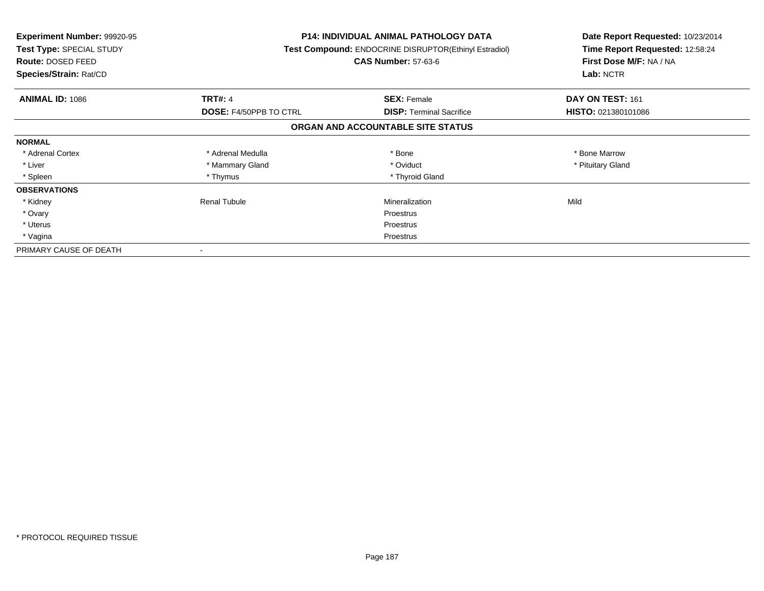| <b>Experiment Number: 99920-95</b><br>Test Type: SPECIAL STUDY<br><b>Route: DOSED FEED</b><br>Species/Strain: Rat/CD |                               | P14: INDIVIDUAL ANIMAL PATHOLOGY DATA<br>Test Compound: ENDOCRINE DISRUPTOR(Ethinyl Estradiol)<br><b>CAS Number: 57-63-6</b> | Date Report Requested: 10/23/2014<br>Time Report Requested: 12:58:24<br>First Dose M/F: NA / NA<br>Lab: NCTR |
|----------------------------------------------------------------------------------------------------------------------|-------------------------------|------------------------------------------------------------------------------------------------------------------------------|--------------------------------------------------------------------------------------------------------------|
| <b>ANIMAL ID: 1086</b>                                                                                               | <b>TRT#: 4</b>                | <b>SEX: Female</b>                                                                                                           | DAY ON TEST: 161                                                                                             |
|                                                                                                                      | <b>DOSE: F4/50PPB TO CTRL</b> | <b>DISP:</b> Terminal Sacrifice                                                                                              | <b>HISTO: 021380101086</b>                                                                                   |
|                                                                                                                      |                               | ORGAN AND ACCOUNTABLE SITE STATUS                                                                                            |                                                                                                              |
| <b>NORMAL</b>                                                                                                        |                               |                                                                                                                              |                                                                                                              |
| * Adrenal Cortex                                                                                                     | * Adrenal Medulla             | * Bone                                                                                                                       | * Bone Marrow                                                                                                |
| * Liver                                                                                                              | * Mammary Gland               | * Oviduct                                                                                                                    | * Pituitary Gland                                                                                            |
| * Spleen                                                                                                             | * Thymus                      | * Thyroid Gland                                                                                                              |                                                                                                              |
| <b>OBSERVATIONS</b>                                                                                                  |                               |                                                                                                                              |                                                                                                              |
| * Kidney                                                                                                             | Renal Tubule                  | Mineralization                                                                                                               | Mild                                                                                                         |
| * Ovary                                                                                                              |                               | Proestrus                                                                                                                    |                                                                                                              |
| * Uterus                                                                                                             |                               | Proestrus                                                                                                                    |                                                                                                              |
| * Vagina                                                                                                             |                               | Proestrus                                                                                                                    |                                                                                                              |
| PRIMARY CAUSE OF DEATH                                                                                               |                               |                                                                                                                              |                                                                                                              |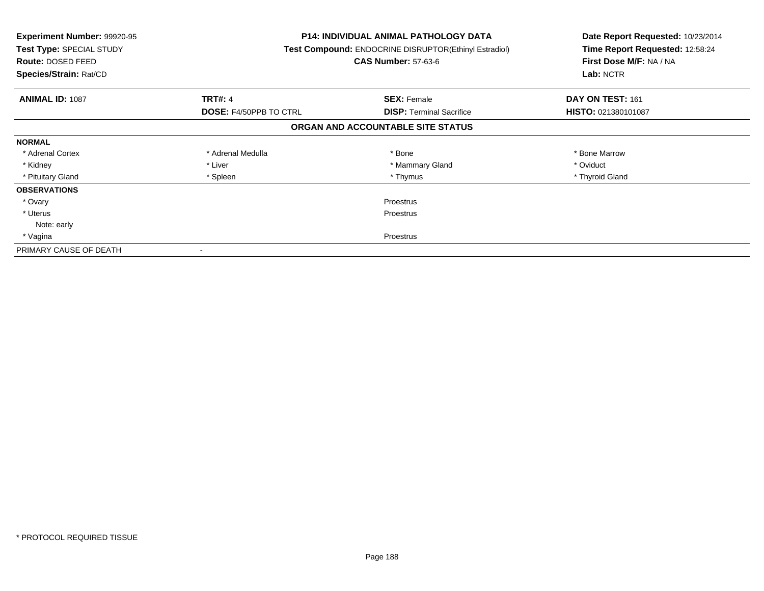| Experiment Number: 99920-95<br>Test Type: SPECIAL STUDY<br><b>Route: DOSED FEED</b><br>Species/Strain: Rat/CD |                               | <b>P14: INDIVIDUAL ANIMAL PATHOLOGY DATA</b><br>Test Compound: ENDOCRINE DISRUPTOR(Ethinyl Estradiol)<br><b>CAS Number: 57-63-6</b> | Date Report Requested: 10/23/2014<br>Time Report Requested: 12:58:24<br>First Dose M/F: NA / NA<br>Lab: NCTR |
|---------------------------------------------------------------------------------------------------------------|-------------------------------|-------------------------------------------------------------------------------------------------------------------------------------|--------------------------------------------------------------------------------------------------------------|
| <b>ANIMAL ID: 1087</b>                                                                                        | <b>TRT#: 4</b>                | <b>SEX: Female</b>                                                                                                                  | DAY ON TEST: 161                                                                                             |
|                                                                                                               | <b>DOSE: F4/50PPB TO CTRL</b> | <b>DISP:</b> Terminal Sacrifice                                                                                                     | HISTO: 021380101087                                                                                          |
|                                                                                                               |                               | ORGAN AND ACCOUNTABLE SITE STATUS                                                                                                   |                                                                                                              |
| <b>NORMAL</b>                                                                                                 |                               |                                                                                                                                     |                                                                                                              |
| * Adrenal Cortex                                                                                              | * Adrenal Medulla             | * Bone                                                                                                                              | * Bone Marrow                                                                                                |
| * Kidney                                                                                                      | * Liver                       | * Mammary Gland                                                                                                                     | * Oviduct                                                                                                    |
| * Pituitary Gland                                                                                             | * Spleen                      | * Thymus                                                                                                                            | * Thyroid Gland                                                                                              |
| <b>OBSERVATIONS</b>                                                                                           |                               |                                                                                                                                     |                                                                                                              |
| * Ovary                                                                                                       |                               | Proestrus                                                                                                                           |                                                                                                              |
| * Uterus                                                                                                      | <b>Proestrus</b>              |                                                                                                                                     |                                                                                                              |
| Note: early                                                                                                   |                               |                                                                                                                                     |                                                                                                              |
| * Vagina                                                                                                      | Proestrus                     |                                                                                                                                     |                                                                                                              |
| PRIMARY CAUSE OF DEATH                                                                                        |                               |                                                                                                                                     |                                                                                                              |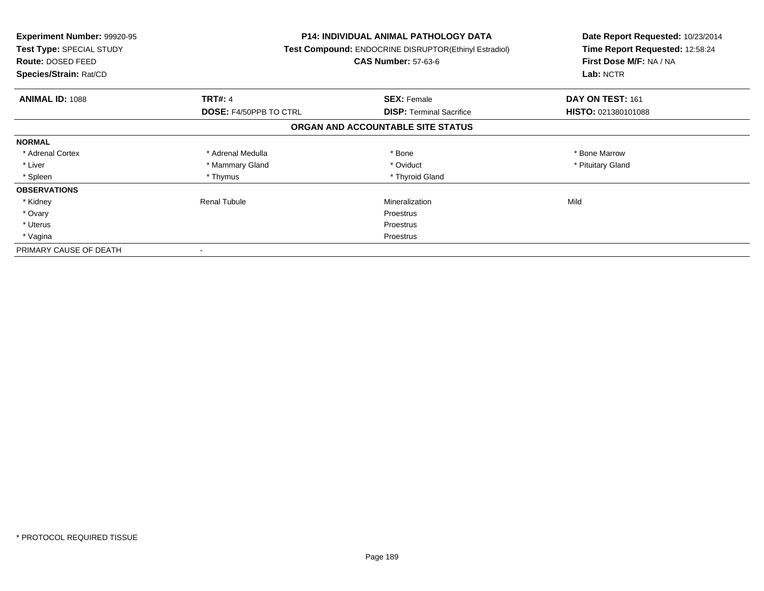| <b>Experiment Number: 99920-95</b><br>Test Type: SPECIAL STUDY<br><b>Route: DOSED FEED</b><br>Species/Strain: Rat/CD |                               | P14: INDIVIDUAL ANIMAL PATHOLOGY DATA<br>Test Compound: ENDOCRINE DISRUPTOR(Ethinyl Estradiol)<br><b>CAS Number: 57-63-6</b> | Date Report Requested: 10/23/2014<br>Time Report Requested: 12:58:24<br>First Dose M/F: NA / NA<br>Lab: NCTR |
|----------------------------------------------------------------------------------------------------------------------|-------------------------------|------------------------------------------------------------------------------------------------------------------------------|--------------------------------------------------------------------------------------------------------------|
| <b>ANIMAL ID: 1088</b>                                                                                               | <b>TRT#: 4</b>                | <b>SEX: Female</b>                                                                                                           | DAY ON TEST: 161                                                                                             |
|                                                                                                                      | <b>DOSE: F4/50PPB TO CTRL</b> | <b>DISP:</b> Terminal Sacrifice                                                                                              | <b>HISTO: 021380101088</b>                                                                                   |
|                                                                                                                      |                               | ORGAN AND ACCOUNTABLE SITE STATUS                                                                                            |                                                                                                              |
| <b>NORMAL</b>                                                                                                        |                               |                                                                                                                              |                                                                                                              |
| * Adrenal Cortex                                                                                                     | * Adrenal Medulla             | * Bone                                                                                                                       | * Bone Marrow                                                                                                |
| * Liver                                                                                                              | * Mammary Gland               | * Oviduct                                                                                                                    | * Pituitary Gland                                                                                            |
| * Spleen                                                                                                             | * Thymus                      | * Thyroid Gland                                                                                                              |                                                                                                              |
| <b>OBSERVATIONS</b>                                                                                                  |                               |                                                                                                                              |                                                                                                              |
| * Kidney                                                                                                             | Renal Tubule                  | Mineralization                                                                                                               | Mild                                                                                                         |
| * Ovary                                                                                                              |                               | Proestrus                                                                                                                    |                                                                                                              |
| * Uterus                                                                                                             |                               | Proestrus                                                                                                                    |                                                                                                              |
| * Vagina                                                                                                             |                               | Proestrus                                                                                                                    |                                                                                                              |
| PRIMARY CAUSE OF DEATH                                                                                               |                               |                                                                                                                              |                                                                                                              |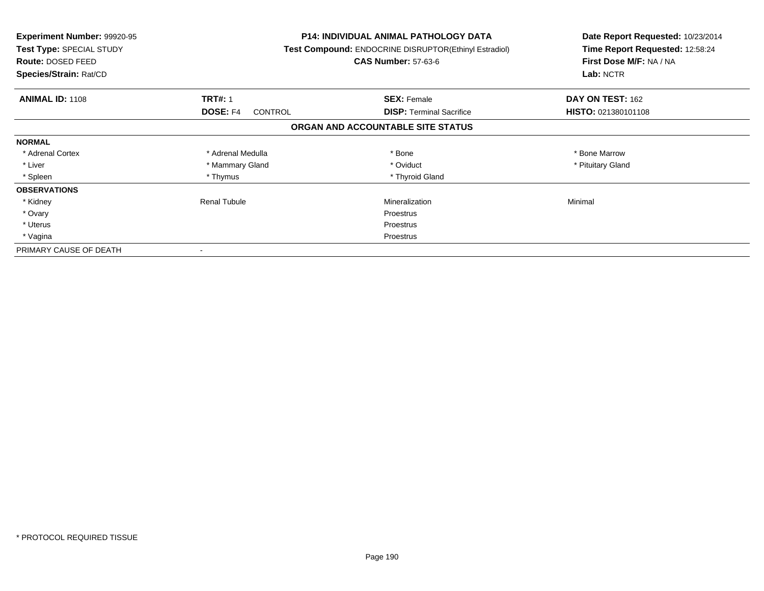| <b>Experiment Number: 99920-95</b><br>Test Type: SPECIAL STUDY<br><b>Route: DOSED FEED</b><br>Species/Strain: Rat/CD |                     | <b>P14: INDIVIDUAL ANIMAL PATHOLOGY DATA</b><br>Test Compound: ENDOCRINE DISRUPTOR(Ethinyl Estradiol)<br><b>CAS Number: 57-63-6</b> | Date Report Requested: 10/23/2014<br>Time Report Requested: 12:58:24<br>First Dose M/F: NA / NA<br>Lab: NCTR |
|----------------------------------------------------------------------------------------------------------------------|---------------------|-------------------------------------------------------------------------------------------------------------------------------------|--------------------------------------------------------------------------------------------------------------|
| <b>ANIMAL ID: 1108</b>                                                                                               | <b>TRT#: 1</b>      | <b>SEX: Female</b>                                                                                                                  | DAY ON TEST: 162                                                                                             |
|                                                                                                                      | DOSE: F4<br>CONTROL | <b>DISP:</b> Terminal Sacrifice                                                                                                     | HISTO: 021380101108                                                                                          |
|                                                                                                                      |                     | ORGAN AND ACCOUNTABLE SITE STATUS                                                                                                   |                                                                                                              |
| <b>NORMAL</b>                                                                                                        |                     |                                                                                                                                     |                                                                                                              |
| * Adrenal Cortex                                                                                                     | * Adrenal Medulla   | * Bone                                                                                                                              | * Bone Marrow                                                                                                |
| * Liver                                                                                                              | * Mammary Gland     | * Oviduct                                                                                                                           | * Pituitary Gland                                                                                            |
| * Spleen                                                                                                             | * Thymus            | * Thyroid Gland                                                                                                                     |                                                                                                              |
| <b>OBSERVATIONS</b>                                                                                                  |                     |                                                                                                                                     |                                                                                                              |
| * Kidney                                                                                                             | <b>Renal Tubule</b> | Mineralization                                                                                                                      | Minimal                                                                                                      |
| * Ovary                                                                                                              |                     | Proestrus                                                                                                                           |                                                                                                              |
| * Uterus                                                                                                             |                     | Proestrus                                                                                                                           |                                                                                                              |
| * Vagina                                                                                                             |                     | Proestrus                                                                                                                           |                                                                                                              |
| PRIMARY CAUSE OF DEATH                                                                                               |                     |                                                                                                                                     |                                                                                                              |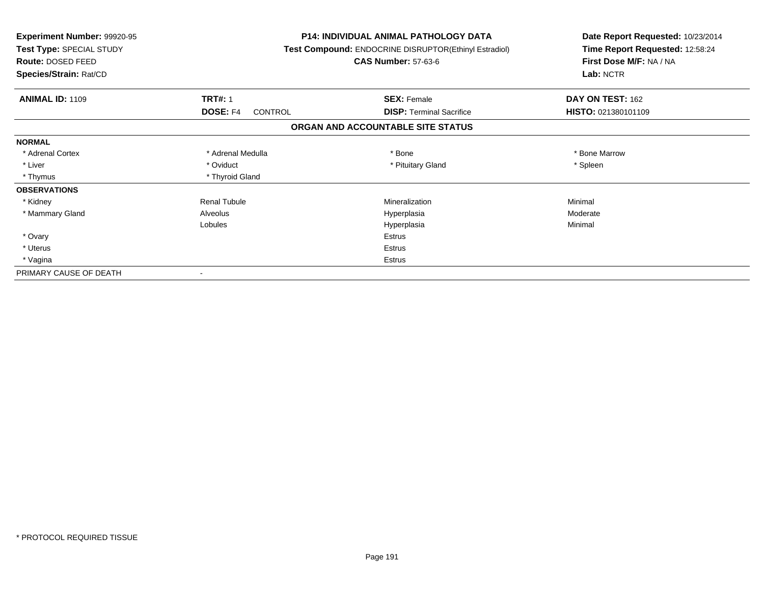| Experiment Number: 99920-95<br>Test Type: SPECIAL STUDY<br>Route: DOSED FEED<br>Species/Strain: Rat/CD |                            | <b>P14: INDIVIDUAL ANIMAL PATHOLOGY DATA</b><br>Test Compound: ENDOCRINE DISRUPTOR(Ethinyl Estradiol)<br><b>CAS Number: 57-63-6</b> | Date Report Requested: 10/23/2014<br>Time Report Requested: 12:58:24<br>First Dose M/F: NA / NA<br>Lab: NCTR |
|--------------------------------------------------------------------------------------------------------|----------------------------|-------------------------------------------------------------------------------------------------------------------------------------|--------------------------------------------------------------------------------------------------------------|
| <b>ANIMAL ID: 1109</b>                                                                                 | <b>TRT#: 1</b>             | <b>SEX: Female</b>                                                                                                                  | DAY ON TEST: 162                                                                                             |
|                                                                                                        | <b>DOSE: F4</b><br>CONTROL | <b>DISP:</b> Terminal Sacrifice                                                                                                     | HISTO: 021380101109                                                                                          |
|                                                                                                        |                            | ORGAN AND ACCOUNTABLE SITE STATUS                                                                                                   |                                                                                                              |
| <b>NORMAL</b>                                                                                          |                            |                                                                                                                                     |                                                                                                              |
| * Adrenal Cortex                                                                                       | * Adrenal Medulla          | * Bone                                                                                                                              | * Bone Marrow                                                                                                |
| * Liver                                                                                                | * Oviduct                  | * Pituitary Gland                                                                                                                   | * Spleen                                                                                                     |
| * Thymus                                                                                               | * Thyroid Gland            |                                                                                                                                     |                                                                                                              |
| <b>OBSERVATIONS</b>                                                                                    |                            |                                                                                                                                     |                                                                                                              |
| * Kidney                                                                                               | <b>Renal Tubule</b>        | Mineralization                                                                                                                      | Minimal                                                                                                      |
| * Mammary Gland                                                                                        | Alveolus                   | Hyperplasia                                                                                                                         | Moderate                                                                                                     |
|                                                                                                        | Lobules                    | Hyperplasia                                                                                                                         | Minimal                                                                                                      |
| * Ovary                                                                                                |                            | <b>Estrus</b>                                                                                                                       |                                                                                                              |
| * Uterus                                                                                               |                            | Estrus                                                                                                                              |                                                                                                              |
| * Vagina                                                                                               |                            | <b>Estrus</b>                                                                                                                       |                                                                                                              |
| PRIMARY CAUSE OF DEATH                                                                                 |                            |                                                                                                                                     |                                                                                                              |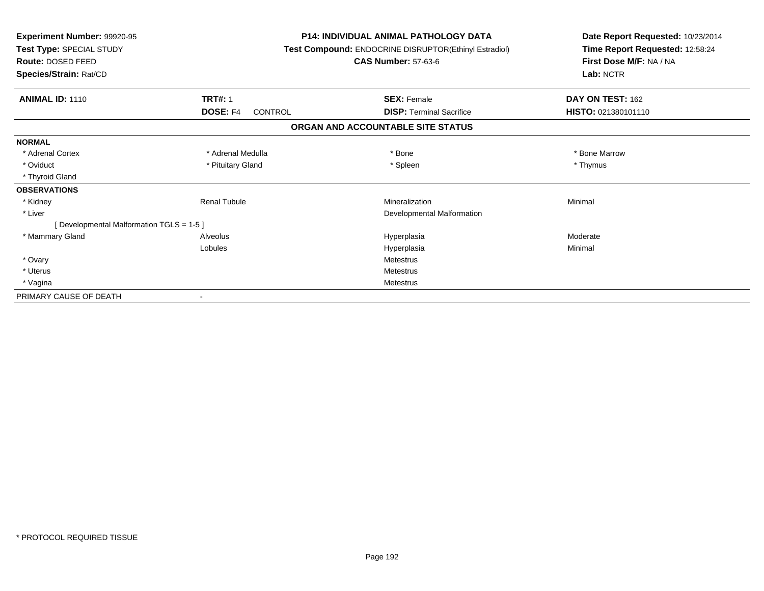| Experiment Number: 99920-95<br>Test Type: SPECIAL STUDY<br>Route: DOSED FEED<br>Species/Strain: Rat/CD |                     | <b>P14: INDIVIDUAL ANIMAL PATHOLOGY DATA</b><br>Test Compound: ENDOCRINE DISRUPTOR(Ethinyl Estradiol)<br><b>CAS Number: 57-63-6</b> | Date Report Requested: 10/23/2014<br>Time Report Requested: 12:58:24<br>First Dose M/F: NA / NA<br>Lab: NCTR |
|--------------------------------------------------------------------------------------------------------|---------------------|-------------------------------------------------------------------------------------------------------------------------------------|--------------------------------------------------------------------------------------------------------------|
| <b>ANIMAL ID: 1110</b>                                                                                 | <b>TRT#: 1</b>      | <b>SEX: Female</b>                                                                                                                  | DAY ON TEST: 162                                                                                             |
|                                                                                                        | DOSE: F4<br>CONTROL | <b>DISP: Terminal Sacrifice</b>                                                                                                     | HISTO: 021380101110                                                                                          |
|                                                                                                        |                     | ORGAN AND ACCOUNTABLE SITE STATUS                                                                                                   |                                                                                                              |
| <b>NORMAL</b>                                                                                          |                     |                                                                                                                                     |                                                                                                              |
| * Adrenal Cortex                                                                                       | * Adrenal Medulla   | * Bone                                                                                                                              | * Bone Marrow                                                                                                |
| * Oviduct                                                                                              | * Pituitary Gland   | * Spleen                                                                                                                            | * Thymus                                                                                                     |
| * Thyroid Gland                                                                                        |                     |                                                                                                                                     |                                                                                                              |
| <b>OBSERVATIONS</b>                                                                                    |                     |                                                                                                                                     |                                                                                                              |
| * Kidney                                                                                               | <b>Renal Tubule</b> | Mineralization                                                                                                                      | Minimal                                                                                                      |
| * Liver                                                                                                |                     | Developmental Malformation                                                                                                          |                                                                                                              |
| [ Developmental Malformation TGLS = 1-5 ]                                                              |                     |                                                                                                                                     |                                                                                                              |
| * Mammary Gland                                                                                        | Alveolus            | Hyperplasia                                                                                                                         | Moderate                                                                                                     |
|                                                                                                        | Lobules             | Hyperplasia                                                                                                                         | Minimal                                                                                                      |
| * Ovary                                                                                                |                     | <b>Metestrus</b>                                                                                                                    |                                                                                                              |
| * Uterus                                                                                               |                     | <b>Metestrus</b>                                                                                                                    |                                                                                                              |
| * Vagina                                                                                               |                     | Metestrus                                                                                                                           |                                                                                                              |
| PRIMARY CAUSE OF DEATH                                                                                 |                     |                                                                                                                                     |                                                                                                              |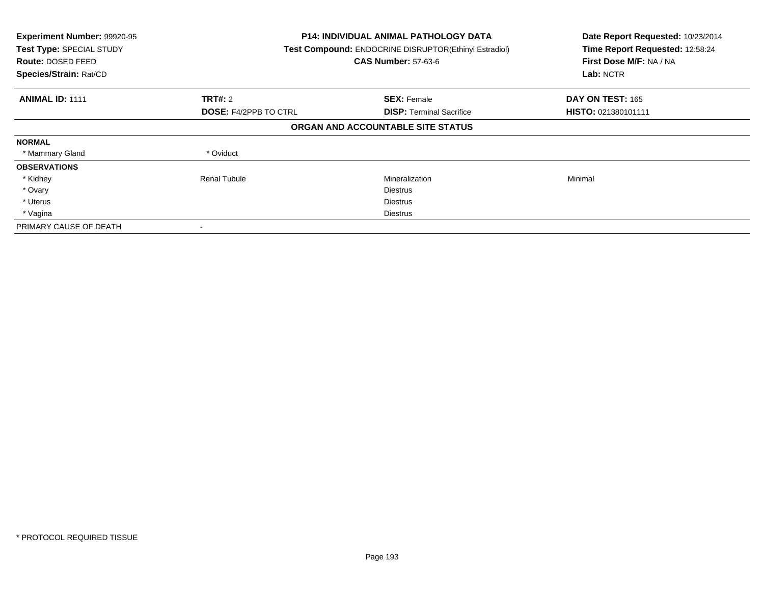| Experiment Number: 99920-95<br>Test Type: SPECIAL STUDY<br><b>Route: DOSED FEED</b><br>Species/Strain: Rat/CD |                              | <b>P14: INDIVIDUAL ANIMAL PATHOLOGY DATA</b><br>Test Compound: ENDOCRINE DISRUPTOR(Ethinyl Estradiol)<br><b>CAS Number: 57-63-6</b> |                     |
|---------------------------------------------------------------------------------------------------------------|------------------------------|-------------------------------------------------------------------------------------------------------------------------------------|---------------------|
| <b>ANIMAL ID: 1111</b>                                                                                        | TRT#: 2                      | <b>SEX: Female</b>                                                                                                                  | DAY ON TEST: 165    |
|                                                                                                               | <b>DOSE: F4/2PPB TO CTRL</b> | <b>DISP:</b> Terminal Sacrifice                                                                                                     | HISTO: 021380101111 |
|                                                                                                               |                              | ORGAN AND ACCOUNTABLE SITE STATUS                                                                                                   |                     |
| <b>NORMAL</b>                                                                                                 |                              |                                                                                                                                     |                     |
| * Mammary Gland                                                                                               | * Oviduct                    |                                                                                                                                     |                     |
| <b>OBSERVATIONS</b>                                                                                           |                              |                                                                                                                                     |                     |
| * Kidney                                                                                                      | <b>Renal Tubule</b>          | Mineralization                                                                                                                      | Minimal             |
| * Ovary                                                                                                       |                              | <b>Diestrus</b>                                                                                                                     |                     |
| * Uterus                                                                                                      |                              | <b>Diestrus</b>                                                                                                                     |                     |
| * Vagina                                                                                                      |                              | Diestrus                                                                                                                            |                     |
| PRIMARY CAUSE OF DEATH                                                                                        |                              |                                                                                                                                     |                     |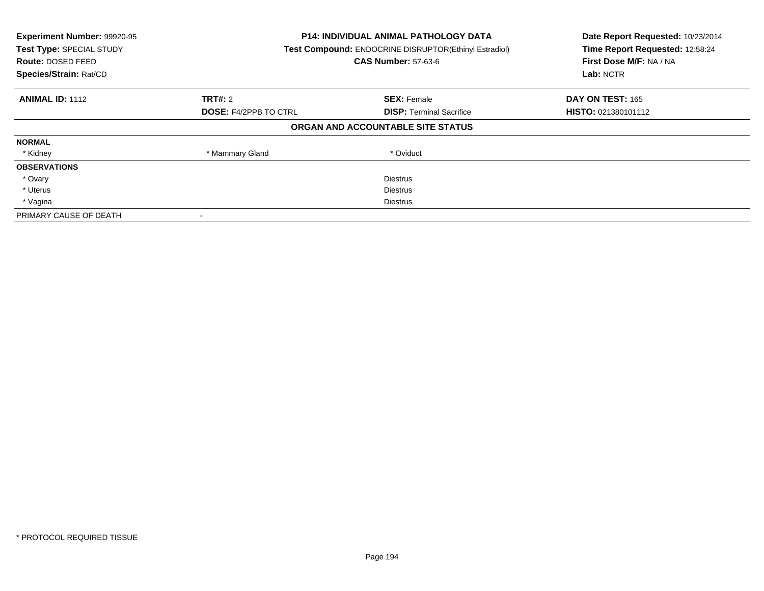| Experiment Number: 99920-95<br>Test Type: SPECIAL STUDY<br><b>Route: DOSED FEED</b><br>Species/Strain: Rat/CD | <b>P14: INDIVIDUAL ANIMAL PATHOLOGY DATA</b><br>Test Compound: ENDOCRINE DISRUPTOR(Ethinyl Estradiol)<br><b>CAS Number: 57-63-6</b> |                                   | Date Report Requested: 10/23/2014<br>Time Report Requested: 12:58:24<br>First Dose M/F: NA / NA<br>Lab: NCTR |
|---------------------------------------------------------------------------------------------------------------|-------------------------------------------------------------------------------------------------------------------------------------|-----------------------------------|--------------------------------------------------------------------------------------------------------------|
| <b>ANIMAL ID: 1112</b>                                                                                        | TRT#: 2                                                                                                                             | <b>SEX: Female</b>                | DAY ON TEST: 165                                                                                             |
|                                                                                                               | <b>DOSE: F4/2PPB TO CTRL</b>                                                                                                        | <b>DISP:</b> Terminal Sacrifice   | HISTO: 021380101112                                                                                          |
|                                                                                                               |                                                                                                                                     | ORGAN AND ACCOUNTABLE SITE STATUS |                                                                                                              |
| <b>NORMAL</b>                                                                                                 |                                                                                                                                     |                                   |                                                                                                              |
| * Kidney                                                                                                      | * Mammary Gland                                                                                                                     | * Oviduct                         |                                                                                                              |
| <b>OBSERVATIONS</b>                                                                                           |                                                                                                                                     |                                   |                                                                                                              |
| * Ovary                                                                                                       |                                                                                                                                     | <b>Diestrus</b>                   |                                                                                                              |
| * Uterus                                                                                                      |                                                                                                                                     | <b>Diestrus</b>                   |                                                                                                              |
| * Vagina                                                                                                      | <b>Diestrus</b>                                                                                                                     |                                   |                                                                                                              |
| PRIMARY CAUSE OF DEATH                                                                                        |                                                                                                                                     |                                   |                                                                                                              |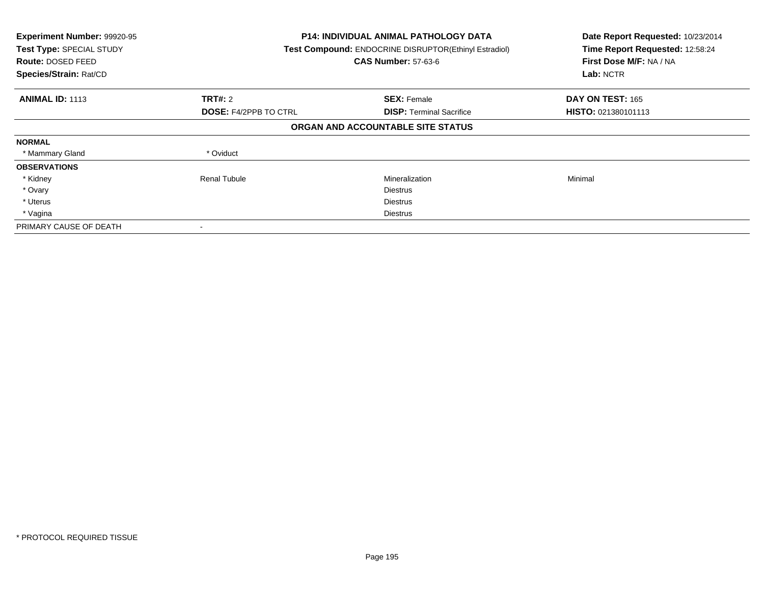| Experiment Number: 99920-95<br>Test Type: SPECIAL STUDY<br><b>Route: DOSED FEED</b><br>Species/Strain: Rat/CD |                              | <b>P14: INDIVIDUAL ANIMAL PATHOLOGY DATA</b><br>Test Compound: ENDOCRINE DISRUPTOR(Ethinyl Estradiol)<br><b>CAS Number: 57-63-6</b> |                            |
|---------------------------------------------------------------------------------------------------------------|------------------------------|-------------------------------------------------------------------------------------------------------------------------------------|----------------------------|
| <b>ANIMAL ID: 1113</b>                                                                                        | TRT#: 2                      | <b>SEX: Female</b>                                                                                                                  | DAY ON TEST: 165           |
|                                                                                                               | <b>DOSE: F4/2PPB TO CTRL</b> | <b>DISP:</b> Terminal Sacrifice                                                                                                     | <b>HISTO: 021380101113</b> |
|                                                                                                               |                              | ORGAN AND ACCOUNTABLE SITE STATUS                                                                                                   |                            |
| <b>NORMAL</b>                                                                                                 |                              |                                                                                                                                     |                            |
| * Mammary Gland                                                                                               | * Oviduct                    |                                                                                                                                     |                            |
| <b>OBSERVATIONS</b>                                                                                           |                              |                                                                                                                                     |                            |
| * Kidney                                                                                                      | <b>Renal Tubule</b>          | Mineralization                                                                                                                      | Minimal                    |
| * Ovary                                                                                                       |                              | <b>Diestrus</b>                                                                                                                     |                            |
| * Uterus                                                                                                      |                              | <b>Diestrus</b>                                                                                                                     |                            |
| * Vagina                                                                                                      |                              | Diestrus                                                                                                                            |                            |
| PRIMARY CAUSE OF DEATH                                                                                        |                              |                                                                                                                                     |                            |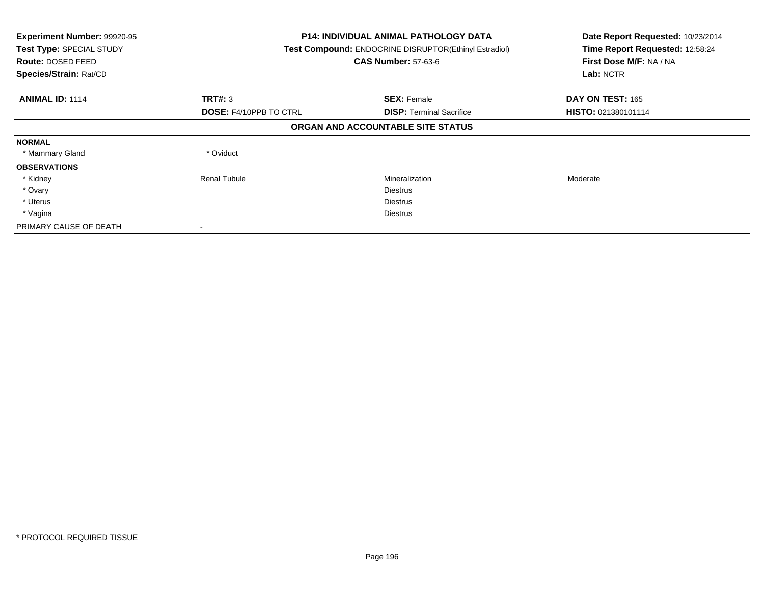| Experiment Number: 99920-95<br>Test Type: SPECIAL STUDY<br><b>Route: DOSED FEED</b><br>Species/Strain: Rat/CD |                               | <b>P14: INDIVIDUAL ANIMAL PATHOLOGY DATA</b><br>Test Compound: ENDOCRINE DISRUPTOR(Ethinyl Estradiol)<br><b>CAS Number: 57-63-6</b> |                     |
|---------------------------------------------------------------------------------------------------------------|-------------------------------|-------------------------------------------------------------------------------------------------------------------------------------|---------------------|
| <b>ANIMAL ID: 1114</b>                                                                                        | TRT#: 3                       | <b>SEX: Female</b>                                                                                                                  | DAY ON TEST: 165    |
|                                                                                                               | <b>DOSE: F4/10PPB TO CTRL</b> | <b>DISP:</b> Terminal Sacrifice                                                                                                     | HISTO: 021380101114 |
|                                                                                                               |                               | ORGAN AND ACCOUNTABLE SITE STATUS                                                                                                   |                     |
| <b>NORMAL</b>                                                                                                 |                               |                                                                                                                                     |                     |
| * Mammary Gland                                                                                               | * Oviduct                     |                                                                                                                                     |                     |
| <b>OBSERVATIONS</b>                                                                                           |                               |                                                                                                                                     |                     |
| * Kidney                                                                                                      | <b>Renal Tubule</b>           | Mineralization                                                                                                                      | Moderate            |
| * Ovary                                                                                                       |                               | <b>Diestrus</b>                                                                                                                     |                     |
| * Uterus                                                                                                      |                               | <b>Diestrus</b>                                                                                                                     |                     |
| * Vagina                                                                                                      |                               | Diestrus                                                                                                                            |                     |
| PRIMARY CAUSE OF DEATH                                                                                        |                               |                                                                                                                                     |                     |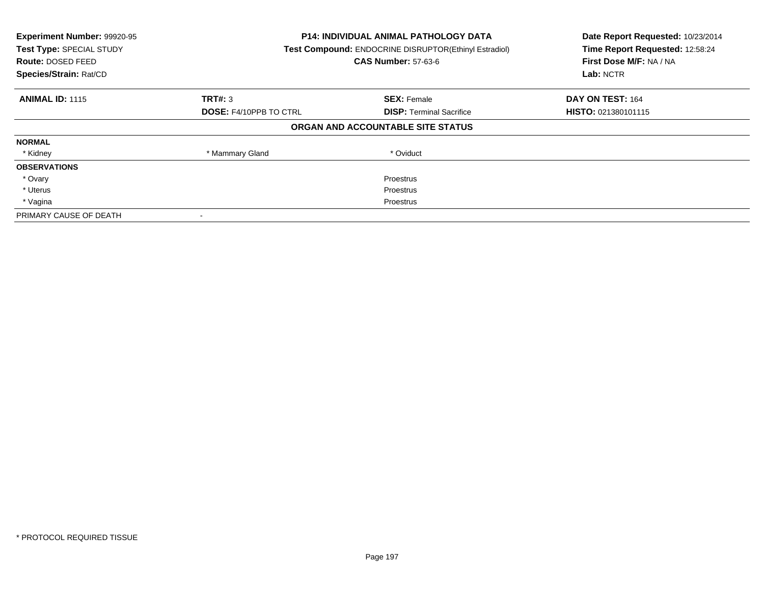| Experiment Number: 99920-95<br>Test Type: SPECIAL STUDY<br>Route: DOSED FEED<br>Species/Strain: Rat/CD | <b>P14: INDIVIDUAL ANIMAL PATHOLOGY DATA</b><br>Test Compound: ENDOCRINE DISRUPTOR(Ethinyl Estradiol)<br><b>CAS Number: 57-63-6</b> |                                   | Date Report Requested: 10/23/2014<br>Time Report Requested: 12:58:24<br>First Dose M/F: NA / NA<br>Lab: NCTR |
|--------------------------------------------------------------------------------------------------------|-------------------------------------------------------------------------------------------------------------------------------------|-----------------------------------|--------------------------------------------------------------------------------------------------------------|
| <b>ANIMAL ID: 1115</b>                                                                                 | TRT#: 3                                                                                                                             | <b>SEX: Female</b>                | DAY ON TEST: 164                                                                                             |
|                                                                                                        | <b>DOSE: F4/10PPB TO CTRL</b>                                                                                                       | <b>DISP:</b> Terminal Sacrifice   | <b>HISTO: 021380101115</b>                                                                                   |
|                                                                                                        |                                                                                                                                     | ORGAN AND ACCOUNTABLE SITE STATUS |                                                                                                              |
| <b>NORMAL</b>                                                                                          |                                                                                                                                     |                                   |                                                                                                              |
| * Kidney                                                                                               | * Mammary Gland                                                                                                                     | * Oviduct                         |                                                                                                              |
| <b>OBSERVATIONS</b>                                                                                    |                                                                                                                                     |                                   |                                                                                                              |
| * Ovary                                                                                                |                                                                                                                                     | Proestrus                         |                                                                                                              |
| * Uterus                                                                                               |                                                                                                                                     | Proestrus                         |                                                                                                              |
| * Vagina                                                                                               | Proestrus                                                                                                                           |                                   |                                                                                                              |
| PRIMARY CAUSE OF DEATH                                                                                 |                                                                                                                                     |                                   |                                                                                                              |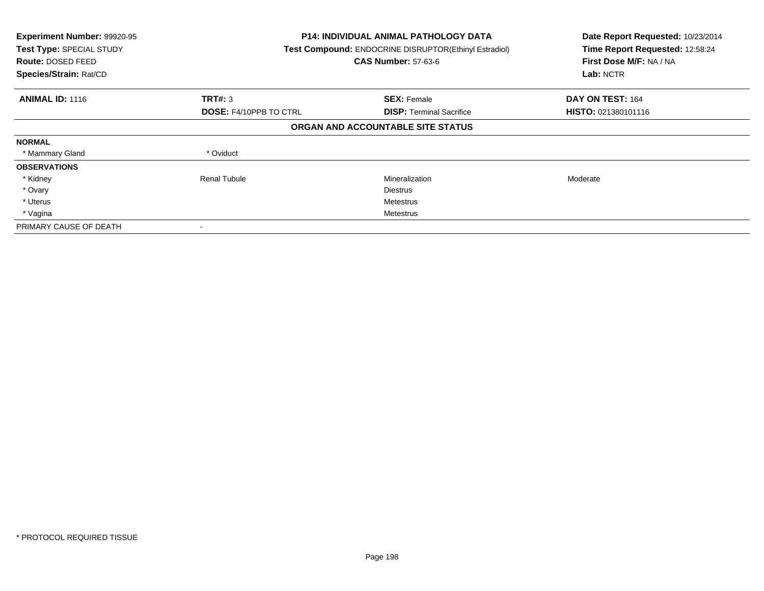| Experiment Number: 99920-95<br>Test Type: SPECIAL STUDY<br><b>Route: DOSED FEED</b><br>Species/Strain: Rat/CD |                               | <b>P14: INDIVIDUAL ANIMAL PATHOLOGY DATA</b><br>Test Compound: ENDOCRINE DISRUPTOR(Ethinyl Estradiol)<br><b>CAS Number: 57-63-6</b> |                            |
|---------------------------------------------------------------------------------------------------------------|-------------------------------|-------------------------------------------------------------------------------------------------------------------------------------|----------------------------|
| <b>ANIMAL ID: 1116</b>                                                                                        | TRT#: 3                       | <b>SEX: Female</b>                                                                                                                  | DAY ON TEST: 164           |
|                                                                                                               | <b>DOSE: F4/10PPB TO CTRL</b> | <b>DISP:</b> Terminal Sacrifice                                                                                                     | <b>HISTO: 021380101116</b> |
|                                                                                                               |                               | ORGAN AND ACCOUNTABLE SITE STATUS                                                                                                   |                            |
| <b>NORMAL</b>                                                                                                 |                               |                                                                                                                                     |                            |
| * Mammary Gland                                                                                               | * Oviduct                     |                                                                                                                                     |                            |
| <b>OBSERVATIONS</b>                                                                                           |                               |                                                                                                                                     |                            |
| * Kidney                                                                                                      | <b>Renal Tubule</b>           | Mineralization                                                                                                                      | Moderate                   |
| * Ovary                                                                                                       |                               | <b>Diestrus</b>                                                                                                                     |                            |
| * Uterus                                                                                                      |                               | Metestrus                                                                                                                           |                            |
| * Vagina                                                                                                      |                               | Metestrus                                                                                                                           |                            |
| PRIMARY CAUSE OF DEATH                                                                                        |                               |                                                                                                                                     |                            |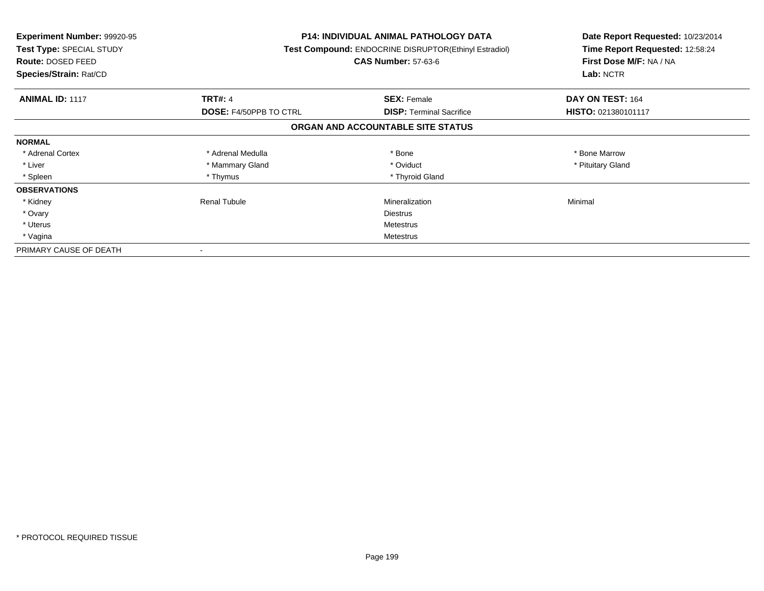| <b>Experiment Number: 99920-95</b><br>Test Type: SPECIAL STUDY<br><b>Route: DOSED FEED</b><br>Species/Strain: Rat/CD |                               | <b>P14: INDIVIDUAL ANIMAL PATHOLOGY DATA</b><br>Test Compound: ENDOCRINE DISRUPTOR(Ethinyl Estradiol)<br><b>CAS Number: 57-63-6</b> | Date Report Requested: 10/23/2014<br>Time Report Requested: 12:58:24<br>First Dose M/F: NA / NA<br>Lab: NCTR |
|----------------------------------------------------------------------------------------------------------------------|-------------------------------|-------------------------------------------------------------------------------------------------------------------------------------|--------------------------------------------------------------------------------------------------------------|
| <b>ANIMAL ID: 1117</b>                                                                                               | <b>TRT#: 4</b>                | <b>SEX: Female</b>                                                                                                                  | DAY ON TEST: 164                                                                                             |
|                                                                                                                      | <b>DOSE: F4/50PPB TO CTRL</b> | <b>DISP:</b> Terminal Sacrifice                                                                                                     | HISTO: 021380101117                                                                                          |
|                                                                                                                      |                               | ORGAN AND ACCOUNTABLE SITE STATUS                                                                                                   |                                                                                                              |
| <b>NORMAL</b>                                                                                                        |                               |                                                                                                                                     |                                                                                                              |
| * Adrenal Cortex                                                                                                     | * Adrenal Medulla             | * Bone                                                                                                                              | * Bone Marrow                                                                                                |
| * Liver                                                                                                              | * Mammary Gland               | * Oviduct                                                                                                                           | * Pituitary Gland                                                                                            |
| * Spleen                                                                                                             | * Thymus                      | * Thyroid Gland                                                                                                                     |                                                                                                              |
| <b>OBSERVATIONS</b>                                                                                                  |                               |                                                                                                                                     |                                                                                                              |
| * Kidney                                                                                                             | Renal Tubule                  | Mineralization                                                                                                                      | Minimal                                                                                                      |
| * Ovary                                                                                                              |                               | <b>Diestrus</b>                                                                                                                     |                                                                                                              |
| * Uterus                                                                                                             |                               | Metestrus                                                                                                                           |                                                                                                              |
| * Vagina                                                                                                             | Metestrus                     |                                                                                                                                     |                                                                                                              |
| PRIMARY CAUSE OF DEATH                                                                                               |                               |                                                                                                                                     |                                                                                                              |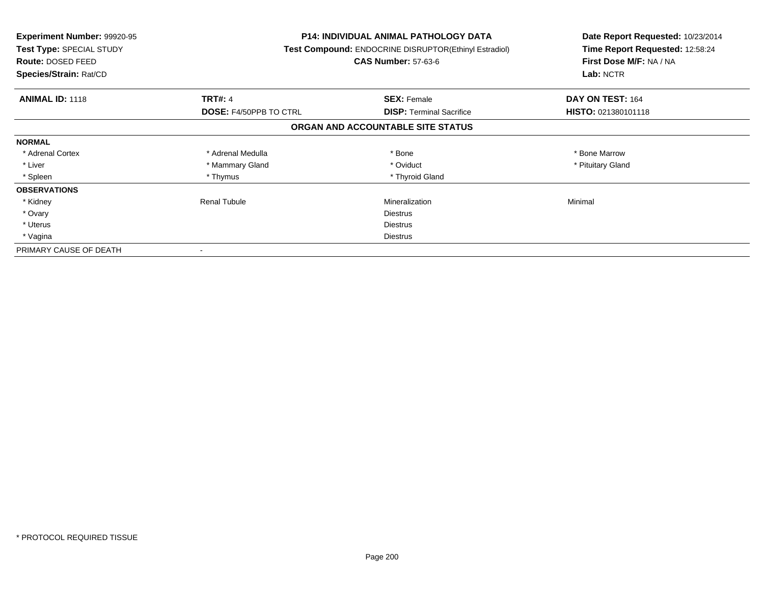| <b>Experiment Number: 99920-95</b><br>Test Type: SPECIAL STUDY<br><b>Route: DOSED FEED</b><br>Species/Strain: Rat/CD |                               | P14: INDIVIDUAL ANIMAL PATHOLOGY DATA<br>Test Compound: ENDOCRINE DISRUPTOR(Ethinyl Estradiol)<br><b>CAS Number: 57-63-6</b> | Date Report Requested: 10/23/2014<br>Time Report Requested: 12:58:24<br>First Dose M/F: NA / NA<br>Lab: NCTR |
|----------------------------------------------------------------------------------------------------------------------|-------------------------------|------------------------------------------------------------------------------------------------------------------------------|--------------------------------------------------------------------------------------------------------------|
| <b>ANIMAL ID: 1118</b>                                                                                               | <b>TRT#: 4</b>                | <b>SEX: Female</b>                                                                                                           | DAY ON TEST: 164                                                                                             |
|                                                                                                                      | <b>DOSE: F4/50PPB TO CTRL</b> | <b>DISP:</b> Terminal Sacrifice                                                                                              | <b>HISTO: 021380101118</b>                                                                                   |
|                                                                                                                      |                               | ORGAN AND ACCOUNTABLE SITE STATUS                                                                                            |                                                                                                              |
| <b>NORMAL</b>                                                                                                        |                               |                                                                                                                              |                                                                                                              |
| * Adrenal Cortex                                                                                                     | * Adrenal Medulla             | * Bone                                                                                                                       | * Bone Marrow                                                                                                |
| * Liver                                                                                                              | * Mammary Gland               | * Oviduct                                                                                                                    | * Pituitary Gland                                                                                            |
| * Spleen                                                                                                             | * Thymus                      | * Thyroid Gland                                                                                                              |                                                                                                              |
| <b>OBSERVATIONS</b>                                                                                                  |                               |                                                                                                                              |                                                                                                              |
| * Kidney                                                                                                             | Renal Tubule                  | Mineralization                                                                                                               | Minimal                                                                                                      |
| * Ovary                                                                                                              |                               | <b>Diestrus</b>                                                                                                              |                                                                                                              |
| * Uterus                                                                                                             |                               | <b>Diestrus</b>                                                                                                              |                                                                                                              |
| * Vagina                                                                                                             |                               | Diestrus                                                                                                                     |                                                                                                              |
| PRIMARY CAUSE OF DEATH                                                                                               |                               |                                                                                                                              |                                                                                                              |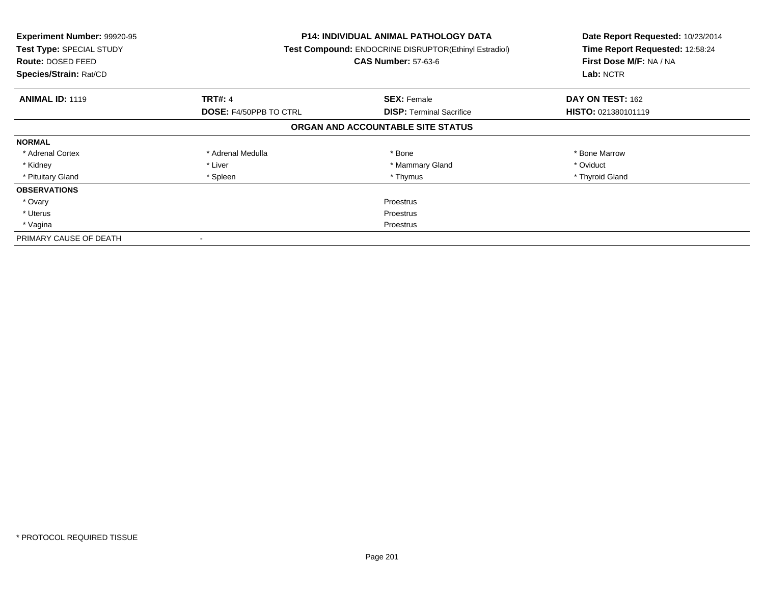| <b>Experiment Number: 99920-95</b><br>Test Type: SPECIAL STUDY<br>Route: DOSED FEED<br>Species/Strain: Rat/CD |                               | <b>P14: INDIVIDUAL ANIMAL PATHOLOGY DATA</b><br>Test Compound: ENDOCRINE DISRUPTOR(Ethinyl Estradiol)<br><b>CAS Number: 57-63-6</b> | Date Report Requested: 10/23/2014<br>Time Report Requested: 12:58:24<br>First Dose M/F: NA / NA<br>Lab: NCTR |
|---------------------------------------------------------------------------------------------------------------|-------------------------------|-------------------------------------------------------------------------------------------------------------------------------------|--------------------------------------------------------------------------------------------------------------|
| <b>ANIMAL ID: 1119</b>                                                                                        | <b>TRT#: 4</b>                | <b>SEX: Female</b>                                                                                                                  | DAY ON TEST: 162                                                                                             |
|                                                                                                               | <b>DOSE: F4/50PPB TO CTRL</b> | <b>DISP:</b> Terminal Sacrifice                                                                                                     | HISTO: 021380101119                                                                                          |
|                                                                                                               |                               | ORGAN AND ACCOUNTABLE SITE STATUS                                                                                                   |                                                                                                              |
| <b>NORMAL</b>                                                                                                 |                               |                                                                                                                                     |                                                                                                              |
| * Adrenal Cortex                                                                                              | * Adrenal Medulla             | * Bone                                                                                                                              | * Bone Marrow                                                                                                |
| * Kidney                                                                                                      | * Liver                       | * Mammary Gland                                                                                                                     | * Oviduct                                                                                                    |
| * Pituitary Gland                                                                                             | * Spleen                      | * Thymus                                                                                                                            | * Thyroid Gland                                                                                              |
| <b>OBSERVATIONS</b>                                                                                           |                               |                                                                                                                                     |                                                                                                              |
| * Ovary                                                                                                       |                               | Proestrus                                                                                                                           |                                                                                                              |
| * Uterus                                                                                                      | Proestrus                     |                                                                                                                                     |                                                                                                              |
| * Vagina                                                                                                      | Proestrus                     |                                                                                                                                     |                                                                                                              |
| PRIMARY CAUSE OF DEATH                                                                                        | $\,$                          |                                                                                                                                     |                                                                                                              |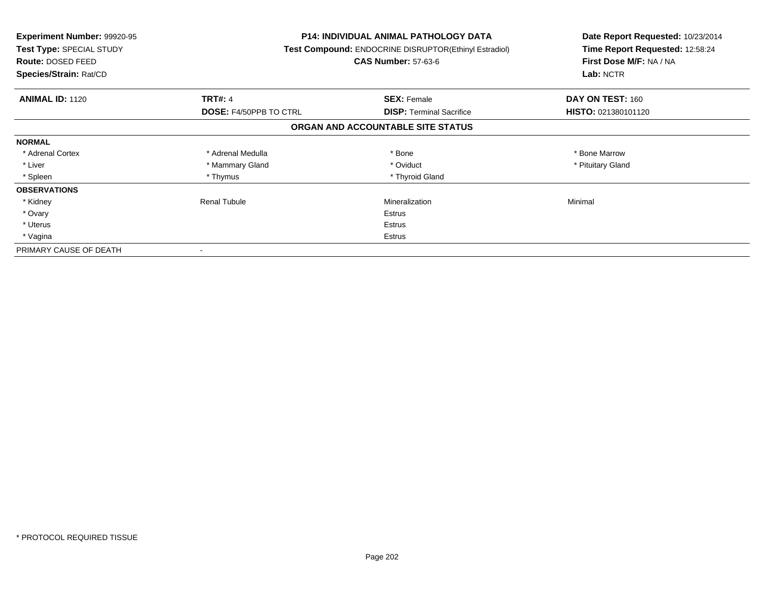| <b>Experiment Number: 99920-95</b><br>Test Type: SPECIAL STUDY<br><b>Route: DOSED FEED</b><br>Species/Strain: Rat/CD |                               | <b>P14: INDIVIDUAL ANIMAL PATHOLOGY DATA</b><br>Test Compound: ENDOCRINE DISRUPTOR(Ethinyl Estradiol)<br><b>CAS Number: 57-63-6</b> | Date Report Requested: 10/23/2014<br>Time Report Requested: 12:58:24<br>First Dose M/F: NA / NA<br>Lab: NCTR |
|----------------------------------------------------------------------------------------------------------------------|-------------------------------|-------------------------------------------------------------------------------------------------------------------------------------|--------------------------------------------------------------------------------------------------------------|
| <b>ANIMAL ID: 1120</b>                                                                                               | <b>TRT#: 4</b>                | <b>SEX: Female</b>                                                                                                                  | DAY ON TEST: 160                                                                                             |
|                                                                                                                      | <b>DOSE: F4/50PPB TO CTRL</b> | <b>DISP:</b> Terminal Sacrifice                                                                                                     | <b>HISTO: 021380101120</b>                                                                                   |
|                                                                                                                      |                               | ORGAN AND ACCOUNTABLE SITE STATUS                                                                                                   |                                                                                                              |
| <b>NORMAL</b>                                                                                                        |                               |                                                                                                                                     |                                                                                                              |
| * Adrenal Cortex                                                                                                     | * Adrenal Medulla             | * Bone                                                                                                                              | * Bone Marrow                                                                                                |
| * Liver                                                                                                              | * Mammary Gland               | * Oviduct                                                                                                                           | * Pituitary Gland                                                                                            |
| * Spleen                                                                                                             | * Thymus                      | * Thyroid Gland                                                                                                                     |                                                                                                              |
| <b>OBSERVATIONS</b>                                                                                                  |                               |                                                                                                                                     |                                                                                                              |
| * Kidney                                                                                                             | <b>Renal Tubule</b>           | Mineralization                                                                                                                      | Minimal                                                                                                      |
| * Ovary                                                                                                              |                               | Estrus                                                                                                                              |                                                                                                              |
| * Uterus                                                                                                             |                               | Estrus                                                                                                                              |                                                                                                              |
| * Vagina                                                                                                             |                               | Estrus                                                                                                                              |                                                                                                              |
| PRIMARY CAUSE OF DEATH                                                                                               |                               |                                                                                                                                     |                                                                                                              |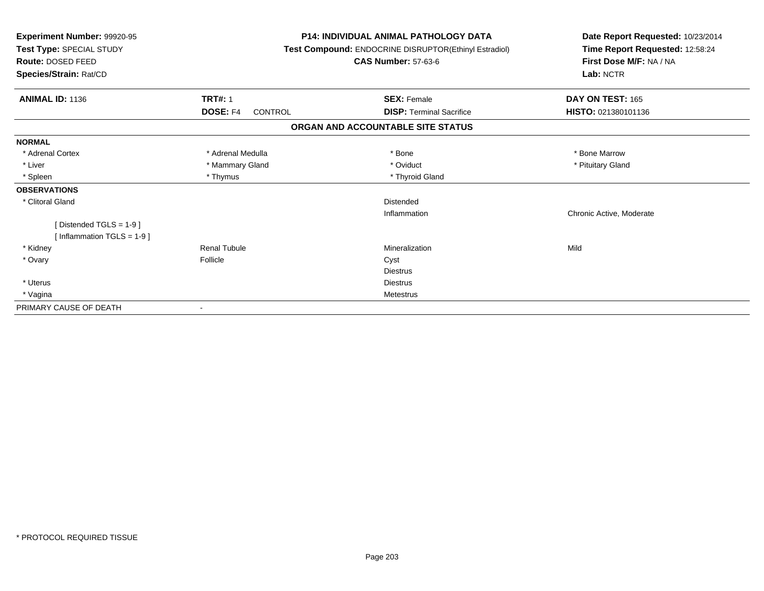| Experiment Number: 99920-95<br>Test Type: SPECIAL STUDY<br><b>Route: DOSED FEED</b><br>Species/Strain: Rat/CD |                     | <b>P14: INDIVIDUAL ANIMAL PATHOLOGY DATA</b><br>Test Compound: ENDOCRINE DISRUPTOR(Ethinyl Estradiol)<br><b>CAS Number: 57-63-6</b> | Date Report Requested: 10/23/2014<br>Time Report Requested: 12:58:24<br>First Dose M/F: NA / NA<br>Lab: NCTR |  |
|---------------------------------------------------------------------------------------------------------------|---------------------|-------------------------------------------------------------------------------------------------------------------------------------|--------------------------------------------------------------------------------------------------------------|--|
| <b>ANIMAL ID: 1136</b>                                                                                        | <b>TRT#: 1</b>      | <b>SEX: Female</b>                                                                                                                  | DAY ON TEST: 165                                                                                             |  |
|                                                                                                               | DOSE: F4<br>CONTROL | <b>DISP: Terminal Sacrifice</b>                                                                                                     | HISTO: 021380101136                                                                                          |  |
|                                                                                                               |                     | ORGAN AND ACCOUNTABLE SITE STATUS                                                                                                   |                                                                                                              |  |
| <b>NORMAL</b>                                                                                                 |                     |                                                                                                                                     |                                                                                                              |  |
| * Adrenal Cortex                                                                                              | * Adrenal Medulla   | * Bone                                                                                                                              | * Bone Marrow                                                                                                |  |
| * Liver                                                                                                       | * Mammary Gland     | * Oviduct                                                                                                                           | * Pituitary Gland                                                                                            |  |
| * Spleen                                                                                                      | * Thymus            | * Thyroid Gland                                                                                                                     |                                                                                                              |  |
| <b>OBSERVATIONS</b>                                                                                           |                     |                                                                                                                                     |                                                                                                              |  |
| * Clitoral Gland                                                                                              |                     | <b>Distended</b>                                                                                                                    |                                                                                                              |  |
|                                                                                                               |                     | Inflammation                                                                                                                        | Chronic Active, Moderate                                                                                     |  |
| [Distended TGLS = $1-9$ ]<br>[ Inflammation TGLS = $1-9$ ]                                                    |                     |                                                                                                                                     |                                                                                                              |  |
| * Kidney                                                                                                      | <b>Renal Tubule</b> | Mineralization                                                                                                                      | Mild                                                                                                         |  |
| * Ovary                                                                                                       | Follicle            | Cyst                                                                                                                                |                                                                                                              |  |
|                                                                                                               |                     | <b>Diestrus</b>                                                                                                                     |                                                                                                              |  |
| * Uterus                                                                                                      |                     | <b>Diestrus</b>                                                                                                                     |                                                                                                              |  |
| * Vagina                                                                                                      |                     | Metestrus                                                                                                                           |                                                                                                              |  |
| PRIMARY CAUSE OF DEATH                                                                                        |                     |                                                                                                                                     |                                                                                                              |  |